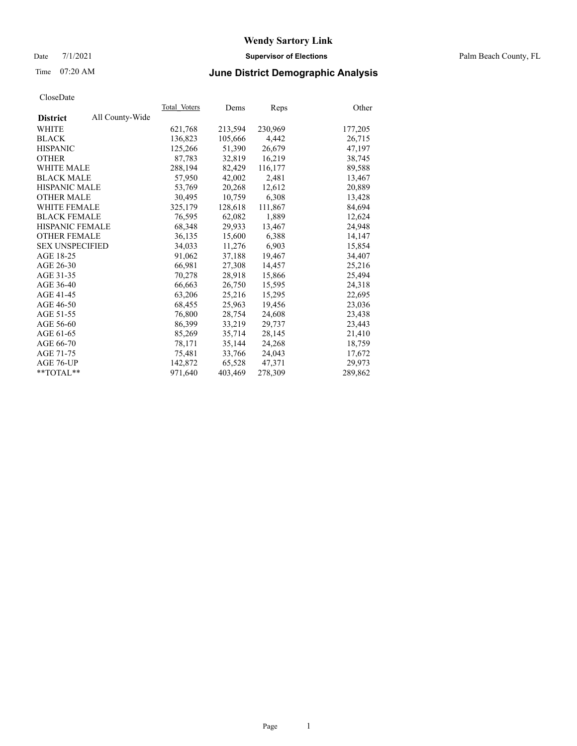#### Date 7/1/2021 **Supervisor of Elections** Palm Beach County, FL

## Time 07:20 AM **June District Demographic Analysis**

| Cioscizate             |                 |              |         |         |         |
|------------------------|-----------------|--------------|---------|---------|---------|
|                        |                 | Total Voters | Dems    | Reps    | Other   |
| <b>District</b>        | All County-Wide |              |         |         |         |
| WHITE                  |                 | 621,768      | 213,594 | 230,969 | 177,205 |
| <b>BLACK</b>           |                 | 136,823      | 105,666 | 4,442   | 26,715  |
| <b>HISPANIC</b>        |                 | 125,266      | 51,390  | 26,679  | 47,197  |
| <b>OTHER</b>           |                 | 87,783       | 32,819  | 16,219  | 38,745  |
| <b>WHITE MALE</b>      |                 | 288,194      | 82,429  | 116,177 | 89,588  |
| <b>BLACK MALE</b>      |                 | 57,950       | 42,002  | 2,481   | 13,467  |
| <b>HISPANIC MALE</b>   |                 | 53,769       | 20,268  | 12,612  | 20,889  |
| <b>OTHER MALE</b>      |                 | 30,495       | 10,759  | 6,308   | 13,428  |
| <b>WHITE FEMALE</b>    |                 | 325,179      | 128,618 | 111,867 | 84,694  |
| <b>BLACK FEMALE</b>    |                 | 76,595       | 62,082  | 1,889   | 12,624  |
| <b>HISPANIC FEMALE</b> |                 | 68,348       | 29,933  | 13,467  | 24,948  |
| <b>OTHER FEMALE</b>    |                 | 36,135       | 15,600  | 6,388   | 14,147  |
| <b>SEX UNSPECIFIED</b> |                 | 34,033       | 11,276  | 6,903   | 15,854  |
| AGE 18-25              |                 | 91,062       | 37,188  | 19,467  | 34,407  |
| AGE 26-30              |                 | 66,981       | 27,308  | 14,457  | 25,216  |
| AGE 31-35              |                 | 70,278       | 28,918  | 15,866  | 25,494  |
| AGE 36-40              |                 | 66,663       | 26,750  | 15,595  | 24,318  |
| AGE 41-45              |                 | 63,206       | 25,216  | 15,295  | 22,695  |
| AGE 46-50              |                 | 68,455       | 25,963  | 19,456  | 23,036  |
| AGE 51-55              |                 | 76,800       | 28,754  | 24,608  | 23,438  |
| AGE 56-60              |                 | 86,399       | 33,219  | 29,737  | 23,443  |
| AGE 61-65              |                 | 85,269       | 35,714  | 28,145  | 21,410  |
| AGE 66-70              |                 | 78,171       | 35,144  | 24.268  | 18,759  |
| AGE 71-75              |                 | 75,481       | 33,766  | 24,043  | 17,672  |
| AGE 76-UP              |                 | 142,872      | 65,528  | 47,371  | 29.973  |
| $*$ $TOTAL**$          |                 | 971,640      | 403,469 | 278,309 | 289,862 |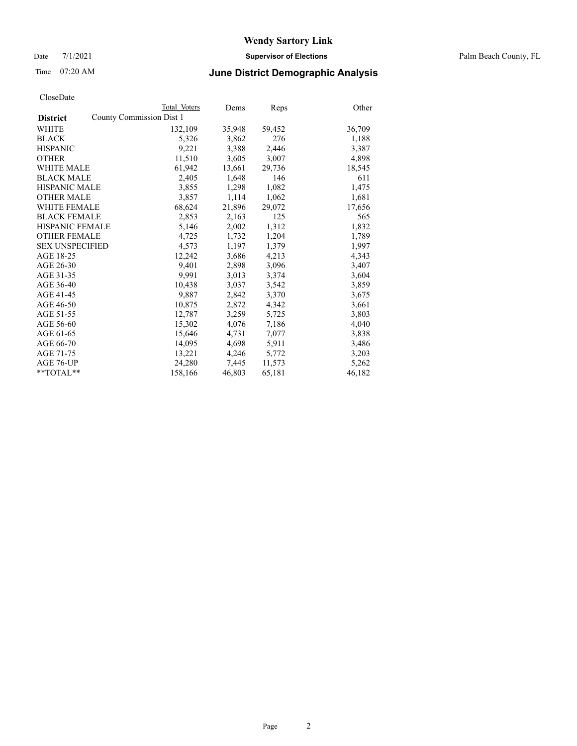Date 7/1/2021 **Supervisor of Elections** Palm Beach County, FL

## Time 07:20 AM **June District Demographic Analysis**

|                                             | Total Voters | Dems   | <b>Reps</b> | Other  |
|---------------------------------------------|--------------|--------|-------------|--------|
| County Commission Dist 1<br><b>District</b> |              |        |             |        |
| <b>WHITE</b>                                | 132,109      | 35,948 | 59,452      | 36,709 |
| <b>BLACK</b>                                | 5,326        | 3,862  | 276         | 1,188  |
| <b>HISPANIC</b>                             | 9,221        | 3,388  | 2,446       | 3,387  |
| <b>OTHER</b>                                | 11,510       | 3,605  | 3,007       | 4,898  |
| <b>WHITE MALE</b>                           | 61,942       | 13,661 | 29,736      | 18,545 |
| <b>BLACK MALE</b>                           | 2,405        | 1,648  | 146         | 611    |
| <b>HISPANIC MALE</b>                        | 3,855        | 1,298  | 1,082       | 1,475  |
| <b>OTHER MALE</b>                           | 3,857        | 1,114  | 1,062       | 1,681  |
| <b>WHITE FEMALE</b>                         | 68,624       | 21,896 | 29,072      | 17,656 |
| <b>BLACK FEMALE</b>                         | 2,853        | 2,163  | 125         | 565    |
| <b>HISPANIC FEMALE</b>                      | 5,146        | 2,002  | 1,312       | 1,832  |
| <b>OTHER FEMALE</b>                         | 4,725        | 1,732  | 1,204       | 1,789  |
| <b>SEX UNSPECIFIED</b>                      | 4,573        | 1,197  | 1,379       | 1,997  |
| AGE 18-25                                   | 12,242       | 3,686  | 4,213       | 4,343  |
| AGE 26-30                                   | 9.401        | 2,898  | 3,096       | 3,407  |
| AGE 31-35                                   | 9,991        | 3,013  | 3,374       | 3,604  |
| AGE 36-40                                   | 10,438       | 3,037  | 3,542       | 3,859  |
| AGE 41-45                                   | 9,887        | 2,842  | 3,370       | 3,675  |
| AGE 46-50                                   | 10,875       | 2,872  | 4,342       | 3,661  |
| AGE 51-55                                   | 12,787       | 3,259  | 5,725       | 3,803  |
| AGE 56-60                                   | 15,302       | 4,076  | 7,186       | 4,040  |
| AGE 61-65                                   | 15,646       | 4,731  | 7,077       | 3,838  |
| AGE 66-70                                   | 14,095       | 4,698  | 5,911       | 3,486  |
| AGE 71-75                                   | 13,221       | 4,246  | 5,772       | 3,203  |
| AGE 76-UP                                   | 24,280       | 7,445  | 11,573      | 5,262  |
| $*$ TOTAL $*$                               | 158,166      | 46,803 | 65,181      | 46,182 |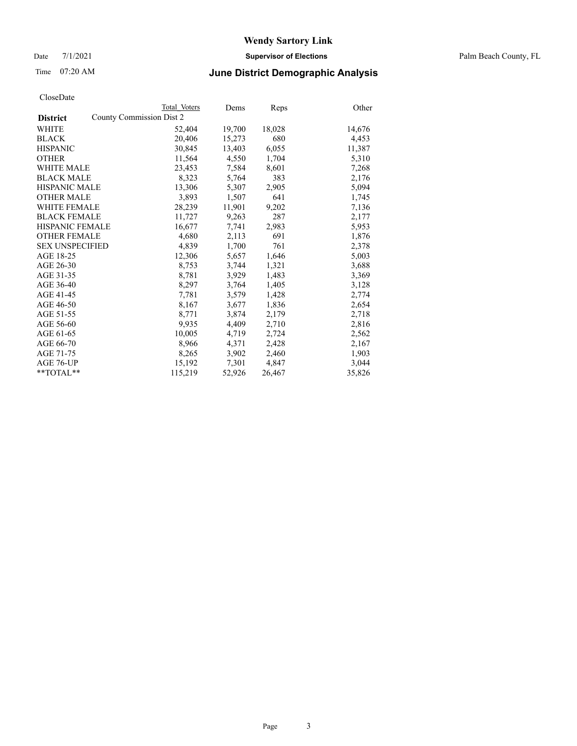Date 7/1/2021 **Supervisor of Elections** Palm Beach County, FL

## Time 07:20 AM **June District Demographic Analysis**

|                        | Total Voters             | Dems   | <b>Reps</b> | Other  |
|------------------------|--------------------------|--------|-------------|--------|
| <b>District</b>        | County Commission Dist 2 |        |             |        |
| WHITE                  | 52,404                   | 19,700 | 18,028      | 14,676 |
| <b>BLACK</b>           | 20,406                   | 15,273 | 680         | 4,453  |
| <b>HISPANIC</b>        | 30.845                   | 13,403 | 6,055       | 11,387 |
| <b>OTHER</b>           | 11,564                   | 4,550  | 1,704       | 5,310  |
| <b>WHITE MALE</b>      | 23,453                   | 7,584  | 8,601       | 7,268  |
| <b>BLACK MALE</b>      | 8,323                    | 5,764  | 383         | 2,176  |
| <b>HISPANIC MALE</b>   | 13,306                   | 5,307  | 2,905       | 5,094  |
| <b>OTHER MALE</b>      | 3,893                    | 1,507  | 641         | 1,745  |
| <b>WHITE FEMALE</b>    | 28,239                   | 11,901 | 9,202       | 7,136  |
| <b>BLACK FEMALE</b>    | 11,727                   | 9,263  | 287         | 2,177  |
| <b>HISPANIC FEMALE</b> | 16,677                   | 7,741  | 2,983       | 5,953  |
| <b>OTHER FEMALE</b>    | 4,680                    | 2,113  | 691         | 1,876  |
| <b>SEX UNSPECIFIED</b> | 4,839                    | 1,700  | 761         | 2,378  |
| AGE 18-25              | 12,306                   | 5,657  | 1,646       | 5,003  |
| AGE 26-30              | 8,753                    | 3.744  | 1,321       | 3,688  |
| AGE 31-35              | 8,781                    | 3,929  | 1,483       | 3,369  |
| AGE 36-40              | 8,297                    | 3,764  | 1,405       | 3,128  |
| AGE 41-45              | 7,781                    | 3,579  | 1,428       | 2,774  |
| AGE 46-50              | 8,167                    | 3,677  | 1,836       | 2,654  |
| AGE 51-55              | 8,771                    | 3,874  | 2,179       | 2,718  |
| AGE 56-60              | 9,935                    | 4,409  | 2,710       | 2,816  |
| AGE 61-65              | 10,005                   | 4,719  | 2,724       | 2,562  |
| AGE 66-70              | 8,966                    | 4,371  | 2,428       | 2,167  |
| AGE 71-75              | 8,265                    | 3,902  | 2,460       | 1,903  |
| AGE 76-UP              | 15,192                   | 7,301  | 4,847       | 3,044  |
| $*$ $TOTAL**$          | 115,219                  | 52,926 | 26,467      | 35,826 |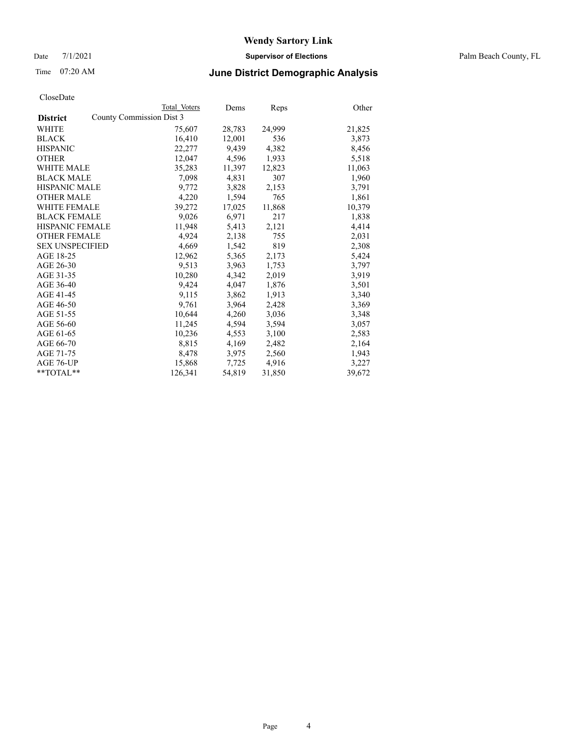Date 7/1/2021 **Supervisor of Elections** Palm Beach County, FL

## Time 07:20 AM **June District Demographic Analysis**

|                                             | Total Voters | Dems   | Reps   | Other  |
|---------------------------------------------|--------------|--------|--------|--------|
| County Commission Dist 3<br><b>District</b> |              |        |        |        |
| WHITE                                       | 75,607       | 28,783 | 24,999 | 21,825 |
| <b>BLACK</b>                                | 16,410       | 12,001 | 536    | 3,873  |
| <b>HISPANIC</b>                             | 22,277       | 9,439  | 4,382  | 8,456  |
| <b>OTHER</b>                                | 12,047       | 4,596  | 1,933  | 5,518  |
| <b>WHITE MALE</b>                           | 35,283       | 11,397 | 12,823 | 11,063 |
| <b>BLACK MALE</b>                           | 7,098        | 4,831  | 307    | 1,960  |
| <b>HISPANIC MALE</b>                        | 9,772        | 3,828  | 2,153  | 3,791  |
| <b>OTHER MALE</b>                           | 4,220        | 1,594  | 765    | 1,861  |
| <b>WHITE FEMALE</b>                         | 39,272       | 17,025 | 11,868 | 10,379 |
| <b>BLACK FEMALE</b>                         | 9,026        | 6,971  | 217    | 1,838  |
| <b>HISPANIC FEMALE</b>                      | 11,948       | 5,413  | 2,121  | 4,414  |
| <b>OTHER FEMALE</b>                         | 4,924        | 2,138  | 755    | 2,031  |
| <b>SEX UNSPECIFIED</b>                      | 4,669        | 1,542  | 819    | 2,308  |
| AGE 18-25                                   | 12,962       | 5,365  | 2,173  | 5,424  |
| AGE 26-30                                   | 9,513        | 3.963  | 1,753  | 3,797  |
| AGE 31-35                                   | 10,280       | 4,342  | 2,019  | 3,919  |
| AGE 36-40                                   | 9,424        | 4,047  | 1,876  | 3,501  |
| AGE 41-45                                   | 9,115        | 3,862  | 1,913  | 3,340  |
| AGE 46-50                                   | 9,761        | 3,964  | 2,428  | 3,369  |
| AGE 51-55                                   | 10,644       | 4,260  | 3,036  | 3,348  |
| AGE 56-60                                   | 11,245       | 4,594  | 3,594  | 3,057  |
| AGE 61-65                                   | 10,236       | 4,553  | 3,100  | 2,583  |
| AGE 66-70                                   | 8,815        | 4,169  | 2,482  | 2,164  |
| AGE 71-75                                   | 8,478        | 3,975  | 2,560  | 1,943  |
| AGE 76-UP                                   | 15,868       | 7,725  | 4,916  | 3,227  |
| **TOTAL**                                   | 126,341      | 54,819 | 31,850 | 39,672 |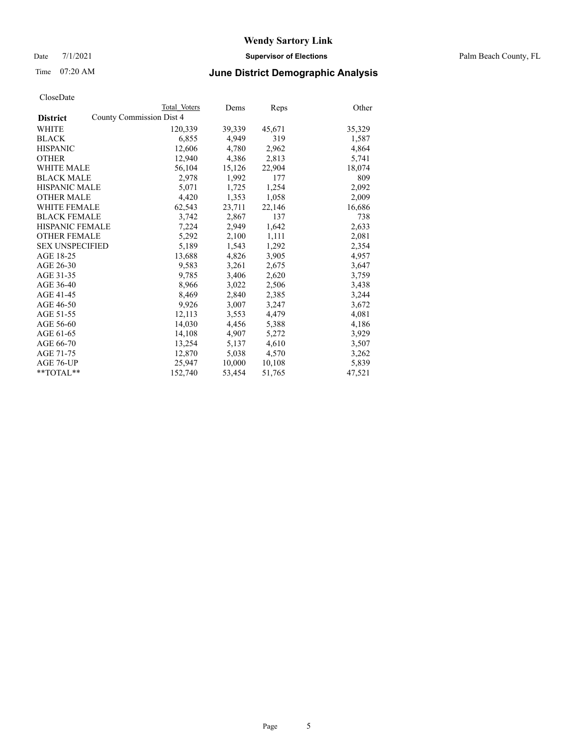Date 7/1/2021 **Supervisor of Elections** Palm Beach County, FL

## Time 07:20 AM **June District Demographic Analysis**

|                                                    | Total Voters | Dems   | Reps   | Other  |
|----------------------------------------------------|--------------|--------|--------|--------|
| <b>County Commission Dist 4</b><br><b>District</b> |              |        |        |        |
| WHITE                                              | 120,339      | 39,339 | 45,671 | 35,329 |
| <b>BLACK</b>                                       | 6,855        | 4,949  | 319    | 1,587  |
| <b>HISPANIC</b>                                    | 12,606       | 4,780  | 2,962  | 4,864  |
| <b>OTHER</b>                                       | 12,940       | 4,386  | 2,813  | 5,741  |
| <b>WHITE MALE</b>                                  | 56,104       | 15,126 | 22,904 | 18,074 |
| <b>BLACK MALE</b>                                  | 2,978        | 1,992  | 177    | 809    |
| <b>HISPANIC MALE</b>                               | 5,071        | 1,725  | 1,254  | 2,092  |
| <b>OTHER MALE</b>                                  | 4,420        | 1,353  | 1,058  | 2,009  |
| <b>WHITE FEMALE</b>                                | 62,543       | 23,711 | 22,146 | 16,686 |
| <b>BLACK FEMALE</b>                                | 3,742        | 2,867  | 137    | 738    |
| <b>HISPANIC FEMALE</b>                             | 7,224        | 2,949  | 1,642  | 2,633  |
| <b>OTHER FEMALE</b>                                | 5,292        | 2,100  | 1,111  | 2,081  |
| <b>SEX UNSPECIFIED</b>                             | 5,189        | 1,543  | 1,292  | 2,354  |
| AGE 18-25                                          | 13,688       | 4,826  | 3,905  | 4,957  |
| AGE 26-30                                          | 9,583        | 3,261  | 2,675  | 3,647  |
| AGE 31-35                                          | 9,785        | 3,406  | 2,620  | 3,759  |
| AGE 36-40                                          | 8,966        | 3,022  | 2,506  | 3,438  |
| AGE 41-45                                          | 8,469        | 2,840  | 2,385  | 3,244  |
| AGE 46-50                                          | 9,926        | 3,007  | 3,247  | 3,672  |
| AGE 51-55                                          | 12,113       | 3,553  | 4,479  | 4,081  |
| AGE 56-60                                          | 14,030       | 4,456  | 5,388  | 4,186  |
| AGE 61-65                                          | 14,108       | 4,907  | 5,272  | 3,929  |
| AGE 66-70                                          | 13,254       | 5,137  | 4,610  | 3,507  |
| AGE 71-75                                          | 12,870       | 5,038  | 4,570  | 3,262  |
| AGE 76-UP                                          | 25,947       | 10,000 | 10,108 | 5,839  |
| $*$ $TOTAL**$                                      | 152,740      | 53,454 | 51,765 | 47,521 |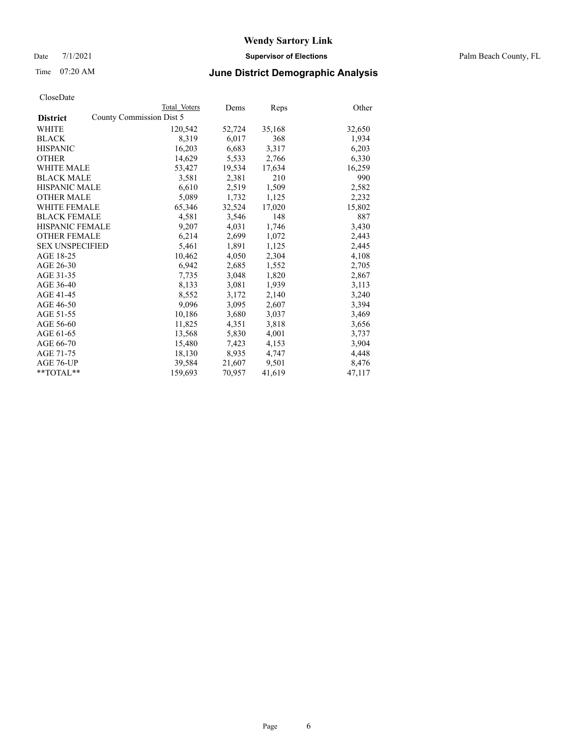Date 7/1/2021 **Supervisor of Elections** Palm Beach County, FL

## Time 07:20 AM **June District Demographic Analysis**

|                          | Dems         | <b>Reps</b> | Other  |
|--------------------------|--------------|-------------|--------|
| County Commission Dist 5 |              |             |        |
| 120,542                  | 52,724       | 35,168      | 32,650 |
| 8,319                    | 6,017        | 368         | 1,934  |
| 16,203                   | 6,683        | 3,317       | 6,203  |
| 14,629                   | 5,533        | 2,766       | 6,330  |
| 53,427                   | 19,534       | 17,634      | 16,259 |
| 3,581                    | 2,381        | 210         | 990    |
| 6,610                    | 2,519        | 1,509       | 2,582  |
| 5,089                    | 1,732        | 1,125       | 2,232  |
| 65,346                   | 32,524       | 17,020      | 15,802 |
| 4,581                    | 3,546        | 148         | 887    |
| 9,207                    | 4,031        | 1,746       | 3,430  |
| 6,214                    | 2,699        | 1,072       | 2,443  |
| 5,461                    | 1,891        | 1,125       | 2,445  |
| 10,462                   | 4,050        | 2,304       | 4,108  |
| 6,942                    | 2,685        | 1,552       | 2,705  |
| 7,735                    | 3,048        | 1,820       | 2,867  |
| 8,133                    | 3,081        | 1,939       | 3,113  |
| 8,552                    | 3,172        | 2,140       | 3,240  |
| 9,096                    | 3,095        | 2,607       | 3,394  |
| 10,186                   | 3,680        | 3,037       | 3,469  |
| 11,825                   | 4,351        | 3,818       | 3,656  |
| 13,568                   | 5,830        | 4,001       | 3,737  |
| 15,480                   | 7,423        | 4,153       | 3,904  |
| 18,130                   | 8,935        | 4,747       | 4,448  |
| 39,584                   | 21,607       | 9,501       | 8,476  |
| 159,693                  | 70,957       | 41,619      | 47,117 |
|                          | Total Voters |             |        |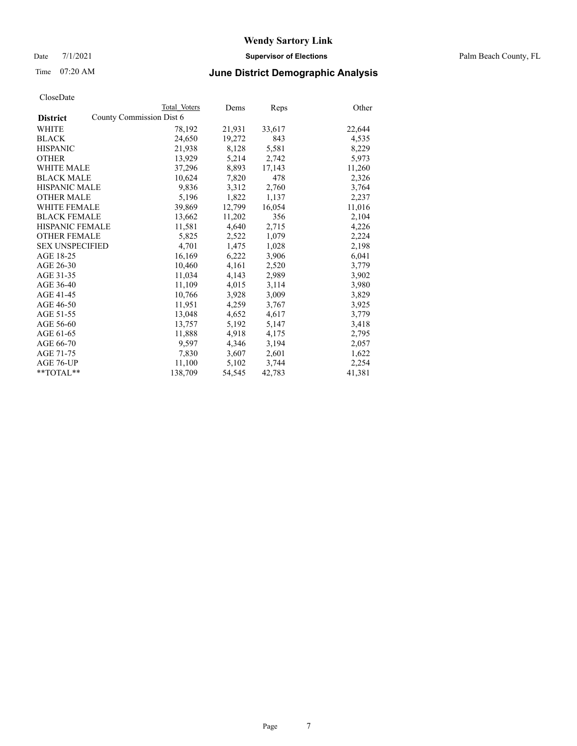Date 7/1/2021 **Supervisor of Elections** Palm Beach County, FL

## Time 07:20 AM **June District Demographic Analysis**

|                        | Total Voters             | Dems   | Reps   | Other  |
|------------------------|--------------------------|--------|--------|--------|
| <b>District</b>        | County Commission Dist 6 |        |        |        |
| WHITE                  | 78,192                   | 21,931 | 33,617 | 22,644 |
| <b>BLACK</b>           | 24,650                   | 19,272 | 843    | 4,535  |
| <b>HISPANIC</b>        | 21,938                   | 8,128  | 5,581  | 8,229  |
| <b>OTHER</b>           | 13,929                   | 5,214  | 2,742  | 5,973  |
| <b>WHITE MALE</b>      | 37,296                   | 8,893  | 17,143 | 11,260 |
| <b>BLACK MALE</b>      | 10,624                   | 7,820  | 478    | 2,326  |
| <b>HISPANIC MALE</b>   | 9,836                    | 3,312  | 2,760  | 3,764  |
| <b>OTHER MALE</b>      | 5,196                    | 1,822  | 1,137  | 2,237  |
| <b>WHITE FEMALE</b>    | 39,869                   | 12,799 | 16,054 | 11,016 |
| <b>BLACK FEMALE</b>    | 13,662                   | 11,202 | 356    | 2,104  |
| <b>HISPANIC FEMALE</b> | 11,581                   | 4,640  | 2,715  | 4,226  |
| <b>OTHER FEMALE</b>    | 5,825                    | 2,522  | 1,079  | 2,224  |
| <b>SEX UNSPECIFIED</b> | 4.701                    | 1,475  | 1,028  | 2,198  |
| AGE 18-25              | 16,169                   | 6,222  | 3,906  | 6,041  |
| AGE 26-30              | 10,460                   | 4,161  | 2,520  | 3,779  |
| AGE 31-35              | 11,034                   | 4,143  | 2,989  | 3,902  |
| AGE 36-40              | 11,109                   | 4,015  | 3,114  | 3,980  |
| AGE 41-45              | 10,766                   | 3,928  | 3,009  | 3,829  |
| AGE 46-50              | 11,951                   | 4,259  | 3,767  | 3,925  |
| AGE 51-55              | 13,048                   | 4,652  | 4,617  | 3,779  |
| AGE 56-60              | 13,757                   | 5,192  | 5,147  | 3,418  |
| AGE 61-65              | 11,888                   | 4,918  | 4,175  | 2,795  |
| AGE 66-70              | 9,597                    | 4,346  | 3,194  | 2,057  |
| AGE 71-75              | 7,830                    | 3,607  | 2,601  | 1,622  |
| AGE 76-UP              | 11,100                   | 5,102  | 3,744  | 2,254  |
| **TOTAL**              | 138,709                  | 54,545 | 42,783 | 41,381 |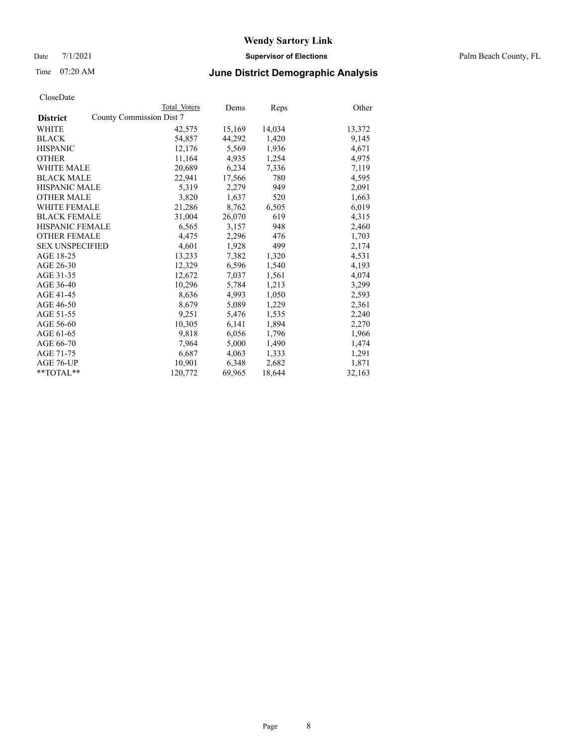Date 7/1/2021 **Supervisor of Elections** Palm Beach County, FL

## Time 07:20 AM **June District Demographic Analysis**

|                        | Total Voters             | Dems   | Reps   | Other  |
|------------------------|--------------------------|--------|--------|--------|
| <b>District</b>        | County Commission Dist 7 |        |        |        |
| WHITE                  | 42,575                   | 15,169 | 14,034 | 13,372 |
| <b>BLACK</b>           | 54,857                   | 44,292 | 1,420  | 9,145  |
| <b>HISPANIC</b>        | 12,176                   | 5.569  | 1,936  | 4,671  |
| <b>OTHER</b>           | 11,164                   | 4,935  | 1,254  | 4,975  |
| <b>WHITE MALE</b>      | 20,689                   | 6,234  | 7,336  | 7,119  |
| <b>BLACK MALE</b>      | 22,941                   | 17,566 | 780    | 4,595  |
| <b>HISPANIC MALE</b>   | 5,319                    | 2,279  | 949    | 2,091  |
| <b>OTHER MALE</b>      | 3,820                    | 1,637  | 520    | 1,663  |
| <b>WHITE FEMALE</b>    | 21,286                   | 8,762  | 6,505  | 6,019  |
| <b>BLACK FEMALE</b>    | 31,004                   | 26,070 | 619    | 4,315  |
| <b>HISPANIC FEMALE</b> | 6,565                    | 3,157  | 948    | 2,460  |
| <b>OTHER FEMALE</b>    | 4,475                    | 2,296  | 476    | 1,703  |
| <b>SEX UNSPECIFIED</b> | 4,601                    | 1,928  | 499    | 2,174  |
| AGE 18-25              | 13,233                   | 7,382  | 1,320  | 4,531  |
| AGE 26-30              | 12,329                   | 6,596  | 1,540  | 4,193  |
| AGE 31-35              | 12,672                   | 7,037  | 1,561  | 4,074  |
| AGE 36-40              | 10,296                   | 5,784  | 1,213  | 3,299  |
| AGE 41-45              | 8,636                    | 4,993  | 1,050  | 2,593  |
| AGE 46-50              | 8,679                    | 5,089  | 1,229  | 2,361  |
| AGE 51-55              | 9,251                    | 5,476  | 1,535  | 2,240  |
| AGE 56-60              | 10,305                   | 6,141  | 1,894  | 2,270  |
| AGE 61-65              | 9,818                    | 6,056  | 1,796  | 1,966  |
| AGE 66-70              | 7,964                    | 5,000  | 1,490  | 1,474  |
| AGE 71-75              | 6,687                    | 4,063  | 1,333  | 1,291  |
| AGE 76-UP              | 10,901                   | 6,348  | 2,682  | 1,871  |
| **TOTAL**              | 120,772                  | 69,965 | 18,644 | 32,163 |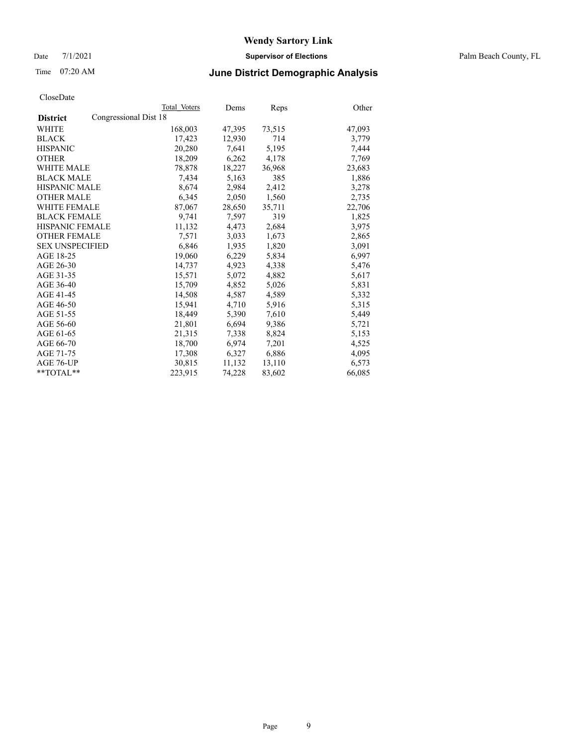Date 7/1/2021 **Supervisor of Elections** Palm Beach County, FL

## Time 07:20 AM **June District Demographic Analysis**

|                                          | Total Voters | Dems   | <b>Reps</b> | Other  |
|------------------------------------------|--------------|--------|-------------|--------|
| Congressional Dist 18<br><b>District</b> |              |        |             |        |
| WHITE                                    | 168,003      | 47,395 | 73,515      | 47,093 |
| <b>BLACK</b>                             | 17,423       | 12,930 | 714         | 3,779  |
| <b>HISPANIC</b>                          | 20,280       | 7.641  | 5,195       | 7,444  |
| <b>OTHER</b>                             | 18,209       | 6,262  | 4,178       | 7,769  |
| <b>WHITE MALE</b>                        | 78,878       | 18,227 | 36,968      | 23,683 |
| <b>BLACK MALE</b>                        | 7,434        | 5,163  | 385         | 1,886  |
| <b>HISPANIC MALE</b>                     | 8,674        | 2,984  | 2,412       | 3,278  |
| <b>OTHER MALE</b>                        | 6,345        | 2,050  | 1,560       | 2,735  |
| <b>WHITE FEMALE</b>                      | 87,067       | 28,650 | 35,711      | 22,706 |
| <b>BLACK FEMALE</b>                      | 9,741        | 7,597  | 319         | 1,825  |
| <b>HISPANIC FEMALE</b>                   | 11,132       | 4,473  | 2,684       | 3,975  |
| <b>OTHER FEMALE</b>                      | 7,571        | 3,033  | 1,673       | 2,865  |
| <b>SEX UNSPECIFIED</b>                   | 6,846        | 1,935  | 1,820       | 3,091  |
| AGE 18-25                                | 19,060       | 6,229  | 5,834       | 6,997  |
| AGE 26-30                                | 14,737       | 4,923  | 4,338       | 5,476  |
| AGE 31-35                                | 15,571       | 5,072  | 4,882       | 5,617  |
| AGE 36-40                                | 15,709       | 4,852  | 5,026       | 5,831  |
| AGE 41-45                                | 14,508       | 4,587  | 4,589       | 5,332  |
| AGE 46-50                                | 15,941       | 4,710  | 5,916       | 5,315  |
| AGE 51-55                                | 18,449       | 5,390  | 7,610       | 5,449  |
| AGE 56-60                                | 21,801       | 6,694  | 9,386       | 5,721  |
| AGE 61-65                                | 21,315       | 7,338  | 8,824       | 5,153  |
| AGE 66-70                                | 18,700       | 6,974  | 7,201       | 4,525  |
| AGE 71-75                                | 17,308       | 6,327  | 6,886       | 4,095  |
| AGE 76-UP                                | 30,815       | 11,132 | 13,110      | 6,573  |
| $*$ TOTAL $*$                            | 223,915      | 74,228 | 83,602      | 66,085 |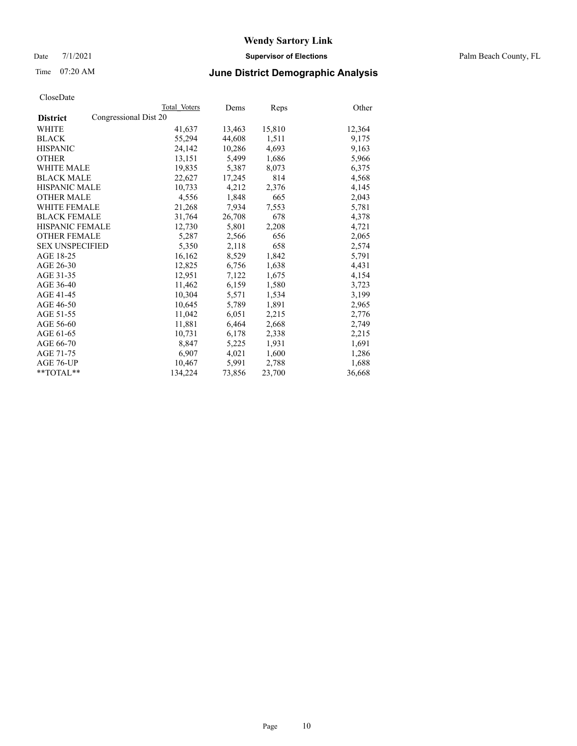Date 7/1/2021 **Supervisor of Elections** Palm Beach County, FL

## Time 07:20 AM **June District Demographic Analysis**

|                                          | Total Voters | Dems   | Reps   | Other  |
|------------------------------------------|--------------|--------|--------|--------|
| Congressional Dist 20<br><b>District</b> |              |        |        |        |
| WHITE                                    | 41,637       | 13,463 | 15,810 | 12,364 |
| <b>BLACK</b>                             | 55,294       | 44,608 | 1,511  | 9,175  |
| <b>HISPANIC</b>                          | 24.142       | 10,286 | 4,693  | 9,163  |
| <b>OTHER</b>                             | 13,151       | 5,499  | 1,686  | 5,966  |
| <b>WHITE MALE</b>                        | 19,835       | 5,387  | 8,073  | 6,375  |
| <b>BLACK MALE</b>                        | 22,627       | 17,245 | 814    | 4,568  |
| <b>HISPANIC MALE</b>                     | 10,733       | 4,212  | 2,376  | 4,145  |
| <b>OTHER MALE</b>                        | 4,556        | 1,848  | 665    | 2,043  |
| <b>WHITE FEMALE</b>                      | 21,268       | 7,934  | 7,553  | 5,781  |
| <b>BLACK FEMALE</b>                      | 31.764       | 26,708 | 678    | 4,378  |
| HISPANIC FEMALE                          | 12,730       | 5,801  | 2,208  | 4,721  |
| <b>OTHER FEMALE</b>                      | 5,287        | 2,566  | 656    | 2,065  |
| <b>SEX UNSPECIFIED</b>                   | 5,350        | 2,118  | 658    | 2,574  |
| AGE 18-25                                | 16,162       | 8,529  | 1,842  | 5,791  |
| AGE 26-30                                | 12,825       | 6,756  | 1,638  | 4,431  |
| AGE 31-35                                | 12,951       | 7,122  | 1,675  | 4,154  |
| AGE 36-40                                | 11.462       | 6,159  | 1,580  | 3,723  |
| AGE 41-45                                | 10,304       | 5,571  | 1,534  | 3,199  |
| AGE 46-50                                | 10,645       | 5,789  | 1,891  | 2,965  |
| AGE 51-55                                | 11,042       | 6,051  | 2,215  | 2,776  |
| AGE 56-60                                | 11,881       | 6,464  | 2,668  | 2,749  |
| AGE 61-65                                | 10,731       | 6,178  | 2,338  | 2,215  |
| AGE 66-70                                | 8.847        | 5,225  | 1,931  | 1,691  |
| AGE 71-75                                | 6,907        | 4,021  | 1,600  | 1,286  |
| AGE 76-UP                                | 10,467       | 5,991  | 2,788  | 1,688  |
| $*$ $TOTAL**$                            | 134,224      | 73,856 | 23,700 | 36,668 |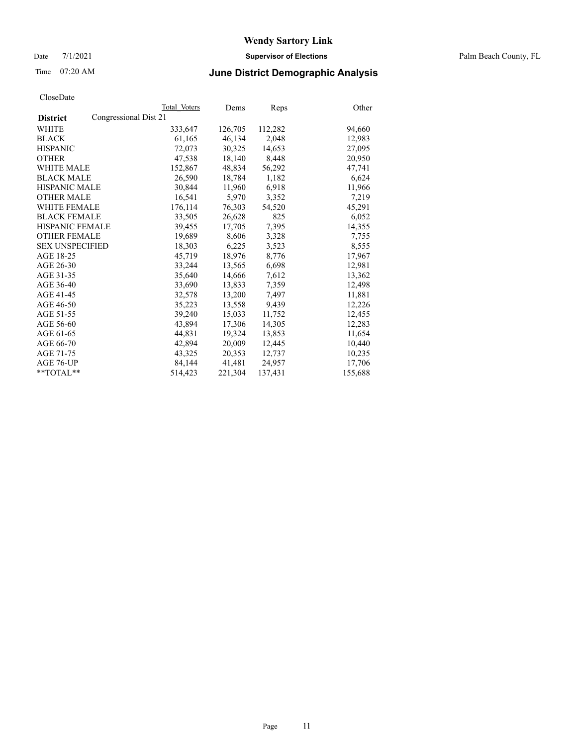Date 7/1/2021 **Supervisor of Elections** Palm Beach County, FL

## Time 07:20 AM **June District Demographic Analysis**

|                                          | Total Voters | Dems    | <b>Reps</b> | Other   |
|------------------------------------------|--------------|---------|-------------|---------|
| Congressional Dist 21<br><b>District</b> |              |         |             |         |
| WHITE                                    | 333,647      | 126,705 | 112,282     | 94,660  |
| <b>BLACK</b>                             | 61,165       | 46,134  | 2,048       | 12,983  |
| <b>HISPANIC</b>                          | 72,073       | 30,325  | 14,653      | 27,095  |
| <b>OTHER</b>                             | 47,538       | 18,140  | 8,448       | 20,950  |
| <b>WHITE MALE</b>                        | 152,867      | 48,834  | 56,292      | 47,741  |
| <b>BLACK MALE</b>                        | 26,590       | 18,784  | 1,182       | 6,624   |
| <b>HISPANIC MALE</b>                     | 30,844       | 11,960  | 6,918       | 11,966  |
| <b>OTHER MALE</b>                        | 16,541       | 5,970   | 3,352       | 7,219   |
| <b>WHITE FEMALE</b>                      | 176,114      | 76,303  | 54,520      | 45,291  |
| <b>BLACK FEMALE</b>                      | 33,505       | 26,628  | 825         | 6,052   |
| <b>HISPANIC FEMALE</b>                   | 39,455       | 17,705  | 7,395       | 14,355  |
| <b>OTHER FEMALE</b>                      | 19,689       | 8,606   | 3,328       | 7,755   |
| <b>SEX UNSPECIFIED</b>                   | 18,303       | 6,225   | 3,523       | 8,555   |
| AGE 18-25                                | 45,719       | 18,976  | 8,776       | 17,967  |
| AGE 26-30                                | 33,244       | 13,565  | 6,698       | 12,981  |
| AGE 31-35                                | 35,640       | 14,666  | 7,612       | 13,362  |
| AGE 36-40                                | 33,690       | 13,833  | 7,359       | 12,498  |
| AGE 41-45                                | 32,578       | 13,200  | 7,497       | 11,881  |
| AGE 46-50                                | 35,223       | 13,558  | 9,439       | 12,226  |
| AGE 51-55                                | 39,240       | 15,033  | 11,752      | 12,455  |
| AGE 56-60                                | 43,894       | 17,306  | 14,305      | 12,283  |
| AGE 61-65                                | 44,831       | 19,324  | 13,853      | 11,654  |
| AGE 66-70                                | 42,894       | 20,009  | 12,445      | 10,440  |
| AGE 71-75                                | 43,325       | 20,353  | 12,737      | 10,235  |
| AGE 76-UP                                | 84,144       | 41,481  | 24,957      | 17,706  |
| $*$ TOTAL $*$                            | 514,423      | 221,304 | 137,431     | 155,688 |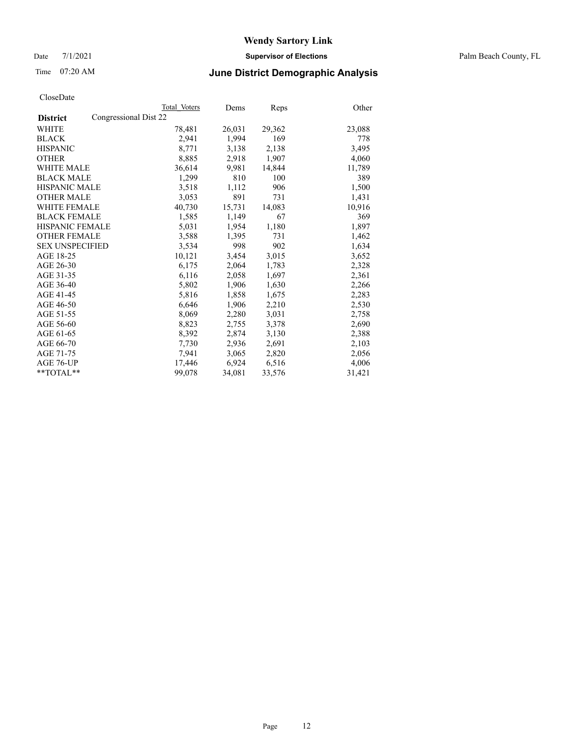Date 7/1/2021 **Supervisor of Elections** Palm Beach County, FL

## Time 07:20 AM **June District Demographic Analysis**

|                                          | Total Voters | Dems   | <b>Reps</b> | Other  |
|------------------------------------------|--------------|--------|-------------|--------|
| Congressional Dist 22<br><b>District</b> |              |        |             |        |
| WHITE                                    | 78,481       | 26,031 | 29,362      | 23,088 |
| <b>BLACK</b>                             | 2,941        | 1,994  | 169         | 778    |
| <b>HISPANIC</b>                          | 8,771        | 3,138  | 2,138       | 3,495  |
| <b>OTHER</b>                             | 8,885        | 2,918  | 1,907       | 4,060  |
| <b>WHITE MALE</b>                        | 36,614       | 9,981  | 14,844      | 11,789 |
| <b>BLACK MALE</b>                        | 1,299        | 810    | 100         | 389    |
| <b>HISPANIC MALE</b>                     | 3,518        | 1,112  | 906         | 1,500  |
| <b>OTHER MALE</b>                        | 3,053        | 891    | 731         | 1,431  |
| <b>WHITE FEMALE</b>                      | 40,730       | 15,731 | 14,083      | 10,916 |
| <b>BLACK FEMALE</b>                      | 1,585        | 1,149  | 67          | 369    |
| <b>HISPANIC FEMALE</b>                   | 5,031        | 1,954  | 1,180       | 1,897  |
| <b>OTHER FEMALE</b>                      | 3,588        | 1,395  | 731         | 1,462  |
| <b>SEX UNSPECIFIED</b>                   | 3,534        | 998    | 902         | 1,634  |
| AGE 18-25                                | 10,121       | 3,454  | 3,015       | 3,652  |
| AGE 26-30                                | 6,175        | 2,064  | 1,783       | 2,328  |
| AGE 31-35                                | 6,116        | 2,058  | 1,697       | 2,361  |
| AGE 36-40                                | 5,802        | 1,906  | 1,630       | 2,266  |
| AGE 41-45                                | 5,816        | 1,858  | 1,675       | 2,283  |
| AGE 46-50                                | 6,646        | 1,906  | 2,210       | 2,530  |
| AGE 51-55                                | 8,069        | 2,280  | 3,031       | 2,758  |
| AGE 56-60                                | 8,823        | 2,755  | 3,378       | 2,690  |
| AGE 61-65                                | 8,392        | 2,874  | 3,130       | 2,388  |
| AGE 66-70                                | 7,730        | 2,936  | 2,691       | 2,103  |
| AGE 71-75                                | 7,941        | 3,065  | 2,820       | 2,056  |
| AGE 76-UP                                | 17,446       | 6,924  | 6,516       | 4,006  |
| **TOTAL**                                | 99,078       | 34,081 | 33,576      | 31,421 |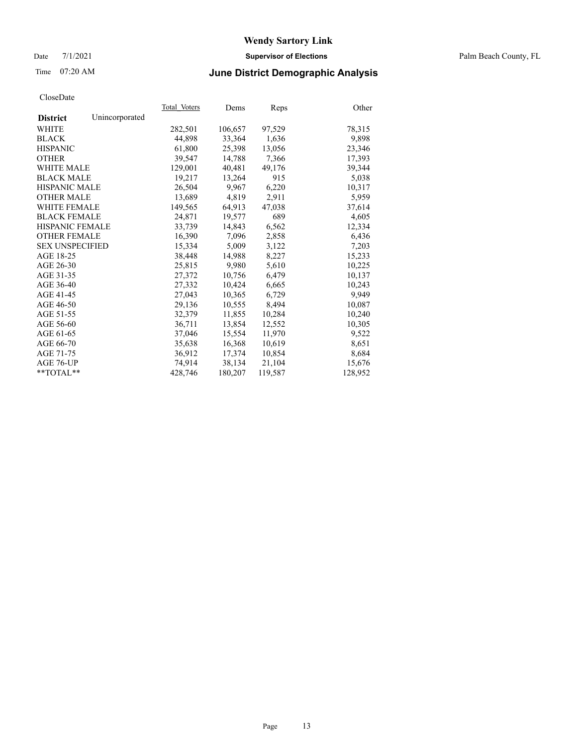#### Date 7/1/2021 **Supervisor of Elections** Palm Beach County, FL

## Time 07:20 AM **June District Demographic Analysis**

|                        |                | Total Voters | Dems    | Reps    | Other   |
|------------------------|----------------|--------------|---------|---------|---------|
| <b>District</b>        | Unincorporated |              |         |         |         |
| WHITE                  |                | 282,501      | 106,657 | 97,529  | 78,315  |
| <b>BLACK</b>           |                | 44,898       | 33,364  | 1,636   | 9,898   |
| <b>HISPANIC</b>        |                | 61,800       | 25,398  | 13,056  | 23,346  |
| <b>OTHER</b>           |                | 39,547       | 14,788  | 7,366   | 17,393  |
| <b>WHITE MALE</b>      |                | 129,001      | 40,481  | 49,176  | 39,344  |
| <b>BLACK MALE</b>      |                | 19,217       | 13,264  | 915     | 5,038   |
| <b>HISPANIC MALE</b>   |                | 26,504       | 9,967   | 6,220   | 10,317  |
| <b>OTHER MALE</b>      |                | 13,689       | 4,819   | 2,911   | 5,959   |
| <b>WHITE FEMALE</b>    |                | 149,565      | 64,913  | 47,038  | 37,614  |
| <b>BLACK FEMALE</b>    |                | 24,871       | 19,577  | 689     | 4,605   |
| <b>HISPANIC FEMALE</b> |                | 33,739       | 14,843  | 6,562   | 12,334  |
| <b>OTHER FEMALE</b>    |                | 16,390       | 7,096   | 2,858   | 6,436   |
| <b>SEX UNSPECIFIED</b> |                | 15,334       | 5,009   | 3,122   | 7,203   |
| AGE 18-25              |                | 38,448       | 14,988  | 8,227   | 15,233  |
| AGE 26-30              |                | 25,815       | 9.980   | 5,610   | 10,225  |
| AGE 31-35              |                | 27,372       | 10,756  | 6,479   | 10,137  |
| AGE 36-40              |                | 27,332       | 10,424  | 6,665   | 10,243  |
| AGE 41-45              |                | 27,043       | 10,365  | 6,729   | 9,949   |
| AGE 46-50              |                | 29,136       | 10,555  | 8,494   | 10,087  |
| AGE 51-55              |                | 32,379       | 11,855  | 10,284  | 10,240  |
| AGE 56-60              |                | 36,711       | 13,854  | 12,552  | 10,305  |
| AGE 61-65              |                | 37,046       | 15,554  | 11,970  | 9,522   |
| AGE 66-70              |                | 35,638       | 16,368  | 10,619  | 8,651   |
| AGE 71-75              |                | 36,912       | 17,374  | 10,854  | 8,684   |
| AGE 76-UP              |                | 74,914       | 38,134  | 21,104  | 15,676  |
| $*$ $TOTAL**$          |                | 428,746      | 180,207 | 119,587 | 128,952 |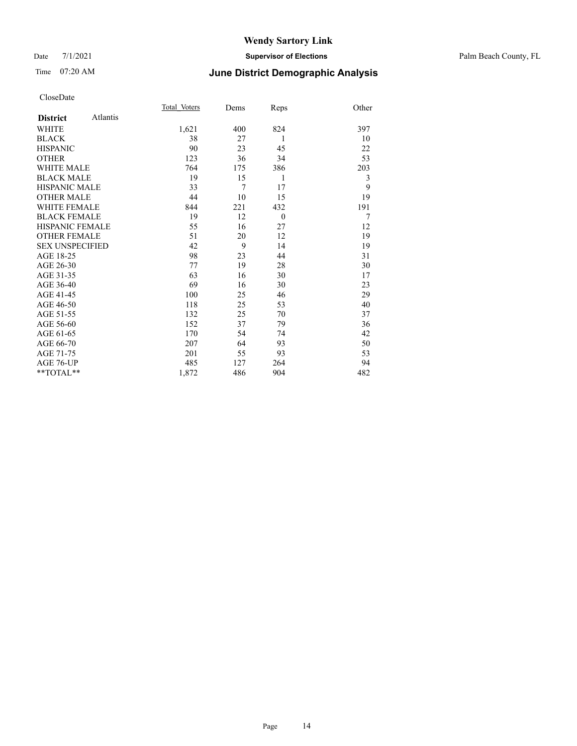#### Date 7/1/2021 **Supervisor of Elections** Palm Beach County, FL

## Time 07:20 AM **June District Demographic Analysis**

|                        |          | Total Voters | Dems | Reps     | Other |
|------------------------|----------|--------------|------|----------|-------|
| <b>District</b>        | Atlantis |              |      |          |       |
| WHITE                  |          | 1,621        | 400  | 824      | 397   |
| <b>BLACK</b>           |          | 38           | 27   | 1        | 10    |
| <b>HISPANIC</b>        |          | 90           | 23   | 45       | 22    |
| <b>OTHER</b>           |          | 123          | 36   | 34       | 53    |
| <b>WHITE MALE</b>      |          | 764          | 175  | 386      | 203   |
| <b>BLACK MALE</b>      |          | 19           | 15   | 1        | 3     |
| <b>HISPANIC MALE</b>   |          | 33           | 7    | 17       | 9     |
| <b>OTHER MALE</b>      |          | 44           | 10   | 15       | 19    |
| <b>WHITE FEMALE</b>    |          | 844          | 221  | 432      | 191   |
| <b>BLACK FEMALE</b>    |          | 19           | 12   | $\theta$ | 7     |
| <b>HISPANIC FEMALE</b> |          | 55           | 16   | 27       | 12    |
| <b>OTHER FEMALE</b>    |          | 51           | 20   | 12       | 19    |
| <b>SEX UNSPECIFIED</b> |          | 42           | 9    | 14       | 19    |
| AGE 18-25              |          | 98           | 23   | 44       | 31    |
| AGE 26-30              |          | 77           | 19   | 28       | 30    |
| AGE 31-35              |          | 63           | 16   | 30       | 17    |
| AGE 36-40              |          | 69           | 16   | 30       | 23    |
| AGE 41-45              |          | 100          | 25   | 46       | 29    |
| AGE 46-50              |          | 118          | 25   | 53       | 40    |
| AGE 51-55              |          | 132          | 25   | 70       | 37    |
| AGE 56-60              |          | 152          | 37   | 79       | 36    |
| AGE 61-65              |          | 170          | 54   | 74       | 42    |
| AGE 66-70              |          | 207          | 64   | 93       | 50    |
| AGE 71-75              |          | 201          | 55   | 93       | 53    |
| AGE 76-UP              |          | 485          | 127  | 264      | 94    |
| $*$ $TOTAL**$          |          | 1,872        | 486  | 904      | 482   |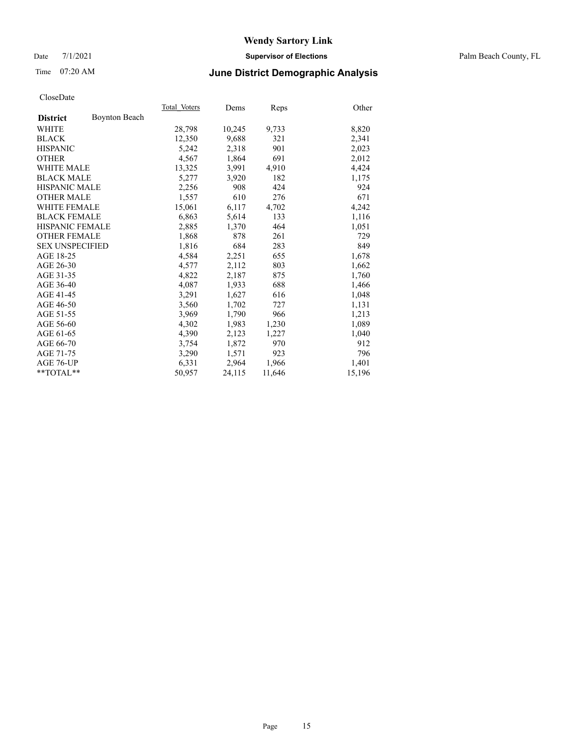#### Date 7/1/2021 **Supervisor of Elections** Palm Beach County, FL

## Time 07:20 AM **June District Demographic Analysis**

|                        |                      | Total Voters | Dems   | <b>Reps</b> | Other  |
|------------------------|----------------------|--------------|--------|-------------|--------|
| <b>District</b>        | <b>Boynton Beach</b> |              |        |             |        |
| WHITE                  |                      | 28,798       | 10,245 | 9,733       | 8,820  |
| <b>BLACK</b>           |                      | 12,350       | 9,688  | 321         | 2,341  |
| <b>HISPANIC</b>        |                      | 5,242        | 2,318  | 901         | 2,023  |
| <b>OTHER</b>           |                      | 4,567        | 1,864  | 691         | 2,012  |
| <b>WHITE MALE</b>      |                      | 13,325       | 3,991  | 4,910       | 4,424  |
| <b>BLACK MALE</b>      |                      | 5,277        | 3,920  | 182         | 1,175  |
| <b>HISPANIC MALE</b>   |                      | 2,256        | 908    | 424         | 924    |
| <b>OTHER MALE</b>      |                      | 1,557        | 610    | 276         | 671    |
| <b>WHITE FEMALE</b>    |                      | 15,061       | 6,117  | 4,702       | 4,242  |
| <b>BLACK FEMALE</b>    |                      | 6,863        | 5,614  | 133         | 1,116  |
| <b>HISPANIC FEMALE</b> |                      | 2,885        | 1,370  | 464         | 1,051  |
| <b>OTHER FEMALE</b>    |                      | 1,868        | 878    | 261         | 729    |
| <b>SEX UNSPECIFIED</b> |                      | 1,816        | 684    | 283         | 849    |
| AGE 18-25              |                      | 4,584        | 2,251  | 655         | 1,678  |
| AGE 26-30              |                      | 4,577        | 2,112  | 803         | 1,662  |
| AGE 31-35              |                      | 4,822        | 2,187  | 875         | 1,760  |
| AGE 36-40              |                      | 4,087        | 1,933  | 688         | 1,466  |
| AGE 41-45              |                      | 3,291        | 1,627  | 616         | 1,048  |
| AGE 46-50              |                      | 3,560        | 1,702  | 727         | 1,131  |
| AGE 51-55              |                      | 3,969        | 1,790  | 966         | 1,213  |
| AGE 56-60              |                      | 4,302        | 1,983  | 1,230       | 1,089  |
| AGE 61-65              |                      | 4,390        | 2,123  | 1,227       | 1,040  |
| AGE 66-70              |                      | 3,754        | 1,872  | 970         | 912    |
| AGE 71-75              |                      | 3,290        | 1,571  | 923         | 796    |
| AGE 76-UP              |                      | 6,331        | 2,964  | 1,966       | 1,401  |
| **TOTAL**              |                      | 50,957       | 24,115 | 11,646      | 15,196 |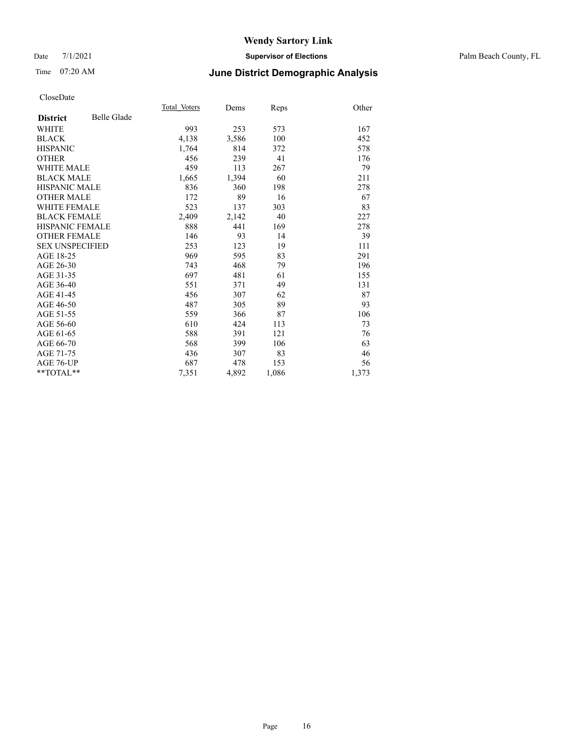#### Date 7/1/2021 **Supervisor of Elections** Palm Beach County, FL

## Time 07:20 AM **June District Demographic Analysis**

|                        |                    | Total Voters | Dems  | <b>Reps</b> | Other |
|------------------------|--------------------|--------------|-------|-------------|-------|
| <b>District</b>        | <b>Belle Glade</b> |              |       |             |       |
| <b>WHITE</b>           |                    | 993          | 253   | 573         | 167   |
| <b>BLACK</b>           |                    | 4,138        | 3,586 | 100         | 452   |
| <b>HISPANIC</b>        |                    | 1,764        | 814   | 372         | 578   |
| <b>OTHER</b>           |                    | 456          | 239   | 41          | 176   |
| WHITE MALE             |                    | 459          | 113   | 267         | 79    |
| <b>BLACK MALE</b>      |                    | 1,665        | 1,394 | 60          | 211   |
| <b>HISPANIC MALE</b>   |                    | 836          | 360   | 198         | 278   |
| <b>OTHER MALE</b>      |                    | 172          | 89    | 16          | 67    |
| <b>WHITE FEMALE</b>    |                    | 523          | 137   | 303         | 83    |
| <b>BLACK FEMALE</b>    |                    | 2,409        | 2,142 | 40          | 227   |
| <b>HISPANIC FEMALE</b> |                    | 888          | 441   | 169         | 278   |
| <b>OTHER FEMALE</b>    |                    | 146          | 93    | 14          | 39    |
| <b>SEX UNSPECIFIED</b> |                    | 253          | 123   | 19          | 111   |
| AGE 18-25              |                    | 969          | 595   | 83          | 291   |
| AGE 26-30              |                    | 743          | 468   | 79          | 196   |
| AGE 31-35              |                    | 697          | 481   | 61          | 155   |
| AGE 36-40              |                    | 551          | 371   | 49          | 131   |
| AGE 41-45              |                    | 456          | 307   | 62          | 87    |
| AGE 46-50              |                    | 487          | 305   | 89          | 93    |
| AGE 51-55              |                    | 559          | 366   | 87          | 106   |
| AGE 56-60              |                    | 610          | 424   | 113         | 73    |
| AGE 61-65              |                    | 588          | 391   | 121         | 76    |
| AGE 66-70              |                    | 568          | 399   | 106         | 63    |
| AGE 71-75              |                    | 436          | 307   | 83          | 46    |
| AGE 76-UP              |                    | 687          | 478   | 153         | 56    |
| $*$ $TOTAL**$          |                    | 7,351        | 4,892 | 1,086       | 1,373 |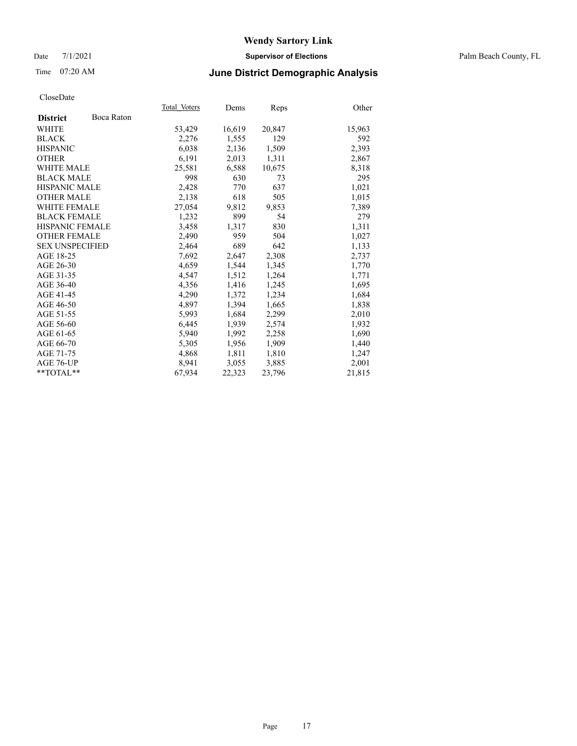#### Date 7/1/2021 **Supervisor of Elections** Palm Beach County, FL

## Time 07:20 AM **June District Demographic Analysis**

|                        |            | Total Voters | Dems   | <b>Reps</b> | Other  |
|------------------------|------------|--------------|--------|-------------|--------|
| <b>District</b>        | Boca Raton |              |        |             |        |
| WHITE                  |            | 53,429       | 16,619 | 20,847      | 15,963 |
| <b>BLACK</b>           |            | 2,276        | 1,555  | 129         | 592    |
| <b>HISPANIC</b>        |            | 6,038        | 2,136  | 1,509       | 2,393  |
| <b>OTHER</b>           |            | 6,191        | 2,013  | 1,311       | 2,867  |
| <b>WHITE MALE</b>      |            | 25,581       | 6,588  | 10,675      | 8,318  |
| <b>BLACK MALE</b>      |            | 998          | 630    | 73          | 295    |
| <b>HISPANIC MALE</b>   |            | 2,428        | 770    | 637         | 1,021  |
| <b>OTHER MALE</b>      |            | 2,138        | 618    | 505         | 1,015  |
| <b>WHITE FEMALE</b>    |            | 27,054       | 9,812  | 9,853       | 7,389  |
| <b>BLACK FEMALE</b>    |            | 1,232        | 899    | 54          | 279    |
| <b>HISPANIC FEMALE</b> |            | 3,458        | 1,317  | 830         | 1,311  |
| <b>OTHER FEMALE</b>    |            | 2,490        | 959    | 504         | 1,027  |
| <b>SEX UNSPECIFIED</b> |            | 2,464        | 689    | 642         | 1,133  |
| AGE 18-25              |            | 7,692        | 2,647  | 2,308       | 2,737  |
| AGE 26-30              |            | 4,659        | 1,544  | 1,345       | 1,770  |
| AGE 31-35              |            | 4,547        | 1,512  | 1,264       | 1,771  |
| AGE 36-40              |            | 4,356        | 1,416  | 1,245       | 1,695  |
| AGE 41-45              |            | 4,290        | 1,372  | 1,234       | 1,684  |
| AGE 46-50              |            | 4,897        | 1,394  | 1,665       | 1,838  |
| AGE 51-55              |            | 5,993        | 1,684  | 2,299       | 2,010  |
| AGE 56-60              |            | 6,445        | 1,939  | 2,574       | 1,932  |
| AGE 61-65              |            | 5,940        | 1,992  | 2,258       | 1,690  |
| AGE 66-70              |            | 5,305        | 1,956  | 1,909       | 1,440  |
| AGE 71-75              |            | 4,868        | 1,811  | 1,810       | 1,247  |
| AGE 76-UP              |            | 8,941        | 3,055  | 3,885       | 2,001  |
| $*$ $TOTAL**$          |            | 67,934       | 22,323 | 23,796      | 21,815 |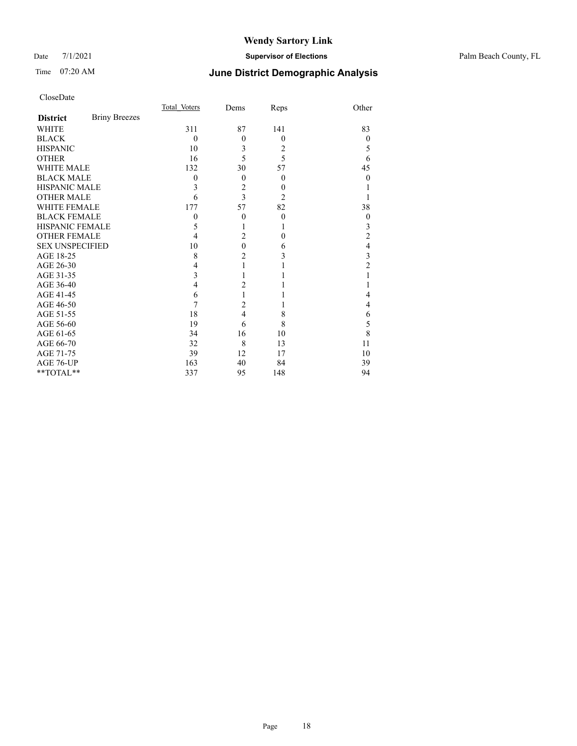#### Date 7/1/2021 **Supervisor of Elections** Palm Beach County, FL

## Time 07:20 AM **June District Demographic Analysis**

|                        |                      | Total Voters     | Dems           | Reps           | Other            |
|------------------------|----------------------|------------------|----------------|----------------|------------------|
| <b>District</b>        | <b>Briny Breezes</b> |                  |                |                |                  |
| WHITE                  |                      | 311              | 87             | 141            | 83               |
| <b>BLACK</b>           |                      | $\theta$         | $\theta$       | $\theta$       | $\theta$         |
| <b>HISPANIC</b>        |                      | 10               | 3              | 2              | 5                |
| <b>OTHER</b>           |                      | 16               | 5              | 5              | 6                |
| <b>WHITE MALE</b>      |                      | 132              | 30             | 57             | 45               |
| <b>BLACK MALE</b>      |                      | $\boldsymbol{0}$ | $\theta$       | $\theta$       | 0                |
| <b>HISPANIC MALE</b>   |                      | 3                | $\overline{c}$ | $\theta$       |                  |
| <b>OTHER MALE</b>      |                      | 6                | 3              | $\overline{2}$ |                  |
| <b>WHITE FEMALE</b>    |                      | 177              | 57             | 82             | 38               |
| <b>BLACK FEMALE</b>    |                      | $\mathbf{0}$     | $\mathbf{0}$   | $\theta$       | $\boldsymbol{0}$ |
| <b>HISPANIC FEMALE</b> |                      | 5                |                | 1              | 3                |
| <b>OTHER FEMALE</b>    |                      | 4                | $\overline{2}$ | $\theta$       | $\overline{c}$   |
| <b>SEX UNSPECIFIED</b> |                      | 10               | $\mathbf{0}$   | 6              | 4                |
| AGE 18-25              |                      | 8                | $\overline{c}$ | 3              | 3                |
| AGE 26-30              |                      | 4                | 1              |                | $\overline{c}$   |
| AGE 31-35              |                      | 3                |                |                |                  |
| AGE 36-40              |                      | 4                | 2              |                |                  |
| AGE 41-45              |                      | 6                | 1              |                | 4                |
| AGE 46-50              |                      | 7                | 2              |                | 4                |
| AGE 51-55              |                      | 18               | $\overline{4}$ | 8              | 6                |
| AGE 56-60              |                      | 19               | 6              | 8              | 5                |
| AGE 61-65              |                      | 34               | 16             | 10             | 8                |
| AGE 66-70              |                      | 32               | 8              | 13             | 11               |
| AGE 71-75              |                      | 39               | 12             | 17             | 10               |
| AGE 76-UP              |                      | 163              | 40             | 84             | 39               |
| **TOTAL**              |                      | 337              | 95             | 148            | 94               |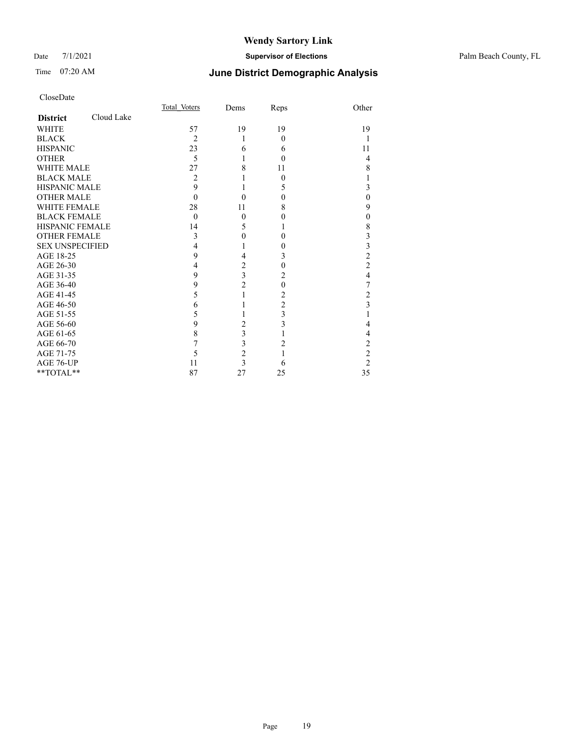#### Date 7/1/2021 **Supervisor of Elections** Palm Beach County, FL

## Time 07:20 AM **June District Demographic Analysis**

|                               | Total Voters   | Dems                    | Reps           | Other                   |
|-------------------------------|----------------|-------------------------|----------------|-------------------------|
| Cloud Lake<br><b>District</b> |                |                         |                |                         |
| <b>WHITE</b>                  | 57             | 19                      | 19             | 19                      |
| <b>BLACK</b>                  | $\overline{c}$ | 1                       | $\Omega$       | 1                       |
| <b>HISPANIC</b>               | 23             | 6                       | 6              | 11                      |
| <b>OTHER</b>                  | 5              | 1                       | $\theta$       | $\overline{4}$          |
| <b>WHITE MALE</b>             | 27             | 8                       | 11             | 8                       |
| <b>BLACK MALE</b>             | 2              |                         | $\theta$       |                         |
| <b>HISPANIC MALE</b>          | 9              |                         | 5              | 3                       |
| <b>OTHER MALE</b>             | $\Omega$       | 0                       | $\theta$       | $\theta$                |
| <b>WHITE FEMALE</b>           | 28             | 11                      | 8              | 9                       |
| <b>BLACK FEMALE</b>           | $\theta$       | $\mathbf{0}$            | 0              | $\mathbf{0}$            |
| <b>HISPANIC FEMALE</b>        | 14             | 5                       | 1              | 8                       |
| <b>OTHER FEMALE</b>           | 3              | $\mathbf{0}$            | $\theta$       | 3                       |
| <b>SEX UNSPECIFIED</b>        | 4              |                         | 0              | 3                       |
| AGE 18-25                     | 9              | 4                       | 3              | $\overline{c}$          |
| AGE 26-30                     | 4              | $\overline{c}$          | $\theta$       | $\overline{2}$          |
| AGE 31-35                     | 9              | $\overline{\mathbf{3}}$ | 2              | 4                       |
| AGE 36-40                     | 9              | $\overline{c}$          | $\Omega$       | 7                       |
| AGE 41-45                     | 5              | 1                       | 2              | $\overline{c}$          |
| AGE 46-50                     | 6              |                         | $\overline{2}$ | $\overline{\mathbf{3}}$ |
| AGE 51-55                     | 5              |                         | 3              |                         |
| AGE 56-60                     | 9              | $\overline{c}$          | 3              | 4                       |
| AGE 61-65                     | 8              | 3                       |                | 4                       |
| AGE 66-70                     | 7              | 3                       | 2              | $\overline{2}$          |
| AGE 71-75                     | 5              | $\overline{c}$          |                | $\overline{c}$          |
| AGE 76-UP                     | 11             | 3                       | 6              | $\overline{2}$          |
| **TOTAL**                     | 87             | 27                      | 25             | 35                      |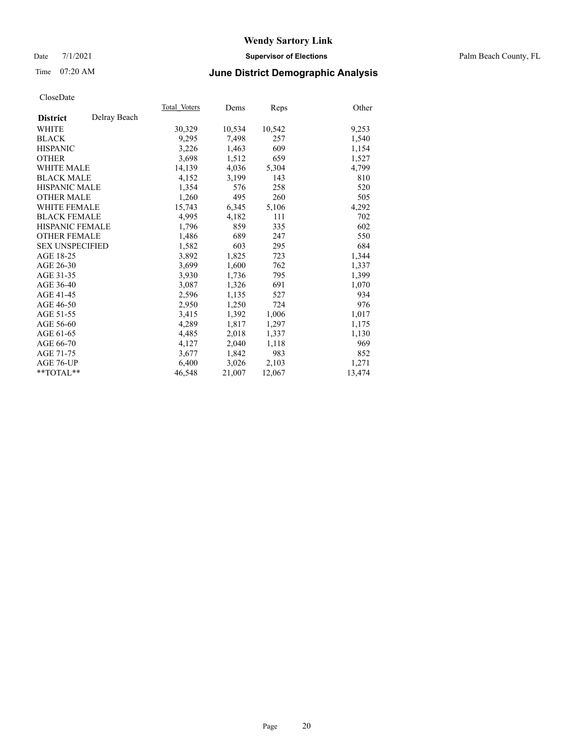#### Date 7/1/2021 **Supervisor of Elections** Palm Beach County, FL

## Time 07:20 AM **June District Demographic Analysis**

|                        |              | Total Voters | Dems   | <b>Reps</b> | Other  |
|------------------------|--------------|--------------|--------|-------------|--------|
| <b>District</b>        | Delray Beach |              |        |             |        |
| WHITE                  |              | 30,329       | 10,534 | 10,542      | 9,253  |
| <b>BLACK</b>           |              | 9,295        | 7,498  | 257         | 1,540  |
| <b>HISPANIC</b>        |              | 3,226        | 1,463  | 609         | 1,154  |
| <b>OTHER</b>           |              | 3,698        | 1,512  | 659         | 1,527  |
| <b>WHITE MALE</b>      |              | 14,139       | 4,036  | 5,304       | 4,799  |
| <b>BLACK MALE</b>      |              | 4,152        | 3,199  | 143         | 810    |
| <b>HISPANIC MALE</b>   |              | 1,354        | 576    | 258         | 520    |
| <b>OTHER MALE</b>      |              | 1,260        | 495    | 260         | 505    |
| <b>WHITE FEMALE</b>    |              | 15,743       | 6,345  | 5,106       | 4,292  |
| <b>BLACK FEMALE</b>    |              | 4,995        | 4,182  | 111         | 702    |
| <b>HISPANIC FEMALE</b> |              | 1,796        | 859    | 335         | 602    |
| <b>OTHER FEMALE</b>    |              | 1,486        | 689    | 247         | 550    |
| <b>SEX UNSPECIFIED</b> |              | 1,582        | 603    | 295         | 684    |
| AGE 18-25              |              | 3,892        | 1,825  | 723         | 1,344  |
| AGE 26-30              |              | 3,699        | 1,600  | 762         | 1,337  |
| AGE 31-35              |              | 3,930        | 1,736  | 795         | 1,399  |
| AGE 36-40              |              | 3,087        | 1,326  | 691         | 1,070  |
| AGE 41-45              |              | 2,596        | 1,135  | 527         | 934    |
| AGE 46-50              |              | 2,950        | 1,250  | 724         | 976    |
| AGE 51-55              |              | 3,415        | 1,392  | 1,006       | 1,017  |
| AGE 56-60              |              | 4,289        | 1,817  | 1,297       | 1,175  |
| AGE 61-65              |              | 4,485        | 2,018  | 1,337       | 1,130  |
| AGE 66-70              |              | 4,127        | 2,040  | 1,118       | 969    |
| AGE 71-75              |              | 3,677        | 1,842  | 983         | 852    |
| AGE 76-UP              |              | 6,400        | 3,026  | 2,103       | 1,271  |
| $*$ $TOTAL**$          |              | 46,548       | 21,007 | 12,067      | 13,474 |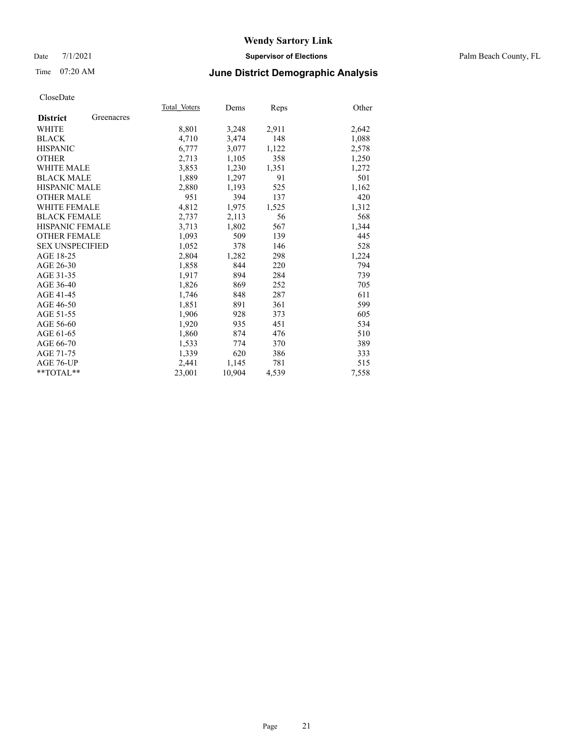#### Date 7/1/2021 **Supervisor of Elections** Palm Beach County, FL

## Time 07:20 AM **June District Demographic Analysis**

|                        |            | Total Voters | Dems   | <b>Reps</b> | Other |
|------------------------|------------|--------------|--------|-------------|-------|
| <b>District</b>        | Greenacres |              |        |             |       |
| WHITE                  |            | 8,801        | 3,248  | 2,911       | 2,642 |
| <b>BLACK</b>           |            | 4,710        | 3,474  | 148         | 1,088 |
| <b>HISPANIC</b>        |            | 6.777        | 3,077  | 1,122       | 2,578 |
| <b>OTHER</b>           |            | 2,713        | 1,105  | 358         | 1,250 |
| <b>WHITE MALE</b>      |            | 3,853        | 1,230  | 1,351       | 1,272 |
| <b>BLACK MALE</b>      |            | 1,889        | 1,297  | 91          | 501   |
| <b>HISPANIC MALE</b>   |            | 2,880        | 1,193  | 525         | 1,162 |
| <b>OTHER MALE</b>      |            | 951          | 394    | 137         | 420   |
| <b>WHITE FEMALE</b>    |            | 4,812        | 1,975  | 1,525       | 1,312 |
| <b>BLACK FEMALE</b>    |            | 2,737        | 2,113  | 56          | 568   |
| <b>HISPANIC FEMALE</b> |            | 3,713        | 1,802  | 567         | 1,344 |
| <b>OTHER FEMALE</b>    |            | 1,093        | 509    | 139         | 445   |
| <b>SEX UNSPECIFIED</b> |            | 1,052        | 378    | 146         | 528   |
| AGE 18-25              |            | 2,804        | 1,282  | 298         | 1,224 |
| AGE 26-30              |            | 1,858        | 844    | 220         | 794   |
| AGE 31-35              |            | 1,917        | 894    | 284         | 739   |
| AGE 36-40              |            | 1,826        | 869    | 252         | 705   |
| AGE 41-45              |            | 1,746        | 848    | 287         | 611   |
| AGE 46-50              |            | 1,851        | 891    | 361         | 599   |
| AGE 51-55              |            | 1,906        | 928    | 373         | 605   |
| AGE 56-60              |            | 1,920        | 935    | 451         | 534   |
| AGE 61-65              |            | 1,860        | 874    | 476         | 510   |
| AGE 66-70              |            | 1,533        | 774    | 370         | 389   |
| AGE 71-75              |            | 1,339        | 620    | 386         | 333   |
| AGE 76-UP              |            | 2,441        | 1,145  | 781         | 515   |
| $*$ TOTAL $*$          |            | 23,001       | 10,904 | 4,539       | 7,558 |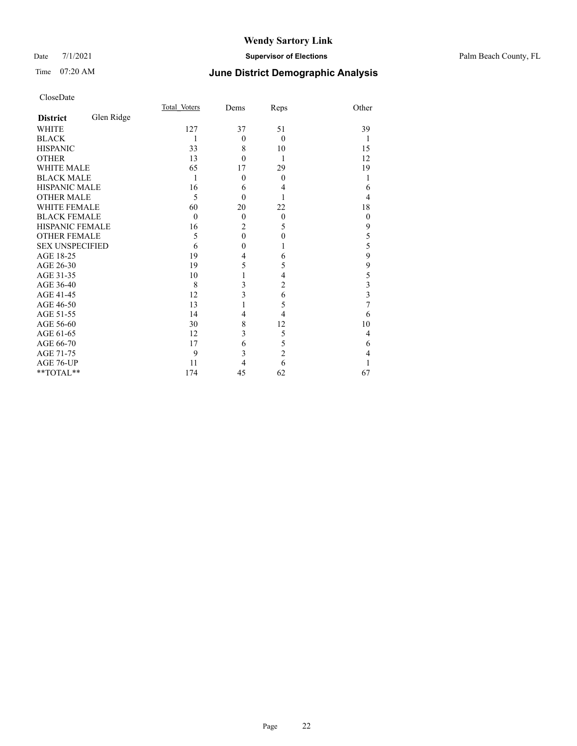#### Date 7/1/2021 **Supervisor of Elections** Palm Beach County, FL

## Time 07:20 AM **June District Demographic Analysis**

|                        |            | Total Voters | Dems           | Reps           | Other        |
|------------------------|------------|--------------|----------------|----------------|--------------|
| <b>District</b>        | Glen Ridge |              |                |                |              |
| <b>WHITE</b>           |            | 127          | 37             | 51             | 39           |
| <b>BLACK</b>           |            | 1            | $\theta$       | $\theta$       | 1            |
| <b>HISPANIC</b>        |            | 33           | 8              | 10             | 15           |
| <b>OTHER</b>           |            | 13           | $\theta$       | 1              | 12           |
| WHITE MALE             |            | 65           | 17             | 29             | 19           |
| <b>BLACK MALE</b>      |            | 1            | $\theta$       | $\theta$       |              |
| HISPANIC MALE          |            | 16           | 6              | 4              | 6            |
| <b>OTHER MALE</b>      |            | 5            | $\theta$       |                | 4            |
| WHITE FEMALE           |            | 60           | 20             | 22             | 18           |
| <b>BLACK FEMALE</b>    |            | $\theta$     | $\theta$       | $\theta$       | $\mathbf{0}$ |
| <b>HISPANIC FEMALE</b> |            | 16           | $\overline{2}$ | 5              | 9            |
| <b>OTHER FEMALE</b>    |            | 5            | $\mathbf{0}$   | $\mathbf{0}$   | 5            |
| <b>SEX UNSPECIFIED</b> |            | 6            | $\mathbf{0}$   | 1              | 5            |
| AGE 18-25              |            | 19           | 4              | 6              | 9            |
| AGE 26-30              |            | 19           | 5              | 5              | 9            |
| AGE 31-35              |            | 10           | 1              | 4              | 5            |
| AGE 36-40              |            | 8            | 3              | $\overline{2}$ | 3            |
| AGE 41-45              |            | 12           | 3              | 6              | 3            |
| AGE 46-50              |            | 13           | 1              | 5              | 7            |
| AGE 51-55              |            | 14           | 4              | 4              | 6            |
| AGE 56-60              |            | 30           | 8              | 12             | 10           |
| AGE 61-65              |            | 12           | 3              | 5              | 4            |
| AGE 66-70              |            | 17           | 6              | 5              | 6            |
| AGE 71-75              |            | 9            | 3              | $\overline{c}$ | 4            |
| AGE 76-UP              |            | 11           | 4              | 6              |              |
| **TOTAL**              |            | 174          | 45             | 62             | 67           |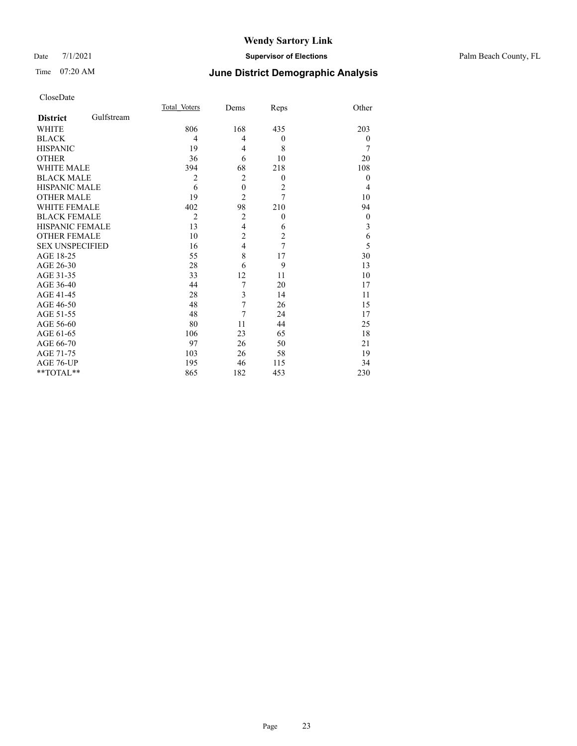#### Date 7/1/2021 **Supervisor of Elections** Palm Beach County, FL

## Time 07:20 AM **June District Demographic Analysis**

|                        |            | Total Voters   | Dems             | Reps           | Other    |
|------------------------|------------|----------------|------------------|----------------|----------|
| <b>District</b>        | Gulfstream |                |                  |                |          |
| <b>WHITE</b>           |            | 806            | 168              | 435            | 203      |
| <b>BLACK</b>           |            | 4              | $\overline{4}$   | $\overline{0}$ | $\theta$ |
| <b>HISPANIC</b>        |            | 19             | $\overline{4}$   | 8              | 7        |
| <b>OTHER</b>           |            | 36             | 6                | 10             | 20       |
| <b>WHITE MALE</b>      |            | 394            | 68               | 218            | 108      |
| <b>BLACK MALE</b>      |            | $\overline{2}$ | $\overline{2}$   | $\overline{0}$ | $\theta$ |
| <b>HISPANIC MALE</b>   |            | 6              | $\boldsymbol{0}$ | $\overline{2}$ | 4        |
| <b>OTHER MALE</b>      |            | 19             | $\overline{2}$   | 7              | 10       |
| <b>WHITE FEMALE</b>    |            | 402            | 98               | 210            | 94       |
| <b>BLACK FEMALE</b>    |            | $\overline{2}$ | $\overline{2}$   | $\overline{0}$ | $\theta$ |
| <b>HISPANIC FEMALE</b> |            | 13             | $\overline{4}$   | 6              | 3        |
| <b>OTHER FEMALE</b>    |            | 10             | $\overline{c}$   | $\overline{c}$ | 6        |
| <b>SEX UNSPECIFIED</b> |            | 16             | $\overline{4}$   | 7              | 5        |
| AGE 18-25              |            | 55             | 8                | 17             | 30       |
| AGE 26-30              |            | 28             | 6                | 9              | 13       |
| AGE 31-35              |            | 33             | 12               | 11             | 10       |
| AGE 36-40              |            | 44             | 7                | 20             | 17       |
| AGE 41-45              |            | 28             | 3                | 14             | 11       |
| AGE 46-50              |            | 48             | 7                | 26             | 15       |
| AGE 51-55              |            | 48             | 7                | 24             | 17       |
| AGE 56-60              |            | 80             | 11               | 44             | 25       |
| AGE 61-65              |            | 106            | 23               | 65             | 18       |
| AGE 66-70              |            | 97             | 26               | 50             | 21       |
| AGE 71-75              |            | 103            | 26               | 58             | 19       |
| AGE 76-UP              |            | 195            | 46               | 115            | 34       |
| **TOTAL**              |            | 865            | 182              | 453            | 230      |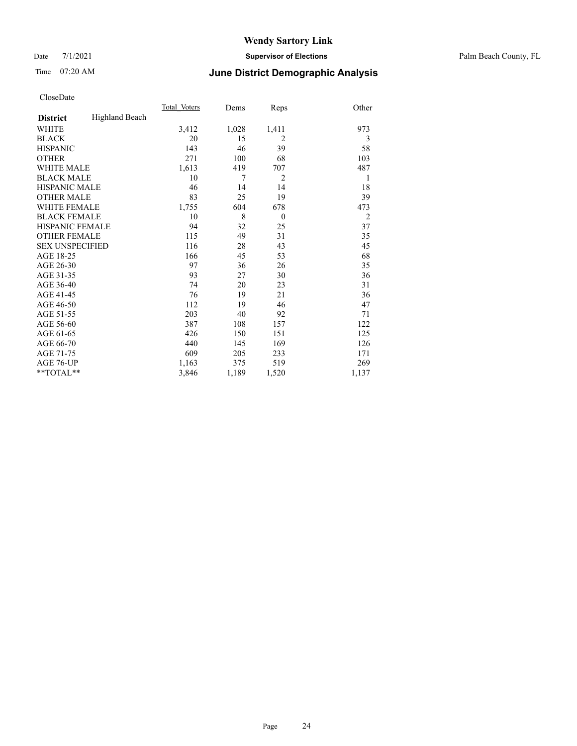#### Date 7/1/2021 **Supervisor of Elections** Palm Beach County, FL

## Time 07:20 AM **June District Demographic Analysis**

|                        |                       | Total Voters | Dems  | Reps           | Other          |
|------------------------|-----------------------|--------------|-------|----------------|----------------|
| <b>District</b>        | <b>Highland Beach</b> |              |       |                |                |
| WHITE                  |                       | 3,412        | 1,028 | 1,411          | 973            |
| <b>BLACK</b>           |                       | 20           | 15    | 2              | 3              |
| <b>HISPANIC</b>        |                       | 143          | 46    | 39             | 58             |
| <b>OTHER</b>           |                       | 271          | 100   | 68             | 103            |
| <b>WHITE MALE</b>      |                       | 1,613        | 419   | 707            | 487            |
| <b>BLACK MALE</b>      |                       | 10           | 7     | $\overline{c}$ | 1              |
| <b>HISPANIC MALE</b>   |                       | 46           | 14    | 14             | 18             |
| <b>OTHER MALE</b>      |                       | 83           | 25    | 19             | 39             |
| <b>WHITE FEMALE</b>    |                       | 1,755        | 604   | 678            | 473            |
| <b>BLACK FEMALE</b>    |                       | 10           | 8     | $\theta$       | $\overline{2}$ |
| HISPANIC FEMALE        |                       | 94           | 32    | 25             | 37             |
| <b>OTHER FEMALE</b>    |                       | 115          | 49    | 31             | 35             |
| <b>SEX UNSPECIFIED</b> |                       | 116          | 28    | 43             | 45             |
| AGE 18-25              |                       | 166          | 45    | 53             | 68             |
| AGE 26-30              |                       | 97           | 36    | 26             | 35             |
| AGE 31-35              |                       | 93           | 27    | 30             | 36             |
| AGE 36-40              |                       | 74           | 20    | 23             | 31             |
| AGE 41-45              |                       | 76           | 19    | 21             | 36             |
| AGE 46-50              |                       | 112          | 19    | 46             | 47             |
| AGE 51-55              |                       | 203          | 40    | 92             | 71             |
| AGE 56-60              |                       | 387          | 108   | 157            | 122            |
| AGE 61-65              |                       | 426          | 150   | 151            | 125            |
| AGE 66-70              |                       | 440          | 145   | 169            | 126            |
| AGE 71-75              |                       | 609          | 205   | 233            | 171            |
| AGE 76-UP              |                       | 1,163        | 375   | 519            | 269            |
| $*$ $TOTAL**$          |                       | 3,846        | 1,189 | 1,520          | 1,137          |
|                        |                       |              |       |                |                |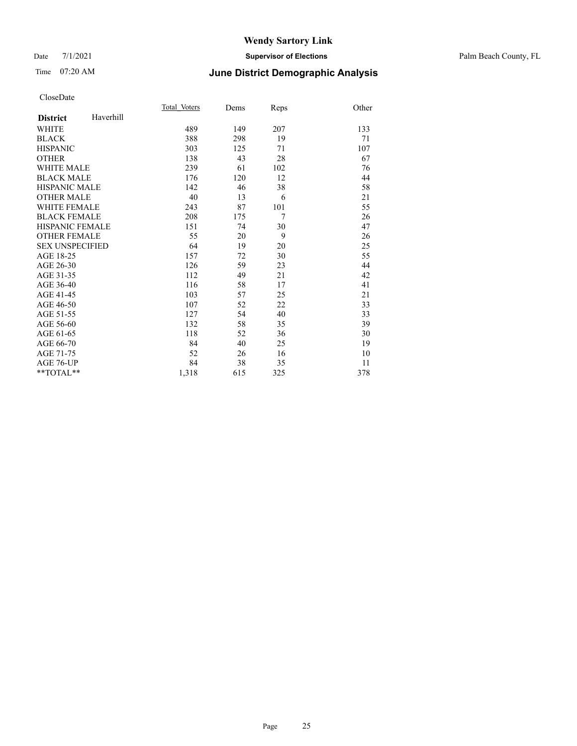#### Date 7/1/2021 **Supervisor of Elections** Palm Beach County, FL

## Time 07:20 AM **June District Demographic Analysis**

|                        |           | Total Voters | Dems | Reps           | Other |
|------------------------|-----------|--------------|------|----------------|-------|
| <b>District</b>        | Haverhill |              |      |                |       |
| <b>WHITE</b>           |           | 489          | 149  | 207            | 133   |
| <b>BLACK</b>           |           | 388          | 298  | 19             | 71    |
| <b>HISPANIC</b>        |           | 303          | 125  | 71             | 107   |
| <b>OTHER</b>           |           | 138          | 43   | 28             | 67    |
| <b>WHITE MALE</b>      |           | 239          | 61   | 102            | 76    |
| <b>BLACK MALE</b>      |           | 176          | 120  | 12             | 44    |
| <b>HISPANIC MALE</b>   |           | 142          | 46   | 38             | 58    |
| <b>OTHER MALE</b>      |           | 40           | 13   | 6              | 21    |
| <b>WHITE FEMALE</b>    |           | 243          | 87   | 101            | 55    |
| <b>BLACK FEMALE</b>    |           | 208          | 175  | $\overline{7}$ | 26    |
| <b>HISPANIC FEMALE</b> |           | 151          | 74   | 30             | 47    |
| <b>OTHER FEMALE</b>    |           | 55           | 20   | 9              | 26    |
| <b>SEX UNSPECIFIED</b> |           | 64           | 19   | 20             | 25    |
| AGE 18-25              |           | 157          | 72   | 30             | 55    |
| AGE 26-30              |           | 126          | 59   | 23             | 44    |
| AGE 31-35              |           | 112          | 49   | 21             | 42    |
| AGE 36-40              |           | 116          | 58   | 17             | 41    |
| AGE 41-45              |           | 103          | 57   | 25             | 21    |
| AGE 46-50              |           | 107          | 52   | 22             | 33    |
| AGE 51-55              |           | 127          | 54   | 40             | 33    |
| AGE 56-60              |           | 132          | 58   | 35             | 39    |
| AGE 61-65              |           | 118          | 52   | 36             | 30    |
| AGE 66-70              |           | 84           | 40   | 25             | 19    |
| AGE 71-75              |           | 52           | 26   | 16             | 10    |
| AGE 76-UP              |           | 84           | 38   | 35             | 11    |
| $*$ $TOTAL**$          |           | 1,318        | 615  | 325            | 378   |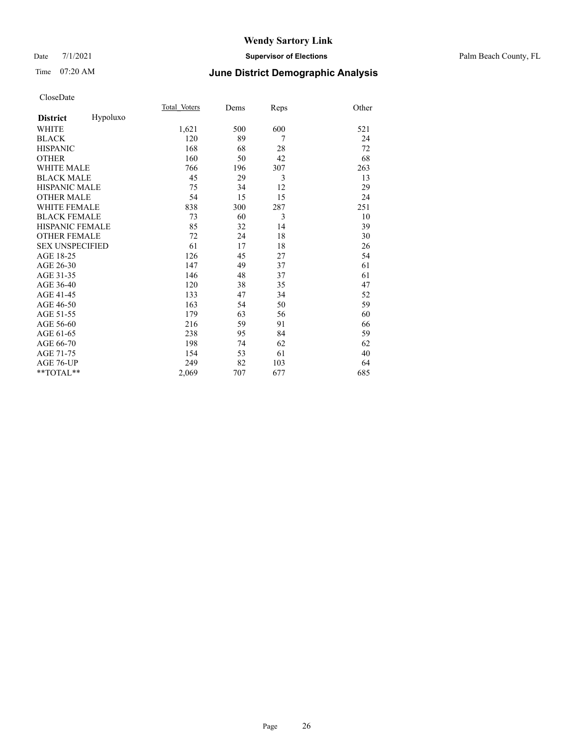#### Date 7/1/2021 **Supervisor of Elections** Palm Beach County, FL

## Time 07:20 AM **June District Demographic Analysis**

|                        |          | Total Voters | Dems | Reps | Other |
|------------------------|----------|--------------|------|------|-------|
| <b>District</b>        | Hypoluxo |              |      |      |       |
| WHITE                  |          | 1,621        | 500  | 600  | 521   |
| <b>BLACK</b>           |          | 120          | 89   | 7    | 24    |
| <b>HISPANIC</b>        |          | 168          | 68   | 28   | 72    |
| <b>OTHER</b>           |          | 160          | 50   | 42   | 68    |
| <b>WHITE MALE</b>      |          | 766          | 196  | 307  | 263   |
| <b>BLACK MALE</b>      |          | 45           | 29   | 3    | 13    |
| <b>HISPANIC MALE</b>   |          | 75           | 34   | 12   | 29    |
| <b>OTHER MALE</b>      |          | 54           | 15   | 15   | 24    |
| <b>WHITE FEMALE</b>    |          | 838          | 300  | 287  | 251   |
| <b>BLACK FEMALE</b>    |          | 73           | 60   | 3    | 10    |
| <b>HISPANIC FEMALE</b> |          | 85           | 32   | 14   | 39    |
| <b>OTHER FEMALE</b>    |          | 72           | 24   | 18   | 30    |
| <b>SEX UNSPECIFIED</b> |          | 61           | 17   | 18   | 26    |
| AGE 18-25              |          | 126          | 45   | 27   | 54    |
| AGE 26-30              |          | 147          | 49   | 37   | 61    |
| AGE 31-35              |          | 146          | 48   | 37   | 61    |
| AGE 36-40              |          | 120          | 38   | 35   | 47    |
| AGE 41-45              |          | 133          | 47   | 34   | 52    |
| AGE 46-50              |          | 163          | 54   | 50   | 59    |
| AGE 51-55              |          | 179          | 63   | 56   | 60    |
| AGE 56-60              |          | 216          | 59   | 91   | 66    |
| AGE 61-65              |          | 238          | 95   | 84   | 59    |
| AGE 66-70              |          | 198          | 74   | 62   | 62    |
| AGE 71-75              |          | 154          | 53   | 61   | 40    |
| AGE 76-UP              |          | 249          | 82   | 103  | 64    |
| **TOTAL**              |          | 2,069        | 707  | 677  | 685   |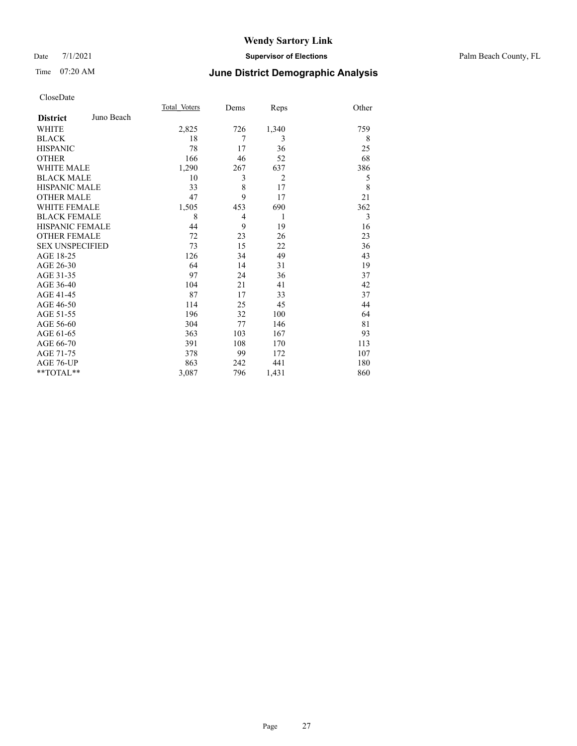#### Date 7/1/2021 **Supervisor of Elections** Palm Beach County, FL

## Time 07:20 AM **June District Demographic Analysis**

|                        |            | Total Voters | Dems           | Reps           | Other |
|------------------------|------------|--------------|----------------|----------------|-------|
| <b>District</b>        | Juno Beach |              |                |                |       |
| WHITE                  |            | 2,825        | 726            | 1,340          | 759   |
| <b>BLACK</b>           |            | 18           | 7              | 3              | 8     |
| <b>HISPANIC</b>        |            | 78           | 17             | 36             | 25    |
| <b>OTHER</b>           |            | 166          | 46             | 52             | 68    |
| <b>WHITE MALE</b>      |            | 1,290        | 267            | 637            | 386   |
| <b>BLACK MALE</b>      |            | 10           | 3              | $\overline{2}$ | 5     |
| <b>HISPANIC MALE</b>   |            | 33           | 8              | 17             | 8     |
| <b>OTHER MALE</b>      |            | 47           | 9              | 17             | 21    |
| <b>WHITE FEMALE</b>    |            | 1,505        | 453            | 690            | 362   |
| <b>BLACK FEMALE</b>    |            | 8            | $\overline{4}$ | 1              | 3     |
| <b>HISPANIC FEMALE</b> |            | 44           | 9              | 19             | 16    |
| <b>OTHER FEMALE</b>    |            | 72           | 23             | 26             | 23    |
| <b>SEX UNSPECIFIED</b> |            | 73           | 15             | 22             | 36    |
| AGE 18-25              |            | 126          | 34             | 49             | 43    |
| AGE 26-30              |            | 64           | 14             | 31             | 19    |
| AGE 31-35              |            | 97           | 24             | 36             | 37    |
| AGE 36-40              |            | 104          | 21             | 41             | 42    |
| AGE 41-45              |            | 87           | 17             | 33             | 37    |
| AGE 46-50              |            | 114          | 25             | 45             | 44    |
| AGE 51-55              |            | 196          | 32             | 100            | 64    |
| AGE 56-60              |            | 304          | 77             | 146            | 81    |
| AGE 61-65              |            | 363          | 103            | 167            | 93    |
| AGE 66-70              |            | 391          | 108            | 170            | 113   |
| AGE 71-75              |            | 378          | 99             | 172            | 107   |
| AGE 76-UP              |            | 863          | 242            | 441            | 180   |
| $*$ $TOTAL**$          |            | 3,087        | 796            | 1,431          | 860   |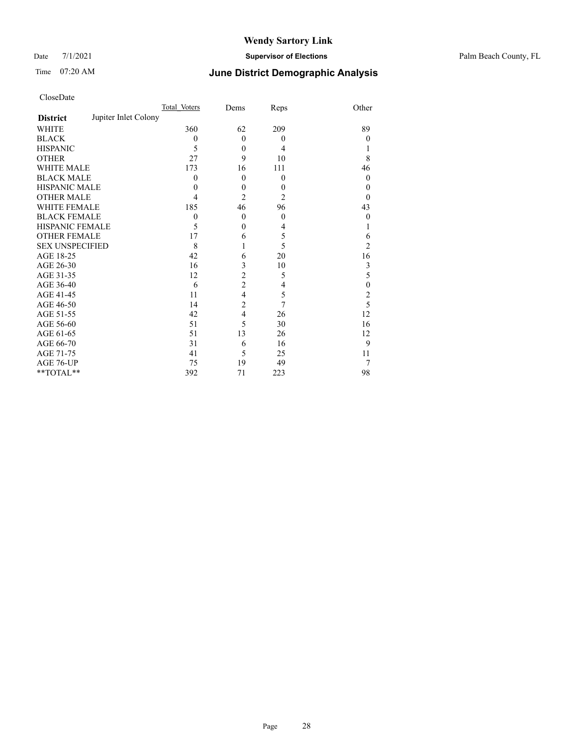Date 7/1/2021 **Supervisor of Elections** Palm Beach County, FL

## Time 07:20 AM **June District Demographic Analysis**

|                        | Total Voters         | Dems           | Reps           | Other            |
|------------------------|----------------------|----------------|----------------|------------------|
| <b>District</b>        | Jupiter Inlet Colony |                |                |                  |
| <b>WHITE</b>           | 360                  | 62             | 209            | 89               |
| <b>BLACK</b>           | $\mathbf{0}$         | $\theta$       | $\theta$       | 0                |
| <b>HISPANIC</b>        | 5                    | $\mathbf{0}$   | 4              |                  |
| <b>OTHER</b>           | 27                   | 9              | 10             | 8                |
| <b>WHITE MALE</b>      | 173                  | 16             | 111            | 46               |
| <b>BLACK MALE</b>      | 0                    | $\mathbf{0}$   | $\theta$       | $\boldsymbol{0}$ |
| <b>HISPANIC MALE</b>   | 0                    | $\mathbf{0}$   | $\theta$       | 0                |
| <b>OTHER MALE</b>      | 4                    | $\overline{2}$ | $\overline{2}$ | 0                |
| <b>WHITE FEMALE</b>    | 185                  | 46             | 96             | 43               |
| <b>BLACK FEMALE</b>    | $\theta$             | $\mathbf{0}$   | $\mathbf{0}$   | 0                |
| <b>HISPANIC FEMALE</b> | 5                    | $\theta$       | 4              |                  |
| <b>OTHER FEMALE</b>    | 17                   | 6              | 5              | 6                |
| <b>SEX UNSPECIFIED</b> | 8                    | 1              | 5              | $\overline{2}$   |
| AGE 18-25              | 42                   | 6              | 20             | 16               |
| AGE 26-30              | 16                   | 3              | 10             | 3                |
| AGE 31-35              | 12                   | $\overline{c}$ | 5              | 5                |
| AGE 36-40              | 6                    | $\overline{2}$ | 4              | $\mathbf{0}$     |
| AGE 41-45              | 11                   | 4              | 5              | $\overline{c}$   |
| AGE 46-50              | 14                   | $\overline{c}$ | 7              | 5                |
| AGE 51-55              | 42                   | $\overline{4}$ | 26             | 12               |
| AGE 56-60              | 51                   | 5              | 30             | 16               |
| AGE 61-65              | 51                   | 13             | 26             | 12               |
| AGE 66-70              | 31                   | 6              | 16             | 9                |
| AGE 71-75              | 41                   | 5              | 25             | 11               |
| AGE 76-UP              | 75                   | 19             | 49             | 7                |
| **TOTAL**              | 392                  | 71             | 223            | 98               |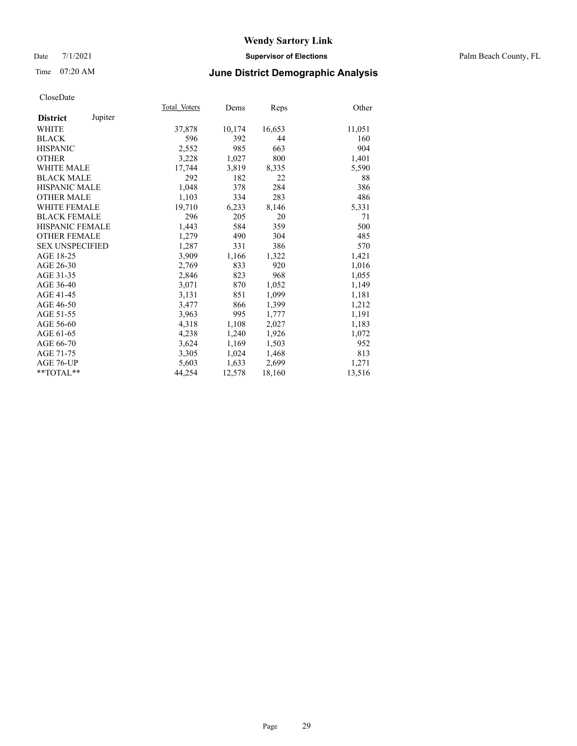#### Date 7/1/2021 **Supervisor of Elections** Palm Beach County, FL

## Time 07:20 AM **June District Demographic Analysis**

|                        |         | Total Voters | Dems   | <b>Reps</b> | Other  |
|------------------------|---------|--------------|--------|-------------|--------|
| <b>District</b>        | Jupiter |              |        |             |        |
| WHITE                  |         | 37,878       | 10,174 | 16,653      | 11,051 |
| <b>BLACK</b>           |         | 596          | 392    | 44          | 160    |
| <b>HISPANIC</b>        |         | 2,552        | 985    | 663         | 904    |
| <b>OTHER</b>           |         | 3,228        | 1,027  | 800         | 1,401  |
| <b>WHITE MALE</b>      |         | 17,744       | 3,819  | 8,335       | 5,590  |
| <b>BLACK MALE</b>      |         | 292          | 182    | 22          | 88     |
| <b>HISPANIC MALE</b>   |         | 1,048        | 378    | 284         | 386    |
| <b>OTHER MALE</b>      |         | 1,103        | 334    | 283         | 486    |
| <b>WHITE FEMALE</b>    |         | 19,710       | 6,233  | 8,146       | 5,331  |
| <b>BLACK FEMALE</b>    |         | 296          | 205    | 20          | 71     |
| <b>HISPANIC FEMALE</b> |         | 1,443        | 584    | 359         | 500    |
| <b>OTHER FEMALE</b>    |         | 1,279        | 490    | 304         | 485    |
| <b>SEX UNSPECIFIED</b> |         | 1,287        | 331    | 386         | 570    |
| AGE 18-25              |         | 3,909        | 1,166  | 1,322       | 1,421  |
| AGE 26-30              |         | 2,769        | 833    | 920         | 1,016  |
| AGE 31-35              |         | 2,846        | 823    | 968         | 1,055  |
| AGE 36-40              |         | 3,071        | 870    | 1,052       | 1,149  |
| AGE 41-45              |         | 3,131        | 851    | 1,099       | 1,181  |
| AGE 46-50              |         | 3,477        | 866    | 1,399       | 1,212  |
| AGE 51-55              |         | 3,963        | 995    | 1,777       | 1,191  |
| AGE 56-60              |         | 4,318        | 1,108  | 2,027       | 1,183  |
| AGE 61-65              |         | 4,238        | 1,240  | 1,926       | 1,072  |
| AGE 66-70              |         | 3,624        | 1,169  | 1,503       | 952    |
| AGE 71-75              |         | 3,305        | 1,024  | 1,468       | 813    |
| AGE 76-UP              |         | 5,603        | 1,633  | 2,699       | 1,271  |
| $*$ TOTAL $*$          |         | 44,254       | 12,578 | 18,160      | 13,516 |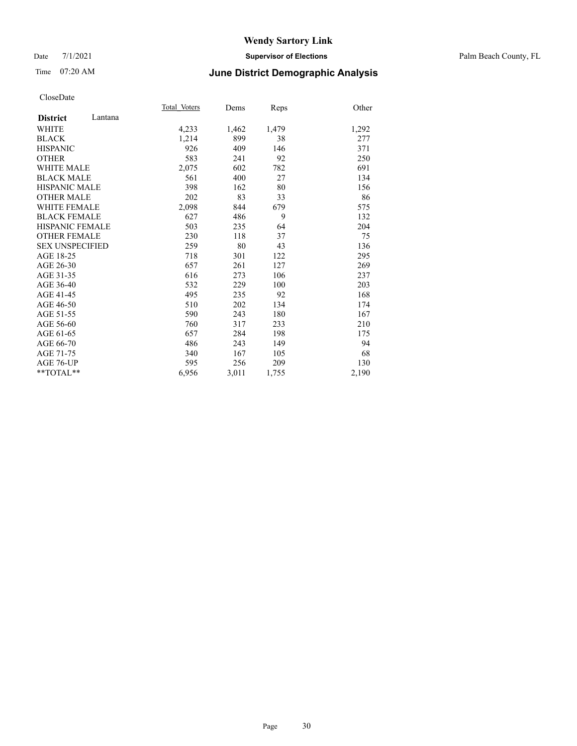#### Date 7/1/2021 **Supervisor of Elections** Palm Beach County, FL

## Time 07:20 AM **June District Demographic Analysis**

|                            | Total Voters | Dems  | Reps  | Other |
|----------------------------|--------------|-------|-------|-------|
| Lantana<br><b>District</b> |              |       |       |       |
| WHITE                      | 4,233        | 1,462 | 1,479 | 1,292 |
| <b>BLACK</b>               | 1,214        | 899   | 38    | 277   |
| <b>HISPANIC</b>            | 926          | 409   | 146   | 371   |
| <b>OTHER</b>               | 583          | 241   | 92    | 250   |
| <b>WHITE MALE</b>          | 2,075        | 602   | 782   | 691   |
| <b>BLACK MALE</b>          | 561          | 400   | 27    | 134   |
| <b>HISPANIC MALE</b>       | 398          | 162   | 80    | 156   |
| <b>OTHER MALE</b>          | 202          | 83    | 33    | 86    |
| <b>WHITE FEMALE</b>        | 2,098        | 844   | 679   | 575   |
| <b>BLACK FEMALE</b>        | 627          | 486   | 9     | 132   |
| <b>HISPANIC FEMALE</b>     | 503          | 235   | 64    | 204   |
| <b>OTHER FEMALE</b>        | 230          | 118   | 37    | 75    |
| <b>SEX UNSPECIFIED</b>     | 259          | 80    | 43    | 136   |
| AGE 18-25                  | 718          | 301   | 122   | 295   |
| AGE 26-30                  | 657          | 261   | 127   | 269   |
| AGE 31-35                  | 616          | 273   | 106   | 237   |
| AGE 36-40                  | 532          | 229   | 100   | 203   |
| AGE 41-45                  | 495          | 235   | 92    | 168   |
| AGE 46-50                  | 510          | 202   | 134   | 174   |
| AGE 51-55                  | 590          | 243   | 180   | 167   |
| AGE 56-60                  | 760          | 317   | 233   | 210   |
| AGE 61-65                  | 657          | 284   | 198   | 175   |
| AGE 66-70                  | 486          | 243   | 149   | 94    |
| AGE 71-75                  | 340          | 167   | 105   | 68    |
| AGE 76-UP                  | 595          | 256   | 209   | 130   |
| **TOTAL**                  | 6,956        | 3,011 | 1,755 | 2,190 |
|                            |              |       |       |       |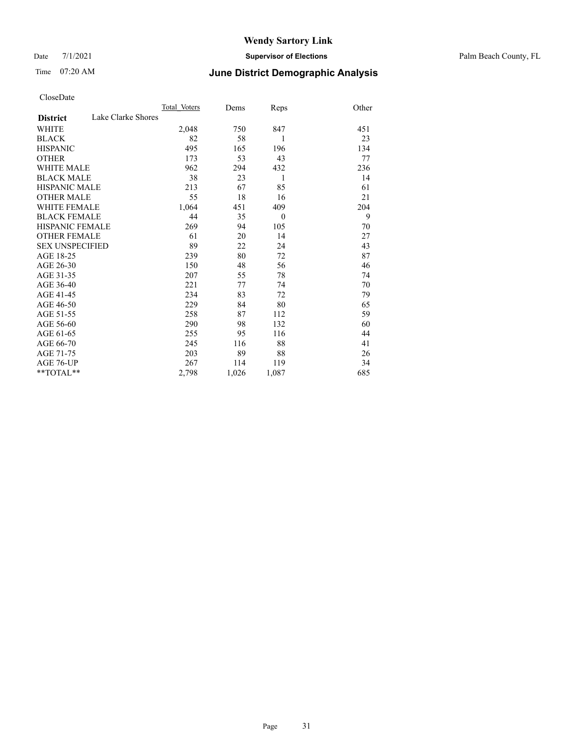Date 7/1/2021 **Supervisor of Elections** Palm Beach County, FL

## Time 07:20 AM **June District Demographic Analysis**

|                                       | Total Voters | Dems  | Reps         | Other |
|---------------------------------------|--------------|-------|--------------|-------|
| Lake Clarke Shores<br><b>District</b> |              |       |              |       |
| <b>WHITE</b>                          | 2,048        | 750   | 847          | 451   |
| <b>BLACK</b>                          | 82           | 58    | 1            | 23    |
| <b>HISPANIC</b>                       | 495          | 165   | 196          | 134   |
| <b>OTHER</b>                          | 173          | 53    | 43           | 77    |
| WHITE MALE                            | 962          | 294   | 432          | 236   |
| <b>BLACK MALE</b>                     | 38           | 23    | 1            | 14    |
| <b>HISPANIC MALE</b>                  | 213          | 67    | 85           | 61    |
| <b>OTHER MALE</b>                     | 55           | 18    | 16           | 21    |
| <b>WHITE FEMALE</b>                   | 1,064        | 451   | 409          | 204   |
| <b>BLACK FEMALE</b>                   | 44           | 35    | $\mathbf{0}$ | 9     |
| <b>HISPANIC FEMALE</b>                | 269          | 94    | 105          | 70    |
| <b>OTHER FEMALE</b>                   | 61           | 20    | 14           | 27    |
| <b>SEX UNSPECIFIED</b>                | 89           | 22    | 24           | 43    |
| AGE 18-25                             | 239          | 80    | 72           | 87    |
| AGE 26-30                             | 150          | 48    | 56           | 46    |
| AGE 31-35                             | 207          | 55    | 78           | 74    |
| AGE 36-40                             | 221          | 77    | 74           | 70    |
| AGE 41-45                             | 234          | 83    | 72           | 79    |
| AGE 46-50                             | 229          | 84    | 80           | 65    |
| AGE 51-55                             | 258          | 87    | 112          | 59    |
| AGE 56-60                             | 290          | 98    | 132          | 60    |
| AGE 61-65                             | 255          | 95    | 116          | 44    |
| AGE 66-70                             | 245          | 116   | 88           | 41    |
| AGE 71-75                             | 203          | 89    | 88           | 26    |
| AGE 76-UP                             | 267          | 114   | 119          | 34    |
| **TOTAL**                             | 2,798        | 1,026 | 1,087        | 685   |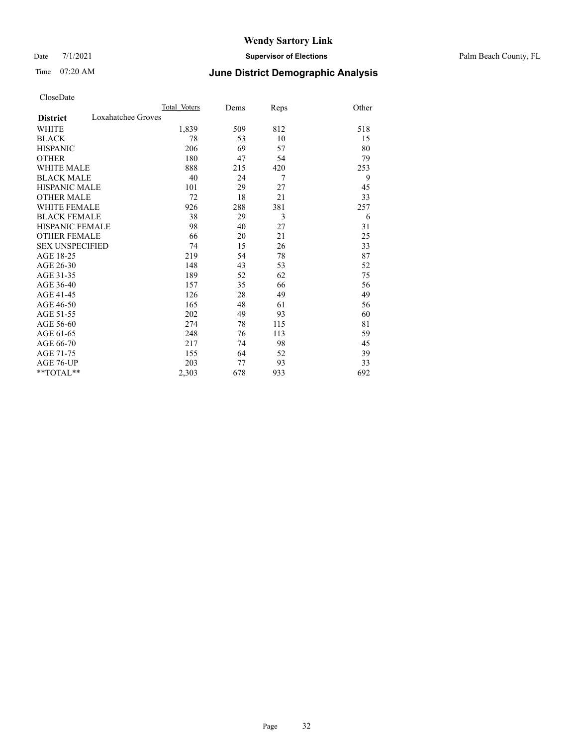#### Date 7/1/2021 **Supervisor of Elections** Palm Beach County, FL

## Time 07:20 AM **June District Demographic Analysis**

|                                       | Total Voters | Dems | Reps | Other |
|---------------------------------------|--------------|------|------|-------|
| Loxahatchee Groves<br><b>District</b> |              |      |      |       |
| WHITE                                 | 1,839        | 509  | 812  | 518   |
| <b>BLACK</b>                          | 78           | 53   | 10   | 15    |
| <b>HISPANIC</b>                       | 206          | 69   | 57   | 80    |
| <b>OTHER</b>                          | 180          | 47   | 54   | 79    |
| WHITE MALE                            | 888          | 215  | 420  | 253   |
| <b>BLACK MALE</b>                     | 40           | 24   | 7    | 9     |
| <b>HISPANIC MALE</b>                  | 101          | 29   | 27   | 45    |
| <b>OTHER MALE</b>                     | 72           | 18   | 21   | 33    |
| WHITE FEMALE                          | 926          | 288  | 381  | 257   |
| <b>BLACK FEMALE</b>                   | 38           | 29   | 3    | 6     |
| <b>HISPANIC FEMALE</b>                | 98           | 40   | 27   | 31    |
| <b>OTHER FEMALE</b>                   | 66           | 20   | 21   | 25    |
| <b>SEX UNSPECIFIED</b>                | 74           | 15   | 26   | 33    |
| AGE 18-25                             | 219          | 54   | 78   | 87    |
| AGE 26-30                             | 148          | 43   | 53   | 52    |
| AGE 31-35                             | 189          | 52   | 62   | 75    |
| AGE 36-40                             | 157          | 35   | 66   | 56    |
| AGE 41-45                             | 126          | 28   | 49   | 49    |
| AGE 46-50                             | 165          | 48   | 61   | 56    |
| AGE 51-55                             | 202          | 49   | 93   | 60    |
| AGE 56-60                             | 274          | 78   | 115  | 81    |
| AGE 61-65                             | 248          | 76   | 113  | 59    |
| AGE 66-70                             | 217          | 74   | 98   | 45    |
| AGE 71-75                             | 155          | 64   | 52   | 39    |
| <b>AGE 76-UP</b>                      | 203          | 77   | 93   | 33    |
| $*$ $TOTAL**$                         | 2,303        | 678  | 933  | 692   |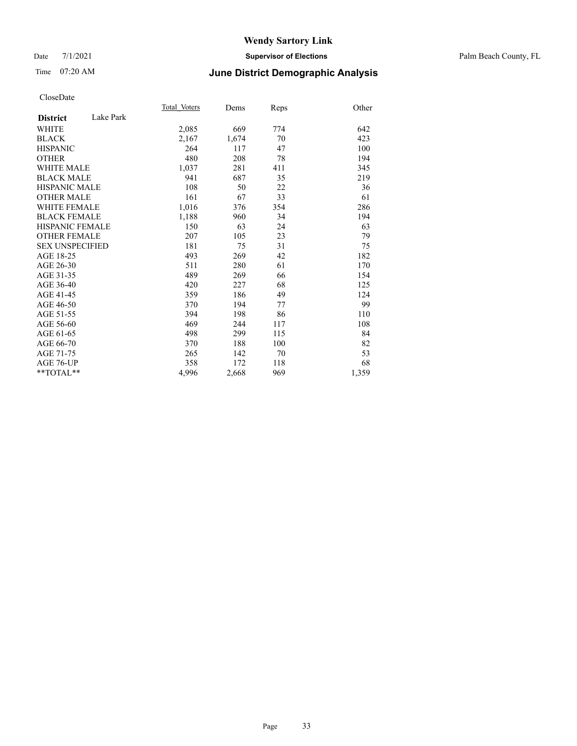#### Date 7/1/2021 **Supervisor of Elections** Palm Beach County, FL

## Time 07:20 AM **June District Demographic Analysis**

|                        |           | Total Voters | Dems  | Reps | Other |
|------------------------|-----------|--------------|-------|------|-------|
| <b>District</b>        | Lake Park |              |       |      |       |
| <b>WHITE</b>           |           | 2,085        | 669   | 774  | 642   |
| <b>BLACK</b>           |           | 2,167        | 1,674 | 70   | 423   |
| <b>HISPANIC</b>        |           | 264          | 117   | 47   | 100   |
| <b>OTHER</b>           |           | 480          | 208   | 78   | 194   |
| WHITE MALE             |           | 1,037        | 281   | 411  | 345   |
| <b>BLACK MALE</b>      |           | 941          | 687   | 35   | 219   |
| <b>HISPANIC MALE</b>   |           | 108          | 50    | 22   | 36    |
| <b>OTHER MALE</b>      |           | 161          | 67    | 33   | 61    |
| <b>WHITE FEMALE</b>    |           | 1,016        | 376   | 354  | 286   |
| <b>BLACK FEMALE</b>    |           | 1,188        | 960   | 34   | 194   |
| <b>HISPANIC FEMALE</b> |           | 150          | 63    | 24   | 63    |
| <b>OTHER FEMALE</b>    |           | 207          | 105   | 23   | 79    |
| <b>SEX UNSPECIFIED</b> |           | 181          | 75    | 31   | 75    |
| AGE 18-25              |           | 493          | 269   | 42   | 182   |
| AGE 26-30              |           | 511          | 280   | 61   | 170   |
| AGE 31-35              |           | 489          | 269   | 66   | 154   |
| AGE 36-40              |           | 420          | 227   | 68   | 125   |
| AGE 41-45              |           | 359          | 186   | 49   | 124   |
| AGE 46-50              |           | 370          | 194   | 77   | 99    |
| AGE 51-55              |           | 394          | 198   | 86   | 110   |
| AGE 56-60              |           | 469          | 244   | 117  | 108   |
| AGE 61-65              |           | 498          | 299   | 115  | 84    |
| AGE 66-70              |           | 370          | 188   | 100  | 82    |
| AGE 71-75              |           | 265          | 142   | 70   | 53    |
| AGE 76-UP              |           | 358          | 172   | 118  | 68    |
| $*$ $TOTAL**$          |           | 4,996        | 2,668 | 969  | 1,359 |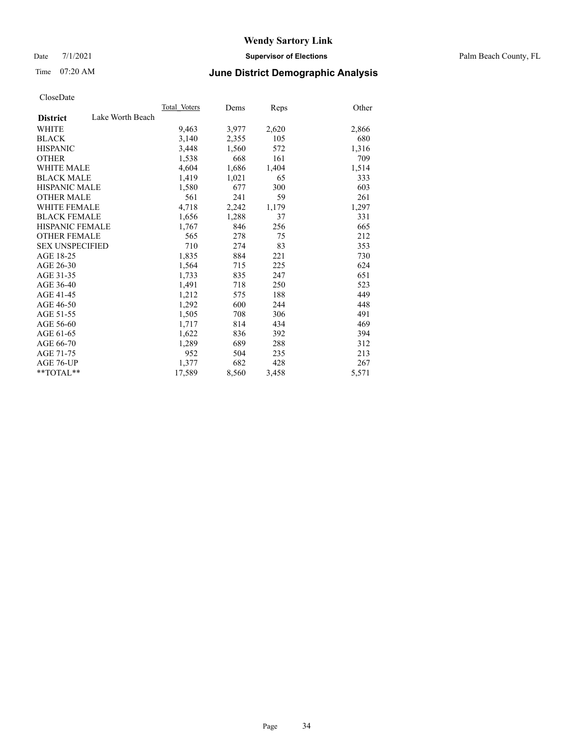Date 7/1/2021 **Supervisor of Elections** Palm Beach County, FL

## Time 07:20 AM **June District Demographic Analysis**

|                        | Total Voters     | Dems  | <b>Reps</b> | Other |
|------------------------|------------------|-------|-------------|-------|
| <b>District</b>        | Lake Worth Beach |       |             |       |
| WHITE                  | 9,463            | 3,977 | 2,620       | 2,866 |
| <b>BLACK</b>           | 3,140            | 2,355 | 105         | 680   |
| <b>HISPANIC</b>        | 3,448            | 1,560 | 572         | 1,316 |
| <b>OTHER</b>           | 1,538            | 668   | 161         | 709   |
| <b>WHITE MALE</b>      | 4,604            | 1,686 | 1,404       | 1,514 |
| <b>BLACK MALE</b>      | 1,419            | 1,021 | 65          | 333   |
| <b>HISPANIC MALE</b>   | 1,580            | 677   | 300         | 603   |
| <b>OTHER MALE</b>      | 561              | 241   | 59          | 261   |
| <b>WHITE FEMALE</b>    | 4,718            | 2,242 | 1,179       | 1,297 |
| <b>BLACK FEMALE</b>    | 1,656            | 1,288 | 37          | 331   |
| <b>HISPANIC FEMALE</b> | 1,767            | 846   | 256         | 665   |
| <b>OTHER FEMALE</b>    | 565              | 278   | 75          | 212   |
| <b>SEX UNSPECIFIED</b> | 710              | 274   | 83          | 353   |
| AGE 18-25              | 1,835            | 884   | 221         | 730   |
| AGE 26-30              | 1,564            | 715   | 225         | 624   |
| AGE 31-35              | 1,733            | 835   | 247         | 651   |
| AGE 36-40              | 1,491            | 718   | 250         | 523   |
| AGE 41-45              | 1,212            | 575   | 188         | 449   |
| AGE 46-50              | 1,292            | 600   | 244         | 448   |
| AGE 51-55              | 1,505            | 708   | 306         | 491   |
| AGE 56-60              | 1,717            | 814   | 434         | 469   |
| AGE 61-65              | 1,622            | 836   | 392         | 394   |
| AGE 66-70              | 1,289            | 689   | 288         | 312   |
| AGE 71-75              | 952              | 504   | 235         | 213   |
| AGE 76-UP              | 1,377            | 682   | 428         | 267   |
| $*$ $TOTAL**$          | 17,589           | 8,560 | 3,458       | 5,571 |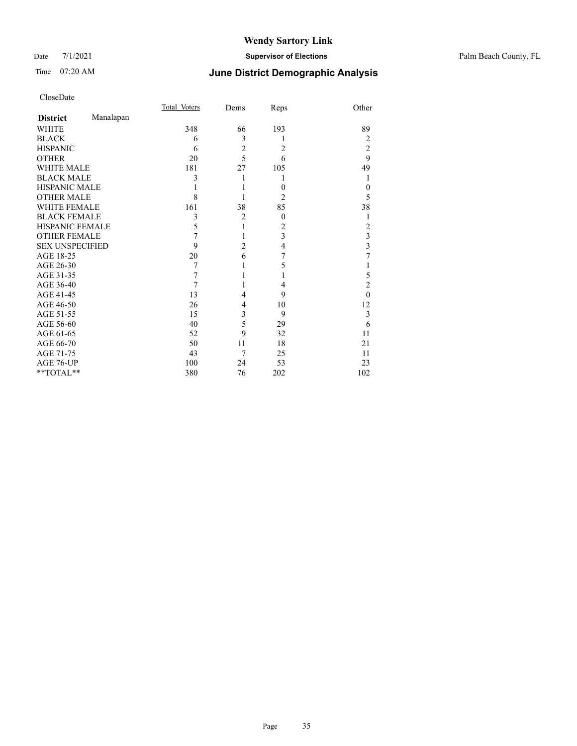#### Date 7/1/2021 **Supervisor of Elections** Palm Beach County, FL

## Time 07:20 AM **June District Demographic Analysis**

|                        |           | Total Voters | Dems           | Reps           | Other                   |
|------------------------|-----------|--------------|----------------|----------------|-------------------------|
| <b>District</b>        | Manalapan |              |                |                |                         |
| <b>WHITE</b>           |           | 348          | 66             | 193            | 89                      |
| <b>BLACK</b>           |           | 6            | 3              | 1              | 2                       |
| <b>HISPANIC</b>        |           | 6            | $\overline{c}$ | $\overline{2}$ | $\overline{2}$          |
| <b>OTHER</b>           |           | 20           | 5              | 6              | 9                       |
| <b>WHITE MALE</b>      |           | 181          | 27             | 105            | 49                      |
| <b>BLACK MALE</b>      |           | 3            | 1              | 1              | 1                       |
| <b>HISPANIC MALE</b>   |           |              |                | $\overline{0}$ | $\theta$                |
| <b>OTHER MALE</b>      |           | 8            |                | $\overline{2}$ | 5                       |
| <b>WHITE FEMALE</b>    |           | 161          | 38             | 85             | 38                      |
| <b>BLACK FEMALE</b>    |           | 3            | $\overline{2}$ | $\overline{0}$ | 1                       |
| <b>HISPANIC FEMALE</b> |           | 5            | 1              | 2              | 2                       |
| <b>OTHER FEMALE</b>    |           | 7            | 1              | 3              | 3                       |
| <b>SEX UNSPECIFIED</b> |           | $\mathbf Q$  | $\overline{c}$ | 4              | $\overline{\mathbf{3}}$ |
| AGE 18-25              |           | 20           | 6              | 7              | 7                       |
| AGE 26-30              |           | 7            | 1              | 5              | 1                       |
| AGE 31-35              |           | 7            | 1              | 1              | 5                       |
| AGE 36-40              |           | 7            | 1              | 4              | $\overline{2}$          |
| AGE 41-45              |           | 13           | 4              | 9              | $\theta$                |
| AGE 46-50              |           | 26           | 4              | 10             | 12                      |
| AGE 51-55              |           | 15           | 3              | 9              | 3                       |
| AGE 56-60              |           | 40           | 5              | 29             | 6                       |
| AGE 61-65              |           | 52           | 9              | 32             | 11                      |
| AGE 66-70              |           | 50           | 11             | 18             | 21                      |
| AGE 71-75              |           | 43           | 7              | 25             | 11                      |
| AGE 76-UP              |           | 100          | 24             | 53             | 23                      |
| **TOTAL**              |           | 380          | 76             | 202            | 102                     |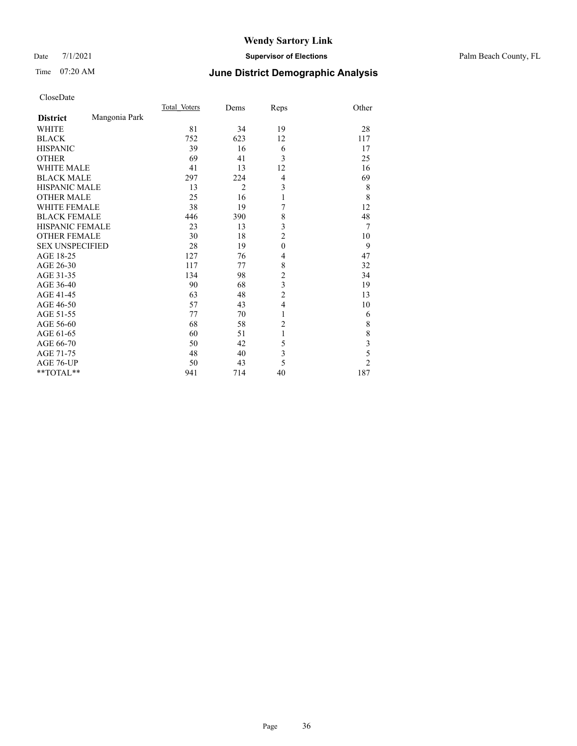#### Date 7/1/2021 **Supervisor of Elections** Palm Beach County, FL

## Time 07:20 AM **June District Demographic Analysis**

|                        |               | Total Voters | Dems           | Reps           | Other                   |
|------------------------|---------------|--------------|----------------|----------------|-------------------------|
| <b>District</b>        | Mangonia Park |              |                |                |                         |
| WHITE                  |               | 81           | 34             | 19             | 28                      |
| <b>BLACK</b>           |               | 752          | 623            | 12             | 117                     |
| <b>HISPANIC</b>        |               | 39           | 16             | 6              | 17                      |
| <b>OTHER</b>           |               | 69           | 41             | 3              | 25                      |
| <b>WHITE MALE</b>      |               | 41           | 13             | 12             | 16                      |
| <b>BLACK MALE</b>      |               | 297          | 224            | 4              | 69                      |
| <b>HISPANIC MALE</b>   |               | 13           | $\overline{2}$ | 3              | 8                       |
| <b>OTHER MALE</b>      |               | 25           | 16             | $\mathbf{1}$   | 8                       |
| <b>WHITE FEMALE</b>    |               | 38           | 19             | 7              | 12                      |
| <b>BLACK FEMALE</b>    |               | 446          | 390            | 8              | 48                      |
| <b>HISPANIC FEMALE</b> |               | 23           | 13             | 3              | $\overline{7}$          |
| <b>OTHER FEMALE</b>    |               | 30           | 18             | $\overline{2}$ | 10                      |
| <b>SEX UNSPECIFIED</b> |               | 28           | 19             | $\mathbf{0}$   | 9                       |
| AGE 18-25              |               | 127          | 76             | 4              | 47                      |
| AGE 26-30              |               | 117          | 77             | 8              | 32                      |
| AGE 31-35              |               | 134          | 98             | $\overline{c}$ | 34                      |
| AGE 36-40              |               | 90           | 68             | 3              | 19                      |
| AGE 41-45              |               | 63           | 48             | $\overline{c}$ | 13                      |
| AGE 46-50              |               | 57           | 43             | 4              | 10                      |
| AGE 51-55              |               | 77           | 70             | 1              | 6                       |
| AGE 56-60              |               | 68           | 58             | $\overline{2}$ | $\,$ $\,$               |
| AGE 61-65              |               | 60           | 51             | 1              | 8                       |
| AGE 66-70              |               | 50           | 42             | 5              | $\overline{\mathbf{3}}$ |
| AGE 71-75              |               | 48           | 40             | 3              | 5                       |
| AGE 76-UP              |               | 50           | 43             | 5              | $\overline{2}$          |
| **TOTAL**              |               | 941          | 714            | 40             | 187                     |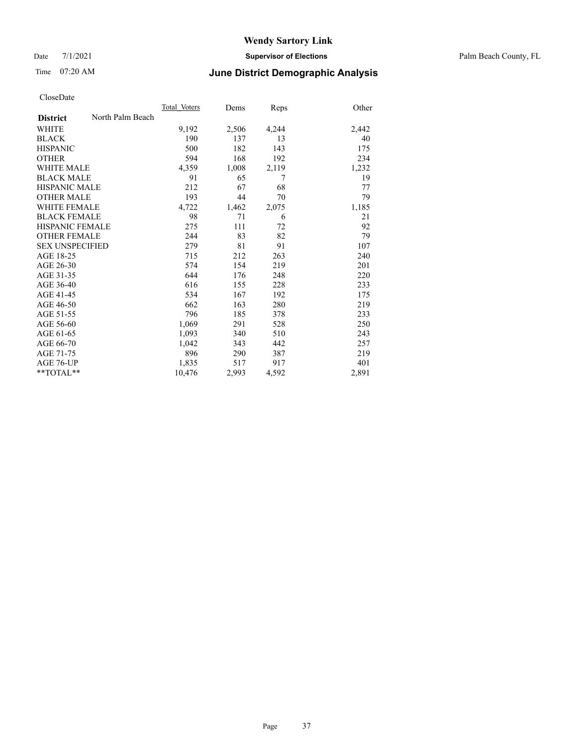Date 7/1/2021 **Supervisor of Elections** Palm Beach County, FL

# Time 07:20 AM **June District Demographic Analysis**

|                        |                  | Total Voters | Dems  | Reps  | Other |
|------------------------|------------------|--------------|-------|-------|-------|
| <b>District</b>        | North Palm Beach |              |       |       |       |
| WHITE                  |                  | 9,192        | 2,506 | 4,244 | 2,442 |
| <b>BLACK</b>           |                  | 190          | 137   | 13    | 40    |
| <b>HISPANIC</b>        |                  | 500          | 182   | 143   | 175   |
| <b>OTHER</b>           |                  | 594          | 168   | 192   | 234   |
| <b>WHITE MALE</b>      |                  | 4,359        | 1,008 | 2,119 | 1,232 |
| <b>BLACK MALE</b>      |                  | 91           | 65    | 7     | 19    |
| <b>HISPANIC MALE</b>   |                  | 212          | 67    | 68    | 77    |
| <b>OTHER MALE</b>      |                  | 193          | 44    | 70    | 79    |
| <b>WHITE FEMALE</b>    |                  | 4,722        | 1,462 | 2,075 | 1,185 |
| <b>BLACK FEMALE</b>    |                  | 98           | 71    | 6     | 21    |
| HISPANIC FEMALE        |                  | 275          | 111   | 72    | 92    |
| <b>OTHER FEMALE</b>    |                  | 244          | 83    | 82    | 79    |
| <b>SEX UNSPECIFIED</b> |                  | 279          | 81    | 91    | 107   |
| AGE 18-25              |                  | 715          | 212   | 263   | 240   |
| AGE 26-30              |                  | 574          | 154   | 219   | 201   |
| AGE 31-35              |                  | 644          | 176   | 248   | 220   |
| AGE 36-40              |                  | 616          | 155   | 228   | 233   |
| AGE 41-45              |                  | 534          | 167   | 192   | 175   |
| AGE 46-50              |                  | 662          | 163   | 280   | 219   |
| AGE 51-55              |                  | 796          | 185   | 378   | 233   |
| AGE 56-60              |                  | 1,069        | 291   | 528   | 250   |
| AGE 61-65              |                  | 1,093        | 340   | 510   | 243   |
| AGE 66-70              |                  | 1,042        | 343   | 442   | 257   |
| AGE 71-75              |                  | 896          | 290   | 387   | 219   |
| AGE 76-UP              |                  | 1,835        | 517   | 917   | 401   |
| $*$ $TOTAL**$          |                  | 10,476       | 2,993 | 4,592 | 2,891 |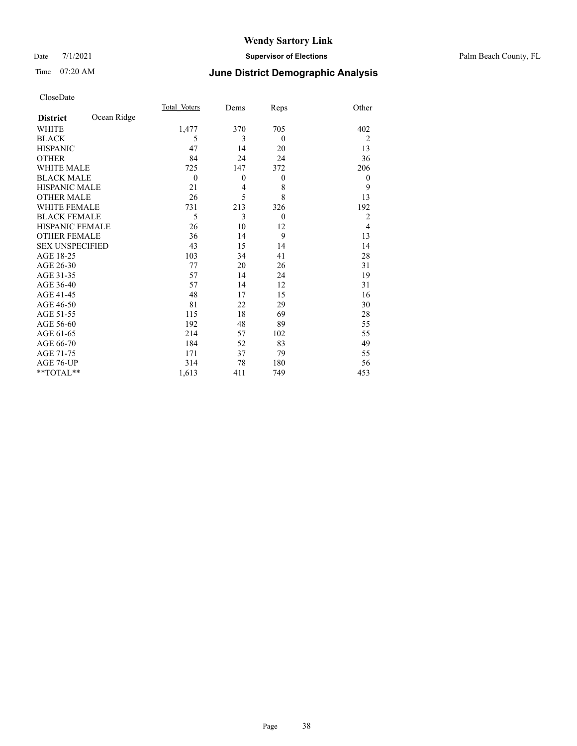### Date 7/1/2021 **Supervisor of Elections** Palm Beach County, FL

# Time 07:20 AM **June District Demographic Analysis**

|                        |             | Total Voters | Dems           | Reps     | Other          |
|------------------------|-------------|--------------|----------------|----------|----------------|
| <b>District</b>        | Ocean Ridge |              |                |          |                |
| <b>WHITE</b>           |             | 1,477        | 370            | 705      | 402            |
| <b>BLACK</b>           |             | 5            | 3              | $\theta$ | $\overline{2}$ |
| <b>HISPANIC</b>        |             | 47           | 14             | 20       | 13             |
| <b>OTHER</b>           |             | 84           | 24             | 24       | 36             |
| <b>WHITE MALE</b>      |             | 725          | 147            | 372      | 206            |
| <b>BLACK MALE</b>      |             | $\theta$     | $\theta$       | $\theta$ | $\theta$       |
| <b>HISPANIC MALE</b>   |             | 21           | $\overline{4}$ | 8        | 9              |
| <b>OTHER MALE</b>      |             | 26           | 5              | 8        | 13             |
| WHITE FEMALE           |             | 731          | 213            | 326      | 192            |
| <b>BLACK FEMALE</b>    |             | 5            | 3              | $\theta$ | $\overline{2}$ |
| <b>HISPANIC FEMALE</b> |             | 26           | 10             | 12       | $\overline{4}$ |
| <b>OTHER FEMALE</b>    |             | 36           | 14             | 9        | 13             |
| <b>SEX UNSPECIFIED</b> |             | 43           | 15             | 14       | 14             |
| AGE 18-25              |             | 103          | 34             | 41       | 28             |
| AGE 26-30              |             | 77           | 20             | 26       | 31             |
| AGE 31-35              |             | 57           | 14             | 24       | 19             |
| AGE 36-40              |             | 57           | 14             | 12       | 31             |
| AGE 41-45              |             | 48           | 17             | 15       | 16             |
| AGE 46-50              |             | 81           | 22             | 29       | 30             |
| AGE 51-55              |             | 115          | 18             | 69       | 28             |
| AGE 56-60              |             | 192          | 48             | 89       | 55             |
| AGE 61-65              |             | 214          | 57             | 102      | 55             |
| AGE 66-70              |             | 184          | 52             | 83       | 49             |
| AGE 71-75              |             | 171          | 37             | 79       | 55             |
| AGE 76-UP              |             | 314          | 78             | 180      | 56             |
| **TOTAL**              |             | 1,613        | 411            | 749      | 453            |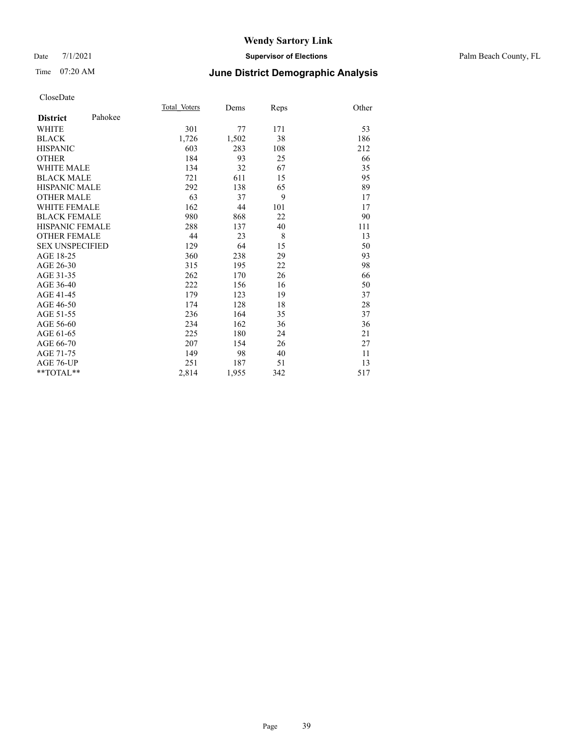### Date 7/1/2021 **Supervisor of Elections** Palm Beach County, FL

# Time 07:20 AM **June District Demographic Analysis**

|                            | Total Voters | Dems  | Reps | Other |
|----------------------------|--------------|-------|------|-------|
| Pahokee<br><b>District</b> |              |       |      |       |
| WHITE                      | 301          | 77    | 171  | 53    |
| <b>BLACK</b>               | 1,726        | 1,502 | 38   | 186   |
| <b>HISPANIC</b>            | 603          | 283   | 108  | 212   |
| <b>OTHER</b>               | 184          | 93    | 25   | 66    |
| WHITE MALE                 | 134          | 32    | 67   | 35    |
| <b>BLACK MALE</b>          | 721          | 611   | 15   | 95    |
| <b>HISPANIC MALE</b>       | 292          | 138   | 65   | 89    |
| <b>OTHER MALE</b>          | 63           | 37    | 9    | 17    |
| WHITE FEMALE               | 162          | 44    | 101  | 17    |
| <b>BLACK FEMALE</b>        | 980          | 868   | 22   | 90    |
| <b>HISPANIC FEMALE</b>     | 288          | 137   | 40   | 111   |
| <b>OTHER FEMALE</b>        | 44           | 23    | 8    | 13    |
| <b>SEX UNSPECIFIED</b>     | 129          | 64    | 15   | 50    |
| AGE 18-25                  | 360          | 238   | 29   | 93    |
| AGE 26-30                  | 315          | 195   | 22   | 98    |
| AGE 31-35                  | 262          | 170   | 26   | 66    |
| AGE 36-40                  | 222          | 156   | 16   | 50    |
| AGE 41-45                  | 179          | 123   | 19   | 37    |
| AGE 46-50                  | 174          | 128   | 18   | 28    |
| AGE 51-55                  | 236          | 164   | 35   | 37    |
| AGE 56-60                  | 234          | 162   | 36   | 36    |
| AGE 61-65                  | 225          | 180   | 24   | 21    |
| AGE 66-70                  | 207          | 154   | 26   | 27    |
| AGE 71-75                  | 149          | 98    | 40   | 11    |
| AGE 76-UP                  | 251          | 187   | 51   | 13    |
| $*$ $TOTAL**$              | 2,814        | 1,955 | 342  | 517   |
|                            |              |       |      |       |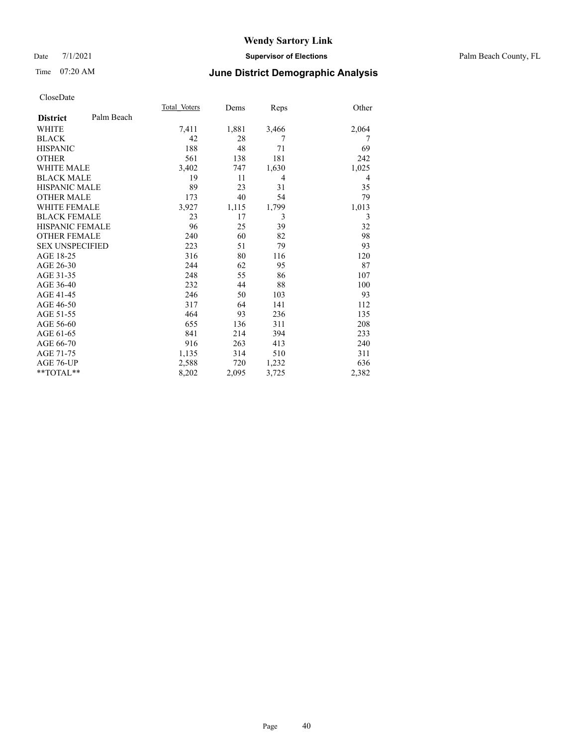## Date 7/1/2021 **Supervisor of Elections** Palm Beach County, FL

## Time 07:20 AM **June District Demographic Analysis**

|                        |            | Total Voters | Dems  | Reps  | Other |
|------------------------|------------|--------------|-------|-------|-------|
| <b>District</b>        | Palm Beach |              |       |       |       |
| <b>WHITE</b>           |            | 7,411        | 1,881 | 3,466 | 2,064 |
| <b>BLACK</b>           |            | 42           | 28    | 7     | 7     |
| <b>HISPANIC</b>        |            | 188          | 48    | 71    | 69    |
| <b>OTHER</b>           |            | 561          | 138   | 181   | 242   |
| <b>WHITE MALE</b>      |            | 3,402        | 747   | 1,630 | 1,025 |
| <b>BLACK MALE</b>      |            | 19           | 11    | 4     | 4     |
| <b>HISPANIC MALE</b>   |            | 89           | 23    | 31    | 35    |
| <b>OTHER MALE</b>      |            | 173          | 40    | 54    | 79    |
| <b>WHITE FEMALE</b>    |            | 3,927        | 1,115 | 1,799 | 1,013 |
| <b>BLACK FEMALE</b>    |            | 23           | 17    | 3     | 3     |
| <b>HISPANIC FEMALE</b> |            | 96           | 25    | 39    | 32    |
| <b>OTHER FEMALE</b>    |            | 240          | 60    | 82    | 98    |
| <b>SEX UNSPECIFIED</b> |            | 223          | 51    | 79    | 93    |
| AGE 18-25              |            | 316          | 80    | 116   | 120   |
| AGE 26-30              |            | 244          | 62    | 95    | 87    |
| AGE 31-35              |            | 248          | 55    | 86    | 107   |
| AGE 36-40              |            | 232          | 44    | 88    | 100   |
| AGE 41-45              |            | 246          | 50    | 103   | 93    |
| AGE 46-50              |            | 317          | 64    | 141   | 112   |
| AGE 51-55              |            | 464          | 93    | 236   | 135   |
| AGE 56-60              |            | 655          | 136   | 311   | 208   |
| AGE 61-65              |            | 841          | 214   | 394   | 233   |
| AGE 66-70              |            | 916          | 263   | 413   | 240   |
| AGE 71-75              |            | 1,135        | 314   | 510   | 311   |
| AGE 76-UP              |            | 2,588        | 720   | 1,232 | 636   |
| $*$ $TOTAL**$          |            | 8,202        | 2,095 | 3,725 | 2,382 |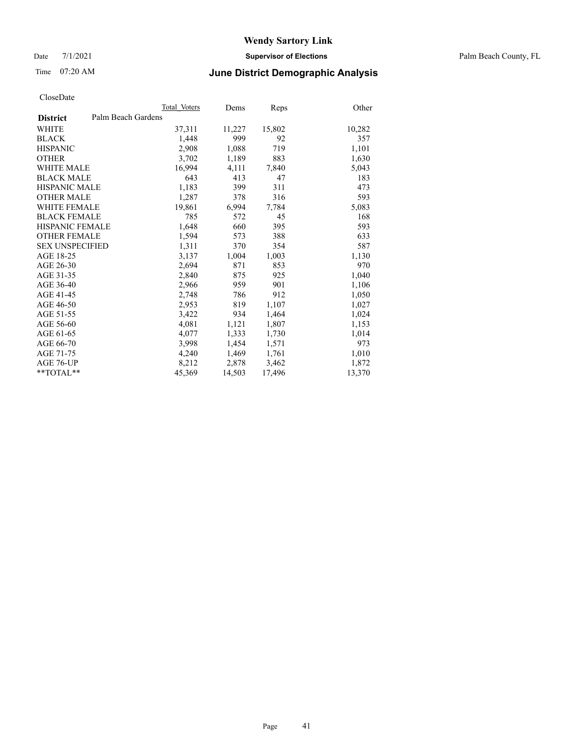Date 7/1/2021 **Supervisor of Elections** Palm Beach County, FL

## Time 07:20 AM **June District Demographic Analysis**

|                        |                    | Total Voters | Dems   | Reps   | Other  |
|------------------------|--------------------|--------------|--------|--------|--------|
| <b>District</b>        | Palm Beach Gardens |              |        |        |        |
| WHITE                  |                    | 37,311       | 11,227 | 15,802 | 10,282 |
| <b>BLACK</b>           |                    | 1,448        | 999    | 92     | 357    |
| <b>HISPANIC</b>        |                    | 2,908        | 1,088  | 719    | 1,101  |
| <b>OTHER</b>           |                    | 3,702        | 1,189  | 883    | 1,630  |
| <b>WHITE MALE</b>      |                    | 16,994       | 4,111  | 7,840  | 5,043  |
| <b>BLACK MALE</b>      |                    | 643          | 413    | 47     | 183    |
| <b>HISPANIC MALE</b>   |                    | 1,183        | 399    | 311    | 473    |
| <b>OTHER MALE</b>      |                    | 1,287        | 378    | 316    | 593    |
| <b>WHITE FEMALE</b>    |                    | 19,861       | 6,994  | 7,784  | 5,083  |
| <b>BLACK FEMALE</b>    |                    | 785          | 572    | 45     | 168    |
| HISPANIC FEMALE        |                    | 1,648        | 660    | 395    | 593    |
| <b>OTHER FEMALE</b>    |                    | 1,594        | 573    | 388    | 633    |
| <b>SEX UNSPECIFIED</b> |                    | 1,311        | 370    | 354    | 587    |
| AGE 18-25              |                    | 3,137        | 1,004  | 1,003  | 1,130  |
| AGE 26-30              |                    | 2,694        | 871    | 853    | 970    |
| AGE 31-35              |                    | 2,840        | 875    | 925    | 1,040  |
| AGE 36-40              |                    | 2,966        | 959    | 901    | 1,106  |
| AGE 41-45              |                    | 2,748        | 786    | 912    | 1,050  |
| AGE 46-50              |                    | 2,953        | 819    | 1,107  | 1,027  |
| AGE 51-55              |                    | 3,422        | 934    | 1,464  | 1,024  |
| AGE 56-60              |                    | 4,081        | 1,121  | 1,807  | 1,153  |
| AGE 61-65              |                    | 4,077        | 1,333  | 1,730  | 1,014  |
| AGE 66-70              |                    | 3,998        | 1,454  | 1,571  | 973    |
| AGE 71-75              |                    | 4,240        | 1,469  | 1,761  | 1,010  |
| AGE 76-UP              |                    | 8,212        | 2,878  | 3,462  | 1,872  |
| $*$ $TOTAL**$          |                    | 45,369       | 14,503 | 17,496 | 13,370 |
|                        |                    |              |        |        |        |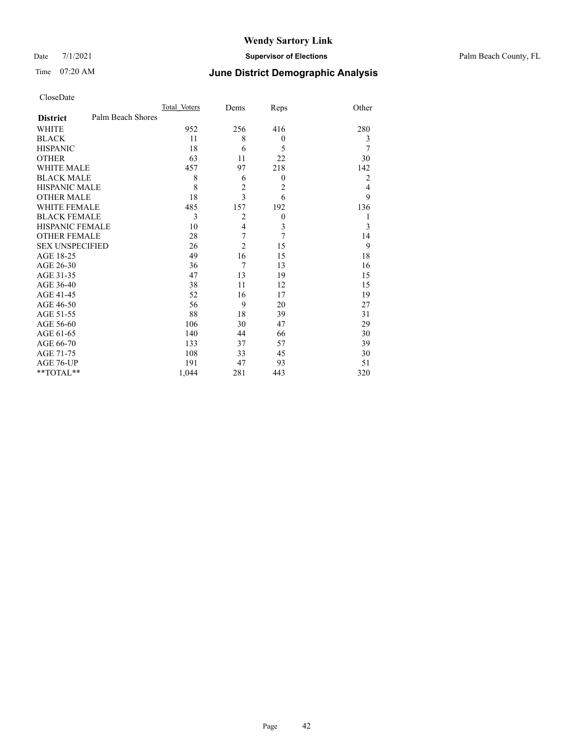Date 7/1/2021 **Supervisor of Elections** Palm Beach County, FL

# Time 07:20 AM **June District Demographic Analysis**

|                                      | Total Voters | Dems                    | Reps           | Other          |
|--------------------------------------|--------------|-------------------------|----------------|----------------|
| Palm Beach Shores<br><b>District</b> |              |                         |                |                |
| <b>WHITE</b>                         | 952          | 256                     | 416            | 280            |
| <b>BLACK</b>                         | 11           | 8                       | $\mathbf{0}$   | 3              |
| <b>HISPANIC</b>                      | 18           | 6                       | 5              | 7              |
| <b>OTHER</b>                         | 63           | 11                      | 22             | 30             |
| WHITE MALE                           | 457          | 97                      | 218            | 142            |
| <b>BLACK MALE</b>                    | 8            | 6                       | $\mathbf{0}$   | $\overline{2}$ |
| <b>HISPANIC MALE</b>                 | 8            | $\overline{c}$          | $\overline{c}$ | 4              |
| <b>OTHER MALE</b>                    | 18           | 3                       | 6              | 9              |
| WHITE FEMALE                         | 485          | 157                     | 192            | 136            |
| <b>BLACK FEMALE</b>                  | 3            | $\overline{2}$          | $\theta$       | 1              |
| <b>HISPANIC FEMALE</b>               | 10           | $\overline{\mathbf{4}}$ | 3              | 3              |
| <b>OTHER FEMALE</b>                  | 28           | 7                       | 7              | 14             |
| <b>SEX UNSPECIFIED</b>               | 26           | $\overline{c}$          | 15             | 9              |
| AGE 18-25                            | 49           | 16                      | 15             | 18             |
| AGE 26-30                            | 36           | $\overline{7}$          | 13             | 16             |
| AGE 31-35                            | 47           | 13                      | 19             | 15             |
| AGE 36-40                            | 38           | 11                      | 12             | 15             |
| AGE 41-45                            | 52           | 16                      | 17             | 19             |
| AGE 46-50                            | 56           | 9                       | 20             | 27             |
| AGE 51-55                            | 88           | 18                      | 39             | 31             |
| AGE 56-60                            | 106          | 30                      | 47             | 29             |
| AGE 61-65                            | 140          | 44                      | 66             | 30             |
| AGE 66-70                            | 133          | 37                      | 57             | 39             |
| AGE 71-75                            | 108          | 33                      | 45             | 30             |
| AGE 76-UP                            | 191          | 47                      | 93             | 51             |
| **TOTAL**                            | 1,044        | 281                     | 443            | 320            |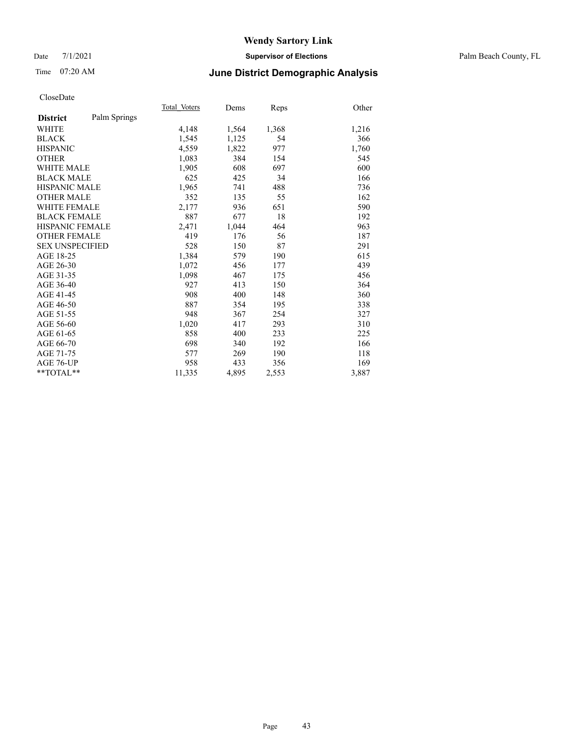## Date 7/1/2021 **Supervisor of Elections** Palm Beach County, FL

# Time 07:20 AM **June District Demographic Analysis**

|                        |              | Total Voters | Dems  | Reps  | Other |
|------------------------|--------------|--------------|-------|-------|-------|
| <b>District</b>        | Palm Springs |              |       |       |       |
| WHITE                  |              | 4,148        | 1,564 | 1,368 | 1,216 |
| <b>BLACK</b>           |              | 1,545        | 1,125 | 54    | 366   |
| <b>HISPANIC</b>        |              | 4,559        | 1,822 | 977   | 1,760 |
| <b>OTHER</b>           |              | 1,083        | 384   | 154   | 545   |
| WHITE MALE             |              | 1,905        | 608   | 697   | 600   |
| <b>BLACK MALE</b>      |              | 625          | 425   | 34    | 166   |
| <b>HISPANIC MALE</b>   |              | 1,965        | 741   | 488   | 736   |
| <b>OTHER MALE</b>      |              | 352          | 135   | 55    | 162   |
| WHITE FEMALE           |              | 2,177        | 936   | 651   | 590   |
| <b>BLACK FEMALE</b>    |              | 887          | 677   | 18    | 192   |
| <b>HISPANIC FEMALE</b> |              | 2,471        | 1,044 | 464   | 963   |
| <b>OTHER FEMALE</b>    |              | 419          | 176   | 56    | 187   |
| <b>SEX UNSPECIFIED</b> |              | 528          | 150   | 87    | 291   |
| AGE 18-25              |              | 1,384        | 579   | 190   | 615   |
| AGE 26-30              |              | 1,072        | 456   | 177   | 439   |
| AGE 31-35              |              | 1,098        | 467   | 175   | 456   |
| AGE 36-40              |              | 927          | 413   | 150   | 364   |
| AGE 41-45              |              | 908          | 400   | 148   | 360   |
| AGE 46-50              |              | 887          | 354   | 195   | 338   |
| AGE 51-55              |              | 948          | 367   | 254   | 327   |
| AGE 56-60              |              | 1,020        | 417   | 293   | 310   |
| AGE 61-65              |              | 858          | 400   | 233   | 225   |
| AGE 66-70              |              | 698          | 340   | 192   | 166   |
| AGE 71-75              |              | 577          | 269   | 190   | 118   |
| AGE 76-UP              |              | 958          | 433   | 356   | 169   |
| $*$ $TOTAL**$          |              | 11,335       | 4,895 | 2,553 | 3,887 |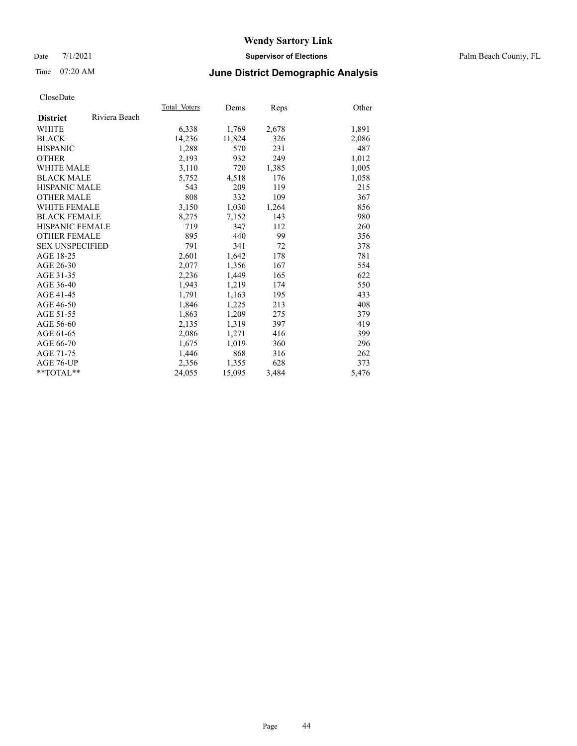## Date 7/1/2021 **Supervisor of Elections** Palm Beach County, FL

## Time 07:20 AM **June District Demographic Analysis**

|                        |               | Total Voters | Dems   | <b>Reps</b> | Other |
|------------------------|---------------|--------------|--------|-------------|-------|
| <b>District</b>        | Riviera Beach |              |        |             |       |
| WHITE                  |               | 6,338        | 1,769  | 2,678       | 1,891 |
| <b>BLACK</b>           |               | 14,236       | 11,824 | 326         | 2,086 |
| <b>HISPANIC</b>        |               | 1,288        | 570    | 231         | 487   |
| <b>OTHER</b>           |               | 2,193        | 932    | 249         | 1,012 |
| <b>WHITE MALE</b>      |               | 3,110        | 720    | 1,385       | 1,005 |
| <b>BLACK MALE</b>      |               | 5,752        | 4,518  | 176         | 1,058 |
| <b>HISPANIC MALE</b>   |               | 543          | 209    | 119         | 215   |
| <b>OTHER MALE</b>      |               | 808          | 332    | 109         | 367   |
| <b>WHITE FEMALE</b>    |               | 3,150        | 1,030  | 1,264       | 856   |
| <b>BLACK FEMALE</b>    |               | 8,275        | 7,152  | 143         | 980   |
| <b>HISPANIC FEMALE</b> |               | 719          | 347    | 112         | 260   |
| <b>OTHER FEMALE</b>    |               | 895          | 440    | 99          | 356   |
| <b>SEX UNSPECIFIED</b> |               | 791          | 341    | 72          | 378   |
| AGE 18-25              |               | 2,601        | 1,642  | 178         | 781   |
| AGE 26-30              |               | 2,077        | 1,356  | 167         | 554   |
| AGE 31-35              |               | 2,236        | 1,449  | 165         | 622   |
| AGE 36-40              |               | 1,943        | 1,219  | 174         | 550   |
| AGE 41-45              |               | 1,791        | 1,163  | 195         | 433   |
| AGE 46-50              |               | 1,846        | 1,225  | 213         | 408   |
| AGE 51-55              |               | 1,863        | 1,209  | 275         | 379   |
| AGE 56-60              |               | 2,135        | 1,319  | 397         | 419   |
| AGE 61-65              |               | 2,086        | 1,271  | 416         | 399   |
| AGE 66-70              |               | 1,675        | 1,019  | 360         | 296   |
| AGE 71-75              |               | 1,446        | 868    | 316         | 262   |
| AGE 76-UP              |               | 2,356        | 1,355  | 628         | 373   |
| $*$ $TOTAL**$          |               | 24,055       | 15,095 | 3,484       | 5,476 |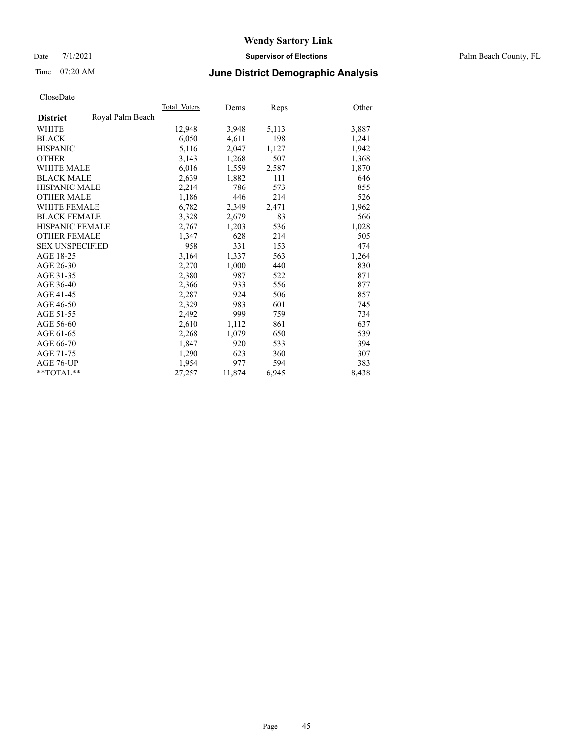Date 7/1/2021 **Supervisor of Elections** Palm Beach County, FL

# Time 07:20 AM **June District Demographic Analysis**

|                        |                  | Total Voters | Dems   | <b>Reps</b> | Other |
|------------------------|------------------|--------------|--------|-------------|-------|
| <b>District</b>        | Royal Palm Beach |              |        |             |       |
| WHITE                  |                  | 12,948       | 3,948  | 5,113       | 3,887 |
| <b>BLACK</b>           |                  | 6,050        | 4,611  | 198         | 1,241 |
| <b>HISPANIC</b>        |                  | 5,116        | 2,047  | 1,127       | 1,942 |
| <b>OTHER</b>           |                  | 3,143        | 1,268  | 507         | 1,368 |
| <b>WHITE MALE</b>      |                  | 6,016        | 1,559  | 2,587       | 1,870 |
| <b>BLACK MALE</b>      |                  | 2,639        | 1,882  | 111         | 646   |
| <b>HISPANIC MALE</b>   |                  | 2,214        | 786    | 573         | 855   |
| <b>OTHER MALE</b>      |                  | 1,186        | 446    | 214         | 526   |
| <b>WHITE FEMALE</b>    |                  | 6,782        | 2,349  | 2,471       | 1,962 |
| <b>BLACK FEMALE</b>    |                  | 3,328        | 2,679  | 83          | 566   |
| <b>HISPANIC FEMALE</b> |                  | 2,767        | 1,203  | 536         | 1,028 |
| <b>OTHER FEMALE</b>    |                  | 1.347        | 628    | 214         | 505   |
| <b>SEX UNSPECIFIED</b> |                  | 958          | 331    | 153         | 474   |
| AGE 18-25              |                  | 3,164        | 1,337  | 563         | 1,264 |
| AGE 26-30              |                  | 2,270        | 1,000  | 440         | 830   |
| AGE 31-35              |                  | 2,380        | 987    | 522         | 871   |
| AGE 36-40              |                  | 2,366        | 933    | 556         | 877   |
| AGE 41-45              |                  | 2,287        | 924    | 506         | 857   |
| AGE 46-50              |                  | 2,329        | 983    | 601         | 745   |
| AGE 51-55              |                  | 2,492        | 999    | 759         | 734   |
| AGE 56-60              |                  | 2,610        | 1,112  | 861         | 637   |
| AGE 61-65              |                  | 2,268        | 1,079  | 650         | 539   |
| AGE 66-70              |                  | 1,847        | 920    | 533         | 394   |
| AGE 71-75              |                  | 1,290        | 623    | 360         | 307   |
| AGE 76-UP              |                  | 1,954        | 977    | 594         | 383   |
| $*$ $TOTAL**$          |                  | 27,257       | 11,874 | 6,945       | 8,438 |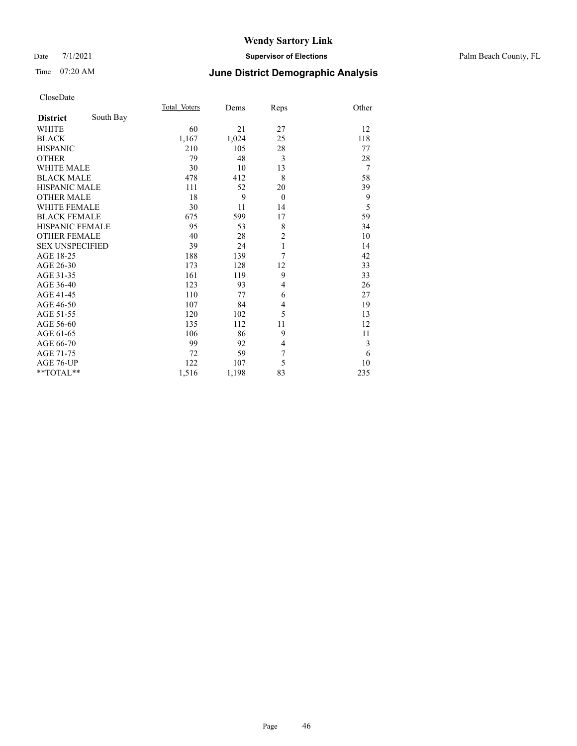# Time 07:20 AM **June District Demographic Analysis**

|                        |           | Total Voters | Dems  | Reps           | Other          |
|------------------------|-----------|--------------|-------|----------------|----------------|
| <b>District</b>        | South Bay |              |       |                |                |
| <b>WHITE</b>           |           | 60           | 21    | 27             | 12             |
| <b>BLACK</b>           |           | 1,167        | 1,024 | 25             | 118            |
| <b>HISPANIC</b>        |           | 210          | 105   | 28             | 77             |
| <b>OTHER</b>           |           | 79           | 48    | 3              | 28             |
| <b>WHITE MALE</b>      |           | 30           | 10    | 13             | $\overline{7}$ |
| <b>BLACK MALE</b>      |           | 478          | 412   | 8              | 58             |
| <b>HISPANIC MALE</b>   |           | 111          | 52    | 20             | 39             |
| <b>OTHER MALE</b>      |           | 18           | 9     | $\theta$       | 9              |
| <b>WHITE FEMALE</b>    |           | 30           | 11    | 14             | 5              |
| <b>BLACK FEMALE</b>    |           | 675          | 599   | 17             | 59             |
| <b>HISPANIC FEMALE</b> |           | 95           | 53    | 8              | 34             |
| <b>OTHER FEMALE</b>    |           | 40           | 28    | $\overline{c}$ | 10             |
| <b>SEX UNSPECIFIED</b> |           | 39           | 24    | $\mathbf{1}$   | 14             |
| AGE 18-25              |           | 188          | 139   | $\overline{7}$ | 42             |
| AGE 26-30              |           | 173          | 128   | 12             | 33             |
| AGE 31-35              |           | 161          | 119   | 9              | 33             |
| AGE 36-40              |           | 123          | 93    | $\overline{4}$ | 26             |
| AGE 41-45              |           | 110          | 77    | 6              | 27             |
| AGE 46-50              |           | 107          | 84    | $\overline{4}$ | 19             |
| AGE 51-55              |           | 120          | 102   | 5              | 13             |
| AGE 56-60              |           | 135          | 112   | 11             | 12             |
| AGE 61-65              |           | 106          | 86    | 9              | 11             |
| AGE 66-70              |           | 99           | 92    | 4              | 3              |
| AGE 71-75              |           | 72           | 59    | 7              | 6              |
| AGE 76-UP              |           | 122          | 107   | 5              | 10             |
| **TOTAL**              |           | 1,516        | 1,198 | 83             | 235            |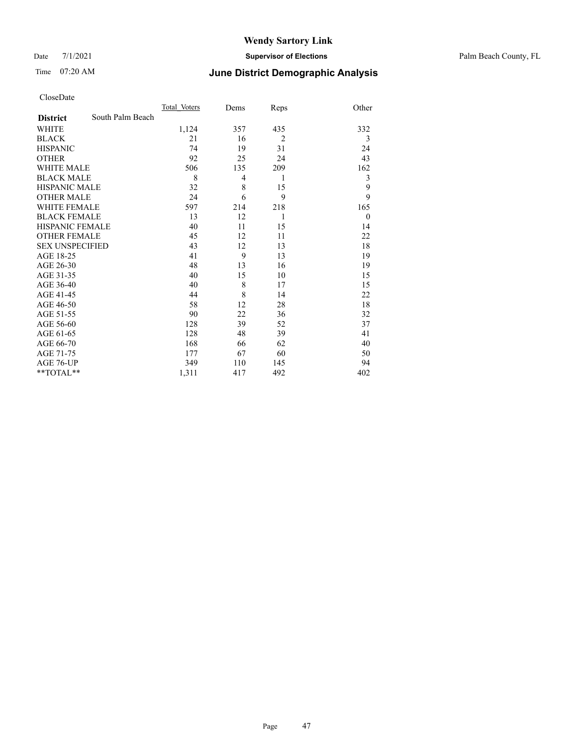Date 7/1/2021 **Supervisor of Elections** Palm Beach County, FL

# Time 07:20 AM **June District Demographic Analysis**

|                        |                  | Total Voters | Dems | Reps           | Other    |
|------------------------|------------------|--------------|------|----------------|----------|
| <b>District</b>        | South Palm Beach |              |      |                |          |
| <b>WHITE</b>           |                  | 1,124        | 357  | 435            | 332      |
| <b>BLACK</b>           |                  | 21           | 16   | $\overline{2}$ | 3        |
| <b>HISPANIC</b>        |                  | 74           | 19   | 31             | 24       |
| <b>OTHER</b>           |                  | 92           | 25   | 24             | 43       |
| <b>WHITE MALE</b>      |                  | 506          | 135  | 209            | 162      |
| <b>BLACK MALE</b>      |                  | 8            | 4    | 1              | 3        |
| <b>HISPANIC MALE</b>   |                  | 32           | 8    | 15             | 9        |
| <b>OTHER MALE</b>      |                  | 24           | 6    | 9              | 9        |
| <b>WHITE FEMALE</b>    |                  | 597          | 214  | 218            | 165      |
| <b>BLACK FEMALE</b>    |                  | 13           | 12   | 1              | $\theta$ |
| <b>HISPANIC FEMALE</b> |                  | 40           | 11   | 15             | 14       |
| <b>OTHER FEMALE</b>    |                  | 45           | 12   | 11             | 22       |
| <b>SEX UNSPECIFIED</b> |                  | 43           | 12   | 13             | 18       |
| AGE 18-25              |                  | 41           | 9    | 13             | 19       |
| AGE 26-30              |                  | 48           | 13   | 16             | 19       |
| AGE 31-35              |                  | 40           | 15   | 10             | 15       |
| AGE 36-40              |                  | 40           | 8    | 17             | 15       |
| AGE 41-45              |                  | 44           | 8    | 14             | 22       |
| AGE 46-50              |                  | 58           | 12   | 28             | 18       |
| AGE 51-55              |                  | 90           | 22   | 36             | 32       |
| AGE 56-60              |                  | 128          | 39   | 52             | 37       |
| AGE 61-65              |                  | 128          | 48   | 39             | 41       |
| AGE 66-70              |                  | 168          | 66   | 62             | 40       |
| AGE 71-75              |                  | 177          | 67   | 60             | 50       |
| AGE 76-UP              |                  | 349          | 110  | 145            | 94       |
| **TOTAL**              |                  | 1,311        | 417  | 492            | 402      |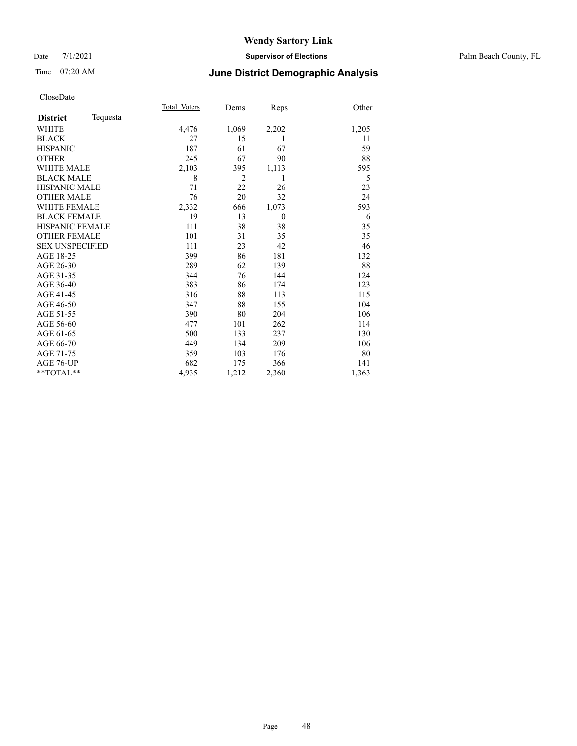## Date 7/1/2021 **Supervisor of Elections** Palm Beach County, FL

# Time 07:20 AM **June District Demographic Analysis**

|                        |          | Total Voters | Dems           | Reps     | Other |
|------------------------|----------|--------------|----------------|----------|-------|
| <b>District</b>        | Tequesta |              |                |          |       |
| WHITE                  |          | 4,476        | 1,069          | 2,202    | 1,205 |
| <b>BLACK</b>           |          | 27           | 15             | 1        | 11    |
| <b>HISPANIC</b>        |          | 187          | 61             | 67       | 59    |
| <b>OTHER</b>           |          | 245          | 67             | 90       | 88    |
| <b>WHITE MALE</b>      |          | 2,103        | 395            | 1,113    | 595   |
| <b>BLACK MALE</b>      |          | 8            | $\overline{2}$ | 1        | 5     |
| <b>HISPANIC MALE</b>   |          | 71           | 22             | 26       | 23    |
| <b>OTHER MALE</b>      |          | 76           | 20             | 32       | 24    |
| <b>WHITE FEMALE</b>    |          | 2,332        | 666            | 1,073    | 593   |
| <b>BLACK FEMALE</b>    |          | 19           | 13             | $\theta$ | 6     |
| HISPANIC FEMALE        |          | 111          | 38             | 38       | 35    |
| <b>OTHER FEMALE</b>    |          | 101          | 31             | 35       | 35    |
| <b>SEX UNSPECIFIED</b> |          | 111          | 23             | 42       | 46    |
| AGE 18-25              |          | 399          | 86             | 181      | 132   |
| AGE 26-30              |          | 289          | 62             | 139      | 88    |
| AGE 31-35              |          | 344          | 76             | 144      | 124   |
| AGE 36-40              |          | 383          | 86             | 174      | 123   |
| AGE 41-45              |          | 316          | 88             | 113      | 115   |
| AGE 46-50              |          | 347          | 88             | 155      | 104   |
| AGE 51-55              |          | 390          | 80             | 204      | 106   |
| AGE 56-60              |          | 477          | 101            | 262      | 114   |
| AGE 61-65              |          | 500          | 133            | 237      | 130   |
| AGE 66-70              |          | 449          | 134            | 209      | 106   |
| AGE 71-75              |          | 359          | 103            | 176      | 80    |
| AGE 76-UP              |          | 682          | 175            | 366      | 141   |
| $*$ $TOTAL**$          |          | 4,935        | 1,212          | 2,360    | 1,363 |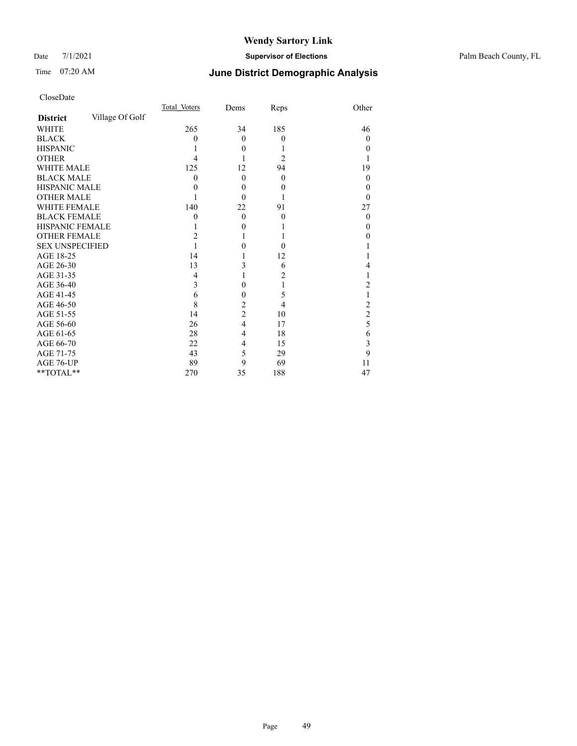### Date 7/1/2021 **Supervisor of Elections** Palm Beach County, FL

# Time 07:20 AM **June District Demographic Analysis**

|                        |                 | Total Voters | Dems             | Reps             | Other            |
|------------------------|-----------------|--------------|------------------|------------------|------------------|
| <b>District</b>        | Village Of Golf |              |                  |                  |                  |
| <b>WHITE</b>           |                 | 265          | 34               | 185              | 46               |
| <b>BLACK</b>           |                 | $\theta$     | $\theta$         | $\mathbf{0}$     | $\theta$         |
| <b>HISPANIC</b>        |                 |              | $\theta$         |                  | $\theta$         |
| <b>OTHER</b>           |                 | 4            |                  | $\overline{c}$   |                  |
| WHITE MALE             |                 | 125          | 12               | 94               | 19               |
| <b>BLACK MALE</b>      |                 | $\theta$     | $\theta$         | $\mathbf{0}$     | $\boldsymbol{0}$ |
| <b>HISPANIC MALE</b>   |                 | 0            | $\boldsymbol{0}$ | $\boldsymbol{0}$ | 0                |
| <b>OTHER MALE</b>      |                 |              | $\Omega$         |                  | 0                |
| WHITE FEMALE           |                 | 140          | 22               | 91               | 27               |
| <b>BLACK FEMALE</b>    |                 | 0            | $\Omega$         | $\theta$         | $\theta$         |
| <b>HISPANIC FEMALE</b> |                 |              | $\theta$         |                  | $_{0}$           |
| <b>OTHER FEMALE</b>    |                 | 2            | 1                |                  | 0                |
| <b>SEX UNSPECIFIED</b> |                 |              | 0                | $\theta$         |                  |
| AGE 18-25              |                 | 14           | 1                | 12               |                  |
| AGE 26-30              |                 | 13           | 3                | 6                | 4                |
| AGE 31-35              |                 | 4            | 1                | 2                |                  |
| AGE 36-40              |                 | 3            | $\mathbf{0}$     |                  | 2                |
| AGE 41-45              |                 | 6            | 0                | 5                |                  |
| AGE 46-50              |                 | 8            | $\overline{c}$   | 4                | $\overline{c}$   |
| AGE 51-55              |                 | 14           | $\overline{c}$   | 10               | $\overline{c}$   |
| AGE 56-60              |                 | 26           | $\overline{4}$   | 17               | 5                |
| AGE 61-65              |                 | 28           | 4                | 18               | 6                |
| AGE 66-70              |                 | 22           | 4                | 15               | 3                |
| AGE 71-75              |                 | 43           | 5                | 29               | 9                |
| AGE 76-UP              |                 | 89           | 9                | 69               | 11               |
| **TOTAL**              |                 | 270          | 35               | 188              | 47               |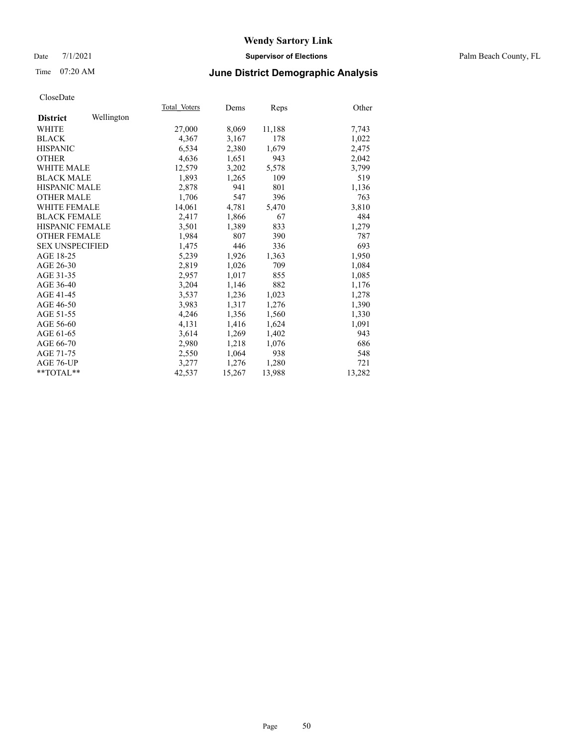## Date 7/1/2021 **Supervisor of Elections** Palm Beach County, FL

## Time 07:20 AM **June District Demographic Analysis**

|                        |            | Total Voters | Dems   | <b>Reps</b> | Other  |
|------------------------|------------|--------------|--------|-------------|--------|
| <b>District</b>        | Wellington |              |        |             |        |
| WHITE                  |            | 27,000       | 8,069  | 11,188      | 7,743  |
| <b>BLACK</b>           |            | 4,367        | 3,167  | 178         | 1,022  |
| <b>HISPANIC</b>        |            | 6,534        | 2,380  | 1,679       | 2,475  |
| <b>OTHER</b>           |            | 4,636        | 1,651  | 943         | 2,042  |
| <b>WHITE MALE</b>      |            | 12,579       | 3,202  | 5,578       | 3,799  |
| <b>BLACK MALE</b>      |            | 1,893        | 1,265  | 109         | 519    |
| <b>HISPANIC MALE</b>   |            | 2,878        | 941    | 801         | 1,136  |
| <b>OTHER MALE</b>      |            | 1,706        | 547    | 396         | 763    |
| <b>WHITE FEMALE</b>    |            | 14,061       | 4,781  | 5,470       | 3,810  |
| <b>BLACK FEMALE</b>    |            | 2,417        | 1,866  | 67          | 484    |
| <b>HISPANIC FEMALE</b> |            | 3,501        | 1,389  | 833         | 1,279  |
| <b>OTHER FEMALE</b>    |            | 1.984        | 807    | 390         | 787    |
| <b>SEX UNSPECIFIED</b> |            | 1,475        | 446    | 336         | 693    |
| AGE 18-25              |            | 5,239        | 1,926  | 1,363       | 1,950  |
| AGE 26-30              |            | 2,819        | 1,026  | 709         | 1,084  |
| AGE 31-35              |            | 2,957        | 1,017  | 855         | 1,085  |
| AGE 36-40              |            | 3,204        | 1,146  | 882         | 1,176  |
| AGE 41-45              |            | 3,537        | 1,236  | 1,023       | 1,278  |
| AGE 46-50              |            | 3,983        | 1,317  | 1,276       | 1,390  |
| AGE 51-55              |            | 4,246        | 1,356  | 1,560       | 1,330  |
| AGE 56-60              |            | 4,131        | 1,416  | 1,624       | 1,091  |
| AGE 61-65              |            | 3,614        | 1,269  | 1,402       | 943    |
| AGE 66-70              |            | 2,980        | 1,218  | 1,076       | 686    |
| AGE 71-75              |            | 2,550        | 1,064  | 938         | 548    |
| AGE 76-UP              |            | 3,277        | 1,276  | 1,280       | 721    |
| $*$ $TOTAL**$          |            | 42,537       | 15,267 | 13,988      | 13,282 |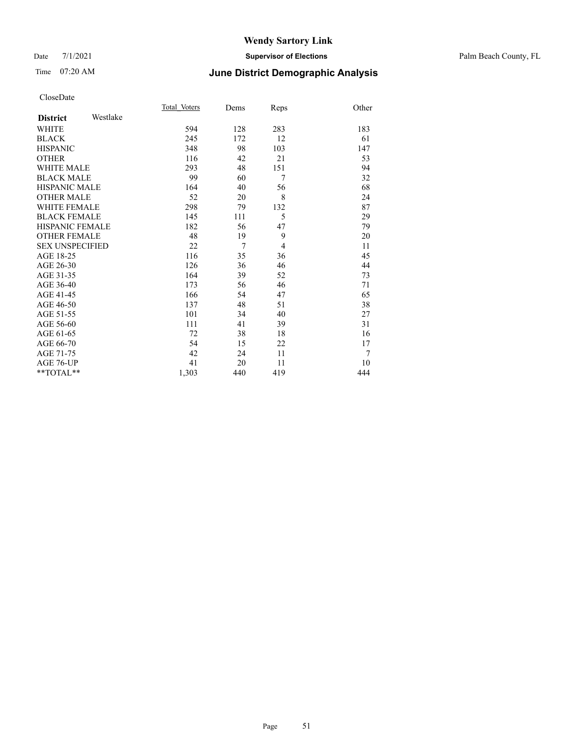## Date 7/1/2021 **Supervisor of Elections** Palm Beach County, FL

# Time 07:20 AM **June District Demographic Analysis**

|                        |          | Total Voters | Dems | Reps           | Other |
|------------------------|----------|--------------|------|----------------|-------|
| <b>District</b>        | Westlake |              |      |                |       |
| <b>WHITE</b>           |          | 594          | 128  | 283            | 183   |
| <b>BLACK</b>           |          | 245          | 172  | 12             | 61    |
| <b>HISPANIC</b>        |          | 348          | 98   | 103            | 147   |
| <b>OTHER</b>           |          | 116          | 42   | 21             | 53    |
| <b>WHITE MALE</b>      |          | 293          | 48   | 151            | 94    |
| <b>BLACK MALE</b>      |          | 99           | 60   | 7              | 32    |
| <b>HISPANIC MALE</b>   |          | 164          | 40   | 56             | 68    |
| <b>OTHER MALE</b>      |          | 52           | 20   | 8              | 24    |
| <b>WHITE FEMALE</b>    |          | 298          | 79   | 132            | 87    |
| <b>BLACK FEMALE</b>    |          | 145          | 111  | 5              | 29    |
| <b>HISPANIC FEMALE</b> |          | 182          | 56   | 47             | 79    |
| <b>OTHER FEMALE</b>    |          | 48           | 19   | 9              | 20    |
| <b>SEX UNSPECIFIED</b> |          | 22           | 7    | $\overline{4}$ | 11    |
| AGE 18-25              |          | 116          | 35   | 36             | 45    |
| AGE 26-30              |          | 126          | 36   | 46             | 44    |
| AGE 31-35              |          | 164          | 39   | 52             | 73    |
| AGE 36-40              |          | 173          | 56   | 46             | 71    |
| AGE 41-45              |          | 166          | 54   | 47             | 65    |
| AGE 46-50              |          | 137          | 48   | 51             | 38    |
| AGE 51-55              |          | 101          | 34   | 40             | 27    |
| AGE 56-60              |          | 111          | 41   | 39             | 31    |
| AGE 61-65              |          | 72           | 38   | 18             | 16    |
| AGE 66-70              |          | 54           | 15   | 22             | 17    |
| AGE 71-75              |          | 42           | 24   | 11             | 7     |
| <b>AGE 76-UP</b>       |          | 41           | 20   | 11             | 10    |
| $*$ $TOTAL**$          |          | 1,303        | 440  | 419            | 444   |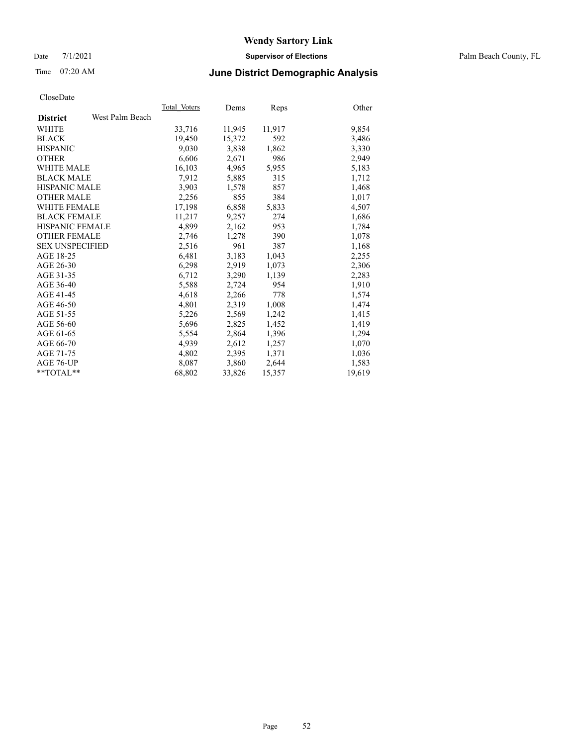## Date 7/1/2021 **Supervisor of Elections** Palm Beach County, FL

# Time 07:20 AM **June District Demographic Analysis**

|                        |                 | Total Voters | Dems   | <b>Reps</b> | Other  |
|------------------------|-----------------|--------------|--------|-------------|--------|
| <b>District</b>        | West Palm Beach |              |        |             |        |
| <b>WHITE</b>           |                 | 33,716       | 11,945 | 11,917      | 9,854  |
| <b>BLACK</b>           |                 | 19,450       | 15,372 | 592         | 3,486  |
| <b>HISPANIC</b>        |                 | 9,030        | 3,838  | 1,862       | 3,330  |
| <b>OTHER</b>           |                 | 6,606        | 2,671  | 986         | 2,949  |
| <b>WHITE MALE</b>      |                 | 16,103       | 4,965  | 5,955       | 5,183  |
| <b>BLACK MALE</b>      |                 | 7,912        | 5,885  | 315         | 1,712  |
| <b>HISPANIC MALE</b>   |                 | 3,903        | 1,578  | 857         | 1,468  |
| <b>OTHER MALE</b>      |                 | 2,256        | 855    | 384         | 1,017  |
| <b>WHITE FEMALE</b>    |                 | 17,198       | 6,858  | 5,833       | 4,507  |
| <b>BLACK FEMALE</b>    |                 | 11,217       | 9,257  | 274         | 1,686  |
| <b>HISPANIC FEMALE</b> |                 | 4,899        | 2,162  | 953         | 1,784  |
| <b>OTHER FEMALE</b>    |                 | 2,746        | 1,278  | 390         | 1,078  |
| <b>SEX UNSPECIFIED</b> |                 | 2,516        | 961    | 387         | 1,168  |
| AGE 18-25              |                 | 6,481        | 3,183  | 1,043       | 2,255  |
| AGE 26-30              |                 | 6,298        | 2,919  | 1,073       | 2,306  |
| AGE 31-35              |                 | 6,712        | 3,290  | 1,139       | 2,283  |
| AGE 36-40              |                 | 5,588        | 2,724  | 954         | 1,910  |
| AGE 41-45              |                 | 4,618        | 2,266  | 778         | 1,574  |
| AGE 46-50              |                 | 4,801        | 2,319  | 1,008       | 1,474  |
| AGE 51-55              |                 | 5,226        | 2,569  | 1,242       | 1,415  |
| AGE 56-60              |                 | 5,696        | 2,825  | 1,452       | 1,419  |
| AGE 61-65              |                 | 5,554        | 2,864  | 1,396       | 1,294  |
| AGE 66-70              |                 | 4,939        | 2,612  | 1,257       | 1,070  |
| AGE 71-75              |                 | 4,802        | 2,395  | 1,371       | 1,036  |
| AGE 76-UP              |                 | 8,087        | 3,860  | 2,644       | 1,583  |
| $*$ $TOTAL**$          |                 | 68,802       | 33,826 | 15,357      | 19,619 |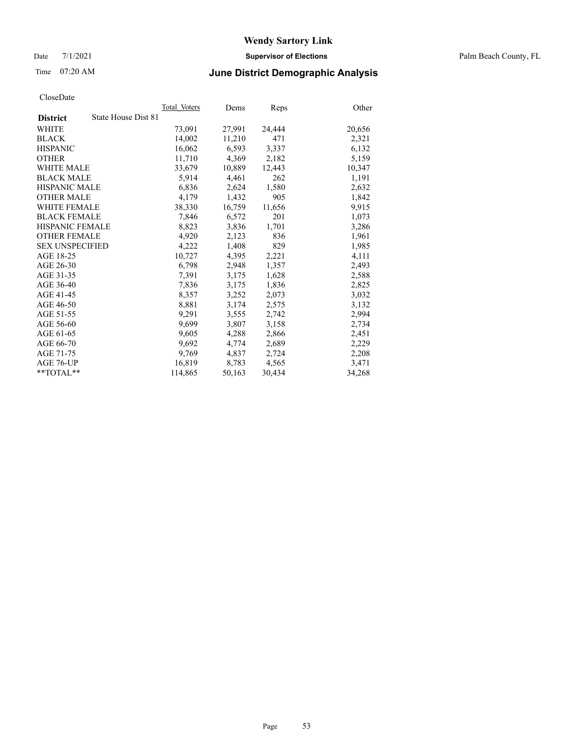Date 7/1/2021 **Supervisor of Elections** Palm Beach County, FL

# Time 07:20 AM **June District Demographic Analysis**

|                        | Total Voters        | Dems   | <b>Reps</b> | Other  |
|------------------------|---------------------|--------|-------------|--------|
| <b>District</b>        | State House Dist 81 |        |             |        |
| WHITE                  | 73,091              | 27,991 | 24,444      | 20,656 |
| <b>BLACK</b>           | 14,002              | 11,210 | 471         | 2,321  |
| <b>HISPANIC</b>        | 16,062              | 6,593  | 3,337       | 6,132  |
| <b>OTHER</b>           | 11,710              | 4,369  | 2,182       | 5,159  |
| <b>WHITE MALE</b>      | 33,679              | 10,889 | 12,443      | 10,347 |
| <b>BLACK MALE</b>      | 5,914               | 4,461  | 262         | 1,191  |
| <b>HISPANIC MALE</b>   | 6,836               | 2,624  | 1,580       | 2,632  |
| <b>OTHER MALE</b>      | 4,179               | 1,432  | 905         | 1,842  |
| <b>WHITE FEMALE</b>    | 38,330              | 16,759 | 11,656      | 9,915  |
| <b>BLACK FEMALE</b>    | 7,846               | 6,572  | 201         | 1,073  |
| <b>HISPANIC FEMALE</b> | 8,823               | 3,836  | 1,701       | 3,286  |
| <b>OTHER FEMALE</b>    | 4,920               | 2,123  | 836         | 1,961  |
| <b>SEX UNSPECIFIED</b> | 4,222               | 1,408  | 829         | 1,985  |
| AGE 18-25              | 10,727              | 4,395  | 2,221       | 4,111  |
| AGE 26-30              | 6,798               | 2,948  | 1,357       | 2,493  |
| AGE 31-35              | 7,391               | 3,175  | 1,628       | 2,588  |
| AGE 36-40              | 7,836               | 3,175  | 1,836       | 2,825  |
| AGE 41-45              | 8,357               | 3,252  | 2,073       | 3,032  |
| AGE 46-50              | 8,881               | 3,174  | 2,575       | 3,132  |
| AGE 51-55              | 9,291               | 3,555  | 2,742       | 2,994  |
| AGE 56-60              | 9,699               | 3,807  | 3,158       | 2,734  |
| AGE 61-65              | 9,605               | 4,288  | 2,866       | 2,451  |
| AGE 66-70              | 9,692               | 4,774  | 2,689       | 2,229  |
| AGE 71-75              | 9,769               | 4,837  | 2,724       | 2,208  |
| AGE 76-UP              | 16,819              | 8,783  | 4,565       | 3,471  |
| $*$ TOTAL $*$          | 114,865             | 50,163 | 30,434      | 34,268 |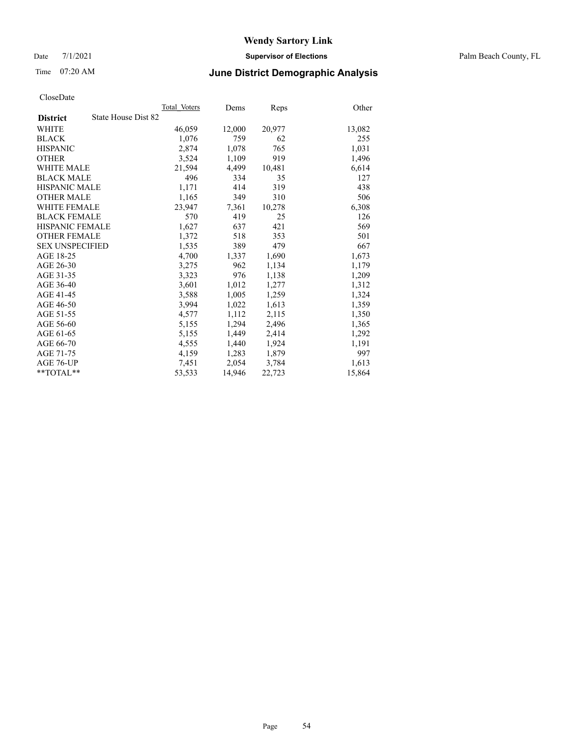Date 7/1/2021 **Supervisor of Elections** Palm Beach County, FL

## Time 07:20 AM **June District Demographic Analysis**

|                        | Total Voters        | Dems   | Reps   | Other  |
|------------------------|---------------------|--------|--------|--------|
| <b>District</b>        | State House Dist 82 |        |        |        |
| WHITE                  | 46,059              | 12,000 | 20,977 | 13,082 |
| <b>BLACK</b>           | 1,076               | 759    | 62     | 255    |
| <b>HISPANIC</b>        | 2,874               | 1,078  | 765    | 1,031  |
| <b>OTHER</b>           | 3,524               | 1,109  | 919    | 1,496  |
| <b>WHITE MALE</b>      | 21,594              | 4,499  | 10,481 | 6,614  |
| <b>BLACK MALE</b>      | 496                 | 334    | 35     | 127    |
| <b>HISPANIC MALE</b>   | 1,171               | 414    | 319    | 438    |
| <b>OTHER MALE</b>      | 1,165               | 349    | 310    | 506    |
| <b>WHITE FEMALE</b>    | 23.947              | 7,361  | 10,278 | 6,308  |
| <b>BLACK FEMALE</b>    | 570                 | 419    | 25     | 126    |
| <b>HISPANIC FEMALE</b> | 1,627               | 637    | 421    | 569    |
| <b>OTHER FEMALE</b>    | 1,372               | 518    | 353    | 501    |
| <b>SEX UNSPECIFIED</b> | 1,535               | 389    | 479    | 667    |
| AGE 18-25              | 4,700               | 1,337  | 1,690  | 1,673  |
| AGE 26-30              | 3,275               | 962    | 1,134  | 1,179  |
| AGE 31-35              | 3,323               | 976    | 1,138  | 1,209  |
| AGE 36-40              | 3,601               | 1,012  | 1,277  | 1,312  |
| AGE 41-45              | 3,588               | 1,005  | 1,259  | 1,324  |
| AGE 46-50              | 3,994               | 1,022  | 1,613  | 1,359  |
| AGE 51-55              | 4,577               | 1,112  | 2,115  | 1,350  |
| AGE 56-60              | 5,155               | 1,294  | 2,496  | 1,365  |
| AGE 61-65              | 5,155               | 1,449  | 2,414  | 1,292  |
| AGE 66-70              | 4,555               | 1,440  | 1,924  | 1,191  |
| AGE 71-75              | 4,159               | 1,283  | 1,879  | 997    |
| AGE 76-UP              | 7,451               | 2,054  | 3,784  | 1,613  |
| $*$ $TOTAL**$          | 53,533              | 14,946 | 22,723 | 15,864 |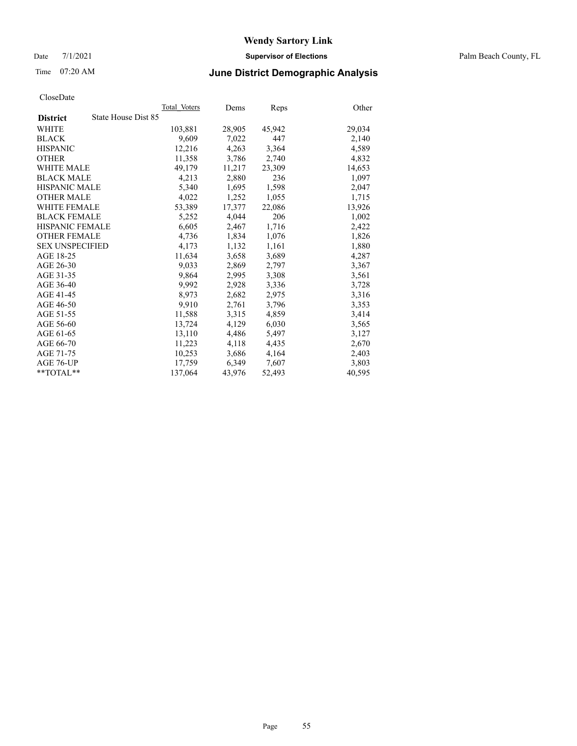Date 7/1/2021 **Supervisor of Elections** Palm Beach County, FL

# Time 07:20 AM **June District Demographic Analysis**

|                                        | Total Voters | Dems   | <b>Reps</b> | Other  |
|----------------------------------------|--------------|--------|-------------|--------|
| State House Dist 85<br><b>District</b> |              |        |             |        |
| WHITE                                  | 103,881      | 28,905 | 45,942      | 29,034 |
| <b>BLACK</b>                           | 9,609        | 7,022  | 447         | 2,140  |
| <b>HISPANIC</b>                        | 12,216       | 4,263  | 3,364       | 4,589  |
| <b>OTHER</b>                           | 11,358       | 3,786  | 2,740       | 4,832  |
| <b>WHITE MALE</b>                      | 49,179       | 11,217 | 23,309      | 14,653 |
| <b>BLACK MALE</b>                      | 4,213        | 2,880  | 236         | 1,097  |
| HISPANIC MALE                          | 5,340        | 1,695  | 1,598       | 2,047  |
| <b>OTHER MALE</b>                      | 4,022        | 1,252  | 1,055       | 1,715  |
| <b>WHITE FEMALE</b>                    | 53,389       | 17,377 | 22,086      | 13,926 |
| <b>BLACK FEMALE</b>                    | 5,252        | 4,044  | 206         | 1,002  |
| <b>HISPANIC FEMALE</b>                 | 6,605        | 2,467  | 1,716       | 2,422  |
| <b>OTHER FEMALE</b>                    | 4,736        | 1,834  | 1,076       | 1,826  |
| <b>SEX UNSPECIFIED</b>                 | 4.173        | 1,132  | 1,161       | 1,880  |
| AGE 18-25                              | 11,634       | 3,658  | 3,689       | 4,287  |
| AGE 26-30                              | 9,033        | 2,869  | 2,797       | 3,367  |
| AGE 31-35                              | 9,864        | 2,995  | 3,308       | 3,561  |
| AGE 36-40                              | 9,992        | 2,928  | 3,336       | 3,728  |
| AGE 41-45                              | 8,973        | 2,682  | 2,975       | 3,316  |
| AGE 46-50                              | 9,910        | 2,761  | 3,796       | 3,353  |
| AGE 51-55                              | 11,588       | 3,315  | 4,859       | 3,414  |
| AGE 56-60                              | 13,724       | 4,129  | 6,030       | 3,565  |
| AGE 61-65                              | 13,110       | 4,486  | 5,497       | 3,127  |
| AGE 66-70                              | 11,223       | 4,118  | 4,435       | 2,670  |
| AGE 71-75                              | 10,253       | 3,686  | 4,164       | 2,403  |
| AGE 76-UP                              | 17,759       | 6,349  | 7,607       | 3,803  |
| $*$ TOTAL $*$                          | 137,064      | 43,976 | 52,493      | 40,595 |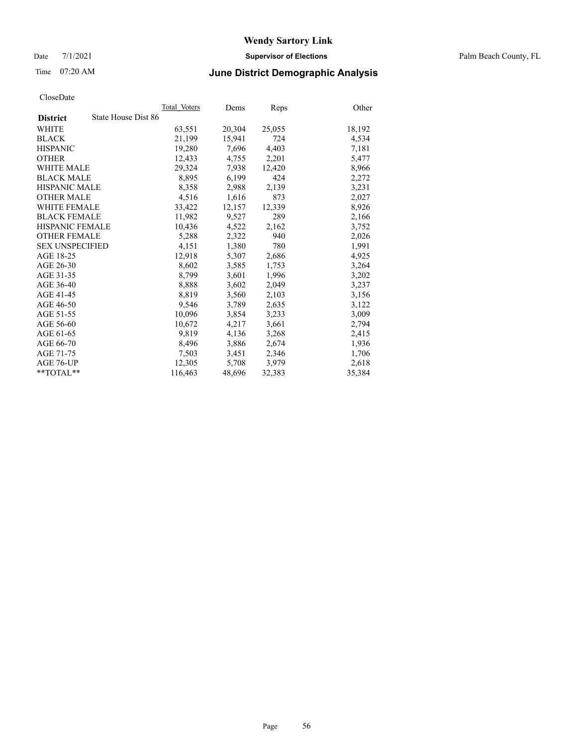Date 7/1/2021 **Supervisor of Elections** Palm Beach County, FL

# Time 07:20 AM **June District Demographic Analysis**

|                                        | Total Voters | Dems   | <b>Reps</b> | Other  |
|----------------------------------------|--------------|--------|-------------|--------|
| State House Dist 86<br><b>District</b> |              |        |             |        |
| WHITE                                  | 63,551       | 20,304 | 25,055      | 18,192 |
| <b>BLACK</b>                           | 21,199       | 15,941 | 724         | 4,534  |
| <b>HISPANIC</b>                        | 19,280       | 7,696  | 4,403       | 7,181  |
| <b>OTHER</b>                           | 12,433       | 4,755  | 2,201       | 5,477  |
| <b>WHITE MALE</b>                      | 29,324       | 7,938  | 12,420      | 8,966  |
| <b>BLACK MALE</b>                      | 8,895        | 6,199  | 424         | 2,272  |
| <b>HISPANIC MALE</b>                   | 8,358        | 2,988  | 2,139       | 3,231  |
| <b>OTHER MALE</b>                      | 4,516        | 1,616  | 873         | 2,027  |
| <b>WHITE FEMALE</b>                    | 33,422       | 12,157 | 12,339      | 8,926  |
| <b>BLACK FEMALE</b>                    | 11,982       | 9,527  | 289         | 2,166  |
| <b>HISPANIC FEMALE</b>                 | 10,436       | 4,522  | 2,162       | 3,752  |
| <b>OTHER FEMALE</b>                    | 5,288        | 2,322  | 940         | 2,026  |
| <b>SEX UNSPECIFIED</b>                 | 4,151        | 1,380  | 780         | 1,991  |
| AGE 18-25                              | 12,918       | 5,307  | 2,686       | 4,925  |
| AGE 26-30                              | 8,602        | 3,585  | 1,753       | 3,264  |
| AGE 31-35                              | 8,799        | 3,601  | 1,996       | 3,202  |
| AGE 36-40                              | 8,888        | 3,602  | 2,049       | 3,237  |
| AGE 41-45                              | 8,819        | 3,560  | 2,103       | 3,156  |
| AGE 46-50                              | 9,546        | 3,789  | 2,635       | 3,122  |
| AGE 51-55                              | 10,096       | 3,854  | 3,233       | 3,009  |
| AGE 56-60                              | 10,672       | 4,217  | 3,661       | 2,794  |
| AGE 61-65                              | 9,819        | 4,136  | 3,268       | 2,415  |
| AGE 66-70                              | 8,496        | 3,886  | 2,674       | 1,936  |
| AGE 71-75                              | 7,503        | 3,451  | 2,346       | 1,706  |
| AGE 76-UP                              | 12,305       | 5,708  | 3,979       | 2,618  |
| **TOTAL**                              | 116,463      | 48,696 | 32,383      | 35,384 |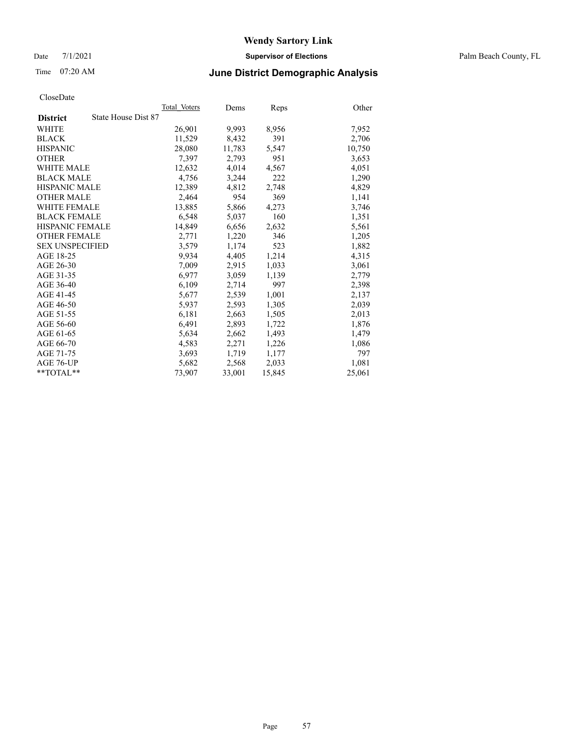Date 7/1/2021 **Supervisor of Elections** Palm Beach County, FL

# Time 07:20 AM **June District Demographic Analysis**

|                        | Total Voters        | Dems   | Reps   | Other  |
|------------------------|---------------------|--------|--------|--------|
| <b>District</b>        | State House Dist 87 |        |        |        |
| WHITE                  | 26,901              | 9,993  | 8,956  | 7,952  |
| <b>BLACK</b>           | 11,529              | 8,432  | 391    | 2,706  |
| <b>HISPANIC</b>        | 28,080              | 11,783 | 5,547  | 10,750 |
| <b>OTHER</b>           | 7,397               | 2,793  | 951    | 3,653  |
| <b>WHITE MALE</b>      | 12,632              | 4,014  | 4,567  | 4,051  |
| <b>BLACK MALE</b>      | 4.756               | 3,244  | 222    | 1,290  |
| <b>HISPANIC MALE</b>   | 12,389              | 4,812  | 2,748  | 4,829  |
| <b>OTHER MALE</b>      | 2,464               | 954    | 369    | 1,141  |
| <b>WHITE FEMALE</b>    | 13,885              | 5,866  | 4,273  | 3,746  |
| <b>BLACK FEMALE</b>    | 6,548               | 5,037  | 160    | 1,351  |
| <b>HISPANIC FEMALE</b> | 14,849              | 6,656  | 2,632  | 5,561  |
| <b>OTHER FEMALE</b>    | 2,771               | 1,220  | 346    | 1,205  |
| <b>SEX UNSPECIFIED</b> | 3,579               | 1,174  | 523    | 1,882  |
| AGE 18-25              | 9,934               | 4,405  | 1,214  | 4,315  |
| AGE 26-30              | 7.009               | 2,915  | 1,033  | 3,061  |
| AGE 31-35              | 6,977               | 3,059  | 1,139  | 2,779  |
| AGE 36-40              | 6,109               | 2,714  | 997    | 2,398  |
| AGE 41-45              | 5,677               | 2,539  | 1,001  | 2,137  |
| AGE 46-50              | 5,937               | 2,593  | 1,305  | 2,039  |
| AGE 51-55              | 6,181               | 2,663  | 1,505  | 2,013  |
| AGE 56-60              | 6,491               | 2,893  | 1,722  | 1,876  |
| AGE 61-65              | 5,634               | 2,662  | 1,493  | 1,479  |
| AGE 66-70              | 4,583               | 2,271  | 1,226  | 1,086  |
| AGE 71-75              | 3,693               | 1,719  | 1,177  | 797    |
| AGE 76-UP              | 5,682               | 2,568  | 2,033  | 1,081  |
| $*$ TOTAL $*$          | 73,907              | 33,001 | 15,845 | 25,061 |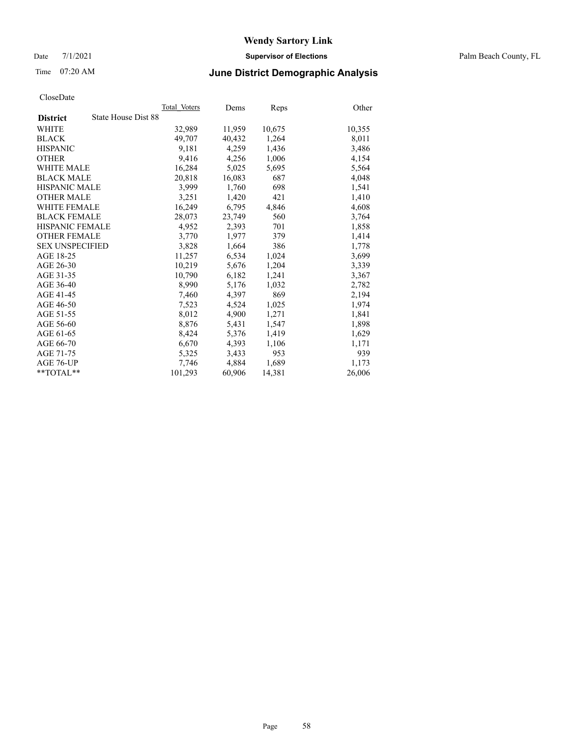Date 7/1/2021 **Supervisor of Elections** Palm Beach County, FL

# Time 07:20 AM **June District Demographic Analysis**

|                                        | Total Voters | Dems   | <b>Reps</b> | Other  |
|----------------------------------------|--------------|--------|-------------|--------|
| State House Dist 88<br><b>District</b> |              |        |             |        |
| WHITE                                  | 32,989       | 11,959 | 10,675      | 10,355 |
| <b>BLACK</b>                           | 49,707       | 40,432 | 1,264       | 8,011  |
| <b>HISPANIC</b>                        | 9,181        | 4,259  | 1,436       | 3,486  |
| <b>OTHER</b>                           | 9,416        | 4,256  | 1,006       | 4,154  |
| <b>WHITE MALE</b>                      | 16,284       | 5,025  | 5,695       | 5,564  |
| <b>BLACK MALE</b>                      | 20,818       | 16,083 | 687         | 4,048  |
| <b>HISPANIC MALE</b>                   | 3,999        | 1,760  | 698         | 1,541  |
| <b>OTHER MALE</b>                      | 3,251        | 1,420  | 421         | 1,410  |
| <b>WHITE FEMALE</b>                    | 16,249       | 6,795  | 4,846       | 4,608  |
| <b>BLACK FEMALE</b>                    | 28,073       | 23,749 | 560         | 3,764  |
| <b>HISPANIC FEMALE</b>                 | 4,952        | 2,393  | 701         | 1,858  |
| <b>OTHER FEMALE</b>                    | 3,770        | 1,977  | 379         | 1,414  |
| <b>SEX UNSPECIFIED</b>                 | 3,828        | 1,664  | 386         | 1,778  |
| AGE 18-25                              | 11,257       | 6,534  | 1,024       | 3,699  |
| AGE 26-30                              | 10,219       | 5,676  | 1,204       | 3,339  |
| AGE 31-35                              | 10,790       | 6,182  | 1,241       | 3,367  |
| AGE 36-40                              | 8,990        | 5,176  | 1,032       | 2,782  |
| AGE 41-45                              | 7,460        | 4,397  | 869         | 2,194  |
| AGE 46-50                              | 7,523        | 4,524  | 1,025       | 1,974  |
| AGE 51-55                              | 8,012        | 4,900  | 1,271       | 1,841  |
| AGE 56-60                              | 8,876        | 5,431  | 1,547       | 1,898  |
| AGE 61-65                              | 8,424        | 5,376  | 1,419       | 1,629  |
| AGE 66-70                              | 6,670        | 4,393  | 1,106       | 1,171  |
| AGE 71-75                              | 5,325        | 3,433  | 953         | 939    |
| AGE 76-UP                              | 7,746        | 4,884  | 1,689       | 1,173  |
| $*$ TOTAL $*$                          | 101,293      | 60,906 | 14,381      | 26,006 |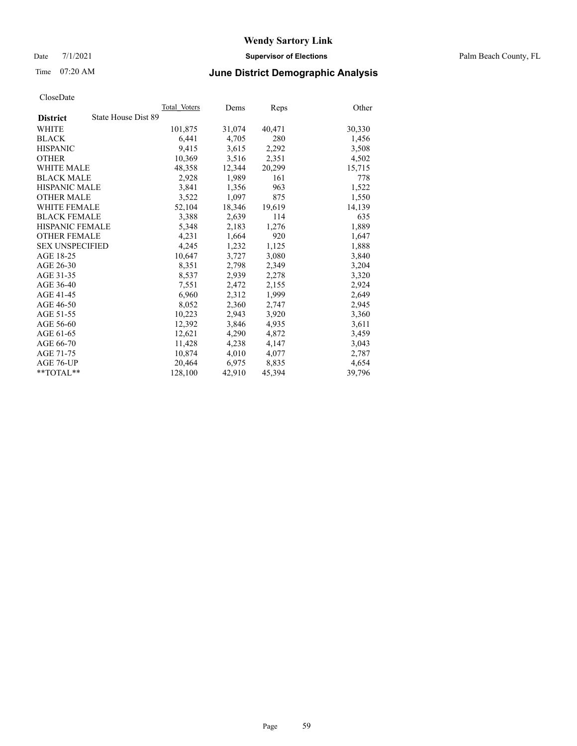Date 7/1/2021 **Supervisor of Elections** Palm Beach County, FL

## Time 07:20 AM **June District Demographic Analysis**

|                                        | Total Voters | Dems   | Reps   | Other  |
|----------------------------------------|--------------|--------|--------|--------|
| State House Dist 89<br><b>District</b> |              |        |        |        |
| WHITE                                  | 101,875      | 31,074 | 40,471 | 30,330 |
| <b>BLACK</b>                           | 6,441        | 4,705  | 280    | 1,456  |
| <b>HISPANIC</b>                        | 9.415        | 3,615  | 2,292  | 3,508  |
| <b>OTHER</b>                           | 10,369       | 3,516  | 2,351  | 4,502  |
| <b>WHITE MALE</b>                      | 48,358       | 12,344 | 20,299 | 15,715 |
| <b>BLACK MALE</b>                      | 2,928        | 1,989  | 161    | 778    |
| <b>HISPANIC MALE</b>                   | 3,841        | 1,356  | 963    | 1,522  |
| <b>OTHER MALE</b>                      | 3,522        | 1,097  | 875    | 1,550  |
| <b>WHITE FEMALE</b>                    | 52,104       | 18,346 | 19,619 | 14,139 |
| <b>BLACK FEMALE</b>                    | 3,388        | 2,639  | 114    | 635    |
| <b>HISPANIC FEMALE</b>                 | 5,348        | 2,183  | 1,276  | 1,889  |
| <b>OTHER FEMALE</b>                    | 4,231        | 1,664  | 920    | 1,647  |
| <b>SEX UNSPECIFIED</b>                 | 4,245        | 1,232  | 1,125  | 1,888  |
| AGE 18-25                              | 10,647       | 3,727  | 3,080  | 3,840  |
| AGE 26-30                              | 8,351        | 2,798  | 2,349  | 3,204  |
| AGE 31-35                              | 8,537        | 2,939  | 2,278  | 3,320  |
| AGE 36-40                              | 7,551        | 2,472  | 2,155  | 2,924  |
| AGE 41-45                              | 6,960        | 2,312  | 1,999  | 2,649  |
| AGE 46-50                              | 8,052        | 2,360  | 2,747  | 2,945  |
| AGE 51-55                              | 10,223       | 2,943  | 3,920  | 3,360  |
| AGE 56-60                              | 12,392       | 3,846  | 4,935  | 3,611  |
| AGE 61-65                              | 12.621       | 4,290  | 4,872  | 3,459  |
| AGE 66-70                              | 11,428       | 4,238  | 4,147  | 3,043  |
| AGE 71-75                              | 10,874       | 4,010  | 4,077  | 2,787  |
| AGE 76-UP                              | 20.464       | 6,975  | 8,835  | 4,654  |
| $*$ $TOTAL**$                          | 128,100      | 42,910 | 45,394 | 39,796 |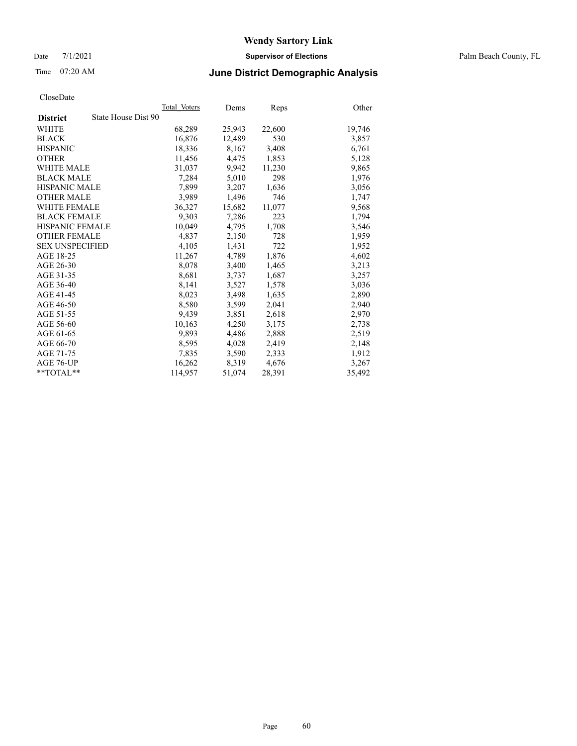Date 7/1/2021 **Supervisor of Elections** Palm Beach County, FL

# Time 07:20 AM **June District Demographic Analysis**

|                                        | Total Voters | Dems   | <b>Reps</b> | Other  |
|----------------------------------------|--------------|--------|-------------|--------|
| State House Dist 90<br><b>District</b> |              |        |             |        |
| WHITE                                  | 68,289       | 25,943 | 22,600      | 19,746 |
| <b>BLACK</b>                           | 16,876       | 12,489 | 530         | 3,857  |
| <b>HISPANIC</b>                        | 18,336       | 8,167  | 3,408       | 6,761  |
| <b>OTHER</b>                           | 11,456       | 4,475  | 1,853       | 5,128  |
| <b>WHITE MALE</b>                      | 31,037       | 9,942  | 11,230      | 9,865  |
| <b>BLACK MALE</b>                      | 7,284        | 5,010  | 298         | 1,976  |
| <b>HISPANIC MALE</b>                   | 7,899        | 3,207  | 1,636       | 3,056  |
| <b>OTHER MALE</b>                      | 3,989        | 1,496  | 746         | 1,747  |
| <b>WHITE FEMALE</b>                    | 36,327       | 15,682 | 11,077      | 9,568  |
| <b>BLACK FEMALE</b>                    | 9,303        | 7,286  | 223         | 1,794  |
| <b>HISPANIC FEMALE</b>                 | 10,049       | 4,795  | 1,708       | 3,546  |
| <b>OTHER FEMALE</b>                    | 4,837        | 2,150  | 728         | 1,959  |
| <b>SEX UNSPECIFIED</b>                 | 4,105        | 1,431  | 722         | 1,952  |
| AGE 18-25                              | 11,267       | 4,789  | 1,876       | 4,602  |
| AGE 26-30                              | 8,078        | 3,400  | 1,465       | 3,213  |
| AGE 31-35                              | 8,681        | 3,737  | 1,687       | 3,257  |
| AGE 36-40                              | 8,141        | 3,527  | 1,578       | 3,036  |
| AGE 41-45                              | 8,023        | 3,498  | 1,635       | 2,890  |
| AGE 46-50                              | 8,580        | 3,599  | 2,041       | 2,940  |
| AGE 51-55                              | 9,439        | 3,851  | 2,618       | 2,970  |
| AGE 56-60                              | 10,163       | 4,250  | 3,175       | 2,738  |
| AGE 61-65                              | 9,893        | 4,486  | 2,888       | 2,519  |
| AGE 66-70                              | 8,595        | 4,028  | 2,419       | 2,148  |
| AGE 71-75                              | 7,835        | 3,590  | 2,333       | 1,912  |
| AGE 76-UP                              | 16,262       | 8,319  | 4,676       | 3,267  |
| $*$ TOTAL $*$                          | 114,957      | 51,074 | 28,391      | 35,492 |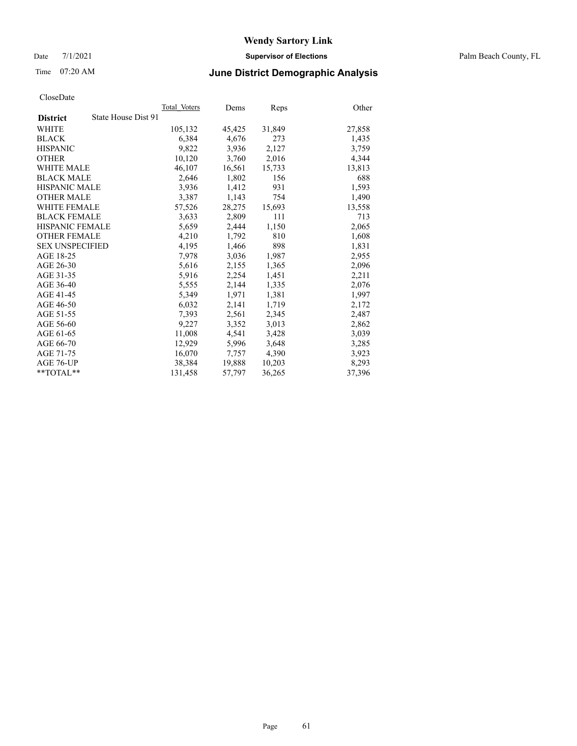Date 7/1/2021 **Supervisor of Elections** Palm Beach County, FL

# Time 07:20 AM **June District Demographic Analysis**

|                                        | Total Voters | Dems   | Reps   | Other  |
|----------------------------------------|--------------|--------|--------|--------|
| State House Dist 91<br><b>District</b> |              |        |        |        |
| WHITE                                  | 105,132      | 45,425 | 31,849 | 27,858 |
| <b>BLACK</b>                           | 6,384        | 4,676  | 273    | 1,435  |
| <b>HISPANIC</b>                        | 9,822        | 3,936  | 2,127  | 3,759  |
| <b>OTHER</b>                           | 10,120       | 3,760  | 2,016  | 4,344  |
| <b>WHITE MALE</b>                      | 46,107       | 16,561 | 15,733 | 13,813 |
| <b>BLACK MALE</b>                      | 2,646        | 1,802  | 156    | 688    |
| <b>HISPANIC MALE</b>                   | 3,936        | 1,412  | 931    | 1,593  |
| <b>OTHER MALE</b>                      | 3,387        | 1,143  | 754    | 1,490  |
| <b>WHITE FEMALE</b>                    | 57,526       | 28,275 | 15,693 | 13,558 |
| <b>BLACK FEMALE</b>                    | 3,633        | 2,809  | 111    | 713    |
| <b>HISPANIC FEMALE</b>                 | 5,659        | 2,444  | 1,150  | 2,065  |
| <b>OTHER FEMALE</b>                    | 4,210        | 1,792  | 810    | 1,608  |
| <b>SEX UNSPECIFIED</b>                 | 4,195        | 1,466  | 898    | 1,831  |
| AGE 18-25                              | 7,978        | 3,036  | 1,987  | 2,955  |
| AGE 26-30                              | 5,616        | 2,155  | 1,365  | 2,096  |
| AGE 31-35                              | 5,916        | 2,254  | 1,451  | 2,211  |
| AGE 36-40                              | 5,555        | 2,144  | 1,335  | 2,076  |
| AGE 41-45                              | 5,349        | 1,971  | 1,381  | 1,997  |
| AGE 46-50                              | 6,032        | 2,141  | 1,719  | 2,172  |
| AGE 51-55                              | 7,393        | 2,561  | 2,345  | 2,487  |
| AGE 56-60                              | 9,227        | 3,352  | 3,013  | 2,862  |
| AGE 61-65                              | 11,008       | 4,541  | 3,428  | 3,039  |
| AGE 66-70                              | 12,929       | 5,996  | 3,648  | 3,285  |
| AGE 71-75                              | 16,070       | 7,757  | 4,390  | 3,923  |
| AGE 76-UP                              | 38,384       | 19,888 | 10,203 | 8,293  |
| $*$ $TOTAL**$                          | 131,458      | 57,797 | 36,265 | 37,396 |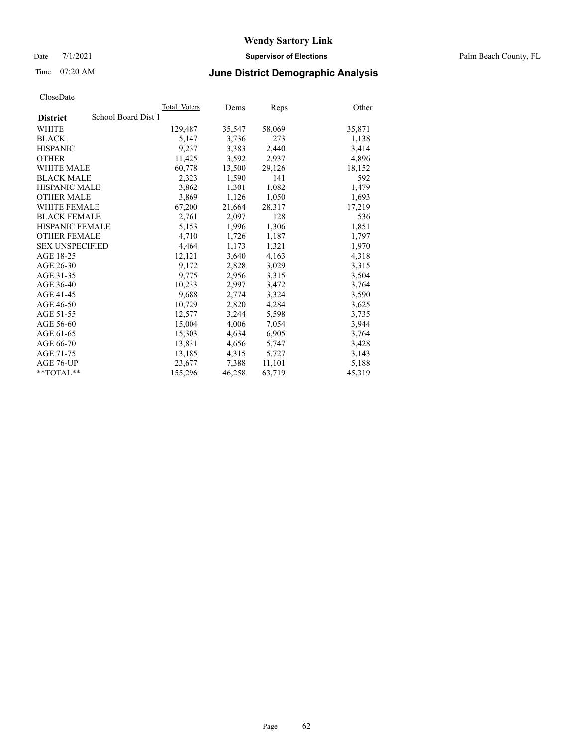Date 7/1/2021 **Supervisor of Elections** Palm Beach County, FL

# Time 07:20 AM **June District Demographic Analysis**

|                                        | Total Voters | Dems   | <b>Reps</b> | Other  |
|----------------------------------------|--------------|--------|-------------|--------|
| School Board Dist 1<br><b>District</b> |              |        |             |        |
| WHITE                                  | 129,487      | 35,547 | 58,069      | 35,871 |
| <b>BLACK</b>                           | 5,147        | 3,736  | 273         | 1,138  |
| <b>HISPANIC</b>                        | 9,237        | 3,383  | 2,440       | 3,414  |
| <b>OTHER</b>                           | 11,425       | 3,592  | 2,937       | 4,896  |
| <b>WHITE MALE</b>                      | 60,778       | 13,500 | 29,126      | 18,152 |
| <b>BLACK MALE</b>                      | 2,323        | 1,590  | 141         | 592    |
| <b>HISPANIC MALE</b>                   | 3,862        | 1,301  | 1,082       | 1,479  |
| <b>OTHER MALE</b>                      | 3,869        | 1,126  | 1,050       | 1,693  |
| <b>WHITE FEMALE</b>                    | 67,200       | 21,664 | 28,317      | 17,219 |
| <b>BLACK FEMALE</b>                    | 2,761        | 2,097  | 128         | 536    |
| <b>HISPANIC FEMALE</b>                 | 5,153        | 1,996  | 1,306       | 1,851  |
| <b>OTHER FEMALE</b>                    | 4,710        | 1,726  | 1,187       | 1,797  |
| <b>SEX UNSPECIFIED</b>                 | 4,464        | 1,173  | 1,321       | 1,970  |
| AGE 18-25                              | 12,121       | 3,640  | 4,163       | 4,318  |
| AGE 26-30                              | 9,172        | 2,828  | 3,029       | 3,315  |
| AGE 31-35                              | 9,775        | 2,956  | 3,315       | 3,504  |
| AGE 36-40                              | 10,233       | 2,997  | 3,472       | 3,764  |
| AGE 41-45                              | 9,688        | 2,774  | 3,324       | 3,590  |
| AGE 46-50                              | 10,729       | 2,820  | 4,284       | 3,625  |
| AGE 51-55                              | 12,577       | 3,244  | 5,598       | 3,735  |
| AGE 56-60                              | 15,004       | 4,006  | 7,054       | 3,944  |
| AGE 61-65                              | 15,303       | 4,634  | 6,905       | 3,764  |
| AGE 66-70                              | 13,831       | 4,656  | 5,747       | 3,428  |
| AGE 71-75                              | 13,185       | 4,315  | 5,727       | 3,143  |
| AGE 76-UP                              | 23,677       | 7,388  | 11,101      | 5,188  |
| $*$ TOTAL $*$                          | 155,296      | 46,258 | 63,719      | 45,319 |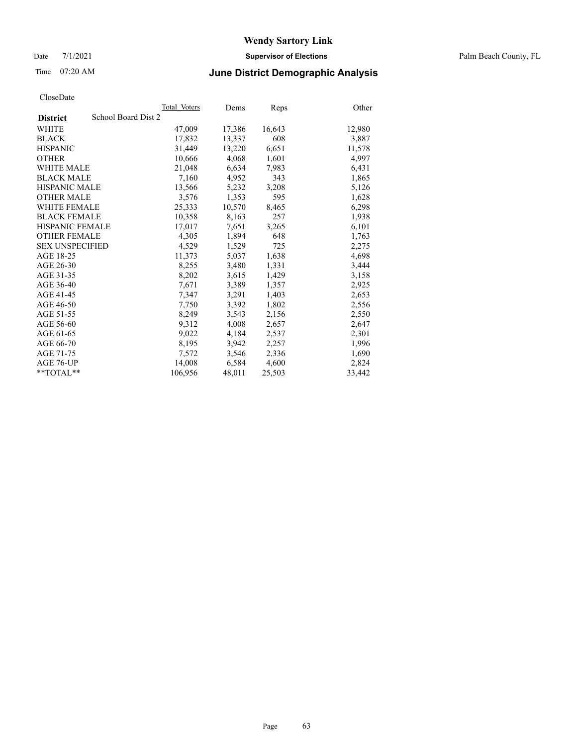Date 7/1/2021 **Supervisor of Elections** Palm Beach County, FL

## Time 07:20 AM **June District Demographic Analysis**

|                                        | Total Voters | Dems   | <b>Reps</b> | Other  |
|----------------------------------------|--------------|--------|-------------|--------|
| School Board Dist 2<br><b>District</b> |              |        |             |        |
| WHITE                                  | 47,009       | 17,386 | 16,643      | 12,980 |
| <b>BLACK</b>                           | 17,832       | 13,337 | 608         | 3,887  |
| <b>HISPANIC</b>                        | 31.449       | 13,220 | 6,651       | 11,578 |
| <b>OTHER</b>                           | 10,666       | 4,068  | 1,601       | 4,997  |
| <b>WHITE MALE</b>                      | 21,048       | 6,634  | 7,983       | 6,431  |
| <b>BLACK MALE</b>                      | 7,160        | 4,952  | 343         | 1,865  |
| <b>HISPANIC MALE</b>                   | 13,566       | 5,232  | 3,208       | 5,126  |
| <b>OTHER MALE</b>                      | 3,576        | 1,353  | 595         | 1,628  |
| <b>WHITE FEMALE</b>                    | 25,333       | 10,570 | 8,465       | 6,298  |
| <b>BLACK FEMALE</b>                    | 10,358       | 8,163  | 257         | 1,938  |
| <b>HISPANIC FEMALE</b>                 | 17,017       | 7,651  | 3,265       | 6,101  |
| <b>OTHER FEMALE</b>                    | 4,305        | 1,894  | 648         | 1,763  |
| <b>SEX UNSPECIFIED</b>                 | 4,529        | 1,529  | 725         | 2,275  |
| AGE 18-25                              | 11,373       | 5,037  | 1,638       | 4,698  |
| AGE 26-30                              | 8,255        | 3,480  | 1,331       | 3,444  |
| AGE 31-35                              | 8,202        | 3,615  | 1,429       | 3,158  |
| AGE 36-40                              | 7,671        | 3,389  | 1,357       | 2,925  |
| AGE 41-45                              | 7,347        | 3,291  | 1,403       | 2,653  |
| AGE 46-50                              | 7,750        | 3,392  | 1,802       | 2,556  |
| AGE 51-55                              | 8,249        | 3,543  | 2,156       | 2,550  |
| AGE 56-60                              | 9,312        | 4,008  | 2,657       | 2,647  |
| AGE 61-65                              | 9,022        | 4,184  | 2,537       | 2,301  |
| AGE 66-70                              | 8,195        | 3,942  | 2,257       | 1,996  |
| AGE 71-75                              | 7,572        | 3,546  | 2,336       | 1,690  |
| AGE 76-UP                              | 14,008       | 6,584  | 4,600       | 2,824  |
| $*$ TOTAL $*$                          | 106,956      | 48,011 | 25,503      | 33,442 |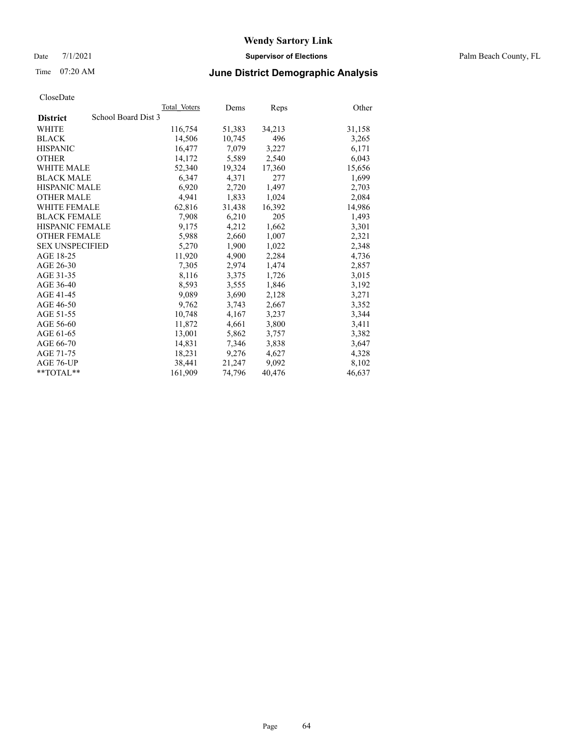Date 7/1/2021 **Supervisor of Elections** Palm Beach County, FL

# Time 07:20 AM **June District Demographic Analysis**

|                                        | Total Voters | Dems   | <b>Reps</b> | Other  |
|----------------------------------------|--------------|--------|-------------|--------|
| School Board Dist 3<br><b>District</b> |              |        |             |        |
| WHITE                                  | 116,754      | 51,383 | 34,213      | 31,158 |
| <b>BLACK</b>                           | 14,506       | 10,745 | 496         | 3,265  |
| <b>HISPANIC</b>                        | 16,477       | 7.079  | 3,227       | 6,171  |
| <b>OTHER</b>                           | 14,172       | 5,589  | 2,540       | 6,043  |
| <b>WHITE MALE</b>                      | 52,340       | 19,324 | 17,360      | 15,656 |
| <b>BLACK MALE</b>                      | 6,347        | 4.371  | 277         | 1,699  |
| <b>HISPANIC MALE</b>                   | 6,920        | 2,720  | 1,497       | 2,703  |
| <b>OTHER MALE</b>                      | 4,941        | 1,833  | 1,024       | 2,084  |
| <b>WHITE FEMALE</b>                    | 62,816       | 31,438 | 16,392      | 14,986 |
| <b>BLACK FEMALE</b>                    | 7,908        | 6,210  | 205         | 1,493  |
| <b>HISPANIC FEMALE</b>                 | 9,175        | 4,212  | 1,662       | 3,301  |
| <b>OTHER FEMALE</b>                    | 5,988        | 2,660  | 1,007       | 2,321  |
| <b>SEX UNSPECIFIED</b>                 | 5,270        | 1,900  | 1,022       | 2,348  |
| AGE 18-25                              | 11,920       | 4,900  | 2,284       | 4,736  |
| AGE 26-30                              | 7,305        | 2,974  | 1,474       | 2,857  |
| AGE 31-35                              | 8,116        | 3,375  | 1,726       | 3,015  |
| AGE 36-40                              | 8,593        | 3,555  | 1,846       | 3,192  |
| AGE 41-45                              | 9,089        | 3,690  | 2,128       | 3,271  |
| AGE 46-50                              | 9,762        | 3,743  | 2,667       | 3,352  |
| AGE 51-55                              | 10,748       | 4,167  | 3,237       | 3,344  |
| AGE 56-60                              | 11,872       | 4,661  | 3,800       | 3,411  |
| AGE 61-65                              | 13,001       | 5,862  | 3,757       | 3,382  |
| AGE 66-70                              | 14,831       | 7,346  | 3,838       | 3,647  |
| AGE 71-75                              | 18,231       | 9,276  | 4,627       | 4,328  |
| AGE 76-UP                              | 38,441       | 21,247 | 9,092       | 8,102  |
| $*$ TOTAL $*$                          | 161,909      | 74,796 | 40,476      | 46,637 |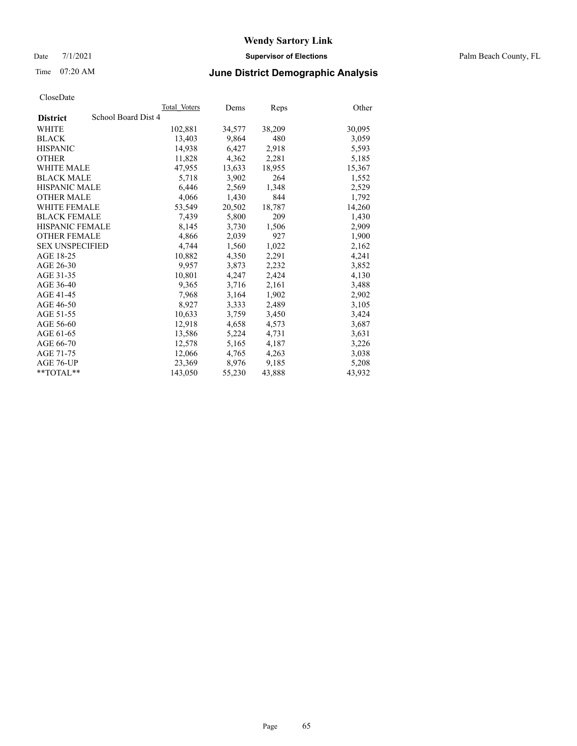Date 7/1/2021 **Supervisor of Elections** Palm Beach County, FL

## Time 07:20 AM **June District Demographic Analysis**

|                                        | Total Voters | Dems   | <b>Reps</b> | Other  |
|----------------------------------------|--------------|--------|-------------|--------|
| School Board Dist 4<br><b>District</b> |              |        |             |        |
| WHITE                                  | 102,881      | 34,577 | 38,209      | 30,095 |
| <b>BLACK</b>                           | 13,403       | 9,864  | 480         | 3,059  |
| <b>HISPANIC</b>                        | 14,938       | 6,427  | 2,918       | 5,593  |
| <b>OTHER</b>                           | 11,828       | 4,362  | 2,281       | 5,185  |
| <b>WHITE MALE</b>                      | 47,955       | 13,633 | 18,955      | 15,367 |
| <b>BLACK MALE</b>                      | 5,718        | 3,902  | 264         | 1,552  |
| <b>HISPANIC MALE</b>                   | 6,446        | 2,569  | 1,348       | 2,529  |
| <b>OTHER MALE</b>                      | 4,066        | 1,430  | 844         | 1,792  |
| <b>WHITE FEMALE</b>                    | 53,549       | 20,502 | 18,787      | 14,260 |
| <b>BLACK FEMALE</b>                    | 7,439        | 5,800  | 209         | 1,430  |
| <b>HISPANIC FEMALE</b>                 | 8,145        | 3,730  | 1,506       | 2,909  |
| <b>OTHER FEMALE</b>                    | 4,866        | 2,039  | 927         | 1,900  |
| <b>SEX UNSPECIFIED</b>                 | 4,744        | 1,560  | 1,022       | 2,162  |
| AGE 18-25                              | 10,882       | 4,350  | 2,291       | 4,241  |
| AGE 26-30                              | 9,957        | 3,873  | 2,232       | 3,852  |
| AGE 31-35                              | 10,801       | 4,247  | 2,424       | 4,130  |
| AGE 36-40                              | 9,365        | 3,716  | 2,161       | 3,488  |
| AGE 41-45                              | 7,968        | 3,164  | 1,902       | 2,902  |
| AGE 46-50                              | 8,927        | 3,333  | 2,489       | 3,105  |
| AGE 51-55                              | 10,633       | 3,759  | 3,450       | 3,424  |
| AGE 56-60                              | 12,918       | 4,658  | 4,573       | 3,687  |
| AGE 61-65                              | 13,586       | 5,224  | 4,731       | 3,631  |
| AGE 66-70                              | 12,578       | 5,165  | 4,187       | 3,226  |
| AGE 71-75                              | 12,066       | 4,765  | 4,263       | 3,038  |
| AGE 76-UP                              | 23,369       | 8,976  | 9,185       | 5,208  |
| **TOTAL**                              | 143,050      | 55,230 | 43,888      | 43,932 |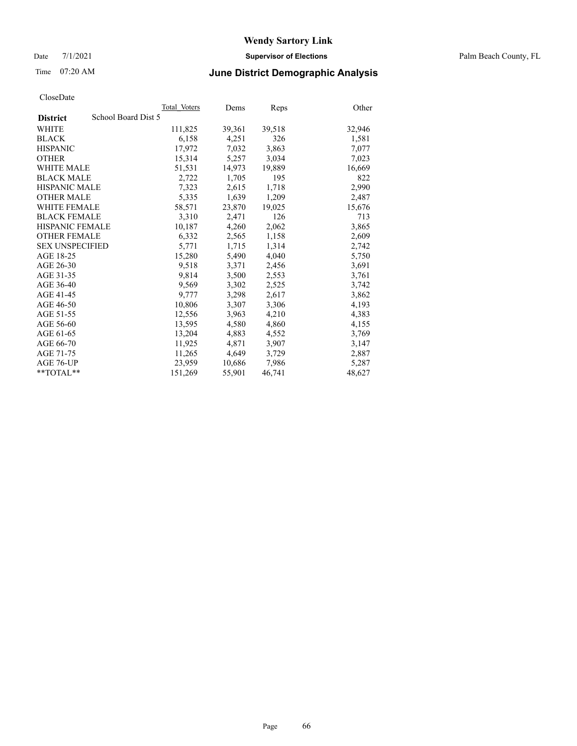Date 7/1/2021 **Supervisor of Elections** Palm Beach County, FL

# Time 07:20 AM **June District Demographic Analysis**

|                                        | Total Voters | Dems   | Reps   | Other  |
|----------------------------------------|--------------|--------|--------|--------|
| School Board Dist 5<br><b>District</b> |              |        |        |        |
| WHITE                                  | 111,825      | 39,361 | 39,518 | 32,946 |
| <b>BLACK</b>                           | 6,158        | 4,251  | 326    | 1,581  |
| <b>HISPANIC</b>                        | 17,972       | 7,032  | 3,863  | 7,077  |
| <b>OTHER</b>                           | 15,314       | 5,257  | 3,034  | 7,023  |
| <b>WHITE MALE</b>                      | 51,531       | 14,973 | 19,889 | 16,669 |
| <b>BLACK MALE</b>                      | 2,722        | 1,705  | 195    | 822    |
| <b>HISPANIC MALE</b>                   | 7,323        | 2,615  | 1,718  | 2,990  |
| <b>OTHER MALE</b>                      | 5,335        | 1,639  | 1,209  | 2,487  |
| <b>WHITE FEMALE</b>                    | 58,571       | 23,870 | 19,025 | 15,676 |
| <b>BLACK FEMALE</b>                    | 3,310        | 2,471  | 126    | 713    |
| <b>HISPANIC FEMALE</b>                 | 10,187       | 4,260  | 2,062  | 3,865  |
| <b>OTHER FEMALE</b>                    | 6,332        | 2,565  | 1,158  | 2,609  |
| <b>SEX UNSPECIFIED</b>                 | 5,771        | 1,715  | 1,314  | 2,742  |
| AGE 18-25                              | 15,280       | 5,490  | 4,040  | 5,750  |
| AGE 26-30                              | 9,518        | 3,371  | 2,456  | 3,691  |
| AGE 31-35                              | 9,814        | 3,500  | 2,553  | 3,761  |
| AGE 36-40                              | 9,569        | 3,302  | 2,525  | 3,742  |
| AGE 41-45                              | 9,777        | 3,298  | 2,617  | 3,862  |
| AGE 46-50                              | 10,806       | 3,307  | 3,306  | 4,193  |
| AGE 51-55                              | 12,556       | 3,963  | 4,210  | 4,383  |
| AGE 56-60                              | 13,595       | 4,580  | 4,860  | 4,155  |
| AGE 61-65                              | 13,204       | 4,883  | 4,552  | 3,769  |
| AGE 66-70                              | 11,925       | 4,871  | 3,907  | 3,147  |
| AGE 71-75                              | 11,265       | 4,649  | 3,729  | 2,887  |
| AGE 76-UP                              | 23,959       | 10,686 | 7,986  | 5,287  |
| **TOTAL**                              | 151,269      | 55,901 | 46,741 | 48,627 |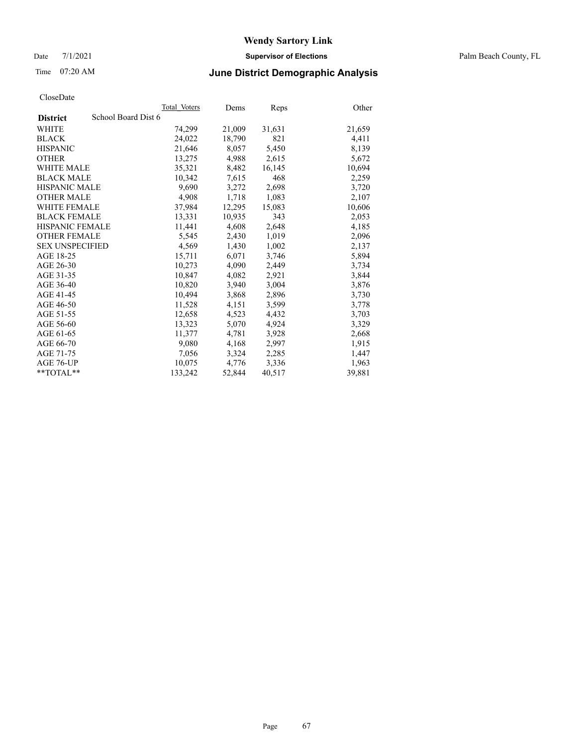Date 7/1/2021 **Supervisor of Elections** Palm Beach County, FL

# Time 07:20 AM **June District Demographic Analysis**

|                                        | Total Voters | Dems   | <b>Reps</b> | Other  |
|----------------------------------------|--------------|--------|-------------|--------|
| School Board Dist 6<br><b>District</b> |              |        |             |        |
| WHITE                                  | 74,299       | 21,009 | 31,631      | 21,659 |
| <b>BLACK</b>                           | 24,022       | 18,790 | 821         | 4,411  |
| <b>HISPANIC</b>                        | 21.646       | 8.057  | 5,450       | 8,139  |
| <b>OTHER</b>                           | 13,275       | 4,988  | 2,615       | 5,672  |
| <b>WHITE MALE</b>                      | 35,321       | 8,482  | 16,145      | 10,694 |
| <b>BLACK MALE</b>                      | 10,342       | 7,615  | 468         | 2,259  |
| <b>HISPANIC MALE</b>                   | 9,690        | 3,272  | 2,698       | 3,720  |
| <b>OTHER MALE</b>                      | 4,908        | 1,718  | 1,083       | 2,107  |
| <b>WHITE FEMALE</b>                    | 37,984       | 12,295 | 15,083      | 10,606 |
| <b>BLACK FEMALE</b>                    | 13,331       | 10,935 | 343         | 2,053  |
| <b>HISPANIC FEMALE</b>                 | 11,441       | 4,608  | 2,648       | 4,185  |
| <b>OTHER FEMALE</b>                    | 5,545        | 2,430  | 1,019       | 2,096  |
| <b>SEX UNSPECIFIED</b>                 | 4,569        | 1,430  | 1,002       | 2,137  |
| AGE 18-25                              | 15,711       | 6,071  | 3,746       | 5,894  |
| AGE 26-30                              | 10,273       | 4,090  | 2,449       | 3,734  |
| AGE 31-35                              | 10,847       | 4,082  | 2,921       | 3,844  |
| AGE 36-40                              | 10,820       | 3,940  | 3,004       | 3,876  |
| AGE 41-45                              | 10,494       | 3,868  | 2,896       | 3,730  |
| AGE 46-50                              | 11,528       | 4,151  | 3,599       | 3,778  |
| AGE 51-55                              | 12,658       | 4,523  | 4,432       | 3,703  |
| AGE 56-60                              | 13,323       | 5,070  | 4,924       | 3,329  |
| AGE 61-65                              | 11,377       | 4,781  | 3,928       | 2,668  |
| AGE 66-70                              | 9,080        | 4,168  | 2,997       | 1,915  |
| AGE 71-75                              | 7,056        | 3,324  | 2,285       | 1,447  |
| AGE 76-UP                              | 10,075       | 4,776  | 3,336       | 1,963  |
| $*$ TOTAL $*$                          | 133,242      | 52,844 | 40,517      | 39,881 |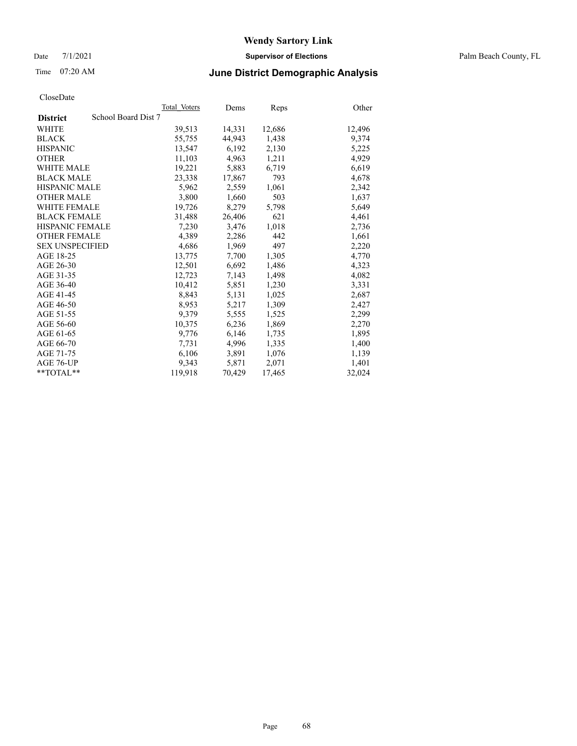Date 7/1/2021 **Supervisor of Elections** Palm Beach County, FL

## Time 07:20 AM **June District Demographic Analysis**

|                                        | Total Voters | Dems   | <b>Reps</b> | Other  |
|----------------------------------------|--------------|--------|-------------|--------|
| School Board Dist 7<br><b>District</b> |              |        |             |        |
| WHITE                                  | 39,513       | 14,331 | 12,686      | 12,496 |
| <b>BLACK</b>                           | 55,755       | 44,943 | 1,438       | 9,374  |
| <b>HISPANIC</b>                        | 13.547       | 6,192  | 2,130       | 5,225  |
| <b>OTHER</b>                           | 11,103       | 4,963  | 1,211       | 4,929  |
| <b>WHITE MALE</b>                      | 19,221       | 5,883  | 6,719       | 6,619  |
| <b>BLACK MALE</b>                      | 23,338       | 17,867 | 793         | 4,678  |
| <b>HISPANIC MALE</b>                   | 5,962        | 2,559  | 1,061       | 2,342  |
| <b>OTHER MALE</b>                      | 3,800        | 1,660  | 503         | 1,637  |
| <b>WHITE FEMALE</b>                    | 19,726       | 8,279  | 5,798       | 5,649  |
| <b>BLACK FEMALE</b>                    | 31,488       | 26,406 | 621         | 4,461  |
| <b>HISPANIC FEMALE</b>                 | 7,230        | 3,476  | 1,018       | 2,736  |
| <b>OTHER FEMALE</b>                    | 4,389        | 2,286  | 442         | 1,661  |
| <b>SEX UNSPECIFIED</b>                 | 4,686        | 1,969  | 497         | 2,220  |
| AGE 18-25                              | 13,775       | 7,700  | 1,305       | 4,770  |
| AGE 26-30                              | 12,501       | 6,692  | 1,486       | 4,323  |
| AGE 31-35                              | 12,723       | 7,143  | 1,498       | 4,082  |
| AGE 36-40                              | 10,412       | 5,851  | 1,230       | 3,331  |
| AGE 41-45                              | 8,843        | 5,131  | 1,025       | 2,687  |
| AGE 46-50                              | 8,953        | 5,217  | 1,309       | 2,427  |
| AGE 51-55                              | 9,379        | 5,555  | 1,525       | 2,299  |
| AGE 56-60                              | 10,375       | 6,236  | 1,869       | 2,270  |
| AGE 61-65                              | 9,776        | 6,146  | 1,735       | 1,895  |
| AGE 66-70                              | 7,731        | 4,996  | 1,335       | 1,400  |
| AGE 71-75                              | 6,106        | 3,891  | 1,076       | 1,139  |
| AGE 76-UP                              | 9,343        | 5,871  | 2,071       | 1,401  |
| $*$ TOTAL $*$                          | 119,918      | 70,429 | 17,465      | 32,024 |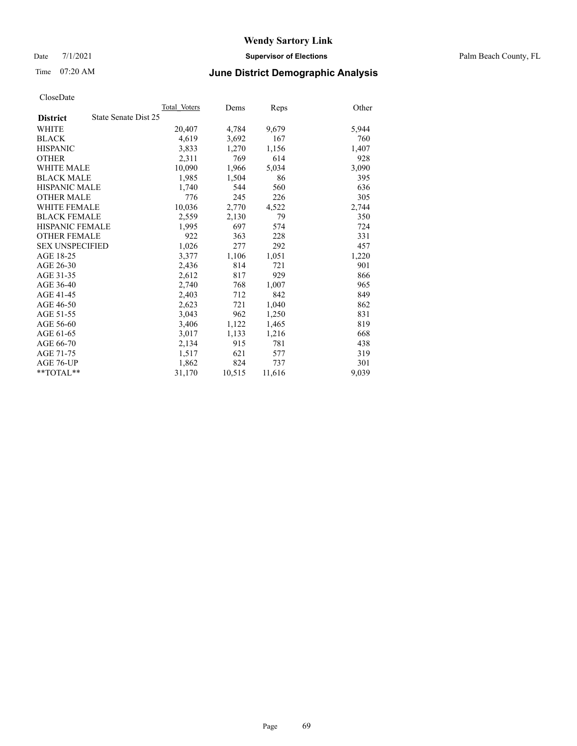Date 7/1/2021 **Supervisor of Elections** Palm Beach County, FL

# Time 07:20 AM **June District Demographic Analysis**

|                                         | Total Voters | Dems   | <b>Reps</b> | Other |
|-----------------------------------------|--------------|--------|-------------|-------|
| State Senate Dist 25<br><b>District</b> |              |        |             |       |
| WHITE                                   | 20,407       | 4,784  | 9,679       | 5,944 |
| <b>BLACK</b>                            | 4,619        | 3,692  | 167         | 760   |
| <b>HISPANIC</b>                         | 3.833        | 1,270  | 1,156       | 1,407 |
| <b>OTHER</b>                            | 2,311        | 769    | 614         | 928   |
| <b>WHITE MALE</b>                       | 10,090       | 1,966  | 5,034       | 3,090 |
| <b>BLACK MALE</b>                       | 1,985        | 1,504  | 86          | 395   |
| <b>HISPANIC MALE</b>                    | 1,740        | 544    | 560         | 636   |
| <b>OTHER MALE</b>                       | 776          | 245    | 226         | 305   |
| WHITE FEMALE                            | 10,036       | 2,770  | 4,522       | 2,744 |
| <b>BLACK FEMALE</b>                     | 2,559        | 2,130  | 79          | 350   |
| <b>HISPANIC FEMALE</b>                  | 1,995        | 697    | 574         | 724   |
| <b>OTHER FEMALE</b>                     | 922          | 363    | 228         | 331   |
| <b>SEX UNSPECIFIED</b>                  | 1,026        | 277    | 292         | 457   |
| AGE 18-25                               | 3,377        | 1,106  | 1,051       | 1,220 |
| AGE 26-30                               | 2,436        | 814    | 721         | 901   |
| AGE 31-35                               | 2,612        | 817    | 929         | 866   |
| AGE 36-40                               | 2,740        | 768    | 1,007       | 965   |
| AGE 41-45                               | 2,403        | 712    | 842         | 849   |
| AGE 46-50                               | 2,623        | 721    | 1,040       | 862   |
| AGE 51-55                               | 3.043        | 962    | 1,250       | 831   |
| AGE 56-60                               | 3,406        | 1,122  | 1,465       | 819   |
| AGE 61-65                               | 3,017        | 1,133  | 1,216       | 668   |
| AGE 66-70                               | 2,134        | 915    | 781         | 438   |
| AGE 71-75                               | 1,517        | 621    | 577         | 319   |
| AGE 76-UP                               | 1,862        | 824    | 737         | 301   |
| $*$ $TOTAL**$                           | 31,170       | 10,515 | 11,616      | 9,039 |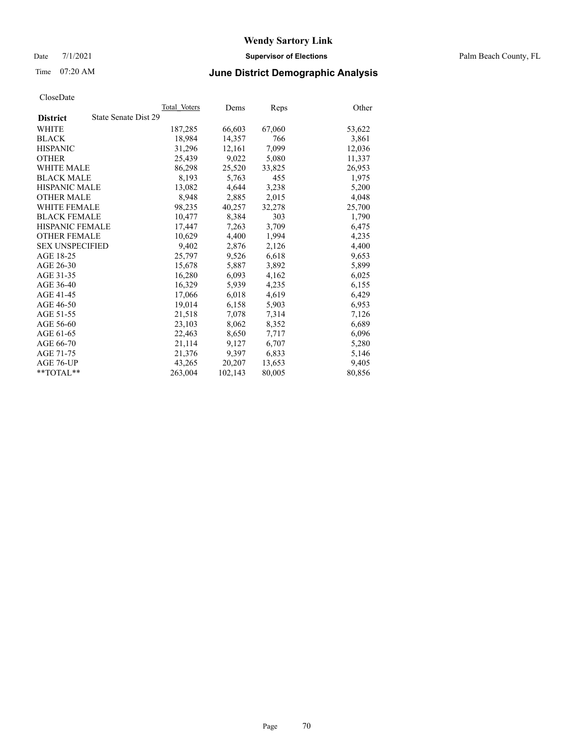Date 7/1/2021 **Supervisor of Elections** Palm Beach County, FL

# Time 07:20 AM **June District Demographic Analysis**

|                                         | Total Voters | Dems    | <b>Reps</b> | Other  |
|-----------------------------------------|--------------|---------|-------------|--------|
| State Senate Dist 29<br><b>District</b> |              |         |             |        |
| WHITE                                   | 187,285      | 66,603  | 67,060      | 53,622 |
| <b>BLACK</b>                            | 18,984       | 14,357  | 766         | 3,861  |
| <b>HISPANIC</b>                         | 31,296       | 12,161  | 7,099       | 12,036 |
| <b>OTHER</b>                            | 25,439       | 9,022   | 5,080       | 11,337 |
| <b>WHITE MALE</b>                       | 86,298       | 25,520  | 33,825      | 26,953 |
| <b>BLACK MALE</b>                       | 8,193        | 5,763   | 455         | 1,975  |
| <b>HISPANIC MALE</b>                    | 13,082       | 4,644   | 3,238       | 5,200  |
| <b>OTHER MALE</b>                       | 8,948        | 2,885   | 2,015       | 4,048  |
| <b>WHITE FEMALE</b>                     | 98,235       | 40,257  | 32,278      | 25,700 |
| <b>BLACK FEMALE</b>                     | 10,477       | 8,384   | 303         | 1,790  |
| <b>HISPANIC FEMALE</b>                  | 17,447       | 7,263   | 3,709       | 6,475  |
| <b>OTHER FEMALE</b>                     | 10,629       | 4,400   | 1,994       | 4,235  |
| <b>SEX UNSPECIFIED</b>                  | 9,402        | 2,876   | 2,126       | 4,400  |
| AGE 18-25                               | 25,797       | 9,526   | 6,618       | 9,653  |
| AGE 26-30                               | 15,678       | 5,887   | 3,892       | 5,899  |
| AGE 31-35                               | 16,280       | 6,093   | 4,162       | 6,025  |
| AGE 36-40                               | 16,329       | 5,939   | 4,235       | 6,155  |
| AGE 41-45                               | 17,066       | 6,018   | 4,619       | 6,429  |
| AGE 46-50                               | 19,014       | 6,158   | 5,903       | 6,953  |
| AGE 51-55                               | 21,518       | 7,078   | 7,314       | 7,126  |
| AGE 56-60                               | 23,103       | 8,062   | 8,352       | 6,689  |
| AGE 61-65                               | 22,463       | 8,650   | 7,717       | 6,096  |
| AGE 66-70                               | 21,114       | 9,127   | 6,707       | 5,280  |
| AGE 71-75                               | 21,376       | 9,397   | 6,833       | 5,146  |
| AGE 76-UP                               | 43,265       | 20,207  | 13,653      | 9,405  |
| $*$ TOTAL $*$                           | 263,004      | 102,143 | 80,005      | 80,856 |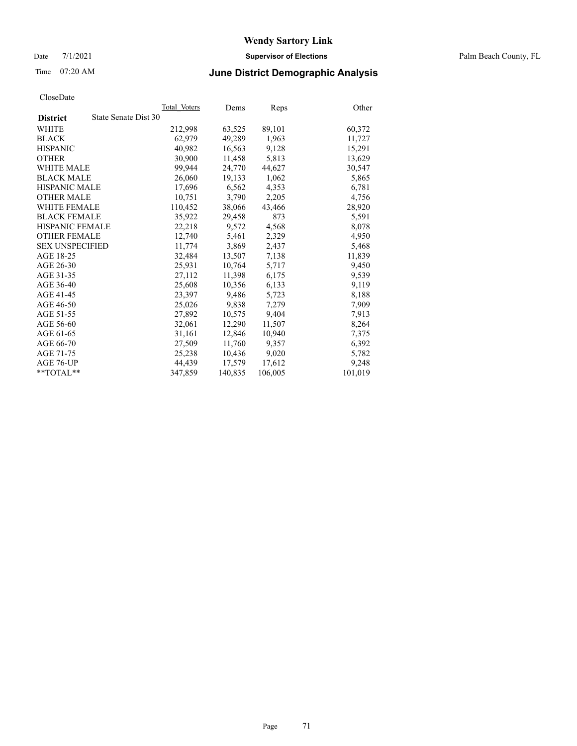Date 7/1/2021 **Supervisor of Elections** Palm Beach County, FL

# Time 07:20 AM **June District Demographic Analysis**

|                                         | Total Voters | Dems    | <b>Reps</b> | Other   |
|-----------------------------------------|--------------|---------|-------------|---------|
| State Senate Dist 30<br><b>District</b> |              |         |             |         |
| WHITE                                   | 212,998      | 63,525  | 89,101      | 60,372  |
| <b>BLACK</b>                            | 62,979       | 49,289  | 1,963       | 11,727  |
| <b>HISPANIC</b>                         | 40.982       | 16,563  | 9,128       | 15,291  |
| <b>OTHER</b>                            | 30,900       | 11,458  | 5,813       | 13,629  |
| <b>WHITE MALE</b>                       | 99.944       | 24,770  | 44,627      | 30,547  |
| <b>BLACK MALE</b>                       | 26,060       | 19,133  | 1,062       | 5,865   |
| <b>HISPANIC MALE</b>                    | 17,696       | 6,562   | 4,353       | 6,781   |
| <b>OTHER MALE</b>                       | 10,751       | 3,790   | 2,205       | 4,756   |
| <b>WHITE FEMALE</b>                     | 110,452      | 38,066  | 43,466      | 28,920  |
| <b>BLACK FEMALE</b>                     | 35,922       | 29,458  | 873         | 5,591   |
| HISPANIC FEMALE                         | 22,218       | 9,572   | 4,568       | 8,078   |
| <b>OTHER FEMALE</b>                     | 12,740       | 5,461   | 2,329       | 4,950   |
| <b>SEX UNSPECIFIED</b>                  | 11.774       | 3,869   | 2,437       | 5,468   |
| AGE 18-25                               | 32,484       | 13,507  | 7,138       | 11,839  |
| AGE 26-30                               | 25,931       | 10.764  | 5,717       | 9,450   |
| AGE 31-35                               | 27,112       | 11,398  | 6,175       | 9,539   |
| AGE 36-40                               | 25,608       | 10,356  | 6,133       | 9,119   |
| AGE 41-45                               | 23,397       | 9,486   | 5,723       | 8,188   |
| AGE 46-50                               | 25,026       | 9,838   | 7,279       | 7,909   |
| AGE 51-55                               | 27,892       | 10,575  | 9,404       | 7,913   |
| AGE 56-60                               | 32,061       | 12,290  | 11,507      | 8,264   |
| AGE 61-65                               | 31,161       | 12,846  | 10,940      | 7,375   |
| AGE 66-70                               | 27,509       | 11,760  | 9,357       | 6,392   |
| AGE 71-75                               | 25,238       | 10,436  | 9,020       | 5,782   |
| AGE 76-UP                               | 44,439       | 17,579  | 17,612      | 9,248   |
| $*$ TOTAL $*$                           | 347,859      | 140,835 | 106,005     | 101,019 |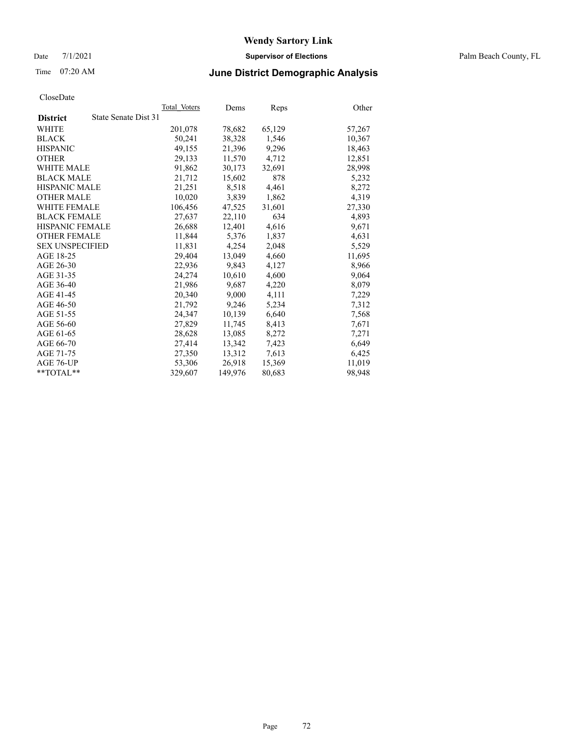Date 7/1/2021 **Supervisor of Elections** Palm Beach County, FL

# Time 07:20 AM **June District Demographic Analysis**

|                                         | Total Voters | Dems    | <b>Reps</b> | Other  |
|-----------------------------------------|--------------|---------|-------------|--------|
| State Senate Dist 31<br><b>District</b> |              |         |             |        |
| WHITE                                   | 201,078      | 78,682  | 65,129      | 57,267 |
| <b>BLACK</b>                            | 50,241       | 38,328  | 1,546       | 10,367 |
| <b>HISPANIC</b>                         | 49.155       | 21,396  | 9,296       | 18,463 |
| <b>OTHER</b>                            | 29,133       | 11,570  | 4,712       | 12,851 |
| <b>WHITE MALE</b>                       | 91,862       | 30,173  | 32,691      | 28,998 |
| <b>BLACK MALE</b>                       | 21,712       | 15,602  | 878         | 5,232  |
| <b>HISPANIC MALE</b>                    | 21,251       | 8,518   | 4,461       | 8,272  |
| <b>OTHER MALE</b>                       | 10,020       | 3,839   | 1,862       | 4,319  |
| <b>WHITE FEMALE</b>                     | 106.456      | 47,525  | 31,601      | 27,330 |
| <b>BLACK FEMALE</b>                     | 27,637       | 22,110  | 634         | 4,893  |
| <b>HISPANIC FEMALE</b>                  | 26,688       | 12,401  | 4,616       | 9,671  |
| <b>OTHER FEMALE</b>                     | 11,844       | 5,376   | 1,837       | 4,631  |
| <b>SEX UNSPECIFIED</b>                  | 11,831       | 4,254   | 2,048       | 5,529  |
| AGE 18-25                               | 29,404       | 13,049  | 4,660       | 11,695 |
| AGE 26-30                               | 22,936       | 9,843   | 4,127       | 8,966  |
| AGE 31-35                               | 24,274       | 10,610  | 4,600       | 9,064  |
| AGE 36-40                               | 21,986       | 9,687   | 4,220       | 8,079  |
| AGE 41-45                               | 20,340       | 9,000   | 4,111       | 7,229  |
| AGE 46-50                               | 21,792       | 9,246   | 5,234       | 7,312  |
| AGE 51-55                               | 24,347       | 10,139  | 6,640       | 7,568  |
| AGE 56-60                               | 27,829       | 11,745  | 8,413       | 7,671  |
| AGE 61-65                               | 28,628       | 13,085  | 8,272       | 7,271  |
| AGE 66-70                               | 27,414       | 13,342  | 7,423       | 6,649  |
| AGE 71-75                               | 27,350       | 13,312  | 7,613       | 6,425  |
| AGE 76-UP                               | 53,306       | 26,918  | 15,369      | 11,019 |
| **TOTAL**                               | 329,607      | 149,976 | 80,683      | 98,948 |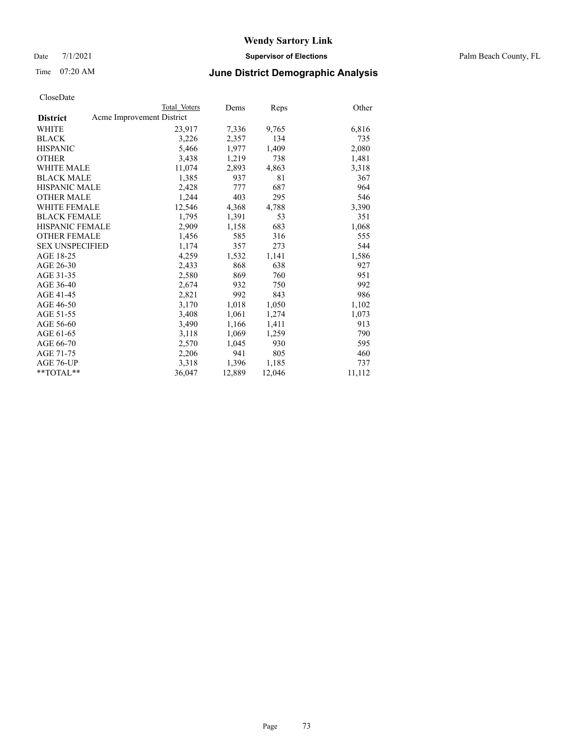Date 7/1/2021 **Supervisor of Elections** Palm Beach County, FL

### Time 07:20 AM **June District Demographic Analysis**

|                                              | Total Voters | Dems   | <b>Reps</b> | Other  |
|----------------------------------------------|--------------|--------|-------------|--------|
| Acme Improvement District<br><b>District</b> |              |        |             |        |
| WHITE                                        | 23,917       | 7,336  | 9,765       | 6,816  |
| <b>BLACK</b>                                 | 3,226        | 2,357  | 134         | 735    |
| <b>HISPANIC</b>                              | 5,466        | 1,977  | 1,409       | 2,080  |
| <b>OTHER</b>                                 | 3,438        | 1,219  | 738         | 1,481  |
| WHITE MALE                                   | 11,074       | 2,893  | 4,863       | 3,318  |
| <b>BLACK MALE</b>                            | 1,385        | 937    | 81          | 367    |
| <b>HISPANIC MALE</b>                         | 2,428        | 777    | 687         | 964    |
| <b>OTHER MALE</b>                            | 1,244        | 403    | 295         | 546    |
| <b>WHITE FEMALE</b>                          | 12,546       | 4,368  | 4,788       | 3,390  |
| <b>BLACK FEMALE</b>                          | 1,795        | 1,391  | 53          | 351    |
| <b>HISPANIC FEMALE</b>                       | 2,909        | 1,158  | 683         | 1,068  |
| <b>OTHER FEMALE</b>                          | 1,456        | 585    | 316         | 555    |
| <b>SEX UNSPECIFIED</b>                       | 1,174        | 357    | 273         | 544    |
| AGE 18-25                                    | 4,259        | 1,532  | 1,141       | 1,586  |
| AGE 26-30                                    | 2,433        | 868    | 638         | 927    |
| AGE 31-35                                    | 2,580        | 869    | 760         | 951    |
| AGE 36-40                                    | 2,674        | 932    | 750         | 992    |
| AGE 41-45                                    | 2,821        | 992    | 843         | 986    |
| AGE 46-50                                    | 3,170        | 1,018  | 1,050       | 1,102  |
| AGE 51-55                                    | 3,408        | 1,061  | 1,274       | 1,073  |
| AGE 56-60                                    | 3,490        | 1,166  | 1,411       | 913    |
| AGE 61-65                                    | 3,118        | 1,069  | 1,259       | 790    |
| AGE 66-70                                    | 2,570        | 1,045  | 930         | 595    |
| AGE 71-75                                    | 2,206        | 941    | 805         | 460    |
| AGE 76-UP                                    | 3,318        | 1,396  | 1,185       | 737    |
| $*$ TOTAL $*$                                | 36,047       | 12,889 | 12,046      | 11,112 |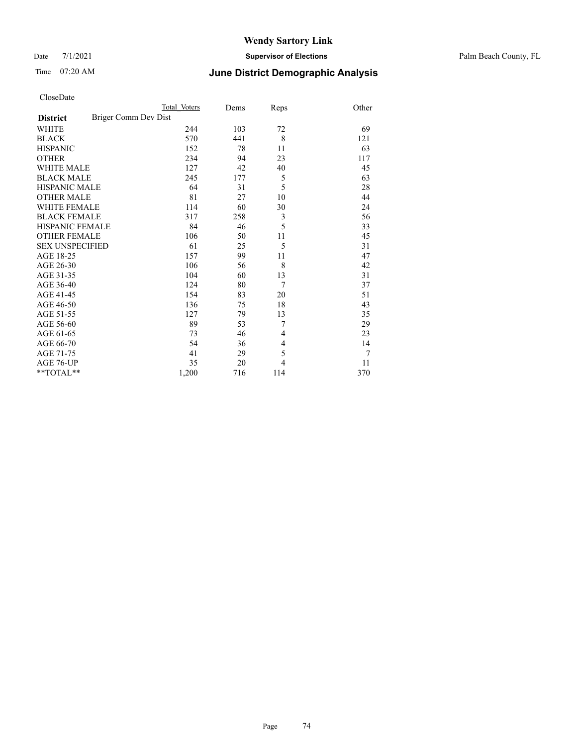#### Date 7/1/2021 **Supervisor of Elections** Palm Beach County, FL

### Time 07:20 AM **June District Demographic Analysis**

|                                         | Total Voters | Dems | Reps | Other |
|-----------------------------------------|--------------|------|------|-------|
| Briger Comm Dev Dist<br><b>District</b> |              |      |      |       |
| WHITE                                   | 244          | 103  | 72   | 69    |
| <b>BLACK</b>                            | 570          | 441  | 8    | 121   |
| <b>HISPANIC</b>                         | 152          | 78   | 11   | 63    |
| <b>OTHER</b>                            | 234          | 94   | 23   | 117   |
| <b>WHITE MALE</b>                       | 127          | 42   | 40   | 45    |
| <b>BLACK MALE</b>                       | 245          | 177  | 5    | 63    |
| <b>HISPANIC MALE</b>                    | 64           | 31   | 5    | 28    |
| <b>OTHER MALE</b>                       | 81           | 27   | 10   | 44    |
| <b>WHITE FEMALE</b>                     | 114          | 60   | 30   | 24    |
| <b>BLACK FEMALE</b>                     | 317          | 258  | 3    | 56    |
| <b>HISPANIC FEMALE</b>                  | 84           | 46   | 5    | 33    |
| <b>OTHER FEMALE</b>                     | 106          | 50   | 11   | 45    |
| <b>SEX UNSPECIFIED</b>                  | 61           | 25   | 5    | 31    |
| AGE 18-25                               | 157          | 99   | 11   | 47    |
| AGE 26-30                               | 106          | 56   | 8    | 42    |
| AGE 31-35                               | 104          | 60   | 13   | 31    |
| AGE 36-40                               | 124          | 80   | 7    | 37    |
| AGE 41-45                               | 154          | 83   | 20   | 51    |
| AGE 46-50                               | 136          | 75   | 18   | 43    |
| AGE 51-55                               | 127          | 79   | 13   | 35    |
| AGE 56-60                               | 89           | 53   | 7    | 29    |
| AGE 61-65                               | 73           | 46   | 4    | 23    |
| AGE 66-70                               | 54           | 36   | 4    | 14    |
| AGE 71-75                               | 41           | 29   | 5    | 7     |
| AGE 76-UP                               | 35           | 20   | 4    | 11    |
| **TOTAL**                               | 1,200        | 716  | 114  | 370   |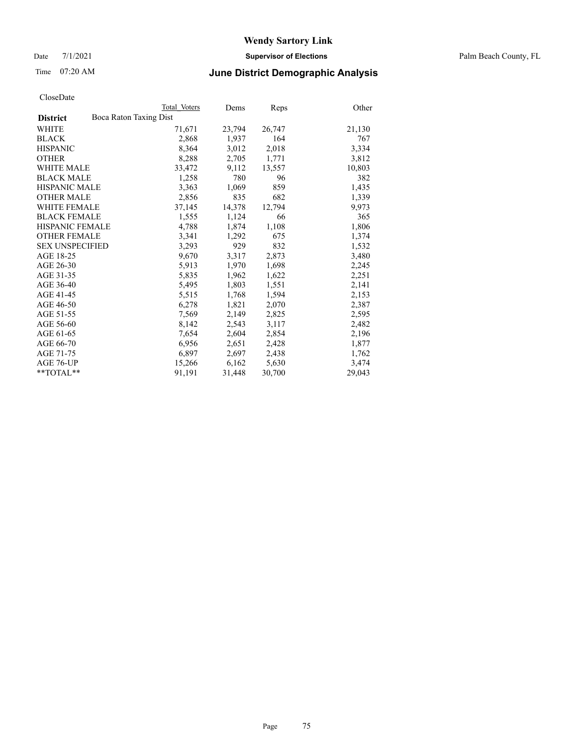Date 7/1/2021 **Supervisor of Elections** Palm Beach County, FL

### Time 07:20 AM **June District Demographic Analysis**

|                                           | Total Voters | Dems   | <b>Reps</b> | Other  |
|-------------------------------------------|--------------|--------|-------------|--------|
| Boca Raton Taxing Dist<br><b>District</b> |              |        |             |        |
| WHITE                                     | 71,671       | 23,794 | 26,747      | 21,130 |
| <b>BLACK</b>                              | 2,868        | 1,937  | 164         | 767    |
| <b>HISPANIC</b>                           | 8,364        | 3,012  | 2,018       | 3,334  |
| <b>OTHER</b>                              | 8,288        | 2,705  | 1,771       | 3,812  |
| <b>WHITE MALE</b>                         | 33,472       | 9,112  | 13,557      | 10,803 |
| <b>BLACK MALE</b>                         | 1,258        | 780    | 96          | 382    |
| <b>HISPANIC MALE</b>                      | 3,363        | 1,069  | 859         | 1,435  |
| <b>OTHER MALE</b>                         | 2,856        | 835    | 682         | 1,339  |
| <b>WHITE FEMALE</b>                       | 37,145       | 14,378 | 12,794      | 9,973  |
| <b>BLACK FEMALE</b>                       | 1,555        | 1,124  | 66          | 365    |
| <b>HISPANIC FEMALE</b>                    | 4,788        | 1,874  | 1,108       | 1,806  |
| <b>OTHER FEMALE</b>                       | 3,341        | 1,292  | 675         | 1,374  |
| <b>SEX UNSPECIFIED</b>                    | 3,293        | 929    | 832         | 1,532  |
| AGE 18-25                                 | 9,670        | 3,317  | 2,873       | 3,480  |
| AGE 26-30                                 | 5,913        | 1,970  | 1,698       | 2,245  |
| AGE 31-35                                 | 5,835        | 1,962  | 1,622       | 2,251  |
| AGE 36-40                                 | 5,495        | 1,803  | 1,551       | 2,141  |
| AGE 41-45                                 | 5,515        | 1,768  | 1,594       | 2,153  |
| AGE 46-50                                 | 6,278        | 1,821  | 2,070       | 2,387  |
| AGE 51-55                                 | 7,569        | 2,149  | 2,825       | 2,595  |
| AGE 56-60                                 | 8,142        | 2,543  | 3,117       | 2,482  |
| AGE 61-65                                 | 7,654        | 2,604  | 2,854       | 2,196  |
| AGE 66-70                                 | 6,956        | 2,651  | 2,428       | 1,877  |
| AGE 71-75                                 | 6,897        | 2,697  | 2,438       | 1,762  |
| AGE 76-UP                                 | 15,266       | 6,162  | 5,630       | 3,474  |
| **TOTAL**                                 | 91,191       | 31,448 | 30,700      | 29,043 |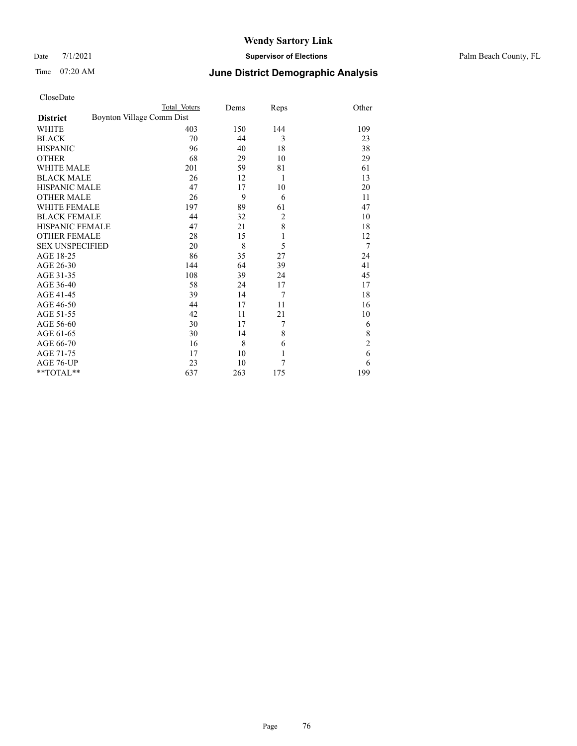Date 7/1/2021 **Supervisor of Elections** Palm Beach County, FL

| CloseDate |
|-----------|
|-----------|

|                        | Total Voters              | Dems | Reps           | Other          |
|------------------------|---------------------------|------|----------------|----------------|
| <b>District</b>        | Boynton Village Comm Dist |      |                |                |
| WHITE                  | 403                       | 150  | 144            | 109            |
| BLACK                  | 70                        | 44   | 3              | 23             |
| <b>HISPANIC</b>        | 96                        | 40   | 18             | 38             |
| <b>OTHER</b>           | 68                        | 29   | 10             | 29             |
| WHITE MALE             | 201                       | 59   | 81             | 61             |
| <b>BLACK MALE</b>      | 26                        | 12   | 1              | 13             |
| HISPANIC MALE          | 47                        | 17   | 10             | 20             |
| OTHER MALE             | 26                        | 9    | 6              | 11             |
| WHITE FEMALE           | 197                       | 89   | 61             | 47             |
| <b>BLACK FEMALE</b>    | 44                        | 32   | $\overline{c}$ | 10             |
| HISPANIC FEMALE        | 47                        | 21   | 8              | 18             |
| <b>OTHER FEMALE</b>    | 28                        | 15   | $\mathbf{1}$   | 12             |
| <b>SEX UNSPECIFIED</b> | 20                        | 8    | 5              | 7              |
| AGE 18-25              | 86                        | 35   | 27             | 24             |
| AGE 26-30              | 144                       | 64   | 39             | 41             |
| AGE 31-35              | 108                       | 39   | 24             | 45             |
| AGE 36-40              | 58                        | 24   | 17             | 17             |
| AGE 41-45              | 39                        | 14   | 7              | 18             |
| AGE 46-50              | 44                        | 17   | 11             | 16             |
| AGE 51-55              | 42                        | 11   | 21             | 10             |
| AGE 56-60              | 30                        | 17   | 7              | 6              |
| AGE 61-65              | 30                        | 14   | 8              | 8              |
| AGE 66-70              | 16                        | 8    | 6              | $\overline{2}$ |
| AGE 71-75              | 17                        | 10   | $\mathbf{1}$   | 6              |
| AGE 76-UP              | 23                        | 10   | 7              | 6              |
| **TOTAL**              | 637                       | 263  | 175            | 199            |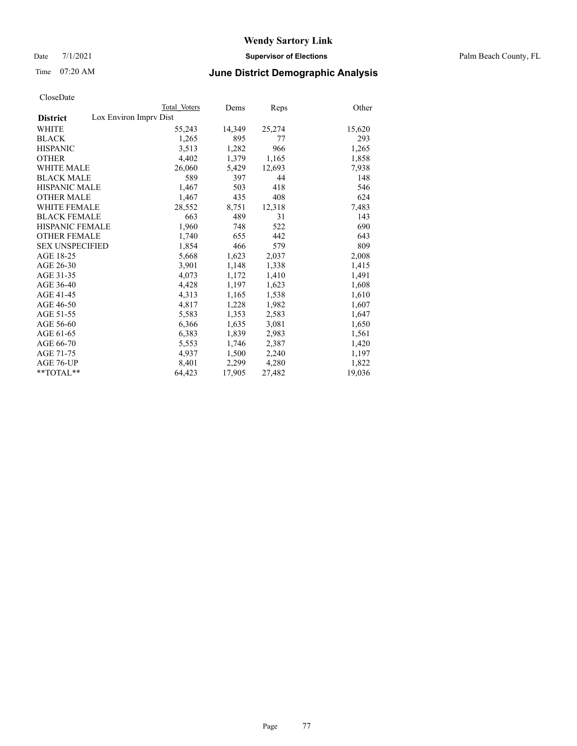Date 7/1/2021 **Supervisor of Elections** Palm Beach County, FL

### Time 07:20 AM **June District Demographic Analysis**

|                                           | Total Voters | Dems   | <b>Reps</b> | Other  |
|-------------------------------------------|--------------|--------|-------------|--------|
| Lox Environ Imprv Dist<br><b>District</b> |              |        |             |        |
| WHITE                                     | 55,243       | 14,349 | 25,274      | 15,620 |
| <b>BLACK</b>                              | 1,265        | 895    | 77          | 293    |
| <b>HISPANIC</b>                           | 3,513        | 1,282  | 966         | 1,265  |
| <b>OTHER</b>                              | 4,402        | 1,379  | 1,165       | 1,858  |
| <b>WHITE MALE</b>                         | 26,060       | 5,429  | 12,693      | 7,938  |
| <b>BLACK MALE</b>                         | 589          | 397    | 44          | 148    |
| <b>HISPANIC MALE</b>                      | 1,467        | 503    | 418         | 546    |
| <b>OTHER MALE</b>                         | 1.467        | 435    | 408         | 624    |
| <b>WHITE FEMALE</b>                       | 28,552       | 8,751  | 12,318      | 7,483  |
| <b>BLACK FEMALE</b>                       | 663          | 489    | 31          | 143    |
| <b>HISPANIC FEMALE</b>                    | 1,960        | 748    | 522         | 690    |
| <b>OTHER FEMALE</b>                       | 1,740        | 655    | 442         | 643    |
| <b>SEX UNSPECIFIED</b>                    | 1,854        | 466    | 579         | 809    |
| AGE 18-25                                 | 5,668        | 1,623  | 2,037       | 2,008  |
| AGE 26-30                                 | 3,901        | 1,148  | 1,338       | 1,415  |
| AGE 31-35                                 | 4,073        | 1,172  | 1,410       | 1,491  |
| AGE 36-40                                 | 4,428        | 1,197  | 1,623       | 1,608  |
| AGE 41-45                                 | 4,313        | 1,165  | 1,538       | 1,610  |
| AGE 46-50                                 | 4,817        | 1,228  | 1,982       | 1,607  |
| AGE 51-55                                 | 5,583        | 1,353  | 2,583       | 1,647  |
| AGE 56-60                                 | 6,366        | 1,635  | 3,081       | 1,650  |
| AGE 61-65                                 | 6,383        | 1,839  | 2,983       | 1,561  |
| AGE 66-70                                 | 5,553        | 1,746  | 2,387       | 1,420  |
| AGE 71-75                                 | 4,937        | 1,500  | 2,240       | 1,197  |
| AGE 76-UP                                 | 8.401        | 2,299  | 4,280       | 1,822  |
| $*$ $TOTAL**$                             | 64,423       | 17,905 | 27,482      | 19,036 |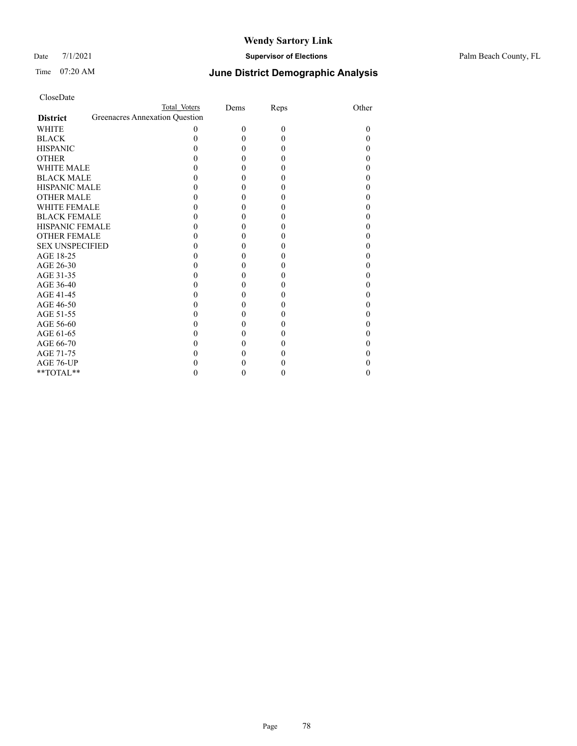#### Date 7/1/2021 **Supervisor of Elections** Palm Beach County, FL

| CloseDate |
|-----------|
|-----------|

|                     |                                | Total Voters | Dems     | Reps     | Other |
|---------------------|--------------------------------|--------------|----------|----------|-------|
| <b>District</b>     | Greenacres Annexation Question |              |          |          |       |
| WHITE               |                                | $\Omega$     | $\Omega$ | $\Omega$ | 0     |
| BLACK               |                                |              | 0        | 0        |       |
| <b>HISPANIC</b>     |                                |              | 0        | 0        |       |
| <b>OTHER</b>        |                                |              |          | 0        |       |
| WHITE MALE          |                                |              |          |          |       |
| <b>BLACK MALE</b>   |                                |              |          |          |       |
| HISPANIC MALE       |                                |              |          |          |       |
| <b>OTHER MALE</b>   |                                |              |          |          |       |
| WHITE FEMALE        |                                |              |          |          |       |
| <b>BLACK FEMALE</b> |                                |              |          |          |       |
| HISPANIC FEMALE     |                                |              |          |          |       |
| OTHER FEMALE        |                                |              |          |          |       |
| SEX UNSPECIFIED     |                                |              |          |          |       |
| AGE 18-25           |                                |              |          |          |       |
| AGE 26-30           |                                |              |          |          |       |
| AGE 31-35           |                                |              |          |          |       |
| AGE 36-40           |                                |              |          |          |       |
| AGE 41-45           |                                |              |          |          |       |
| AGE 46-50           |                                |              |          |          |       |
| AGE 51-55           |                                |              |          |          |       |
| AGE 56-60           |                                |              |          |          |       |
| AGE 61-65           |                                |              |          |          |       |
| AGE 66-70           |                                |              |          |          |       |
| AGE 71-75           |                                |              |          |          |       |
| AGE 76-UP           |                                |              |          |          |       |
| $*$ TOTAL $*$       |                                |              |          |          |       |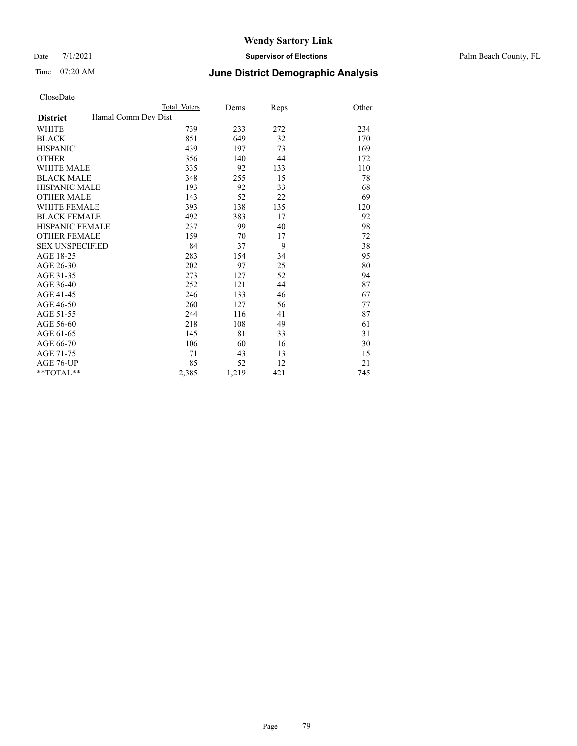Date 7/1/2021 **Supervisor of Elections** Palm Beach County, FL

### Time 07:20 AM **June District Demographic Analysis**

|                                        | Total Voters | Dems  | Reps | Other |
|----------------------------------------|--------------|-------|------|-------|
| Hamal Comm Dev Dist<br><b>District</b> |              |       |      |       |
| <b>WHITE</b>                           | 739          | 233   | 272  | 234   |
| <b>BLACK</b>                           | 851          | 649   | 32   | 170   |
| <b>HISPANIC</b>                        | 439          | 197   | 73   | 169   |
| <b>OTHER</b>                           | 356          | 140   | 44   | 172   |
| WHITE MALE                             | 335          | 92    | 133  | 110   |
| <b>BLACK MALE</b>                      | 348          | 255   | 15   | 78    |
| <b>HISPANIC MALE</b>                   | 193          | 92    | 33   | 68    |
| <b>OTHER MALE</b>                      | 143          | 52    | 22   | 69    |
| <b>WHITE FEMALE</b>                    | 393          | 138   | 135  | 120   |
| <b>BLACK FEMALE</b>                    | 492          | 383   | 17   | 92    |
| <b>HISPANIC FEMALE</b>                 | 237          | 99    | 40   | 98    |
| <b>OTHER FEMALE</b>                    | 159          | 70    | 17   | 72    |
| <b>SEX UNSPECIFIED</b>                 | 84           | 37    | 9    | 38    |
| AGE 18-25                              | 283          | 154   | 34   | 95    |
| AGE 26-30                              | 202          | 97    | 25   | 80    |
| AGE 31-35                              | 273          | 127   | 52   | 94    |
| AGE 36-40                              | 252          | 121   | 44   | 87    |
| AGE 41-45                              | 246          | 133   | 46   | 67    |
| AGE 46-50                              | 260          | 127   | 56   | 77    |
| AGE 51-55                              | 244          | 116   | 41   | 87    |
| AGE 56-60                              | 218          | 108   | 49   | 61    |
| AGE 61-65                              | 145          | 81    | 33   | 31    |
| AGE 66-70                              | 106          | 60    | 16   | 30    |
| AGE 71-75                              | 71           | 43    | 13   | 15    |
| AGE 76-UP                              | 85           | 52    | 12   | 21    |
| $*$ $TOTAL**$                          | 2,385        | 1,219 | 421  | 745   |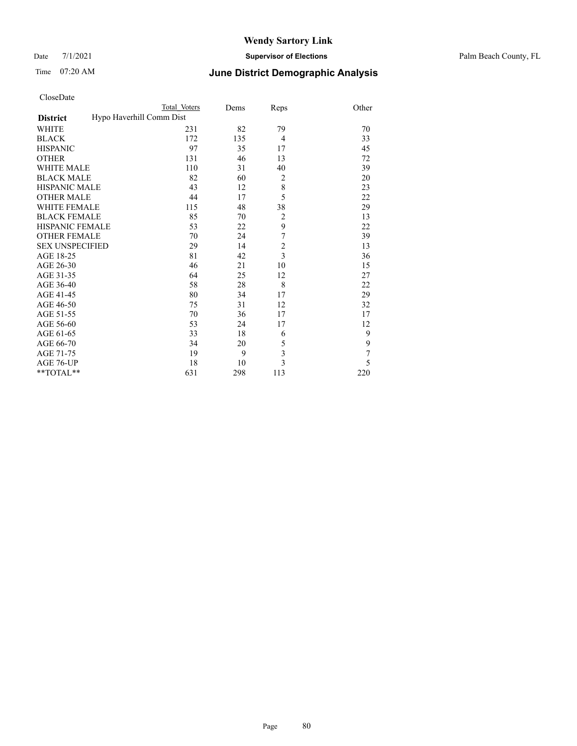#### Date 7/1/2021 **Supervisor of Elections** Palm Beach County, FL

| CloseDate |
|-----------|
|-----------|

|                     |                          | Total Voters | Dems | Reps           | Other |
|---------------------|--------------------------|--------------|------|----------------|-------|
| <b>District</b>     | Hypo Haverhill Comm Dist |              |      |                |       |
| WHITE               |                          | 231          | 82   | 79             | 70    |
| BLACK               |                          | 172          | 135  | $\overline{4}$ | 33    |
| <b>HISPANIC</b>     |                          | 97           | 35   | 17             | 45    |
| OTHER               |                          | 131          | 46   | 13             | 72    |
| WHITE MALE          |                          | 110          | 31   | 40             | 39    |
| <b>BLACK MALE</b>   |                          | 82           | 60   | $\overline{c}$ | 20    |
| HISPANIC MALE       |                          | 43           | 12   | 8              | 23    |
| <b>OTHER MALE</b>   |                          | 44           | 17   | 5              | 22    |
| WHITE FEMALE        |                          | 115          | 48   | 38             | 29    |
| BLACK FEMALE        |                          | 85           | 70   | $\overline{c}$ | 13    |
| HISPANIC FEMALE     |                          | 53           | 22   | 9              | 22    |
| <b>OTHER FEMALE</b> |                          | 70           | 24   | $\overline{7}$ | 39    |
| SEX UNSPECIFIED     |                          | 29           | 14   | $\overline{c}$ | 13    |
| AGE 18-25           |                          | 81           | 42   | $\overline{3}$ | 36    |
| AGE 26-30           |                          | 46           | 21   | 10             | 15    |
| AGE 31-35           |                          | 64           | 25   | 12             | 27    |
| AGE 36-40           |                          | 58           | 28   | 8              | 22    |
| AGE 41-45           |                          | 80           | 34   | 17             | 29    |
| AGE 46-50           |                          | 75           | 31   | 12             | 32    |
| AGE 51-55           |                          | 70           | 36   | 17             | 17    |
| AGE 56-60           |                          | 53           | 24   | 17             | 12    |
| AGE 61-65           |                          | 33           | 18   | 6              | 9     |
| AGE 66-70           |                          | 34           | 20   | 5              | 9     |
| AGE 71-75           |                          | 19           | 9    | 3              | 7     |
| AGE 76-UP           |                          | 18           | 10   | 3              | 5     |
| $*$ TOTAL $**$      |                          | 631          | 298  | 113            | 220   |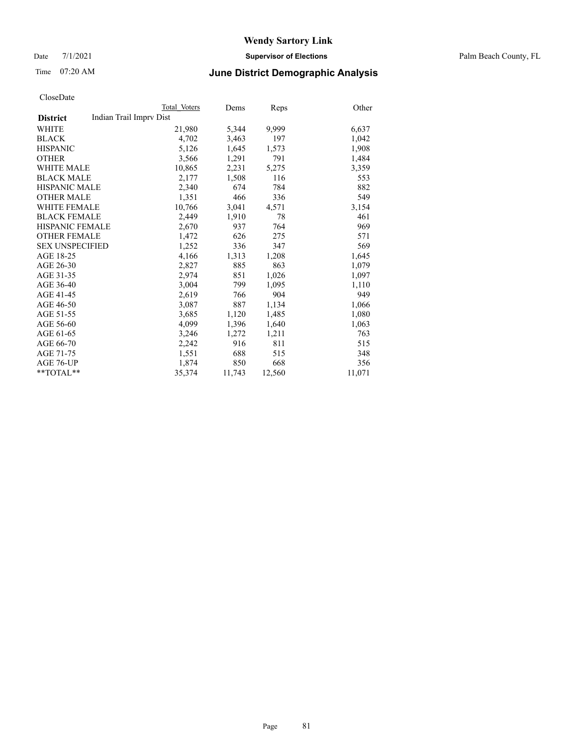Date 7/1/2021 **Supervisor of Elections** Palm Beach County, FL

### Time 07:20 AM **June District Demographic Analysis**

|                        | Total Voters            | Dems   | Reps   | Other  |
|------------------------|-------------------------|--------|--------|--------|
| <b>District</b>        | Indian Trail Imprv Dist |        |        |        |
| WHITE                  | 21,980                  | 5,344  | 9.999  | 6,637  |
| <b>BLACK</b>           | 4,702                   | 3,463  | 197    | 1,042  |
| <b>HISPANIC</b>        | 5,126                   | 1,645  | 1,573  | 1,908  |
| <b>OTHER</b>           | 3,566                   | 1,291  | 791    | 1,484  |
| <b>WHITE MALE</b>      | 10,865                  | 2,231  | 5,275  | 3,359  |
| <b>BLACK MALE</b>      | 2,177                   | 1,508  | 116    | 553    |
| <b>HISPANIC MALE</b>   | 2,340                   | 674    | 784    | 882    |
| <b>OTHER MALE</b>      | 1,351                   | 466    | 336    | 549    |
| <b>WHITE FEMALE</b>    | 10.766                  | 3,041  | 4,571  | 3,154  |
| <b>BLACK FEMALE</b>    | 2,449                   | 1,910  | 78     | 461    |
| <b>HISPANIC FEMALE</b> | 2,670                   | 937    | 764    | 969    |
| <b>OTHER FEMALE</b>    | 1,472                   | 626    | 275    | 571    |
| <b>SEX UNSPECIFIED</b> | 1,252                   | 336    | 347    | 569    |
| AGE 18-25              | 4,166                   | 1,313  | 1,208  | 1,645  |
| AGE 26-30              | 2,827                   | 885    | 863    | 1,079  |
| AGE 31-35              | 2,974                   | 851    | 1,026  | 1,097  |
| AGE 36-40              | 3,004                   | 799    | 1,095  | 1,110  |
| AGE 41-45              | 2,619                   | 766    | 904    | 949    |
| AGE 46-50              | 3,087                   | 887    | 1,134  | 1,066  |
| AGE 51-55              | 3,685                   | 1,120  | 1,485  | 1,080  |
| AGE 56-60              | 4,099                   | 1,396  | 1,640  | 1,063  |
| AGE 61-65              | 3,246                   | 1,272  | 1,211  | 763    |
| AGE 66-70              | 2,242                   | 916    | 811    | 515    |
| AGE 71-75              | 1,551                   | 688    | 515    | 348    |
| AGE 76-UP              | 1,874                   | 850    | 668    | 356    |
| $*$ $TOTAL**$          | 35,374                  | 11,743 | 12,560 | 11,071 |
|                        |                         |        |        |        |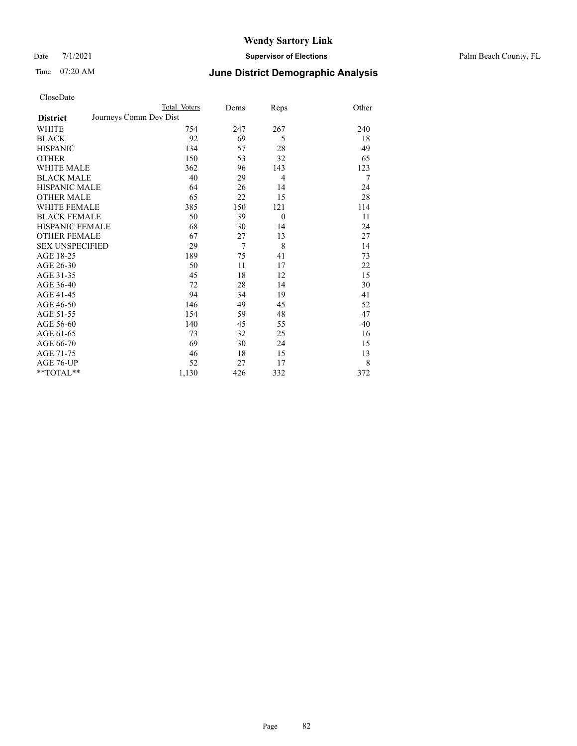Date 7/1/2021 **Supervisor of Elections** Palm Beach County, FL

| CloseDate |
|-----------|
|-----------|

|                        | Total Voters           | Dems           | Reps           | Other |
|------------------------|------------------------|----------------|----------------|-------|
| <b>District</b>        | Journeys Comm Dev Dist |                |                |       |
| WHITE                  | 754                    | 247            | 267            | 240   |
| BLACK                  | 92                     | 69             | 5              | 18    |
| HISPANIC               | 134                    | 57             | 28             | 49    |
| OTHER                  | 150                    | 53             | 32             | 65    |
| WHITE MALE             | 362                    | 96             | 143            | 123   |
| <b>BLACK MALE</b>      | 40                     | 29             | $\overline{4}$ | 7     |
| HISPANIC MALE          | 64                     | 26             | 14             | 24    |
| OTHER MALE             | 65                     | 22             | 15             | 28    |
| <b>WHITE FEMALE</b>    | 385                    | 150            | 121            | 114   |
| BLACK FEMALE           | 50                     | 39             | $\overline{0}$ | 11    |
| HISPANIC FEMALE        | 68                     | 30             | 14             | 24    |
| OTHER FEMALE           | 67                     | 27             | 13             | 27    |
| <b>SEX UNSPECIFIED</b> | 29                     | $\overline{7}$ | 8              | 14    |
| AGE 18-25              | 189                    | 75             | 41             | 73    |
| AGE 26-30              | 50                     | 11             | 17             | 22    |
| AGE 31-35              | 45                     | 18             | 12             | 15    |
| AGE 36-40              | 72                     | 28             | 14             | 30    |
| AGE 41-45              | 94                     | 34             | 19             | 41    |
| AGE 46-50              | 146                    | 49             | 45             | 52    |
| AGE 51-55              | 154                    | 59             | 48             | 47    |
| AGE 56-60              | 140                    | 45             | 55             | 40    |
| AGE 61-65              | 73                     | 32             | 25             | 16    |
| AGE 66-70              | 69                     | 30             | 24             | 15    |
| AGE 71-75              | 46                     | 18             | 15             | 13    |
| AGE 76-UP              | 52                     | 27             | 17             | 8     |
| $*$ $TOTAL**$          | 1,130                  | 426            | 332            | 372   |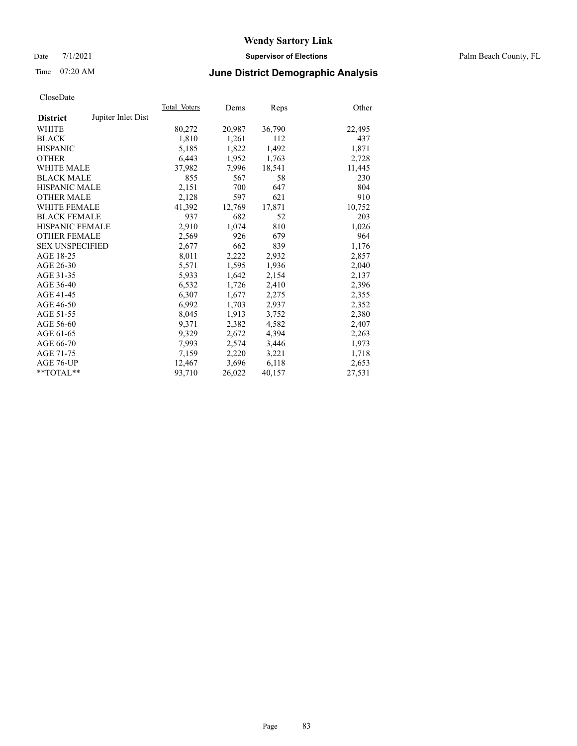Date 7/1/2021 **Supervisor of Elections** Palm Beach County, FL

### Time 07:20 AM **June District Demographic Analysis**

|                        |                    | Total Voters | Dems   | <b>Reps</b> | Other  |
|------------------------|--------------------|--------------|--------|-------------|--------|
| <b>District</b>        | Jupiter Inlet Dist |              |        |             |        |
| WHITE                  |                    | 80,272       | 20,987 | 36,790      | 22,495 |
| <b>BLACK</b>           |                    | 1,810        | 1,261  | 112         | 437    |
| <b>HISPANIC</b>        |                    | 5,185        | 1,822  | 1,492       | 1,871  |
| <b>OTHER</b>           |                    | 6,443        | 1,952  | 1,763       | 2,728  |
| <b>WHITE MALE</b>      |                    | 37,982       | 7,996  | 18,541      | 11,445 |
| <b>BLACK MALE</b>      |                    | 855          | 567    | 58          | 230    |
| <b>HISPANIC MALE</b>   |                    | 2,151        | 700    | 647         | 804    |
| <b>OTHER MALE</b>      |                    | 2,128        | 597    | 621         | 910    |
| <b>WHITE FEMALE</b>    |                    | 41,392       | 12,769 | 17,871      | 10,752 |
| <b>BLACK FEMALE</b>    |                    | 937          | 682    | 52          | 203    |
| <b>HISPANIC FEMALE</b> |                    | 2,910        | 1,074  | 810         | 1,026  |
| <b>OTHER FEMALE</b>    |                    | 2,569        | 926    | 679         | 964    |
| <b>SEX UNSPECIFIED</b> |                    | 2,677        | 662    | 839         | 1,176  |
| AGE 18-25              |                    | 8,011        | 2,222  | 2,932       | 2,857  |
| AGE 26-30              |                    | 5,571        | 1,595  | 1,936       | 2,040  |
| AGE 31-35              |                    | 5,933        | 1,642  | 2,154       | 2,137  |
| AGE 36-40              |                    | 6,532        | 1,726  | 2,410       | 2,396  |
| AGE 41-45              |                    | 6,307        | 1,677  | 2,275       | 2,355  |
| AGE 46-50              |                    | 6,992        | 1,703  | 2,937       | 2,352  |
| AGE 51-55              |                    | 8,045        | 1,913  | 3,752       | 2,380  |
| AGE 56-60              |                    | 9,371        | 2,382  | 4,582       | 2,407  |
| AGE 61-65              |                    | 9,329        | 2,672  | 4,394       | 2,263  |
| AGE 66-70              |                    | 7,993        | 2,574  | 3,446       | 1,973  |
| AGE 71-75              |                    | 7,159        | 2,220  | 3,221       | 1,718  |
| AGE 76-UP              |                    | 12,467       | 3,696  | 6,118       | 2,653  |
| **TOTAL**              |                    | 93,710       | 26,022 | 40,157      | 27,531 |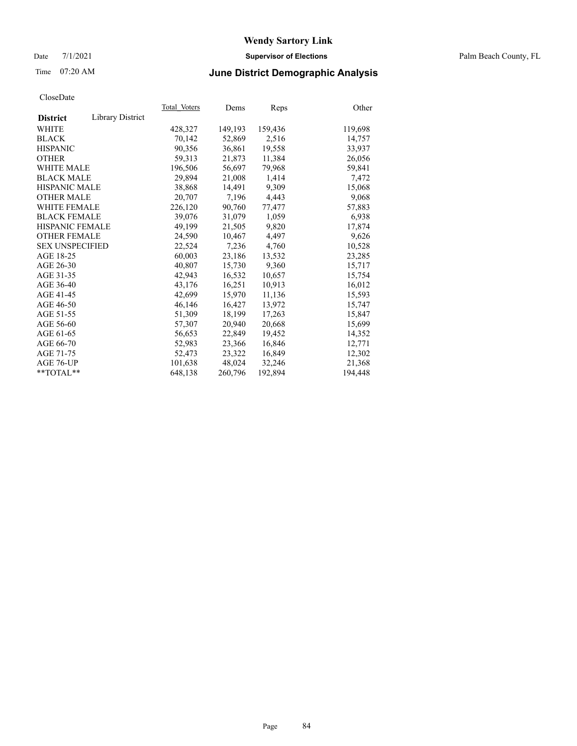#### Date 7/1/2021 **Supervisor of Elections** Palm Beach County, FL

### Time 07:20 AM **June District Demographic Analysis**

|                        |                  | Total Voters | Dems    | <b>Reps</b> | Other   |
|------------------------|------------------|--------------|---------|-------------|---------|
| <b>District</b>        | Library District |              |         |             |         |
| WHITE                  |                  | 428,327      | 149,193 | 159,436     | 119,698 |
| <b>BLACK</b>           |                  | 70,142       | 52,869  | 2,516       | 14,757  |
| <b>HISPANIC</b>        |                  | 90.356       | 36.861  | 19,558      | 33,937  |
| <b>OTHER</b>           |                  | 59,313       | 21,873  | 11,384      | 26,056  |
| <b>WHITE MALE</b>      |                  | 196,506      | 56,697  | 79,968      | 59,841  |
| <b>BLACK MALE</b>      |                  | 29,894       | 21,008  | 1,414       | 7,472   |
| <b>HISPANIC MALE</b>   |                  | 38,868       | 14,491  | 9,309       | 15,068  |
| <b>OTHER MALE</b>      |                  | 20,707       | 7,196   | 4,443       | 9,068   |
| <b>WHITE FEMALE</b>    |                  | 226,120      | 90,760  | 77,477      | 57,883  |
| <b>BLACK FEMALE</b>    |                  | 39,076       | 31,079  | 1,059       | 6,938   |
| <b>HISPANIC FEMALE</b> |                  | 49,199       | 21,505  | 9,820       | 17,874  |
| <b>OTHER FEMALE</b>    |                  | 24,590       | 10,467  | 4,497       | 9,626   |
| <b>SEX UNSPECIFIED</b> |                  | 22,524       | 7,236   | 4,760       | 10,528  |
| AGE 18-25              |                  | 60,003       | 23,186  | 13,532      | 23,285  |
| AGE 26-30              |                  | 40.807       | 15,730  | 9,360       | 15,717  |
| AGE 31-35              |                  | 42,943       | 16,532  | 10,657      | 15,754  |
| AGE 36-40              |                  | 43,176       | 16,251  | 10,913      | 16,012  |
| AGE 41-45              |                  | 42,699       | 15.970  | 11,136      | 15,593  |
| AGE 46-50              |                  | 46,146       | 16,427  | 13,972      | 15,747  |
| AGE 51-55              |                  | 51,309       | 18,199  | 17,263      | 15,847  |
| AGE 56-60              |                  | 57,307       | 20,940  | 20,668      | 15,699  |
| AGE 61-65              |                  | 56,653       | 22,849  | 19,452      | 14,352  |
| AGE 66-70              |                  | 52,983       | 23,366  | 16,846      | 12,771  |
| AGE 71-75              |                  | 52,473       | 23,322  | 16,849      | 12,302  |
| AGE 76-UP              |                  | 101,638      | 48,024  | 32,246      | 21,368  |
| $*$ TOTAL $*$          |                  | 648,138      | 260,796 | 192,894     | 194,448 |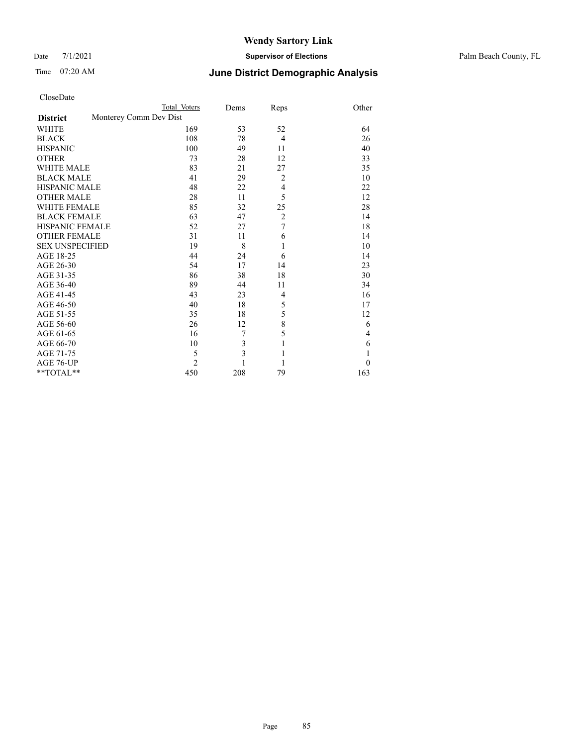#### Date 7/1/2021 **Supervisor of Elections** Palm Beach County, FL

| CloseDate |
|-----------|
|-----------|

|                        |                        | Total Voters   | Dems | Reps             | Other    |
|------------------------|------------------------|----------------|------|------------------|----------|
| <b>District</b>        | Monterey Comm Dev Dist |                |      |                  |          |
| WHITE                  |                        | 169            | 53   | 52               | 64       |
| BLACK                  |                        | 108            | 78   | $\overline{4}$   | 26       |
| HISPANIC               |                        | 100            | 49   | 11               | 40       |
| <b>OTHER</b>           |                        | 73             | 28   | 12               | 33       |
| WHITE MALE             |                        | 83             | 21   | 27               | 35       |
| <b>BLACK MALE</b>      |                        | 41             | 29   | $\overline{2}$   | 10       |
| HISPANIC MALE          |                        | 48             | 22   | $\overline{4}$   | 22       |
| OTHER MALE             |                        | 28             | 11   | 5                | 12       |
| WHITE FEMALE           |                        | 85             | 32   | 25               | 28       |
| <b>BLACK FEMALE</b>    |                        | 63             | 47   | $\overline{c}$   | 14       |
| HISPANIC FEMALE        |                        | 52             | 27   | $\boldsymbol{7}$ | 18       |
| OTHER FEMALE           |                        | 31             | 11   | 6                | 14       |
| <b>SEX UNSPECIFIED</b> |                        | 19             | 8    | 1                | 10       |
| AGE 18-25              |                        | 44             | 24   | 6                | 14       |
| AGE 26-30              |                        | 54             | 17   | 14               | 23       |
| AGE 31-35              |                        | 86             | 38   | 18               | 30       |
| AGE 36-40              |                        | 89             | 44   | 11               | 34       |
| AGE 41-45              |                        | 43             | 23   | $\overline{4}$   | 16       |
| AGE 46-50              |                        | 40             | 18   | 5                | 17       |
| AGE 51-55              |                        | 35             | 18   | 5                | 12       |
| AGE 56-60              |                        | 26             | 12   | 8                | 6        |
| AGE 61-65              |                        | 16             | 7    | 5                | 4        |
| AGE 66-70              |                        | 10             | 3    | $\mathbf{1}$     | 6        |
| AGE 71-75              |                        | 5              | 3    | 1                | 1        |
| AGE 76-UP              |                        | $\overline{2}$ |      | 1                | $\theta$ |
| $*$ TOTAL $*$          |                        | 450            | 208  | 79               | 163      |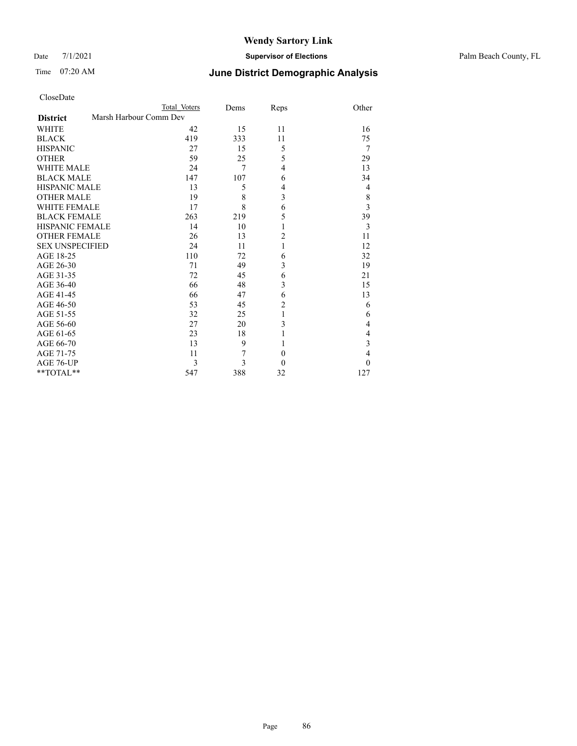#### Date 7/1/2021 **Supervisor of Elections** Palm Beach County, FL

| CloseDate |
|-----------|
|-----------|

|                        |                        | Total Voters | Dems | Reps                    | Other          |
|------------------------|------------------------|--------------|------|-------------------------|----------------|
| <b>District</b>        | Marsh Harbour Comm Dev |              |      |                         |                |
| WHITE                  |                        | 42           | 15   | 11                      | 16             |
| BLACK                  |                        | 419          | 333  | 11                      | 75             |
| <b>HISPANIC</b>        |                        | 27           | 15   | 5                       | $\overline{7}$ |
| OTHER                  |                        | 59           | 25   | 5                       | 29             |
| WHITE MALE             |                        | 24           | 7    | $\overline{4}$          | 13             |
| <b>BLACK MALE</b>      |                        | 147          | 107  | 6                       | 34             |
| HISPANIC MALE          |                        | 13           | 5    | $\overline{4}$          | 4              |
| <b>OTHER MALE</b>      |                        | 19           | 8    | $\overline{\mathbf{3}}$ | 8              |
| WHITE FEMALE           |                        | 17           | 8    | 6                       | 3              |
| BLACK FEMALE           |                        | 263          | 219  | 5                       | 39             |
| HISPANIC FEMALE        |                        | 14           | 10   | $\mathbf{1}$            | 3              |
| <b>OTHER FEMALE</b>    |                        | 26           | 13   | 2                       | 11             |
| <b>SEX UNSPECIFIED</b> |                        | 24           | 11   | 1                       | 12             |
| AGE 18-25              |                        | 110          | 72   | 6                       | 32             |
| AGE 26-30              |                        | 71           | 49   | 3                       | 19             |
| AGE 31-35              |                        | 72           | 45   | 6                       | 21             |
| AGE 36-40              |                        | 66           | 48   | 3                       | 15             |
| AGE 41-45              |                        | 66           | 47   | 6                       | 13             |
| AGE 46-50              |                        | 53           | 45   | $\overline{2}$          | 6              |
| AGE 51-55              |                        | 32           | 25   | $\mathbf{1}$            | 6              |
| AGE 56-60              |                        | 27           | 20   | 3                       | 4              |
| AGE 61-65              |                        | 23           | 18   |                         | 4              |
| AGE 66-70              |                        | 13           | 9    |                         | 3              |
| AGE 71-75              |                        | 11           | 7    | $\theta$                | $\overline{4}$ |
| AGE 76-UP              |                        | 3            | 3    | $\theta$                | $\Omega$       |
| $*$ $TOTAL**$          |                        | 547          | 388  | 32                      | 127            |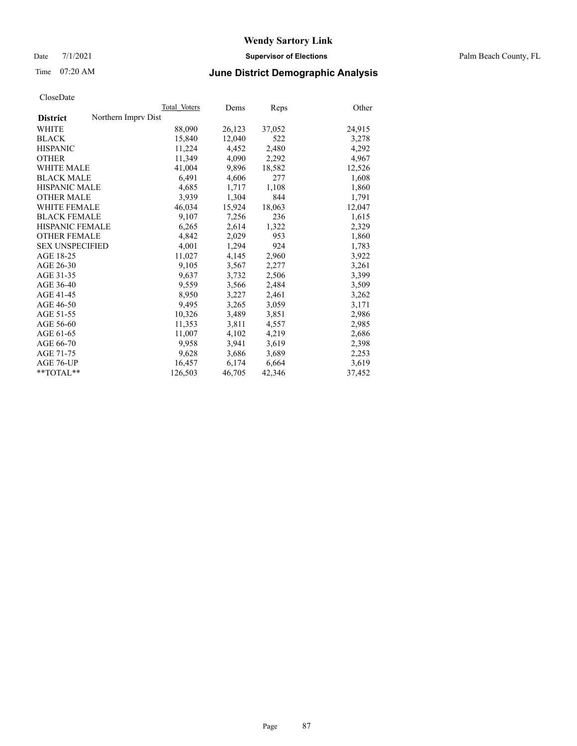Date 7/1/2021 **Supervisor of Elections** Palm Beach County, FL

### Time 07:20 AM **June District Demographic Analysis**

|                                        | Total Voters | Dems   | <b>Reps</b> | Other  |
|----------------------------------------|--------------|--------|-------------|--------|
| Northern Imprv Dist<br><b>District</b> |              |        |             |        |
| WHITE                                  | 88,090       | 26,123 | 37,052      | 24,915 |
| <b>BLACK</b>                           | 15,840       | 12,040 | 522         | 3,278  |
| <b>HISPANIC</b>                        | 11,224       | 4,452  | 2,480       | 4,292  |
| <b>OTHER</b>                           | 11,349       | 4,090  | 2,292       | 4,967  |
| <b>WHITE MALE</b>                      | 41,004       | 9,896  | 18,582      | 12,526 |
| <b>BLACK MALE</b>                      | 6,491        | 4,606  | 277         | 1,608  |
| <b>HISPANIC MALE</b>                   | 4,685        | 1,717  | 1,108       | 1,860  |
| <b>OTHER MALE</b>                      | 3,939        | 1,304  | 844         | 1,791  |
| <b>WHITE FEMALE</b>                    | 46,034       | 15,924 | 18,063      | 12,047 |
| <b>BLACK FEMALE</b>                    | 9,107        | 7,256  | 236         | 1,615  |
| <b>HISPANIC FEMALE</b>                 | 6,265        | 2,614  | 1,322       | 2,329  |
| <b>OTHER FEMALE</b>                    | 4,842        | 2,029  | 953         | 1,860  |
| <b>SEX UNSPECIFIED</b>                 | 4,001        | 1,294  | 924         | 1,783  |
| AGE 18-25                              | 11,027       | 4,145  | 2,960       | 3,922  |
| AGE 26-30                              | 9,105        | 3,567  | 2,277       | 3,261  |
| AGE 31-35                              | 9,637        | 3,732  | 2,506       | 3,399  |
| AGE 36-40                              | 9,559        | 3,566  | 2,484       | 3,509  |
| AGE 41-45                              | 8,950        | 3,227  | 2,461       | 3,262  |
| AGE 46-50                              | 9,495        | 3,265  | 3,059       | 3,171  |
| AGE 51-55                              | 10,326       | 3,489  | 3,851       | 2,986  |
| AGE 56-60                              | 11,353       | 3,811  | 4,557       | 2,985  |
| AGE 61-65                              | 11,007       | 4,102  | 4,219       | 2,686  |
| AGE 66-70                              | 9,958        | 3,941  | 3,619       | 2,398  |
| AGE 71-75                              | 9,628        | 3,686  | 3,689       | 2,253  |
| AGE 76-UP                              | 16,457       | 6,174  | 6,664       | 3,619  |
| $*$ $TOTAL**$                          | 126,503      | 46,705 | 42,346      | 37,452 |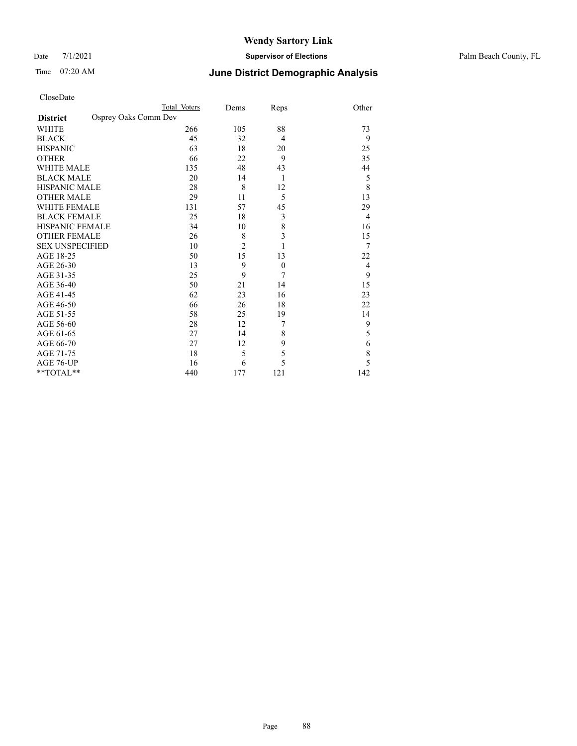Date 7/1/2021 **Supervisor of Elections** Palm Beach County, FL

| CloseDate |
|-----------|
|-----------|

|                     |                      | Total Voters | Dems           | Reps             | Other          |
|---------------------|----------------------|--------------|----------------|------------------|----------------|
| <b>District</b>     | Osprey Oaks Comm Dev |              |                |                  |                |
| WHITE               |                      | 266          | 105            | 88               | 73             |
| BLACK               |                      | 45           | 32             | $\overline{4}$   | 9              |
| <b>HISPANIC</b>     |                      | 63           | 18             | 20               | 25             |
| OTHER               |                      | 66           | 22             | 9                | 35             |
| WHITE MALE          |                      | 135          | 48             | 43               | 44             |
| <b>BLACK MALE</b>   |                      | 20           | 14             | 1                | 5              |
| HISPANIC MALE       |                      | 28           | 8              | 12               | 8              |
| OTHER MALE          |                      | 29           | 11             | 5                | 13             |
| WHITE FEMALE        |                      | 131          | 57             | 45               | 29             |
| BLACK FEMALE        |                      | 25           | 18             | 3                | $\overline{4}$ |
| HISPANIC FEMALE     |                      | 34           | 10             | 8                | 16             |
| <b>OTHER FEMALE</b> |                      | 26           | 8              | 3                | 15             |
| SEX UNSPECIFIED     |                      | 10           | $\overline{2}$ | 1                | 7              |
| AGE 18-25           |                      | 50           | 15             | 13               | 22             |
| AGE 26-30           |                      | 13           | 9              | $\boldsymbol{0}$ | 4              |
| AGE 31-35           |                      | 25           | 9              | 7                | 9              |
| AGE 36-40           |                      | 50           | 21             | 14               | 15             |
| AGE 41-45           |                      | 62           | 23             | 16               | 23             |
| AGE 46-50           |                      | 66           | 26             | 18               | 22             |
| AGE 51-55           |                      | 58           | 25             | 19               | 14             |
| AGE 56-60           |                      | 28           | 12             | 7                | 9              |
| AGE 61-65           |                      | 27           | 14             | 8                | 5              |
| AGE 66-70           |                      | 27           | 12             | 9                | 6              |
| AGE 71-75           |                      | 18           | 5              | 5                | 8              |
| AGE 76-UP           |                      | 16           | 6              | 5                | 5              |
| $*$ $TOTAL**$       |                      | 440          | 177            | 121              | 142            |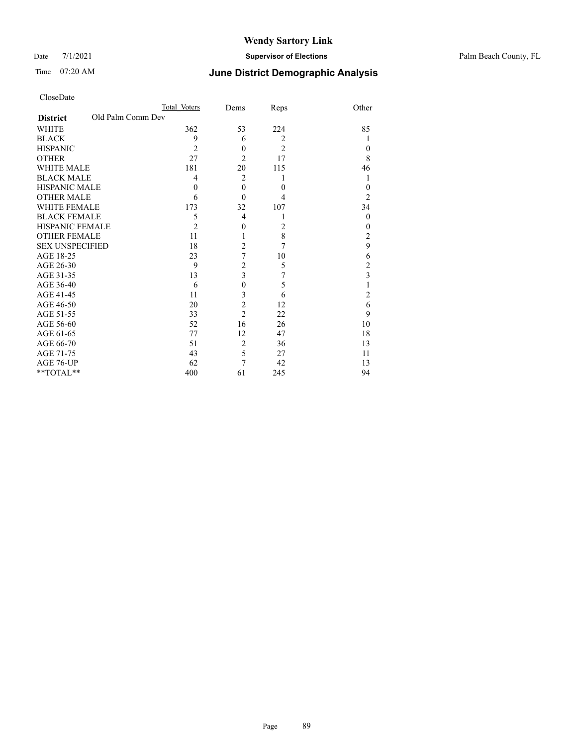Date 7/1/2021 **Supervisor of Elections** Palm Beach County, FL

| CloseDate |
|-----------|
|-----------|

|                                      | Total Voters   | Dems                    | Reps           | Other          |
|--------------------------------------|----------------|-------------------------|----------------|----------------|
| Old Palm Comm Dev<br><b>District</b> |                |                         |                |                |
| <b>WHITE</b>                         | 362            | 53                      | 224            | 85             |
| <b>BLACK</b>                         | 9              | 6                       | $\overline{2}$ | 1              |
| <b>HISPANIC</b>                      | $\overline{2}$ | $\theta$                | $\overline{2}$ | 0              |
| <b>OTHER</b>                         | 27             | $\overline{c}$          | 17             | 8              |
| <b>WHITE MALE</b>                    | 181            | 20                      | 115            | 46             |
| <b>BLACK MALE</b>                    | 4              | $\overline{2}$          | 1              | 1              |
| <b>HISPANIC MALE</b>                 | $\theta$       | $\theta$                | $\theta$       | $\theta$       |
| <b>OTHER MALE</b>                    | 6              | $\theta$                | 4              | $\overline{2}$ |
| <b>WHITE FEMALE</b>                  | 173            | 32                      | 107            | 34             |
| <b>BLACK FEMALE</b>                  | 5              | $\overline{4}$          | 1              | $\theta$       |
| <b>HISPANIC FEMALE</b>               | $\overline{2}$ | $\theta$                | 2              | $\theta$       |
| <b>OTHER FEMALE</b>                  | 11             | 1                       | 8              | 2              |
| <b>SEX UNSPECIFIED</b>               | 18             | $\overline{c}$          | 7              | 9              |
| AGE 18-25                            | 23             | $\overline{7}$          | 10             | 6              |
| AGE 26-30                            | 9              | $\overline{c}$          | 5              | $\overline{c}$ |
| AGE 31-35                            | 13             | $\overline{\mathbf{3}}$ | 7              | 3              |
| AGE 36-40                            | 6              | $\overline{0}$          | 5              |                |
| AGE 41-45                            | 11             | 3                       | 6              | $\overline{c}$ |
| AGE 46-50                            | 20             | $\overline{2}$          | 12             | 6              |
| AGE 51-55                            | 33             | $\overline{2}$          | 22             | 9              |
| AGE 56-60                            | 52             | 16                      | 26             | 10             |
| AGE 61-65                            | 77             | 12                      | 47             | 18             |
| AGE 66-70                            | 51             | $\overline{2}$          | 36             | 13             |
| AGE 71-75                            | 43             | 5                       | 27             | 11             |
| AGE 76-UP                            | 62             | 7                       | 42             | 13             |
| **TOTAL**                            | 400            | 61                      | 245            | 94             |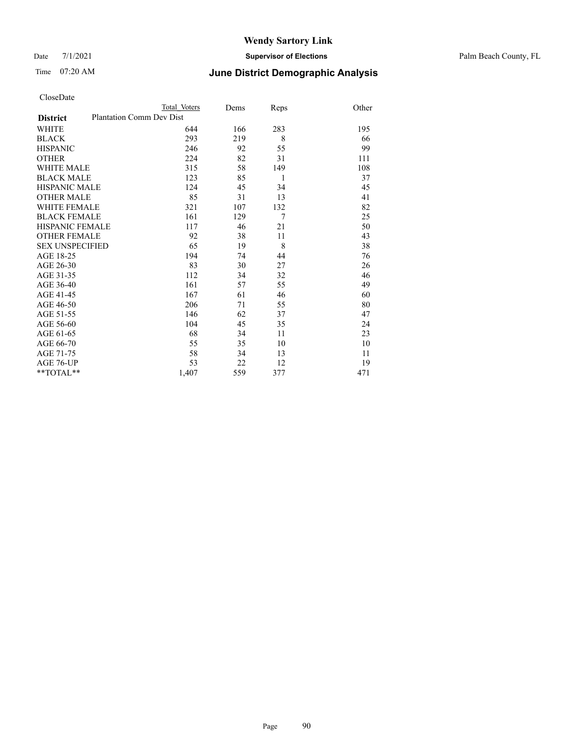#### Date 7/1/2021 **Supervisor of Elections** Palm Beach County, FL

| CloseDate |
|-----------|
|-----------|

|                        |                                 | Total Voters | Dems | Reps           | Other |
|------------------------|---------------------------------|--------------|------|----------------|-------|
| <b>District</b>        | <b>Plantation Comm Dev Dist</b> |              |      |                |       |
| WHITE                  |                                 | 644          | 166  | 283            | 195   |
| BLACK                  |                                 | 293          | 219  | 8              | 66    |
| HISPANIC               |                                 | 246          | 92   | 55             | 99    |
| OTHER                  |                                 | 224          | 82   | 31             | 111   |
| WHITE MALE             |                                 | 315          | 58   | 149            | 108   |
| <b>BLACK MALE</b>      |                                 | 123          | 85   | 1              | 37    |
| HISPANIC MALE          |                                 | 124          | 45   | 34             | 45    |
| OTHER MALE             |                                 | 85           | 31   | 13             | 41    |
| WHITE FEMALE           |                                 | 321          | 107  | 132            | 82    |
| BLACK FEMALE           |                                 | 161          | 129  | $\overline{7}$ | 25    |
| HISPANIC FEMALE        |                                 | 117          | 46   | 21             | 50    |
| <b>OTHER FEMALE</b>    |                                 | 92           | 38   | 11             | 43    |
| <b>SEX UNSPECIFIED</b> |                                 | 65           | 19   | 8              | 38    |
| AGE 18-25              |                                 | 194          | 74   | 44             | 76    |
| AGE 26-30              |                                 | 83           | 30   | 27             | 26    |
| AGE 31-35              |                                 | 112          | 34   | 32             | 46    |
| AGE 36-40              |                                 | 161          | 57   | 55             | 49    |
| AGE 41-45              |                                 | 167          | 61   | 46             | 60    |
| AGE 46-50              |                                 | 206          | 71   | 55             | 80    |
| AGE 51-55              |                                 | 146          | 62   | 37             | 47    |
| AGE 56-60              |                                 | 104          | 45   | 35             | 24    |
| AGE 61-65              |                                 | 68           | 34   | 11             | 23    |
| AGE 66-70              |                                 | 55           | 35   | 10             | 10    |
| AGE 71-75              |                                 | 58           | 34   | 13             | 11    |
| AGE 76-UP              |                                 | 53           | 22   | 12             | 19    |
| $*$ $TOTAL**$          |                                 | 1,407        | 559  | 377            | 471   |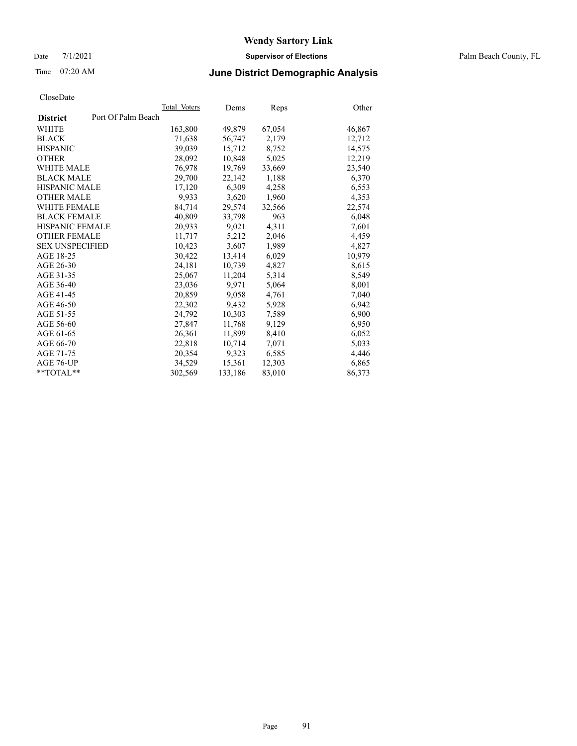Date 7/1/2021 **Supervisor of Elections** Palm Beach County, FL

### Time 07:20 AM **June District Demographic Analysis**

|                                       | Total Voters | Dems    | Reps   | Other  |
|---------------------------------------|--------------|---------|--------|--------|
| Port Of Palm Beach<br><b>District</b> |              |         |        |        |
| WHITE                                 | 163,800      | 49,879  | 67,054 | 46,867 |
| <b>BLACK</b>                          | 71,638       | 56,747  | 2,179  | 12,712 |
| <b>HISPANIC</b>                       | 39,039       | 15,712  | 8,752  | 14,575 |
| <b>OTHER</b>                          | 28,092       | 10,848  | 5,025  | 12,219 |
| <b>WHITE MALE</b>                     | 76,978       | 19.769  | 33,669 | 23,540 |
| <b>BLACK MALE</b>                     | 29,700       | 22,142  | 1,188  | 6,370  |
| <b>HISPANIC MALE</b>                  | 17,120       | 6,309   | 4,258  | 6,553  |
| <b>OTHER MALE</b>                     | 9,933        | 3,620   | 1,960  | 4,353  |
| <b>WHITE FEMALE</b>                   | 84,714       | 29,574  | 32,566 | 22,574 |
| <b>BLACK FEMALE</b>                   | 40,809       | 33,798  | 963    | 6,048  |
| <b>HISPANIC FEMALE</b>                | 20,933       | 9,021   | 4,311  | 7,601  |
| <b>OTHER FEMALE</b>                   | 11,717       | 5,212   | 2,046  | 4,459  |
| <b>SEX UNSPECIFIED</b>                | 10,423       | 3,607   | 1,989  | 4,827  |
| AGE 18-25                             | 30,422       | 13,414  | 6,029  | 10,979 |
| AGE 26-30                             | 24,181       | 10,739  | 4,827  | 8,615  |
| AGE 31-35                             | 25,067       | 11,204  | 5,314  | 8,549  |
| AGE 36-40                             | 23,036       | 9,971   | 5,064  | 8,001  |
| AGE 41-45                             | 20,859       | 9,058   | 4,761  | 7,040  |
| AGE 46-50                             | 22,302       | 9,432   | 5,928  | 6,942  |
| AGE 51-55                             | 24,792       | 10,303  | 7,589  | 6,900  |
| AGE 56-60                             | 27,847       | 11,768  | 9,129  | 6,950  |
| AGE 61-65                             | 26,361       | 11,899  | 8,410  | 6,052  |
| AGE 66-70                             | 22,818       | 10,714  | 7,071  | 5,033  |
| AGE 71-75                             | 20,354       | 9,323   | 6,585  | 4,446  |
| AGE 76-UP                             | 34,529       | 15,361  | 12,303 | 6,865  |
| $*$ $TOTAL**$                         | 302,569      | 133,186 | 83,010 | 86,373 |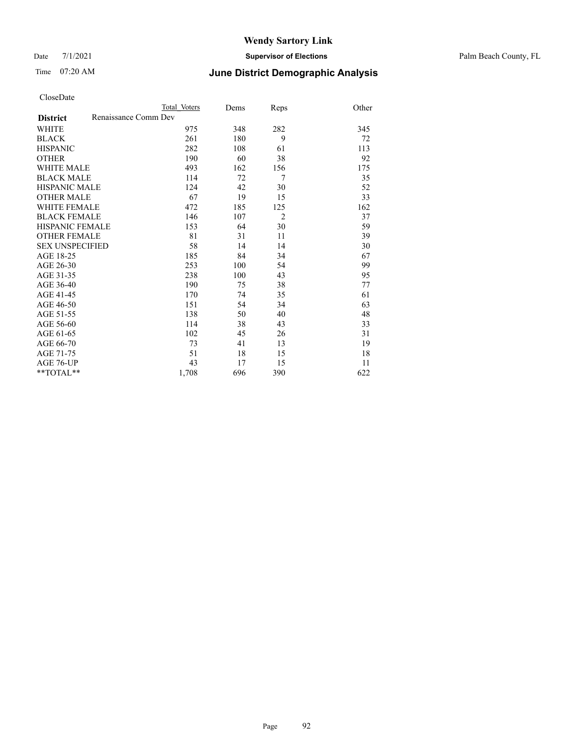Date 7/1/2021 **Supervisor of Elections** Palm Beach County, FL

### Time 07:20 AM **June District Demographic Analysis**

|                                         | Total Voters | Dems | Reps           | Other |
|-----------------------------------------|--------------|------|----------------|-------|
| Renaissance Comm Dev<br><b>District</b> |              |      |                |       |
| <b>WHITE</b>                            | 975          | 348  | 282            | 345   |
| <b>BLACK</b>                            | 261          | 180  | 9              | 72    |
| <b>HISPANIC</b>                         | 282          | 108  | 61             | 113   |
| <b>OTHER</b>                            | 190          | 60   | 38             | 92    |
| WHITE MALE                              | 493          | 162  | 156            | 175   |
| <b>BLACK MALE</b>                       | 114          | 72   | 7              | 35    |
| <b>HISPANIC MALE</b>                    | 124          | 42   | 30             | 52    |
| <b>OTHER MALE</b>                       | 67           | 19   | 15             | 33    |
| WHITE FEMALE                            | 472          | 185  | 125            | 162   |
| <b>BLACK FEMALE</b>                     | 146          | 107  | $\overline{2}$ | 37    |
| <b>HISPANIC FEMALE</b>                  | 153          | 64   | 30             | 59    |
| <b>OTHER FEMALE</b>                     | 81           | 31   | 11             | 39    |
| <b>SEX UNSPECIFIED</b>                  | 58           | 14   | 14             | 30    |
| AGE 18-25                               | 185          | 84   | 34             | 67    |
| AGE 26-30                               | 253          | 100  | 54             | 99    |
| AGE 31-35                               | 238          | 100  | 43             | 95    |
| AGE 36-40                               | 190          | 75   | 38             | 77    |
| AGE 41-45                               | 170          | 74   | 35             | 61    |
| AGE 46-50                               | 151          | 54   | 34             | 63    |
| AGE 51-55                               | 138          | 50   | 40             | 48    |
| AGE 56-60                               | 114          | 38   | 43             | 33    |
| AGE 61-65                               | 102          | 45   | 26             | 31    |
| AGE 66-70                               | 73           | 41   | 13             | 19    |
| AGE 71-75                               | 51           | 18   | 15             | 18    |
| AGE 76-UP                               | 43           | 17   | 15             | 11    |
| **TOTAL**                               | 1,708        | 696  | 390            | 622   |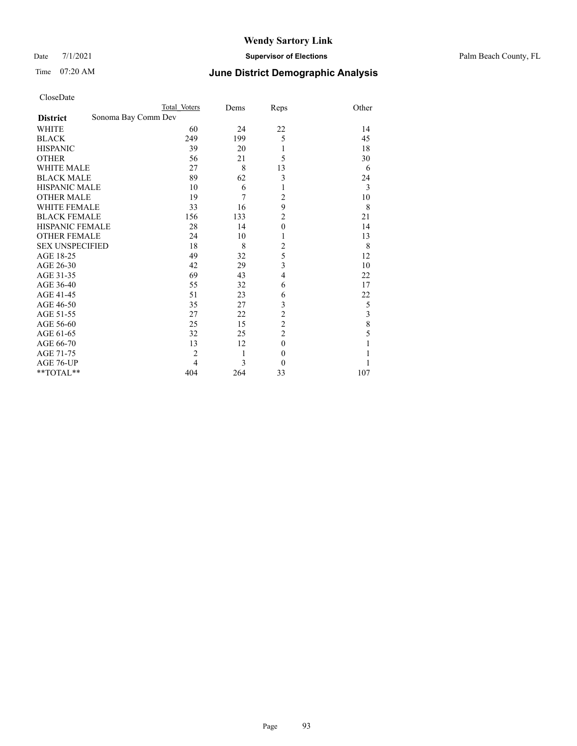Date 7/1/2021 **Supervisor of Elections** Palm Beach County, FL

| CloseDate |
|-----------|
|-----------|

|                        | Total Voters        | Dems | Reps                    | Other |
|------------------------|---------------------|------|-------------------------|-------|
| <b>District</b>        | Sonoma Bay Comm Dev |      |                         |       |
| <b>WHITE</b>           | 60                  | 24   | 22                      | 14    |
| <b>BLACK</b>           | 249                 | 199  | 5                       | 45    |
| <b>HISPANIC</b>        | 39                  | 20   | 1                       | 18    |
| <b>OTHER</b>           | 56                  | 21   | 5                       | 30    |
| <b>WHITE MALE</b>      | 27                  | 8    | 13                      | 6     |
| <b>BLACK MALE</b>      | 89                  | 62   | 3                       | 24    |
| <b>HISPANIC MALE</b>   | 10                  | 6    | 1                       | 3     |
| <b>OTHER MALE</b>      | 19                  | 7    | $\overline{c}$          | 10    |
| <b>WHITE FEMALE</b>    | 33                  | 16   | 9                       | 8     |
| <b>BLACK FEMALE</b>    | 156                 | 133  | $\overline{c}$          | 21    |
| <b>HISPANIC FEMALE</b> | 28                  | 14   | $\mathbf{0}$            | 14    |
| <b>OTHER FEMALE</b>    | 24                  | 10   | 1                       | 13    |
| <b>SEX UNSPECIFIED</b> | 18                  | 8    | $\overline{2}$          | 8     |
| AGE 18-25              | 49                  | 32   | 5                       | 12    |
| AGE 26-30              | 42                  | 29   | $\overline{\mathbf{3}}$ | 10    |
| AGE 31-35              | 69                  | 43   | $\overline{4}$          | 22    |
| AGE 36-40              | 55                  | 32   | 6                       | 17    |
| AGE 41-45              | 51                  | 23   | 6                       | 22    |
| AGE 46-50              | 35                  | 27   | 3                       | 5     |
| AGE 51-55              | 27                  | 22   | $\overline{c}$          | 3     |
| AGE 56-60              | 25                  | 15   | $\overline{c}$          | 8     |
| AGE 61-65              | 32                  | 25   | $\overline{c}$          | 5     |
| AGE 66-70              | 13                  | 12   | $\mathbf{0}$            |       |
| AGE 71-75              | $\overline{2}$      | 1    | $\boldsymbol{0}$        |       |
| AGE 76-UP              | $\overline{4}$      | 3    | $\theta$                |       |
| **TOTAL**              | 404                 | 264  | 33                      | 107   |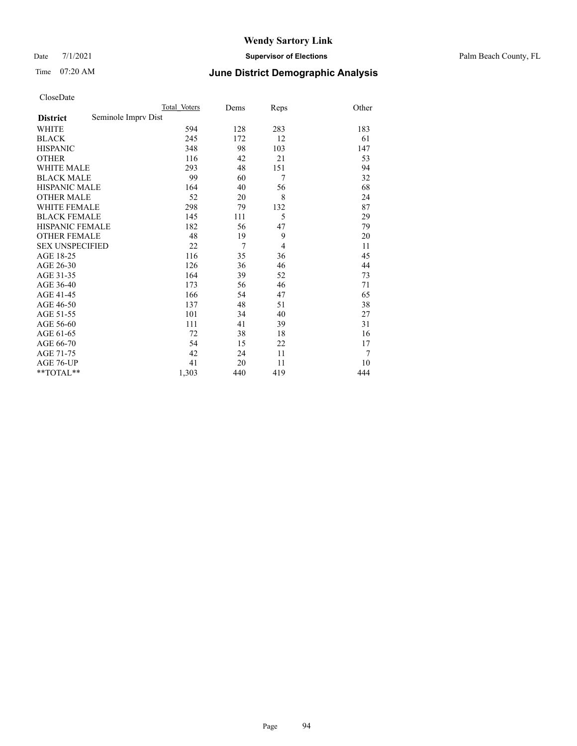Date 7/1/2021 **Supervisor of Elections** Palm Beach County, FL

## Time 07:20 AM **June District Demographic Analysis**

|                                        | Total Voters | Dems | Reps           | Other |
|----------------------------------------|--------------|------|----------------|-------|
| Seminole Imprv Dist<br><b>District</b> |              |      |                |       |
| WHITE                                  | 594          | 128  | 283            | 183   |
| <b>BLACK</b>                           | 245          | 172  | 12             | 61    |
| <b>HISPANIC</b>                        | 348          | 98   | 103            | 147   |
| <b>OTHER</b>                           | 116          | 42   | 21             | 53    |
| <b>WHITE MALE</b>                      | 293          | 48   | 151            | 94    |
| <b>BLACK MALE</b>                      | 99           | 60   | 7              | 32    |
| <b>HISPANIC MALE</b>                   | 164          | 40   | 56             | 68    |
| <b>OTHER MALE</b>                      | 52           | 20   | 8              | 24    |
| <b>WHITE FEMALE</b>                    | 298          | 79   | 132            | 87    |
| <b>BLACK FEMALE</b>                    | 145          | 111  | 5              | 29    |
| HISPANIC FEMALE                        | 182          | 56   | 47             | 79    |
| <b>OTHER FEMALE</b>                    | 48           | 19   | 9              | 20    |
| <b>SEX UNSPECIFIED</b>                 | 22           | 7    | $\overline{4}$ | 11    |
| AGE 18-25                              | 116          | 35   | 36             | 45    |
| AGE 26-30                              | 126          | 36   | 46             | 44    |
| AGE 31-35                              | 164          | 39   | 52             | 73    |
| AGE 36-40                              | 173          | 56   | 46             | 71    |
| AGE 41-45                              | 166          | 54   | 47             | 65    |
| AGE 46-50                              | 137          | 48   | 51             | 38    |
| AGE 51-55                              | 101          | 34   | 40             | 27    |
| AGE 56-60                              | 111          | 41   | 39             | 31    |
| AGE 61-65                              | 72           | 38   | 18             | 16    |
| AGE 66-70                              | 54           | 15   | 22             | 17    |
| AGE 71-75                              | 42           | 24   | 11             | 7     |
| AGE 76-UP                              | 41           | 20   | 11             | 10    |
| **TOTAL**                              | 1,303        | 440  | 419            | 444   |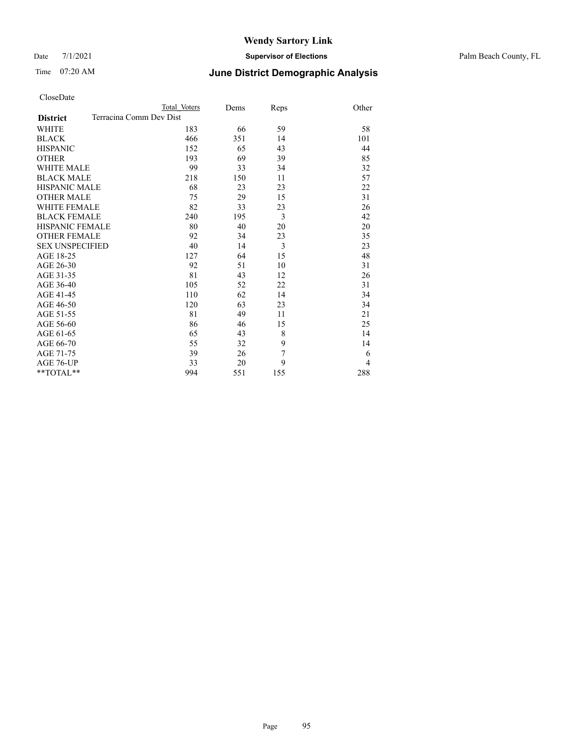Date 7/1/2021 **Supervisor of Elections** Palm Beach County, FL

| CloseDate |
|-----------|
|-----------|

|                        |                         | Total Voters | Dems | Reps           | Other          |
|------------------------|-------------------------|--------------|------|----------------|----------------|
| <b>District</b>        | Terracina Comm Dev Dist |              |      |                |                |
| WHITE                  |                         | 183          | 66   | 59             | 58             |
| BLACK                  |                         | 466          | 351  | 14             | 101            |
| <b>HISPANIC</b>        |                         | 152          | 65   | 43             | 44             |
| <b>OTHER</b>           |                         | 193          | 69   | 39             | 85             |
| WHITE MALE             |                         | 99           | 33   | 34             | 32             |
| <b>BLACK MALE</b>      |                         | 218          | 150  | 11             | 57             |
| HISPANIC MALE          |                         | 68           | 23   | 23             | 22             |
| OTHER MALE             |                         | 75           | 29   | 15             | 31             |
| WHITE FEMALE           |                         | 82           | 33   | 23             | 26             |
| <b>BLACK FEMALE</b>    |                         | 240          | 195  | $\overline{3}$ | 42             |
| HISPANIC FEMALE        |                         | 80           | 40   | 20             | 20             |
| <b>OTHER FEMALE</b>    |                         | 92           | 34   | 23             | 35             |
| <b>SEX UNSPECIFIED</b> |                         | 40           | 14   | 3              | 23             |
| AGE 18-25              |                         | 127          | 64   | 15             | 48             |
| AGE 26-30              |                         | 92           | 51   | 10             | 31             |
| AGE 31-35              |                         | 81           | 43   | 12             | 26             |
| AGE 36-40              |                         | 105          | 52   | 22             | 31             |
| AGE 41-45              |                         | 110          | 62   | 14             | 34             |
| AGE 46-50              |                         | 120          | 63   | 23             | 34             |
| AGE 51-55              |                         | 81           | 49   | 11             | 21             |
| AGE 56-60              |                         | 86           | 46   | 15             | 25             |
| AGE 61-65              |                         | 65           | 43   | 8              | 14             |
| AGE 66-70              |                         | 55           | 32   | 9              | 14             |
| AGE 71-75              |                         | 39           | 26   | 7              | 6              |
| AGE 76-UP              |                         | 33           | 20   | 9              | $\overline{4}$ |
| **TOTAL**              |                         | 994          | 551  | 155            | 288            |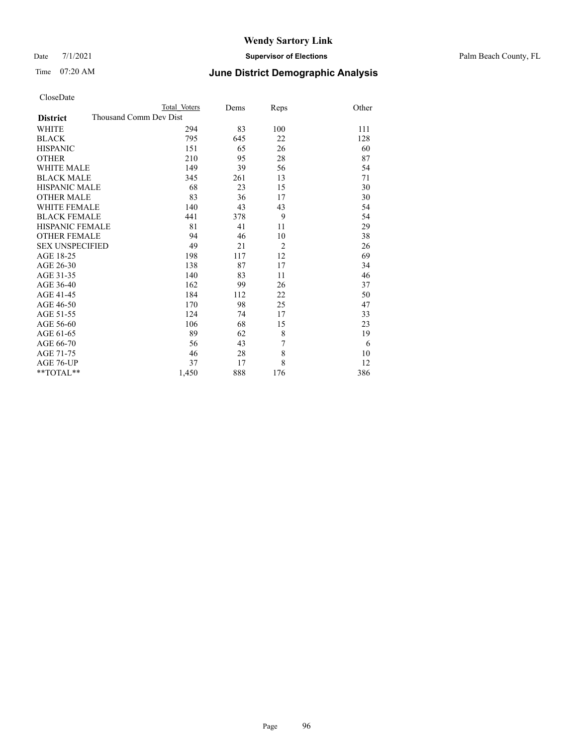Date 7/1/2021 **Supervisor of Elections** Palm Beach County, FL

| CloseDate |
|-----------|
|-----------|

|                        | Total Voters           | Dems | <b>Reps</b>    | Other |
|------------------------|------------------------|------|----------------|-------|
| <b>District</b>        | Thousand Comm Dev Dist |      |                |       |
| WHITE                  | 294                    | 83   | 100            | 111   |
| BLACK                  | 795                    | 645  | 22             | 128   |
| HISPANIC               | 151                    | 65   | 26             | 60    |
| <b>OTHER</b>           | 210                    | 95   | 28             | 87    |
| WHITE MALE             | 149                    | 39   | 56             | 54    |
| <b>BLACK MALE</b>      | 345                    | 261  | 13             | 71    |
| HISPANIC MALE          | 68                     | 23   | 15             | 30    |
| OTHER MALE             | 83                     | 36   | 17             | 30    |
| WHITE FEMALE           | 140                    | 43   | 43             | 54    |
| <b>BLACK FEMALE</b>    | 441                    | 378  | 9              | 54    |
| HISPANIC FEMALE        | 81                     | 41   | 11             | 29    |
| OTHER FEMALE           | 94                     | 46   | 10             | 38    |
| <b>SEX UNSPECIFIED</b> | 49                     | 21   | $\overline{2}$ | 26    |
| AGE 18-25              | 198                    | 117  | 12             | 69    |
| AGE 26-30              | 138                    | 87   | 17             | 34    |
| AGE 31-35              | 140                    | 83   | 11             | 46    |
| AGE 36-40              | 162                    | 99   | 26             | 37    |
| AGE 41-45              | 184                    | 112  | 22             | 50    |
| AGE 46-50              | 170                    | 98   | 25             | 47    |
| AGE 51-55              | 124                    | 74   | 17             | 33    |
| AGE 56-60              | 106                    | 68   | 15             | 23    |
| AGE 61-65              | 89                     | 62   | 8              | 19    |
| AGE 66-70              | 56                     | 43   | 7              | 6     |
| AGE 71-75              | 46                     | 28   | 8              | 10    |
| AGE 76-UP              | 37                     | 17   | 8              | 12    |
| $*$ $TOTAL**$          | 1,450                  | 888  | 176            | 386   |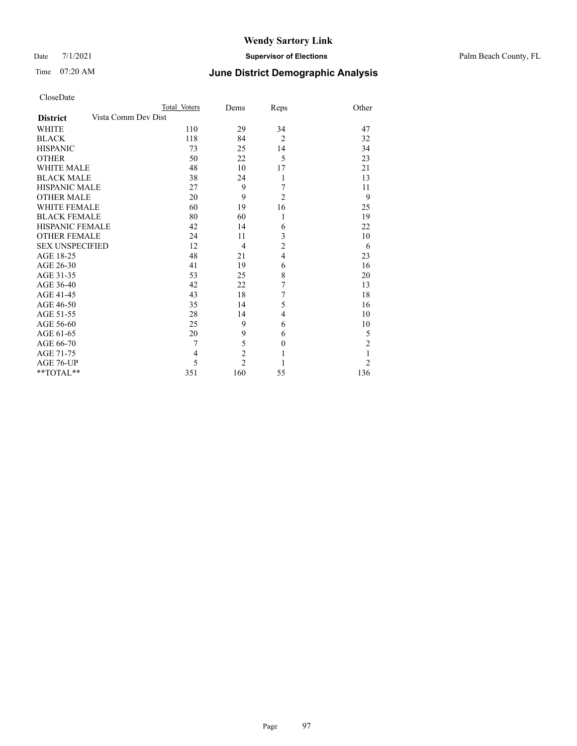#### Date 7/1/2021 **Supervisor of Elections** Palm Beach County, FL

| CloseDate |
|-----------|
|-----------|

|                        | Total Voters        | Dems           | Reps             | Other          |
|------------------------|---------------------|----------------|------------------|----------------|
| <b>District</b>        | Vista Comm Dev Dist |                |                  |                |
| WHITE                  | 110                 | 29             | 34               | 47             |
| BLACK                  | 118                 | 84             | $\overline{2}$   | 32             |
| <b>HISPANIC</b>        | 73                  | 25             | 14               | 34             |
| OTHER                  | 50                  | 22             | 5                | 23             |
| WHITE MALE             | 48                  | 10             | 17               | 21             |
| <b>BLACK MALE</b>      | 38                  | 24             | 1                | 13             |
| HISPANIC MALE          | 27                  | 9              | 7                | 11             |
| <b>OTHER MALE</b>      | 20                  | 9              | $\overline{2}$   | 9              |
| WHITE FEMALE           | 60                  | 19             | 16               | 25             |
| <b>BLACK FEMALE</b>    | 80                  | 60             | $\mathbf{1}$     | 19             |
| HISPANIC FEMALE        | 42                  | 14             | 6                | 22             |
| <b>OTHER FEMALE</b>    | 24                  | 11             | 3                | 10             |
| <b>SEX UNSPECIFIED</b> | 12                  | $\overline{4}$ | $\overline{2}$   | 6              |
| AGE 18-25              | 48                  | 21             | $\overline{4}$   | 23             |
| AGE 26-30              | 41                  | 19             | 6                | 16             |
| AGE 31-35              | 53                  | 25             | 8                | 20             |
| AGE 36-40              | 42                  | 22             | 7                | 13             |
| AGE 41-45              | 43                  | 18             | 7                | 18             |
| AGE 46-50              | 35                  | 14             | 5                | 16             |
| AGE 51-55              | 28                  | 14             | 4                | 10             |
| AGE 56-60              | 25                  | 9              | 6                | 10             |
| AGE 61-65              | 20                  | 9              | 6                | 5              |
| AGE 66-70              | 7                   | 5              | $\boldsymbol{0}$ | $\overline{2}$ |
| AGE 71-75              | 4                   | $\overline{c}$ | $\mathbf{1}$     |                |
| AGE 76-UP              | 5                   | $\overline{2}$ | 1                | $\overline{2}$ |
| **TOTAL**              | 351                 | 160            | 55               | 136            |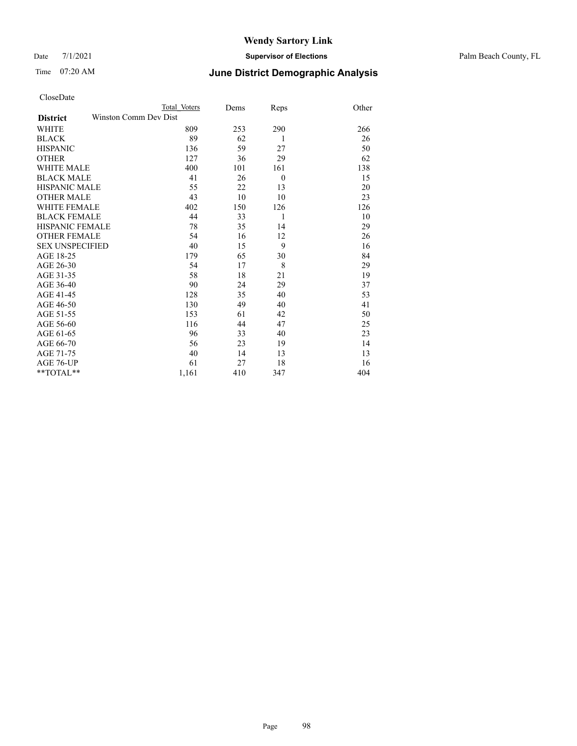Date 7/1/2021 **Supervisor of Elections** Palm Beach County, FL

### Time 07:20 AM **June District Demographic Analysis**

|                                          | Total Voters | Dems | Reps     | Other |
|------------------------------------------|--------------|------|----------|-------|
| Winston Comm Dev Dist<br><b>District</b> |              |      |          |       |
| WHITE                                    | 809          | 253  | 290      | 266   |
| <b>BLACK</b>                             | 89           | 62   | 1        | 26    |
| <b>HISPANIC</b>                          | 136          | 59   | 27       | 50    |
| <b>OTHER</b>                             | 127          | 36   | 29       | 62    |
| WHITE MALE                               | 400          | 101  | 161      | 138   |
| <b>BLACK MALE</b>                        | 41           | 26   | $\theta$ | 15    |
| <b>HISPANIC MALE</b>                     | 55           | 22   | 13       | 20    |
| <b>OTHER MALE</b>                        | 43           | 10   | 10       | 23    |
| WHITE FEMALE                             | 402          | 150  | 126      | 126   |
| <b>BLACK FEMALE</b>                      | 44           | 33   | 1        | 10    |
| <b>HISPANIC FEMALE</b>                   | 78           | 35   | 14       | 29    |
| <b>OTHER FEMALE</b>                      | 54           | 16   | 12       | 26    |
| <b>SEX UNSPECIFIED</b>                   | 40           | 15   | 9        | 16    |
| AGE 18-25                                | 179          | 65   | 30       | 84    |
| AGE 26-30                                | 54           | 17   | 8        | 29    |
| AGE 31-35                                | 58           | 18   | 21       | 19    |
| AGE 36-40                                | 90           | 24   | 29       | 37    |
| AGE 41-45                                | 128          | 35   | 40       | 53    |
| AGE 46-50                                | 130          | 49   | 40       | 41    |
| AGE 51-55                                | 153          | 61   | 42       | 50    |
| AGE 56-60                                | 116          | 44   | 47       | 25    |
| AGE 61-65                                | 96           | 33   | 40       | 23    |
| AGE 66-70                                | 56           | 23   | 19       | 14    |
| AGE 71-75                                | 40           | 14   | 13       | 13    |
| AGE 76-UP                                | 61           | 27   | 18       | 16    |
| $*$ $TOTAL**$                            | 1,161        | 410  | 347      | 404   |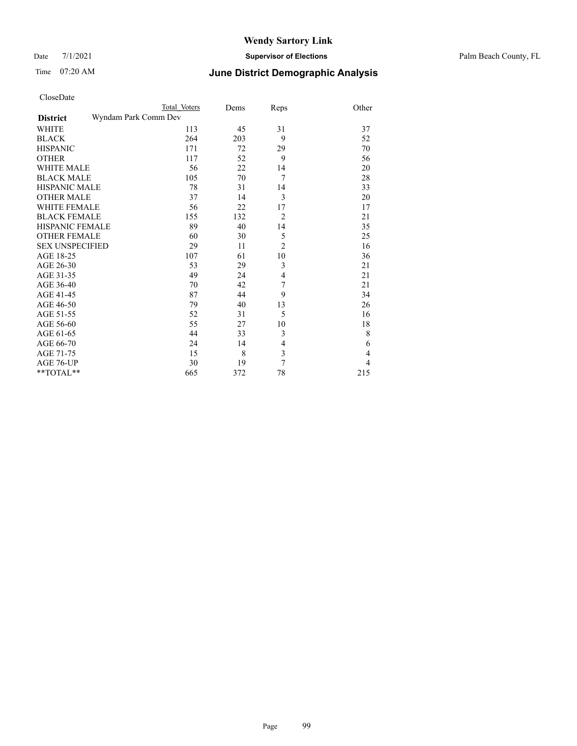Date 7/1/2021 **Supervisor of Elections** Palm Beach County, FL

| CloseDate |
|-----------|
|-----------|

|                        |                      | Total Voters | Dems | Reps           | Other |
|------------------------|----------------------|--------------|------|----------------|-------|
| <b>District</b>        | Wyndam Park Comm Dev |              |      |                |       |
| WHITE                  |                      | 113          | 45   | 31             | 37    |
| BLACK                  |                      | 264          | 203  | 9              | 52    |
| <b>HISPANIC</b>        |                      | 171          | 72   | 29             | 70    |
| OTHER                  |                      | 117          | 52   | 9              | 56    |
| WHITE MALE             |                      | 56           | 22   | 14             | 20    |
| <b>BLACK MALE</b>      |                      | 105          | 70   | 7              | 28    |
| HISPANIC MALE          |                      | 78           | 31   | 14             | 33    |
| <b>OTHER MALE</b>      |                      | 37           | 14   | 3              | 20    |
| WHITE FEMALE           |                      | 56           | 22   | 17             | 17    |
| <b>BLACK FEMALE</b>    |                      | 155          | 132  | $\overline{2}$ | 21    |
| HISPANIC FEMALE        |                      | 89           | 40   | 14             | 35    |
| <b>OTHER FEMALE</b>    |                      | 60           | 30   | 5              | 25    |
| <b>SEX UNSPECIFIED</b> |                      | 29           | 11   | $\overline{2}$ | 16    |
| AGE 18-25              |                      | 107          | 61   | 10             | 36    |
| AGE 26-30              |                      | 53           | 29   | 3              | 21    |
| AGE 31-35              |                      | 49           | 24   | $\overline{4}$ | 21    |
| AGE 36-40              |                      | 70           | 42   | 7              | 21    |
| AGE 41-45              |                      | 87           | 44   | 9              | 34    |
| AGE 46-50              |                      | 79           | 40   | 13             | 26    |
| AGE 51-55              |                      | 52           | 31   | 5              | 16    |
| AGE 56-60              |                      | 55           | 27   | 10             | 18    |
| AGE 61-65              |                      | 44           | 33   | 3              | 8     |
| AGE 66-70              |                      | 24           | 14   | 4              | 6     |
| AGE 71-75              |                      | 15           | 8    | 3              | 4     |
| AGE 76-UP              |                      | 30           | 19   | 7              | 4     |
| $*$ TOTAL $**$         |                      | 665          | 372  | 78             | 215   |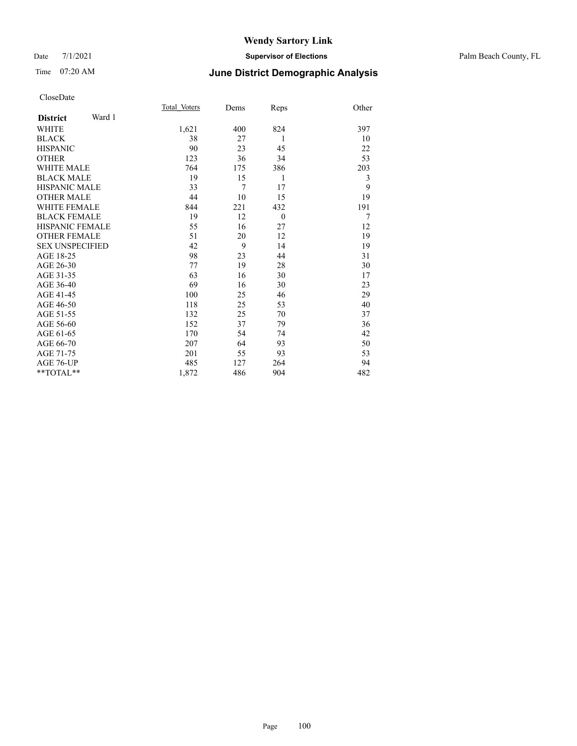#### Date 7/1/2021 **Supervisor of Elections** Palm Beach County, FL

### Time 07:20 AM **June District Demographic Analysis**

|                        |        | Total Voters | Dems | Reps     | Other |
|------------------------|--------|--------------|------|----------|-------|
| <b>District</b>        | Ward 1 |              |      |          |       |
| WHITE                  |        | 1,621        | 400  | 824      | 397   |
| <b>BLACK</b>           |        | 38           | 27   | 1        | 10    |
| <b>HISPANIC</b>        |        | 90           | 23   | 45       | 22    |
| <b>OTHER</b>           |        | 123          | 36   | 34       | 53    |
| <b>WHITE MALE</b>      |        | 764          | 175  | 386      | 203   |
| <b>BLACK MALE</b>      |        | 19           | 15   | 1        | 3     |
| <b>HISPANIC MALE</b>   |        | 33           | 7    | 17       | 9     |
| <b>OTHER MALE</b>      |        | 44           | 10   | 15       | 19    |
| <b>WHITE FEMALE</b>    |        | 844          | 221  | 432      | 191   |
| <b>BLACK FEMALE</b>    |        | 19           | 12   | $\theta$ | 7     |
| <b>HISPANIC FEMALE</b> |        | 55           | 16   | 27       | 12    |
| <b>OTHER FEMALE</b>    |        | 51           | 20   | 12       | 19    |
| <b>SEX UNSPECIFIED</b> |        | 42           | 9    | 14       | 19    |
| AGE 18-25              |        | 98           | 23   | 44       | 31    |
| AGE 26-30              |        | 77           | 19   | 28       | 30    |
| AGE 31-35              |        | 63           | 16   | 30       | 17    |
| AGE 36-40              |        | 69           | 16   | 30       | 23    |
| AGE 41-45              |        | 100          | 25   | 46       | 29    |
| AGE 46-50              |        | 118          | 25   | 53       | 40    |
| AGE 51-55              |        | 132          | 25   | 70       | 37    |
| AGE 56-60              |        | 152          | 37   | 79       | 36    |
| AGE 61-65              |        | 170          | 54   | 74       | 42    |
| AGE 66-70              |        | 207          | 64   | 93       | 50    |
| AGE 71-75              |        | 201          | 55   | 93       | 53    |
| AGE 76-UP              |        | 485          | 127  | 264      | 94    |
| $*$ $TOTAL**$          |        | 1,872        | 486  | 904      | 482   |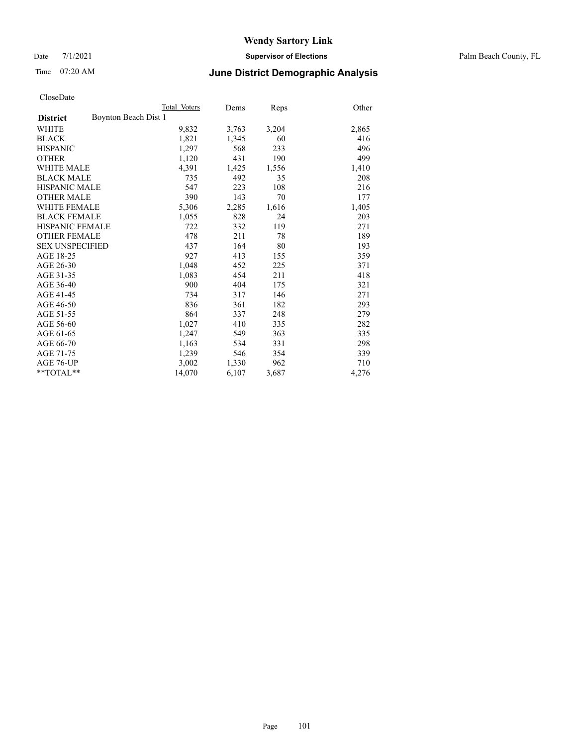Date 7/1/2021 **Supervisor of Elections** Palm Beach County, FL

### Time 07:20 AM **June District Demographic Analysis**

|                                         | Total Voters | Dems  | <b>Reps</b> | Other |
|-----------------------------------------|--------------|-------|-------------|-------|
| Boynton Beach Dist 1<br><b>District</b> |              |       |             |       |
| WHITE                                   | 9,832        | 3,763 | 3,204       | 2,865 |
| <b>BLACK</b>                            | 1,821        | 1,345 | 60          | 416   |
| <b>HISPANIC</b>                         | 1,297        | 568   | 233         | 496   |
| <b>OTHER</b>                            | 1,120        | 431   | 190         | 499   |
| <b>WHITE MALE</b>                       | 4,391        | 1,425 | 1,556       | 1,410 |
| <b>BLACK MALE</b>                       | 735          | 492   | 35          | 208   |
| <b>HISPANIC MALE</b>                    | 547          | 223   | 108         | 216   |
| <b>OTHER MALE</b>                       | 390          | 143   | 70          | 177   |
| <b>WHITE FEMALE</b>                     | 5,306        | 2,285 | 1,616       | 1,405 |
| <b>BLACK FEMALE</b>                     | 1,055        | 828   | 24          | 203   |
| <b>HISPANIC FEMALE</b>                  | 722          | 332   | 119         | 271   |
| <b>OTHER FEMALE</b>                     | 478          | 211   | 78          | 189   |
| <b>SEX UNSPECIFIED</b>                  | 437          | 164   | 80          | 193   |
| AGE 18-25                               | 927          | 413   | 155         | 359   |
| AGE 26-30                               | 1,048        | 452   | 225         | 371   |
| AGE 31-35                               | 1,083        | 454   | 211         | 418   |
| AGE 36-40                               | 900          | 404   | 175         | 321   |
| AGE 41-45                               | 734          | 317   | 146         | 271   |
| AGE 46-50                               | 836          | 361   | 182         | 293   |
| AGE 51-55                               | 864          | 337   | 248         | 279   |
| AGE 56-60                               | 1,027        | 410   | 335         | 282   |
| AGE 61-65                               | 1,247        | 549   | 363         | 335   |
| AGE 66-70                               | 1,163        | 534   | 331         | 298   |
| AGE 71-75                               | 1,239        | 546   | 354         | 339   |
| AGE 76-UP                               | 3,002        | 1,330 | 962         | 710   |
| $*$ $TOTAL**$                           | 14,070       | 6,107 | 3,687       | 4,276 |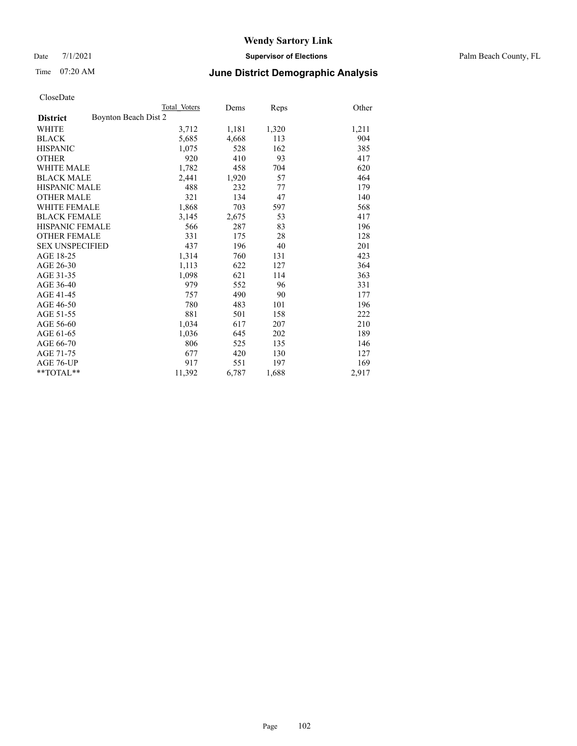Date 7/1/2021 **Supervisor of Elections** Palm Beach County, FL

### Time 07:20 AM **June District Demographic Analysis**

|                                         | Total Voters | Dems  | <b>Reps</b> | Other |
|-----------------------------------------|--------------|-------|-------------|-------|
| Boynton Beach Dist 2<br><b>District</b> |              |       |             |       |
| <b>WHITE</b>                            | 3,712        | 1,181 | 1,320       | 1,211 |
| <b>BLACK</b>                            | 5,685        | 4,668 | 113         | 904   |
| <b>HISPANIC</b>                         | 1,075        | 528   | 162         | 385   |
| <b>OTHER</b>                            | 920          | 410   | 93          | 417   |
| WHITE MALE                              | 1,782        | 458   | 704         | 620   |
| <b>BLACK MALE</b>                       | 2,441        | 1,920 | 57          | 464   |
| <b>HISPANIC MALE</b>                    | 488          | 232   | 77          | 179   |
| OTHER MALE                              | 321          | 134   | 47          | 140   |
| <b>WHITE FEMALE</b>                     | 1,868        | 703   | 597         | 568   |
| <b>BLACK FEMALE</b>                     | 3,145        | 2,675 | 53          | 417   |
| <b>HISPANIC FEMALE</b>                  | 566          | 287   | 83          | 196   |
| <b>OTHER FEMALE</b>                     | 331          | 175   | 28          | 128   |
| <b>SEX UNSPECIFIED</b>                  | 437          | 196   | 40          | 201   |
| AGE 18-25                               | 1,314        | 760   | 131         | 423   |
| AGE 26-30                               | 1,113        | 622   | 127         | 364   |
| AGE 31-35                               | 1,098        | 621   | 114         | 363   |
| AGE 36-40                               | 979          | 552   | 96          | 331   |
| AGE 41-45                               | 757          | 490   | 90          | 177   |
| AGE 46-50                               | 780          | 483   | 101         | 196   |
| AGE 51-55                               | 881          | 501   | 158         | 222   |
| AGE 56-60                               | 1,034        | 617   | 207         | 210   |
| AGE 61-65                               | 1,036        | 645   | 202         | 189   |
| AGE 66-70                               | 806          | 525   | 135         | 146   |
| AGE 71-75                               | 677          | 420   | 130         | 127   |
| AGE 76-UP                               | 917          | 551   | 197         | 169   |
| $*$ $TOTAL**$                           | 11,392       | 6,787 | 1,688       | 2,917 |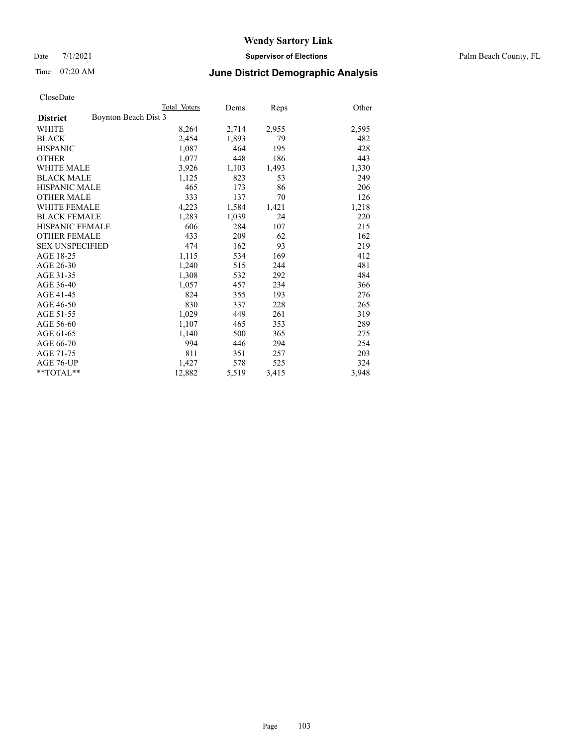Date 7/1/2021 **Supervisor of Elections** Palm Beach County, FL

### Time 07:20 AM **June District Demographic Analysis**

|                                         | Total Voters | Dems  | <b>Reps</b> | Other |
|-----------------------------------------|--------------|-------|-------------|-------|
| Boynton Beach Dist 3<br><b>District</b> |              |       |             |       |
| WHITE                                   | 8,264        | 2,714 | 2,955       | 2,595 |
| <b>BLACK</b>                            | 2,454        | 1,893 | 79          | 482   |
| <b>HISPANIC</b>                         | 1,087        | 464   | 195         | 428   |
| <b>OTHER</b>                            | 1,077        | 448   | 186         | 443   |
| <b>WHITE MALE</b>                       | 3,926        | 1,103 | 1,493       | 1,330 |
| <b>BLACK MALE</b>                       | 1,125        | 823   | 53          | 249   |
| <b>HISPANIC MALE</b>                    | 465          | 173   | 86          | 206   |
| <b>OTHER MALE</b>                       | 333          | 137   | 70          | 126   |
| <b>WHITE FEMALE</b>                     | 4,223        | 1,584 | 1,421       | 1,218 |
| <b>BLACK FEMALE</b>                     | 1,283        | 1,039 | 24          | 220   |
| <b>HISPANIC FEMALE</b>                  | 606          | 284   | 107         | 215   |
| <b>OTHER FEMALE</b>                     | 433          | 209   | 62          | 162   |
| <b>SEX UNSPECIFIED</b>                  | 474          | 162   | 93          | 219   |
| AGE 18-25                               | 1,115        | 534   | 169         | 412   |
| AGE 26-30                               | 1,240        | 515   | 244         | 481   |
| AGE 31-35                               | 1,308        | 532   | 292         | 484   |
| AGE 36-40                               | 1,057        | 457   | 234         | 366   |
| AGE 41-45                               | 824          | 355   | 193         | 276   |
| AGE 46-50                               | 830          | 337   | 228         | 265   |
| AGE 51-55                               | 1,029        | 449   | 261         | 319   |
| AGE 56-60                               | 1,107        | 465   | 353         | 289   |
| AGE 61-65                               | 1,140        | 500   | 365         | 275   |
| AGE 66-70                               | 994          | 446   | 294         | 254   |
| AGE 71-75                               | 811          | 351   | 257         | 203   |
| AGE 76-UP                               | 1,427        | 578   | 525         | 324   |
| $*$ $TOTAL**$                           | 12,882       | 5,519 | 3,415       | 3,948 |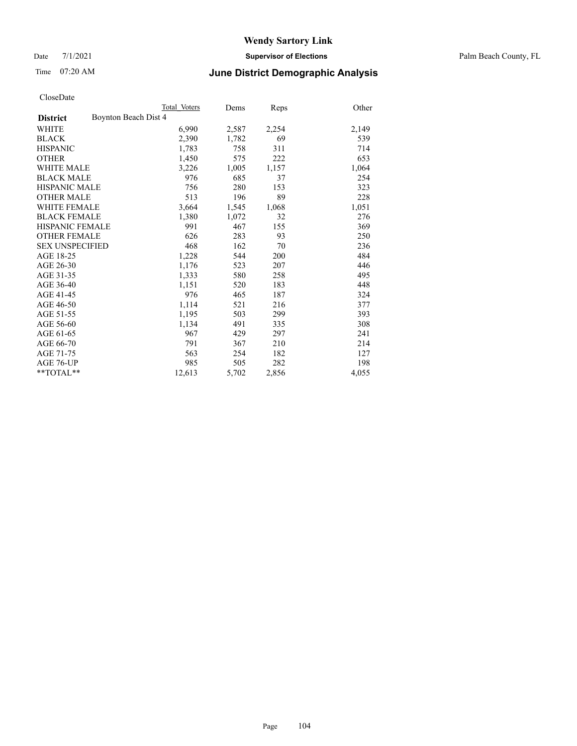Date 7/1/2021 **Supervisor of Elections** Palm Beach County, FL

### Time 07:20 AM **June District Demographic Analysis**

|                                         | Total Voters | Dems  | <b>Reps</b> | Other |
|-----------------------------------------|--------------|-------|-------------|-------|
| Boynton Beach Dist 4<br><b>District</b> |              |       |             |       |
| <b>WHITE</b>                            | 6,990        | 2,587 | 2,254       | 2,149 |
| <b>BLACK</b>                            | 2,390        | 1,782 | 69          | 539   |
| <b>HISPANIC</b>                         | 1,783        | 758   | 311         | 714   |
| <b>OTHER</b>                            | 1,450        | 575   | 222         | 653   |
| WHITE MALE                              | 3,226        | 1,005 | 1,157       | 1,064 |
| <b>BLACK MALE</b>                       | 976          | 685   | 37          | 254   |
| <b>HISPANIC MALE</b>                    | 756          | 280   | 153         | 323   |
| OTHER MALE                              | 513          | 196   | 89          | 228   |
| <b>WHITE FEMALE</b>                     | 3,664        | 1,545 | 1,068       | 1,051 |
| <b>BLACK FEMALE</b>                     | 1,380        | 1,072 | 32          | 276   |
| <b>HISPANIC FEMALE</b>                  | 991          | 467   | 155         | 369   |
| <b>OTHER FEMALE</b>                     | 626          | 283   | 93          | 250   |
| <b>SEX UNSPECIFIED</b>                  | 468          | 162   | 70          | 236   |
| AGE 18-25                               | 1,228        | 544   | 200         | 484   |
| AGE 26-30                               | 1,176        | 523   | 207         | 446   |
| AGE 31-35                               | 1,333        | 580   | 258         | 495   |
| AGE 36-40                               | 1,151        | 520   | 183         | 448   |
| AGE 41-45                               | 976          | 465   | 187         | 324   |
| AGE 46-50                               | 1,114        | 521   | 216         | 377   |
| AGE 51-55                               | 1,195        | 503   | 299         | 393   |
| AGE 56-60                               | 1,134        | 491   | 335         | 308   |
| AGE 61-65                               | 967          | 429   | 297         | 241   |
| AGE 66-70                               | 791          | 367   | 210         | 214   |
| AGE 71-75                               | 563          | 254   | 182         | 127   |
| AGE 76-UP                               | 985          | 505   | 282         | 198   |
| $*$ $TOTAL**$                           | 12,613       | 5,702 | 2,856       | 4,055 |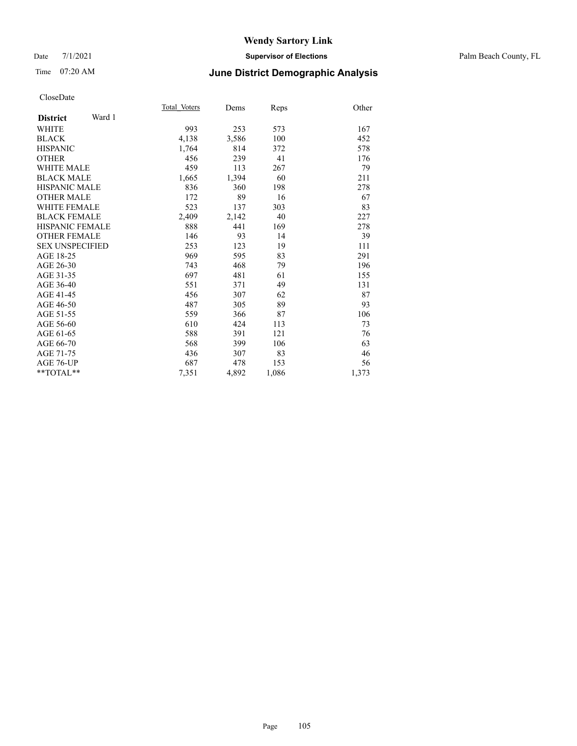#### Date 7/1/2021 **Supervisor of Elections** Palm Beach County, FL

### Time 07:20 AM **June District Demographic Analysis**

|                           | Total Voters | Dems  | Reps  | Other |
|---------------------------|--------------|-------|-------|-------|
| Ward 1<br><b>District</b> |              |       |       |       |
| <b>WHITE</b>              | 993          | 253   | 573   | 167   |
| <b>BLACK</b>              | 4,138        | 3,586 | 100   | 452   |
| <b>HISPANIC</b>           | 1,764        | 814   | 372   | 578   |
| <b>OTHER</b>              | 456          | 239   | 41    | 176   |
| <b>WHITE MALE</b>         | 459          | 113   | 267   | 79    |
| <b>BLACK MALE</b>         | 1,665        | 1,394 | 60    | 211   |
| <b>HISPANIC MALE</b>      | 836          | 360   | 198   | 278   |
| <b>OTHER MALE</b>         | 172          | 89    | 16    | 67    |
| <b>WHITE FEMALE</b>       | 523          | 137   | 303   | 83    |
| <b>BLACK FEMALE</b>       | 2,409        | 2,142 | 40    | 227   |
| <b>HISPANIC FEMALE</b>    | 888          | 441   | 169   | 278   |
| <b>OTHER FEMALE</b>       | 146          | 93    | 14    | 39    |
| <b>SEX UNSPECIFIED</b>    | 253          | 123   | 19    | 111   |
| AGE 18-25                 | 969          | 595   | 83    | 291   |
| AGE 26-30                 | 743          | 468   | 79    | 196   |
| AGE 31-35                 | 697          | 481   | 61    | 155   |
| AGE 36-40                 | 551          | 371   | 49    | 131   |
| AGE 41-45                 | 456          | 307   | 62    | 87    |
| AGE 46-50                 | 487          | 305   | 89    | 93    |
| AGE 51-55                 | 559          | 366   | 87    | 106   |
| AGE 56-60                 | 610          | 424   | 113   | 73    |
| AGE 61-65                 | 588          | 391   | 121   | 76    |
| AGE 66-70                 | 568          | 399   | 106   | 63    |
| AGE 71-75                 | 436          | 307   | 83    | 46    |
| AGE 76-UP                 | 687          | 478   | 153   | 56    |
| $*$ $TOTAL**$             | 7,351        | 4,892 | 1,086 | 1,373 |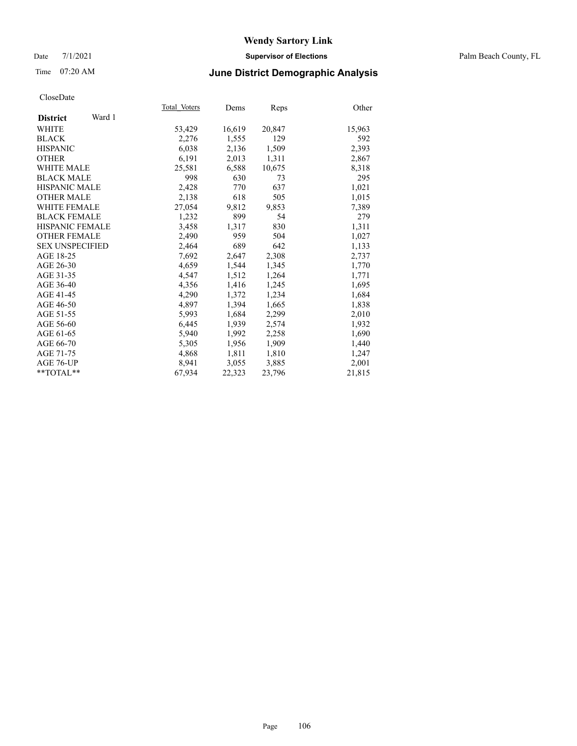#### Date 7/1/2021 **Supervisor of Elections** Palm Beach County, FL

### Time 07:20 AM **June District Demographic Analysis**

|                           | Total Voters | Dems   | Reps   | Other  |
|---------------------------|--------------|--------|--------|--------|
| Ward 1<br><b>District</b> |              |        |        |        |
| WHITE                     | 53,429       | 16,619 | 20,847 | 15,963 |
| <b>BLACK</b>              | 2,276        | 1,555  | 129    | 592    |
| <b>HISPANIC</b>           | 6.038        | 2,136  | 1,509  | 2,393  |
| <b>OTHER</b>              | 6,191        | 2,013  | 1,311  | 2,867  |
| <b>WHITE MALE</b>         | 25,581       | 6,588  | 10,675 | 8,318  |
| <b>BLACK MALE</b>         | 998          | 630    | 73     | 295    |
| <b>HISPANIC MALE</b>      | 2,428        | 770    | 637    | 1,021  |
| <b>OTHER MALE</b>         | 2,138        | 618    | 505    | 1,015  |
| <b>WHITE FEMALE</b>       | 27,054       | 9,812  | 9,853  | 7,389  |
| <b>BLACK FEMALE</b>       | 1,232        | 899    | 54     | 279    |
| <b>HISPANIC FEMALE</b>    | 3,458        | 1,317  | 830    | 1,311  |
| <b>OTHER FEMALE</b>       | 2,490        | 959    | 504    | 1,027  |
| <b>SEX UNSPECIFIED</b>    | 2,464        | 689    | 642    | 1,133  |
| AGE 18-25                 | 7,692        | 2,647  | 2,308  | 2,737  |
| AGE 26-30                 | 4,659        | 1,544  | 1,345  | 1,770  |
| AGE 31-35                 | 4,547        | 1,512  | 1,264  | 1,771  |
| AGE 36-40                 | 4,356        | 1,416  | 1,245  | 1,695  |
| AGE 41-45                 | 4,290        | 1,372  | 1,234  | 1,684  |
| AGE 46-50                 | 4,897        | 1,394  | 1,665  | 1,838  |
| AGE 51-55                 | 5,993        | 1,684  | 2,299  | 2,010  |
| AGE 56-60                 | 6,445        | 1,939  | 2,574  | 1,932  |
| AGE 61-65                 | 5,940        | 1,992  | 2,258  | 1,690  |
| AGE 66-70                 | 5,305        | 1,956  | 1,909  | 1,440  |
| AGE 71-75                 | 4,868        | 1,811  | 1,810  | 1,247  |
| AGE 76-UP                 | 8,941        | 3,055  | 3,885  | 2,001  |
| $*$ $TOTAL**$             | 67,934       | 22,323 | 23,796 | 21,815 |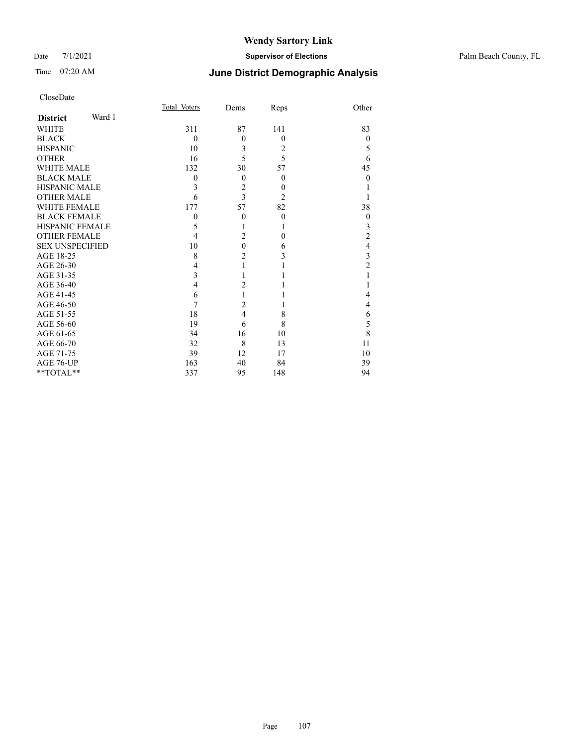#### Date 7/1/2021 **Supervisor of Elections** Palm Beach County, FL

| CloseDate |
|-----------|
|-----------|

|                        |        | Total Voters | Dems           | Reps           | Other          |
|------------------------|--------|--------------|----------------|----------------|----------------|
| <b>District</b>        | Ward 1 |              |                |                |                |
| WHITE                  |        | 311          | 87             | 141            | 83             |
| BLACK                  |        | $\theta$     | $\theta$       | $\theta$       | $\Omega$       |
| HISPANIC               |        | 10           | 3              | 2              | 5              |
| <b>OTHER</b>           |        | 16           | 5              | 5              | 6              |
| <b>WHITE MALE</b>      |        | 132          | 30             | 57             | 45             |
| BLACK MALE             |        | $\theta$     | $\theta$       | $\theta$       | $\theta$       |
| HISPANIC MALE          |        | 3            | $\overline{2}$ | $\theta$       |                |
| <b>OTHER MALE</b>      |        | 6            | 3              | $\overline{2}$ |                |
| WHITE FEMALE           |        | 177          | 57             | 82             | 38             |
| <b>BLACK FEMALE</b>    |        | $\theta$     | $\theta$       | $\theta$       | $\mathbf{0}$   |
| HISPANIC FEMALE        |        | 5            |                | 1              | 3              |
| OTHER FEMALE           |        | 4            | $\overline{2}$ | $\theta$       | $\overline{c}$ |
| <b>SEX UNSPECIFIED</b> |        | 10           | $\theta$       | 6              | 4              |
| AGE 18-25              |        | 8            | $\overline{c}$ | 3              | 3              |
| AGE 26-30              |        | 4            |                |                | 2              |
| AGE 31-35              |        | 3            |                |                |                |
| AGE 36-40              |        | 4            | $\overline{c}$ |                |                |
| AGE 41-45              |        | 6            |                |                | 4              |
| AGE 46-50              |        | 7            | $\overline{2}$ |                | 4              |
| AGE 51-55              |        | 18           | $\overline{4}$ | 8              | 6              |
| AGE 56-60              |        | 19           | 6              | 8              | 5              |
| AGE 61-65              |        | 34           | 16             | 10             | 8              |
| AGE 66-70              |        | 32           | 8              | 13             | 11             |
| AGE 71-75              |        | 39           | 12             | 17             | 10             |
| AGE 76-UP              |        | 163          | 40             | 84             | 39             |
| **TOTAL**              |        | 337          | 95             | 148            | 94             |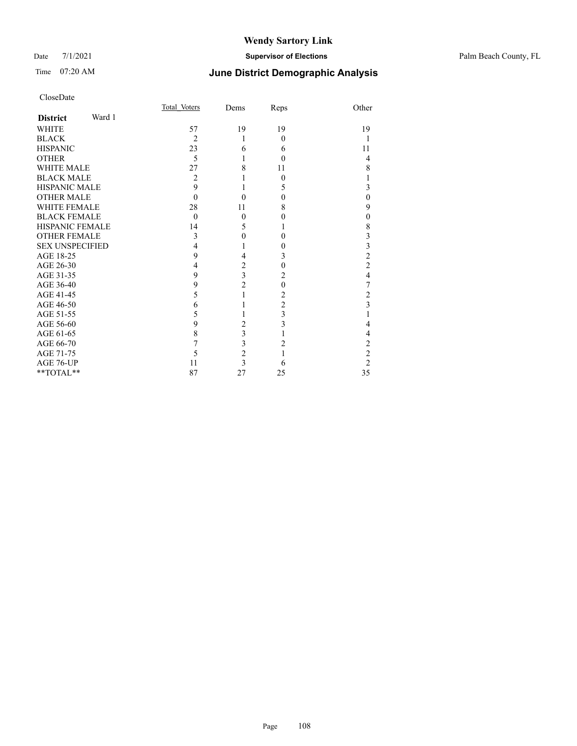#### Date 7/1/2021 **Supervisor of Elections** Palm Beach County, FL

|                           | Total Voters   | Dems                    | Reps           | Other                   |
|---------------------------|----------------|-------------------------|----------------|-------------------------|
| Ward 1<br><b>District</b> |                |                         |                |                         |
| <b>WHITE</b>              | 57             | 19                      | 19             | 19                      |
| <b>BLACK</b>              | $\overline{2}$ | 1                       | $\Omega$       |                         |
| <b>HISPANIC</b>           | 23             | 6                       | 6              | 11                      |
| <b>OTHER</b>              | 5              | 1                       | 0              | 4                       |
| <b>WHITE MALE</b>         | 27             | 8                       | 11             | 8                       |
| <b>BLACK MALE</b>         | 2              |                         | $\theta$       |                         |
| <b>HISPANIC MALE</b>      | 9              |                         | 5              | 3                       |
| <b>OTHER MALE</b>         | $\Omega$       | $\theta$                | $\Omega$       | $\theta$                |
| <b>WHITE FEMALE</b>       | 28             | 11                      | 8              | 9                       |
| <b>BLACK FEMALE</b>       | $\theta$       | $\theta$                | 0              | $\theta$                |
| <b>HISPANIC FEMALE</b>    | 14             | 5                       | 1              | 8                       |
| <b>OTHER FEMALE</b>       | 3              | $\theta$                | $\Omega$       | 3                       |
| <b>SEX UNSPECIFIED</b>    | 4              |                         | 0              | 3                       |
| AGE 18-25                 | 9              | 4                       | 3              | $\overline{c}$          |
| AGE 26-30                 | 4              | 2                       | $\theta$       | $\overline{c}$          |
| AGE 31-35                 | 9              | $\overline{\mathbf{3}}$ | 2              | 4                       |
| AGE 36-40                 | 9              | $\overline{2}$          | $\theta$       | 7                       |
| AGE 41-45                 | 5              |                         | 2              | $\overline{c}$          |
| AGE 46-50                 | 6              |                         | $\overline{2}$ | $\overline{\mathbf{3}}$ |
| AGE 51-55                 | 5              |                         | 3              |                         |
| AGE 56-60                 | 9              | 2                       | 3              | 4                       |
| AGE 61-65                 | 8              | 3                       |                | 4                       |
| AGE 66-70                 | 7              | 3                       | 2              | $\overline{c}$          |
| AGE 71-75                 | 5              | $\overline{c}$          | 1              | $\overline{c}$          |
| AGE 76-UP                 | 11             | 3                       | 6              | $\overline{2}$          |
| **TOTAL**                 | 87             | 27                      | 25             | 35                      |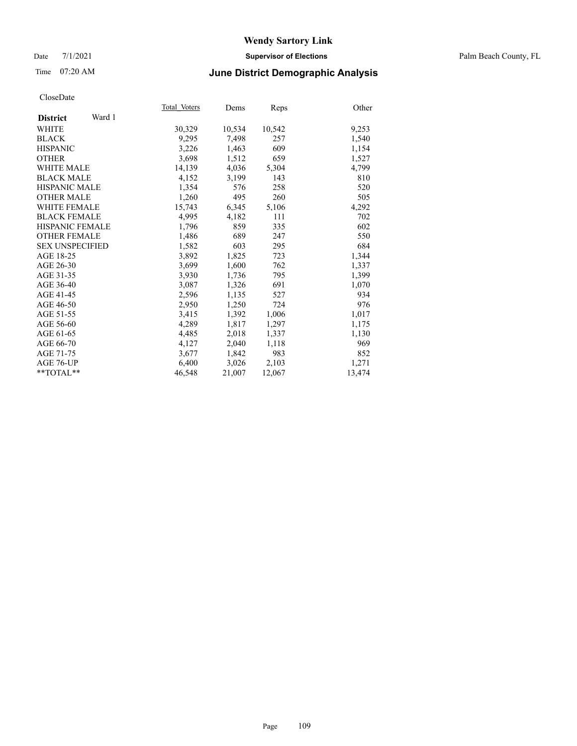### Date 7/1/2021 **Supervisor of Elections** Palm Beach County, FL

### Time 07:20 AM **June District Demographic Analysis**

|                           | Total Voters | Dems   | Reps   | Other  |
|---------------------------|--------------|--------|--------|--------|
| Ward 1<br><b>District</b> |              |        |        |        |
| WHITE                     | 30,329       | 10,534 | 10,542 | 9,253  |
| <b>BLACK</b>              | 9,295        | 7,498  | 257    | 1,540  |
| <b>HISPANIC</b>           | 3,226        | 1,463  | 609    | 1,154  |
| <b>OTHER</b>              | 3,698        | 1,512  | 659    | 1,527  |
| <b>WHITE MALE</b>         | 14,139       | 4,036  | 5,304  | 4,799  |
| <b>BLACK MALE</b>         | 4,152        | 3,199  | 143    | 810    |
| <b>HISPANIC MALE</b>      | 1,354        | 576    | 258    | 520    |
| <b>OTHER MALE</b>         | 1,260        | 495    | 260    | 505    |
| <b>WHITE FEMALE</b>       | 15,743       | 6,345  | 5,106  | 4,292  |
| <b>BLACK FEMALE</b>       | 4,995        | 4,182  | 111    | 702    |
| <b>HISPANIC FEMALE</b>    | 1,796        | 859    | 335    | 602    |
| <b>OTHER FEMALE</b>       | 1,486        | 689    | 247    | 550    |
| <b>SEX UNSPECIFIED</b>    | 1,582        | 603    | 295    | 684    |
| AGE 18-25                 | 3,892        | 1,825  | 723    | 1,344  |
| AGE 26-30                 | 3,699        | 1,600  | 762    | 1,337  |
| AGE 31-35                 | 3,930        | 1,736  | 795    | 1,399  |
| AGE 36-40                 | 3,087        | 1,326  | 691    | 1,070  |
| AGE 41-45                 | 2,596        | 1,135  | 527    | 934    |
| AGE 46-50                 | 2,950        | 1,250  | 724    | 976    |
| AGE 51-55                 | 3,415        | 1,392  | 1,006  | 1,017  |
| AGE 56-60                 | 4,289        | 1,817  | 1,297  | 1,175  |
| AGE 61-65                 | 4,485        | 2,018  | 1,337  | 1,130  |
| AGE 66-70                 | 4,127        | 2,040  | 1,118  | 969    |
| AGE 71-75                 | 3,677        | 1,842  | 983    | 852    |
| AGE 76-UP                 | 6,400        | 3,026  | 2,103  | 1,271  |
| $*$ $TOTAL**$             | 46,548       | 21,007 | 12,067 | 13,474 |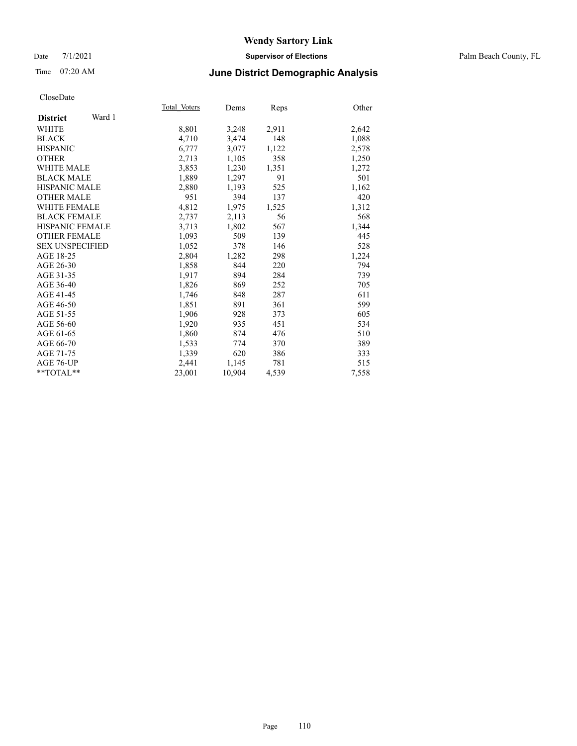#### Date 7/1/2021 **Supervisor of Elections** Palm Beach County, FL

### Time 07:20 AM **June District Demographic Analysis**

|                           | Total Voters | Dems   | Reps  | Other |
|---------------------------|--------------|--------|-------|-------|
| Ward 1<br><b>District</b> |              |        |       |       |
| WHITE                     | 8,801        | 3,248  | 2,911 | 2,642 |
| <b>BLACK</b>              | 4,710        | 3,474  | 148   | 1,088 |
| <b>HISPANIC</b>           | 6,777        | 3,077  | 1,122 | 2,578 |
| <b>OTHER</b>              | 2,713        | 1,105  | 358   | 1,250 |
| <b>WHITE MALE</b>         | 3,853        | 1,230  | 1,351 | 1,272 |
| <b>BLACK MALE</b>         | 1,889        | 1,297  | 91    | 501   |
| <b>HISPANIC MALE</b>      | 2,880        | 1,193  | 525   | 1,162 |
| <b>OTHER MALE</b>         | 951          | 394    | 137   | 420   |
| <b>WHITE FEMALE</b>       | 4,812        | 1,975  | 1,525 | 1,312 |
| <b>BLACK FEMALE</b>       | 2,737        | 2,113  | 56    | 568   |
| <b>HISPANIC FEMALE</b>    | 3,713        | 1,802  | 567   | 1,344 |
| <b>OTHER FEMALE</b>       | 1,093        | 509    | 139   | 445   |
| <b>SEX UNSPECIFIED</b>    | 1.052        | 378    | 146   | 528   |
| AGE 18-25                 | 2,804        | 1,282  | 298   | 1,224 |
| AGE 26-30                 | 1,858        | 844    | 220   | 794   |
| AGE 31-35                 | 1,917        | 894    | 284   | 739   |
| AGE 36-40                 | 1,826        | 869    | 252   | 705   |
| AGE 41-45                 | 1,746        | 848    | 287   | 611   |
| AGE 46-50                 | 1,851        | 891    | 361   | 599   |
| AGE 51-55                 | 1,906        | 928    | 373   | 605   |
| AGE 56-60                 | 1,920        | 935    | 451   | 534   |
| AGE 61-65                 | 1,860        | 874    | 476   | 510   |
| AGE 66-70                 | 1,533        | 774    | 370   | 389   |
| AGE 71-75                 | 1,339        | 620    | 386   | 333   |
| AGE 76-UP                 | 2,441        | 1,145  | 781   | 515   |
| $*$ TOTAL $*$             | 23,001       | 10,904 | 4,539 | 7,558 |
|                           |              |        |       |       |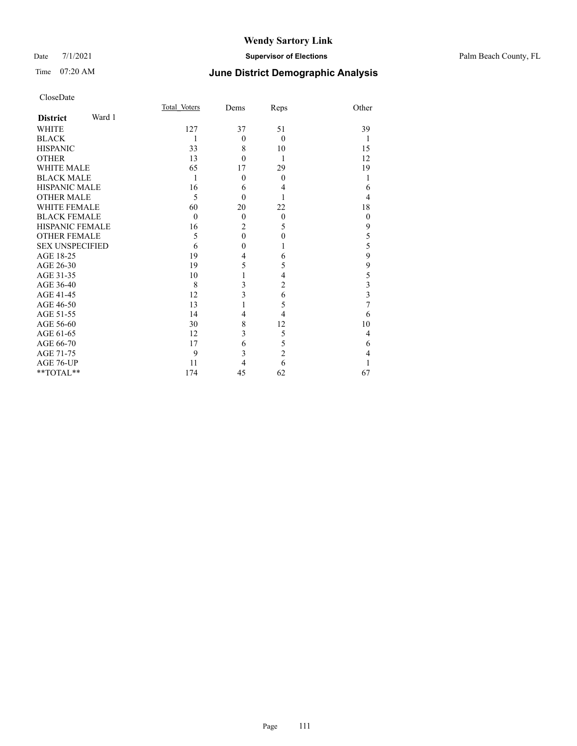### Date 7/1/2021 **Supervisor of Elections** Palm Beach County, FL

# Time 07:20 AM **June District Demographic Analysis**

|                        |        | Total Voters | Dems           | Reps           | Other    |
|------------------------|--------|--------------|----------------|----------------|----------|
| <b>District</b>        | Ward 1 |              |                |                |          |
| <b>WHITE</b>           |        | 127          | 37             | 51             | 39       |
| <b>BLACK</b>           |        | 1            | $\Omega$       | $\theta$       | 1        |
| <b>HISPANIC</b>        |        | 33           | 8              | 10             | 15       |
| <b>OTHER</b>           |        | 13           | $\theta$       | 1              | 12       |
| <b>WHITE MALE</b>      |        | 65           | 17             | 29             | 19       |
| <b>BLACK MALE</b>      |        | 1            | $\Omega$       | $\theta$       | 1        |
| <b>HISPANIC MALE</b>   |        | 16           | 6              | 4              | 6        |
| <b>OTHER MALE</b>      |        | 5            | $\Omega$       |                | 4        |
| <b>WHITE FEMALE</b>    |        | 60           | 20             | 22             | 18       |
| <b>BLACK FEMALE</b>    |        | $\theta$     | $\mathbf{0}$   | $\theta$       | $\theta$ |
| <b>HISPANIC FEMALE</b> |        | 16           | $\overline{c}$ | 5              | 9        |
| <b>OTHER FEMALE</b>    |        | 5            | $\theta$       | $\theta$       | 5        |
| <b>SEX UNSPECIFIED</b> |        | 6            | $\theta$       | 1              | 5        |
| AGE 18-25              |        | 19           | 4              | 6              | 9        |
| AGE 26-30              |        | 19           | 5              | 5              | 9        |
| AGE 31-35              |        | 10           |                | 4              | 5        |
| AGE 36-40              |        | 8            | 3              | $\overline{2}$ | 3        |
| AGE 41-45              |        | 12           | 3              | 6              | 3        |
| AGE 46-50              |        | 13           |                | 5              | 7        |
| AGE 51-55              |        | 14           | 4              | 4              | 6        |
| AGE 56-60              |        | 30           | 8              | 12             | 10       |
| AGE 61-65              |        | 12           | 3              | 5              | 4        |
| AGE 66-70              |        | 17           | 6              | 5              | 6        |
| AGE 71-75              |        | 9            | 3              | $\overline{c}$ | 4        |
| AGE 76-UP              |        | 11           | 4              | 6              |          |
| **TOTAL**              |        | 174          | 45             | 62             | 67       |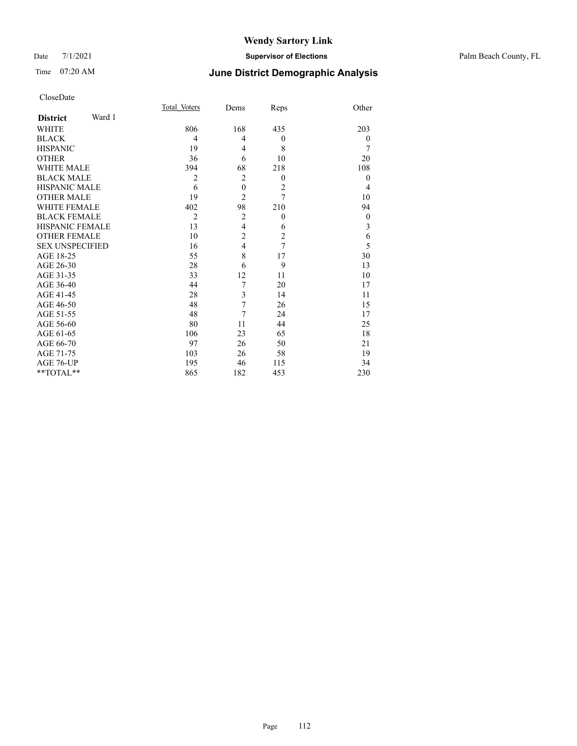### Date 7/1/2021 **Supervisor of Elections** Palm Beach County, FL

# Time 07:20 AM **June District Demographic Analysis**

|                        |        | Total Voters   | Dems             | Reps           | Other            |
|------------------------|--------|----------------|------------------|----------------|------------------|
| <b>District</b>        | Ward 1 |                |                  |                |                  |
| WHITE                  |        | 806            | 168              | 435            | 203              |
| <b>BLACK</b>           |        | 4              | $\overline{4}$   | $\theta$       | $\overline{0}$   |
| <b>HISPANIC</b>        |        | 19             | $\overline{4}$   | 8              | 7                |
| <b>OTHER</b>           |        | 36             | 6                | 10             | 20               |
| <b>WHITE MALE</b>      |        | 394            | 68               | 218            | 108              |
| <b>BLACK MALE</b>      |        | $\overline{2}$ | $\overline{2}$   | $\mathbf{0}$   | $\overline{0}$   |
| <b>HISPANIC MALE</b>   |        | 6              | $\boldsymbol{0}$ | $\overline{2}$ | 4                |
| <b>OTHER MALE</b>      |        | 19             | $\overline{c}$   | $\overline{7}$ | 10               |
| <b>WHITE FEMALE</b>    |        | 402            | 98               | 210            | 94               |
| <b>BLACK FEMALE</b>    |        | $\overline{2}$ | $\overline{2}$   | $\mathbf{0}$   | $\boldsymbol{0}$ |
| <b>HISPANIC FEMALE</b> |        | 13             | $\overline{4}$   | 6              | 3                |
| <b>OTHER FEMALE</b>    |        | 10             | $\overline{c}$   | $\overline{c}$ | 6                |
| <b>SEX UNSPECIFIED</b> |        | 16             | $\overline{4}$   | $\overline{7}$ | 5                |
| AGE 18-25              |        | 55             | 8                | 17             | 30               |
| AGE 26-30              |        | 28             | 6                | 9              | 13               |
| AGE 31-35              |        | 33             | 12               | 11             | 10               |
| AGE 36-40              |        | 44             | 7                | 20             | 17               |
| AGE 41-45              |        | 28             | 3                | 14             | 11               |
| AGE 46-50              |        | 48             | 7                | 26             | 15               |
| AGE 51-55              |        | 48             | 7                | 24             | 17               |
| AGE 56-60              |        | 80             | 11               | 44             | 25               |
| AGE 61-65              |        | 106            | 23               | 65             | 18               |
| AGE 66-70              |        | 97             | 26               | 50             | 21               |
| AGE 71-75              |        | 103            | 26               | 58             | 19               |
| AGE 76-UP              |        | 195            | 46               | 115            | 34               |
| **TOTAL**              |        | 865            | 182              | 453            | 230              |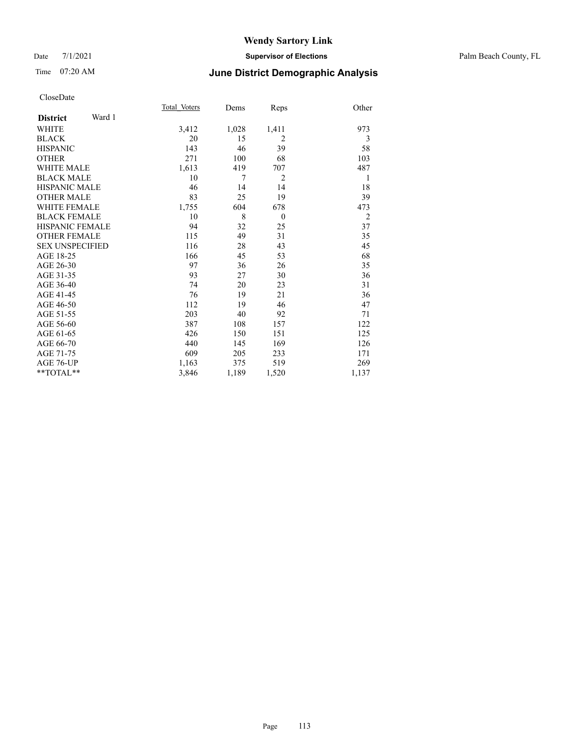#### Date 7/1/2021 **Supervisor of Elections** Palm Beach County, FL

# Time 07:20 AM **June District Demographic Analysis**

|                        |        | Total Voters | Dems  | Reps           | Other          |
|------------------------|--------|--------------|-------|----------------|----------------|
| <b>District</b>        | Ward 1 |              |       |                |                |
| <b>WHITE</b>           |        | 3,412        | 1,028 | 1,411          | 973            |
| <b>BLACK</b>           |        | 20           | 15    | $\overline{2}$ | 3              |
| <b>HISPANIC</b>        |        | 143          | 46    | 39             | 58             |
| <b>OTHER</b>           |        | 271          | 100   | 68             | 103            |
| <b>WHITE MALE</b>      |        | 1,613        | 419   | 707            | 487            |
| <b>BLACK MALE</b>      |        | 10           | 7     | $\overline{2}$ | 1              |
| <b>HISPANIC MALE</b>   |        | 46           | 14    | 14             | 18             |
| <b>OTHER MALE</b>      |        | 83           | 25    | 19             | 39             |
| <b>WHITE FEMALE</b>    |        | 1,755        | 604   | 678            | 473            |
| <b>BLACK FEMALE</b>    |        | 10           | 8     | $\theta$       | $\overline{2}$ |
| <b>HISPANIC FEMALE</b> |        | 94           | 32    | 25             | 37             |
| <b>OTHER FEMALE</b>    |        | 115          | 49    | 31             | 35             |
| <b>SEX UNSPECIFIED</b> |        | 116          | 28    | 43             | 45             |
| AGE 18-25              |        | 166          | 45    | 53             | 68             |
| AGE 26-30              |        | 97           | 36    | 26             | 35             |
| AGE 31-35              |        | 93           | 27    | 30             | 36             |
| AGE 36-40              |        | 74           | 20    | 23             | 31             |
| AGE 41-45              |        | 76           | 19    | 21             | 36             |
| AGE 46-50              |        | 112          | 19    | 46             | 47             |
| AGE 51-55              |        | 203          | 40    | 92             | 71             |
| AGE 56-60              |        | 387          | 108   | 157            | 122            |
| AGE 61-65              |        | 426          | 150   | 151            | 125            |
| AGE 66-70              |        | 440          | 145   | 169            | 126            |
| AGE 71-75              |        | 609          | 205   | 233            | 171            |
| AGE 76-UP              |        | 1,163        | 375   | 519            | 269            |
| $*$ $TOTAL**$          |        | 3,846        | 1,189 | 1,520          | 1,137          |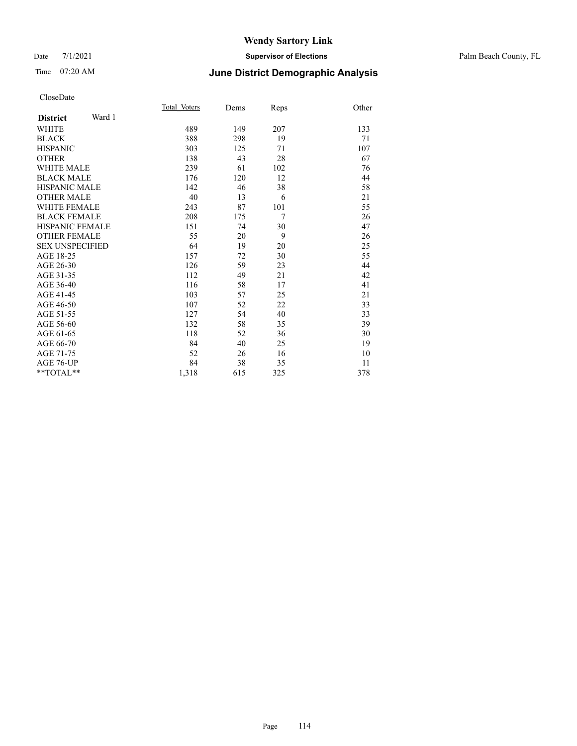#### Date 7/1/2021 **Supervisor of Elections** Palm Beach County, FL

### Time 07:20 AM **June District Demographic Analysis**

|                           | Total Voters | Dems | Reps           | Other |
|---------------------------|--------------|------|----------------|-------|
| Ward 1<br><b>District</b> |              |      |                |       |
| WHITE                     | 489          | 149  | 207            | 133   |
| <b>BLACK</b>              | 388          | 298  | 19             | 71    |
| <b>HISPANIC</b>           | 303          | 125  | 71             | 107   |
| <b>OTHER</b>              | 138          | 43   | 28             | 67    |
| <b>WHITE MALE</b>         | 239          | 61   | 102            | 76    |
| <b>BLACK MALE</b>         | 176          | 120  | 12             | 44    |
| <b>HISPANIC MALE</b>      | 142          | 46   | 38             | 58    |
| <b>OTHER MALE</b>         | 40           | 13   | 6              | 21    |
| <b>WHITE FEMALE</b>       | 243          | 87   | 101            | 55    |
| <b>BLACK FEMALE</b>       | 208          | 175  | $\overline{7}$ | 26    |
| HISPANIC FEMALE           | 151          | 74   | 30             | 47    |
| <b>OTHER FEMALE</b>       | 55           | 20   | 9              | 26    |
| <b>SEX UNSPECIFIED</b>    | 64           | 19   | 20             | 25    |
| AGE 18-25                 | 157          | 72   | 30             | 55    |
| AGE 26-30                 | 126          | 59   | 23             | 44    |
| AGE 31-35                 | 112          | 49   | 21             | 42    |
| AGE 36-40                 | 116          | 58   | 17             | 41    |
| AGE 41-45                 | 103          | 57   | 25             | 21    |
| AGE 46-50                 | 107          | 52   | 22             | 33    |
| AGE 51-55                 | 127          | 54   | 40             | 33    |
| AGE 56-60                 | 132          | 58   | 35             | 39    |
| AGE 61-65                 | 118          | 52   | 36             | 30    |
| AGE 66-70                 | 84           | 40   | 25             | 19    |
| AGE 71-75                 | 52           | 26   | 16             | 10    |
| AGE 76-UP                 | 84           | 38   | 35             | 11    |
| **TOTAL**                 | 1,318        | 615  | 325            | 378   |
|                           |              |      |                |       |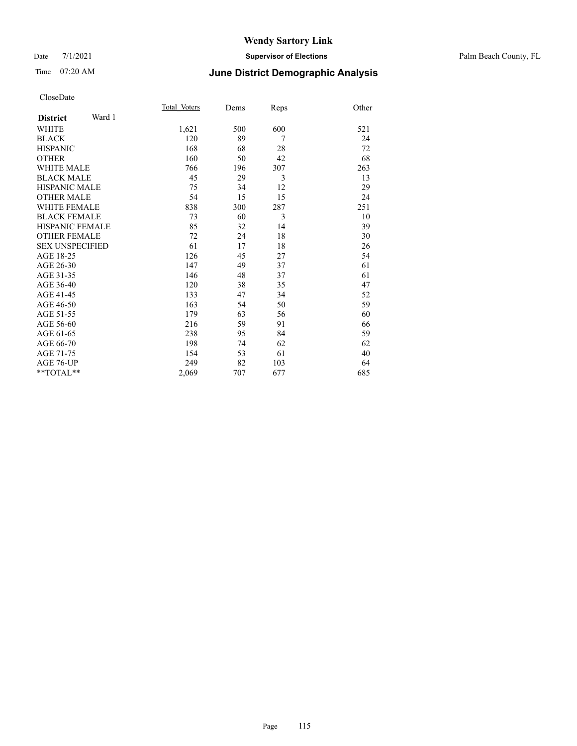#### Date 7/1/2021 **Supervisor of Elections** Palm Beach County, FL

## Time 07:20 AM **June District Demographic Analysis**

|                        |        | Total Voters | Dems | Reps | Other |
|------------------------|--------|--------------|------|------|-------|
| <b>District</b>        | Ward 1 |              |      |      |       |
| WHITE                  |        | 1,621        | 500  | 600  | 521   |
| <b>BLACK</b>           |        | 120          | 89   | 7    | 24    |
| <b>HISPANIC</b>        |        | 168          | 68   | 28   | 72    |
| <b>OTHER</b>           |        | 160          | 50   | 42   | 68    |
| <b>WHITE MALE</b>      |        | 766          | 196  | 307  | 263   |
| <b>BLACK MALE</b>      |        | 45           | 29   | 3    | 13    |
| <b>HISPANIC MALE</b>   |        | 75           | 34   | 12   | 29    |
| <b>OTHER MALE</b>      |        | 54           | 15   | 15   | 24    |
| <b>WHITE FEMALE</b>    |        | 838          | 300  | 287  | 251   |
| <b>BLACK FEMALE</b>    |        | 73           | 60   | 3    | 10    |
| <b>HISPANIC FEMALE</b> |        | 85           | 32   | 14   | 39    |
| <b>OTHER FEMALE</b>    |        | 72           | 24   | 18   | 30    |
| <b>SEX UNSPECIFIED</b> |        | 61           | 17   | 18   | 26    |
| AGE 18-25              |        | 126          | 45   | 27   | 54    |
| AGE 26-30              |        | 147          | 49   | 37   | 61    |
| AGE 31-35              |        | 146          | 48   | 37   | 61    |
| AGE 36-40              |        | 120          | 38   | 35   | 47    |
| AGE 41-45              |        | 133          | 47   | 34   | 52    |
| AGE 46-50              |        | 163          | 54   | 50   | 59    |
| AGE 51-55              |        | 179          | 63   | 56   | 60    |
| AGE 56-60              |        | 216          | 59   | 91   | 66    |
| AGE 61-65              |        | 238          | 95   | 84   | 59    |
| AGE 66-70              |        | 198          | 74   | 62   | 62    |
| AGE 71-75              |        | 154          | 53   | 61   | 40    |
| AGE 76-UP              |        | 249          | 82   | 103  | 64    |
| $*$ $TOTAL**$          |        | 2,069        | 707  | 677  | 685   |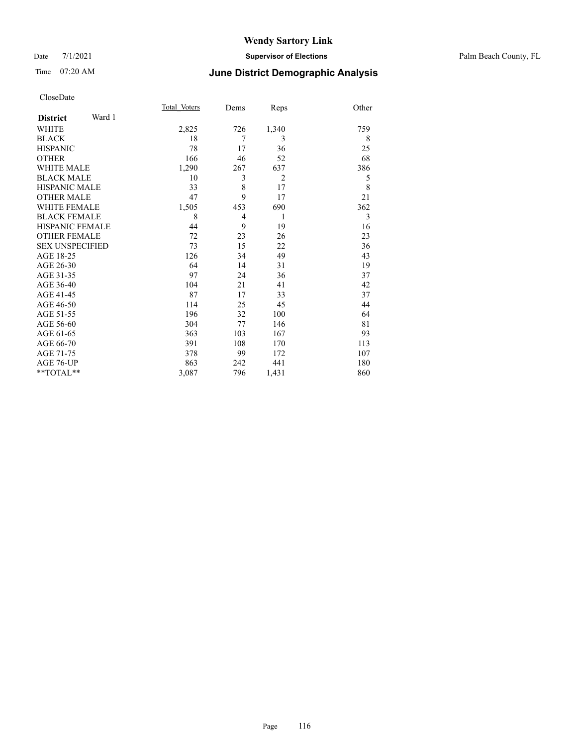#### Date 7/1/2021 **Supervisor of Elections** Palm Beach County, FL

### Time 07:20 AM **June District Demographic Analysis**

|                        |        | Total Voters | Dems           | Reps           | Other |
|------------------------|--------|--------------|----------------|----------------|-------|
| <b>District</b>        | Ward 1 |              |                |                |       |
| WHITE                  |        | 2,825        | 726            | 1,340          | 759   |
| <b>BLACK</b>           |        | 18           | 7              | 3              | 8     |
| <b>HISPANIC</b>        |        | 78           | 17             | 36             | 25    |
| <b>OTHER</b>           |        | 166          | 46             | 52             | 68    |
| <b>WHITE MALE</b>      |        | 1,290        | 267            | 637            | 386   |
| <b>BLACK MALE</b>      |        | 10           | 3              | $\overline{2}$ | 5     |
| <b>HISPANIC MALE</b>   |        | 33           | 8              | 17             | 8     |
| <b>OTHER MALE</b>      |        | 47           | 9              | 17             | 21    |
| <b>WHITE FEMALE</b>    |        | 1,505        | 453            | 690            | 362   |
| <b>BLACK FEMALE</b>    |        | 8            | $\overline{4}$ | 1              | 3     |
| <b>HISPANIC FEMALE</b> |        | 44           | 9              | 19             | 16    |
| <b>OTHER FEMALE</b>    |        | 72           | 23             | 26             | 23    |
| <b>SEX UNSPECIFIED</b> |        | 73           | 15             | 22             | 36    |
| AGE 18-25              |        | 126          | 34             | 49             | 43    |
| AGE 26-30              |        | 64           | 14             | 31             | 19    |
| AGE 31-35              |        | 97           | 24             | 36             | 37    |
| AGE 36-40              |        | 104          | 21             | 41             | 42    |
| AGE 41-45              |        | 87           | 17             | 33             | 37    |
| AGE 46-50              |        | 114          | 25             | 45             | 44    |
| AGE 51-55              |        | 196          | 32             | 100            | 64    |
| AGE 56-60              |        | 304          | 77             | 146            | 81    |
| AGE 61-65              |        | 363          | 103            | 167            | 93    |
| AGE 66-70              |        | 391          | 108            | 170            | 113   |
| AGE 71-75              |        | 378          | 99             | 172            | 107   |
| AGE 76-UP              |        | 863          | 242            | 441            | 180   |
| **TOTAL**              |        | 3,087        | 796            | 1,431          | 860   |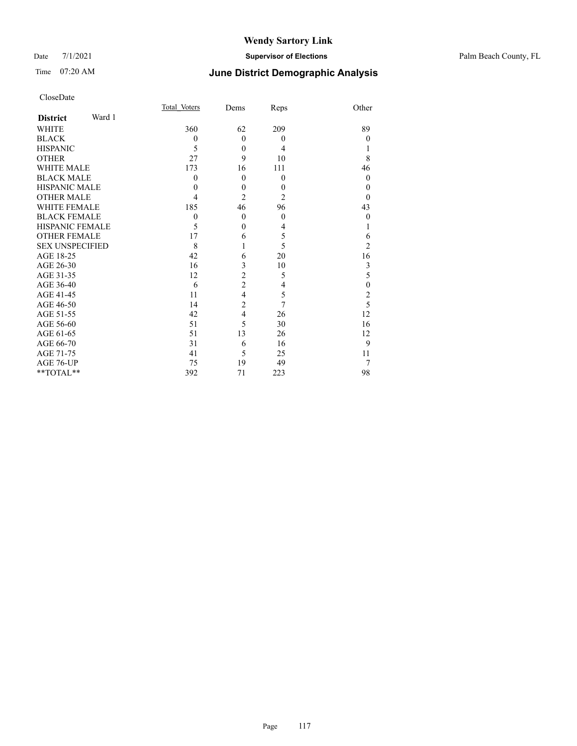### Date 7/1/2021 **Supervisor of Elections** Palm Beach County, FL

# Time 07:20 AM **June District Demographic Analysis**

| CloseDate |  |
|-----------|--|
|-----------|--|

|                        |        | Total Voters     | Dems           | Reps           | Other            |
|------------------------|--------|------------------|----------------|----------------|------------------|
| <b>District</b>        | Ward 1 |                  |                |                |                  |
| <b>WHITE</b>           |        | 360              | 62             | 209            | 89               |
| <b>BLACK</b>           |        | $\boldsymbol{0}$ | $\theta$       | $\theta$       | $\theta$         |
| <b>HISPANIC</b>        |        | 5                | $\theta$       | $\overline{4}$ |                  |
| <b>OTHER</b>           |        | 27               | 9              | 10             | 8                |
| <b>WHITE MALE</b>      |        | 173              | 16             | 111            | 46               |
| <b>BLACK MALE</b>      |        | 0                | $\theta$       | $\theta$       | $\theta$         |
| <b>HISPANIC MALE</b>   |        | $_{0}$           | $\overline{0}$ | $\theta$       | $\theta$         |
| <b>OTHER MALE</b>      |        | 4                | $\overline{2}$ | $\overline{2}$ | $\Omega$         |
| <b>WHITE FEMALE</b>    |        | 185              | 46             | 96             | 43               |
| <b>BLACK FEMALE</b>    |        | $\theta$         | $\theta$       | $\theta$       | $\boldsymbol{0}$ |
| HISPANIC FEMALE        |        | 5                | $\theta$       | 4              |                  |
| <b>OTHER FEMALE</b>    |        | 17               | 6              | 5              | 6                |
| <b>SEX UNSPECIFIED</b> |        | 8                |                | 5              | $\overline{2}$   |
| AGE 18-25              |        | 42               | 6              | 20             | 16               |
| AGE 26-30              |        | 16               | 3              | 10             | 3                |
| AGE 31-35              |        | 12               | $\overline{c}$ | 5              | 5                |
| AGE 36-40              |        | 6                | $\overline{c}$ | 4              | $\mathbf{0}$     |
| AGE 41-45              |        | 11               | $\overline{4}$ | 5              | $\overline{c}$   |
| AGE 46-50              |        | 14               | $\overline{c}$ | 7              | 5                |
| AGE 51-55              |        | 42               | $\overline{4}$ | 26             | 12               |
| AGE 56-60              |        | 51               | 5              | 30             | 16               |
| AGE 61-65              |        | 51               | 13             | 26             | 12               |
| AGE 66-70              |        | 31               | 6              | 16             | 9                |
| AGE 71-75              |        | 41               | 5              | 25             | 11               |
| AGE 76-UP              |        | 75               | 19             | 49             | 7                |
| **TOTAL**              |        | 392              | 71             | 223            | 98               |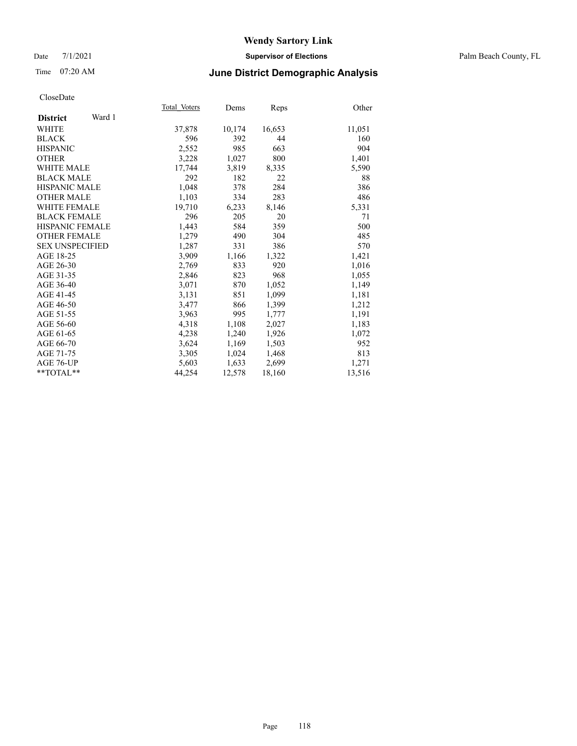### Date 7/1/2021 **Supervisor of Elections** Palm Beach County, FL

### Time 07:20 AM **June District Demographic Analysis**

|                           | Total Voters | Dems   | Reps   | Other  |
|---------------------------|--------------|--------|--------|--------|
| Ward 1<br><b>District</b> |              |        |        |        |
| WHITE                     | 37,878       | 10,174 | 16,653 | 11,051 |
| <b>BLACK</b>              | 596          | 392    | 44     | 160    |
| <b>HISPANIC</b>           | 2,552        | 985    | 663    | 904    |
| <b>OTHER</b>              | 3,228        | 1,027  | 800    | 1,401  |
| <b>WHITE MALE</b>         | 17,744       | 3,819  | 8,335  | 5,590  |
| <b>BLACK MALE</b>         | 292          | 182    | 22     | 88     |
| <b>HISPANIC MALE</b>      | 1,048        | 378    | 284    | 386    |
| <b>OTHER MALE</b>         | 1,103        | 334    | 283    | 486    |
| <b>WHITE FEMALE</b>       | 19,710       | 6,233  | 8,146  | 5,331  |
| <b>BLACK FEMALE</b>       | 296          | 205    | 20     | 71     |
| <b>HISPANIC FEMALE</b>    | 1,443        | 584    | 359    | 500    |
| <b>OTHER FEMALE</b>       | 1,279        | 490    | 304    | 485    |
| <b>SEX UNSPECIFIED</b>    | 1,287        | 331    | 386    | 570    |
| AGE 18-25                 | 3,909        | 1,166  | 1,322  | 1,421  |
| AGE 26-30                 | 2,769        | 833    | 920    | 1,016  |
| AGE 31-35                 | 2,846        | 823    | 968    | 1,055  |
| AGE 36-40                 | 3,071        | 870    | 1,052  | 1,149  |
| AGE 41-45                 | 3,131        | 851    | 1,099  | 1,181  |
| AGE 46-50                 | 3,477        | 866    | 1,399  | 1,212  |
| AGE 51-55                 | 3,963        | 995    | 1,777  | 1,191  |
| AGE 56-60                 | 4,318        | 1,108  | 2,027  | 1,183  |
| AGE 61-65                 | 4,238        | 1,240  | 1,926  | 1,072  |
| AGE 66-70                 | 3,624        | 1,169  | 1,503  | 952    |
| AGE 71-75                 | 3,305        | 1,024  | 1,468  | 813    |
| AGE 76-UP                 | 5,603        | 1,633  | 2,699  | 1,271  |
| $*$ $TOTAL**$             | 44,254       | 12,578 | 18,160 | 13,516 |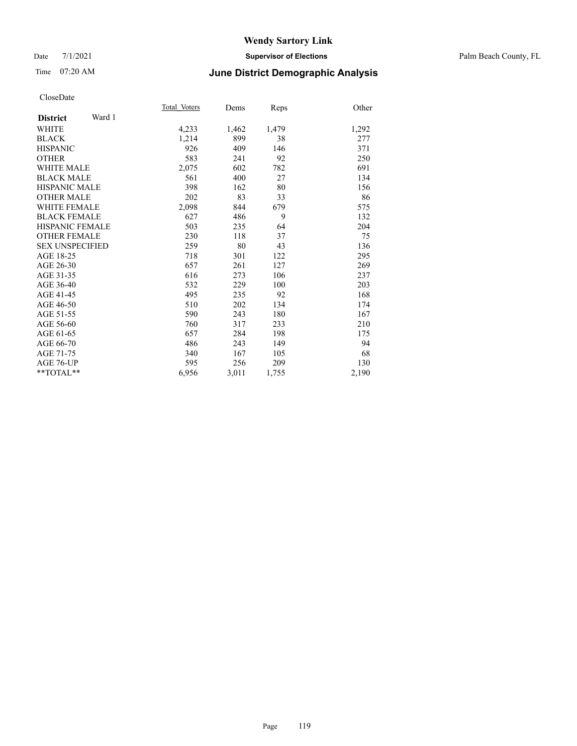#### Date 7/1/2021 **Supervisor of Elections** Palm Beach County, FL

### Time 07:20 AM **June District Demographic Analysis**

|                           | Total Voters | Dems  | Reps  | Other |
|---------------------------|--------------|-------|-------|-------|
| Ward 1<br><b>District</b> |              |       |       |       |
| WHITE                     | 4,233        | 1,462 | 1,479 | 1,292 |
| <b>BLACK</b>              | 1,214        | 899   | 38    | 277   |
| <b>HISPANIC</b>           | 926          | 409   | 146   | 371   |
| <b>OTHER</b>              | 583          | 241   | 92    | 250   |
| <b>WHITE MALE</b>         | 2,075        | 602   | 782   | 691   |
| <b>BLACK MALE</b>         | 561          | 400   | 27    | 134   |
| <b>HISPANIC MALE</b>      | 398          | 162   | 80    | 156   |
| <b>OTHER MALE</b>         | 202          | 83    | 33    | 86    |
| <b>WHITE FEMALE</b>       | 2,098        | 844   | 679   | 575   |
| <b>BLACK FEMALE</b>       | 627          | 486   | 9     | 132   |
| HISPANIC FEMALE           | 503          | 235   | 64    | 204   |
| <b>OTHER FEMALE</b>       | 230          | 118   | 37    | 75    |
| <b>SEX UNSPECIFIED</b>    | 259          | 80    | 43    | 136   |
| AGE 18-25                 | 718          | 301   | 122   | 295   |
| AGE 26-30                 | 657          | 261   | 127   | 269   |
| AGE 31-35                 | 616          | 273   | 106   | 237   |
| AGE 36-40                 | 532          | 229   | 100   | 203   |
| AGE 41-45                 | 495          | 235   | 92    | 168   |
| AGE 46-50                 | 510          | 202   | 134   | 174   |
| AGE 51-55                 | 590          | 243   | 180   | 167   |
| AGE 56-60                 | 760          | 317   | 233   | 210   |
| AGE 61-65                 | 657          | 284   | 198   | 175   |
| AGE 66-70                 | 486          | 243   | 149   | 94    |
| AGE 71-75                 | 340          | 167   | 105   | 68    |
| AGE 76-UP                 | 595          | 256   | 209   | 130   |
| **TOTAL**                 | 6,956        | 3,011 | 1,755 | 2,190 |
|                           |              |       |       |       |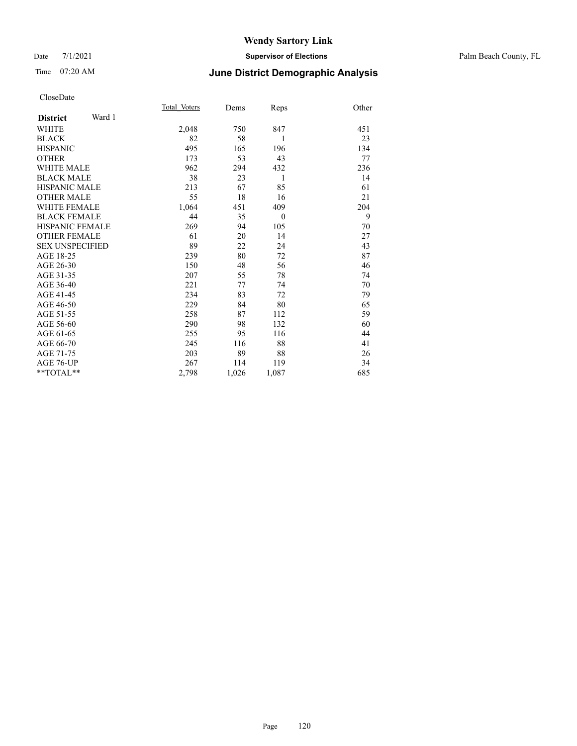#### Date 7/1/2021 **Supervisor of Elections** Palm Beach County, FL

# Time 07:20 AM **June District Demographic Analysis**

|                        |        | Total Voters | Dems  | Reps     | Other |
|------------------------|--------|--------------|-------|----------|-------|
| <b>District</b>        | Ward 1 |              |       |          |       |
| WHITE                  |        | 2,048        | 750   | 847      | 451   |
| <b>BLACK</b>           |        | 82           | 58    | 1        | 23    |
| <b>HISPANIC</b>        |        | 495          | 165   | 196      | 134   |
| <b>OTHER</b>           |        | 173          | 53    | 43       | 77    |
| WHITE MALE             |        | 962          | 294   | 432      | 236   |
| <b>BLACK MALE</b>      |        | 38           | 23    | 1        | 14    |
| <b>HISPANIC MALE</b>   |        | 213          | 67    | 85       | 61    |
| <b>OTHER MALE</b>      |        | 55           | 18    | 16       | 21    |
| <b>WHITE FEMALE</b>    |        | 1,064        | 451   | 409      | 204   |
| <b>BLACK FEMALE</b>    |        | 44           | 35    | $\theta$ | 9     |
| <b>HISPANIC FEMALE</b> |        | 269          | 94    | 105      | 70    |
| <b>OTHER FEMALE</b>    |        | 61           | 20    | 14       | 27    |
| <b>SEX UNSPECIFIED</b> |        | 89           | 22    | 24       | 43    |
| AGE 18-25              |        | 239          | 80    | 72       | 87    |
| AGE 26-30              |        | 150          | 48    | 56       | 46    |
| AGE 31-35              |        | 207          | 55    | 78       | 74    |
| AGE 36-40              |        | 221          | 77    | 74       | 70    |
| AGE 41-45              |        | 234          | 83    | 72       | 79    |
| AGE 46-50              |        | 229          | 84    | 80       | 65    |
| AGE 51-55              |        | 258          | 87    | 112      | 59    |
| AGE 56-60              |        | 290          | 98    | 132      | 60    |
| AGE 61-65              |        | 255          | 95    | 116      | 44    |
| AGE 66-70              |        | 245          | 116   | 88       | 41    |
| AGE 71-75              |        | 203          | 89    | 88       | 26    |
| AGE 76-UP              |        | 267          | 114   | 119      | 34    |
| $*$ $TOTAL**$          |        | 2,798        | 1,026 | 1,087    | 685   |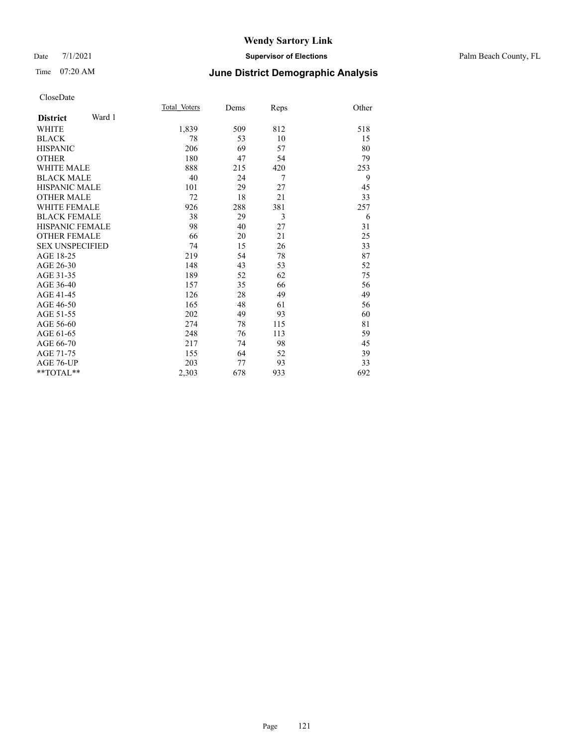#### Date 7/1/2021 **Supervisor of Elections** Palm Beach County, FL

## Time 07:20 AM **June District Demographic Analysis**

|                           | Total Voters | Dems | Reps | Other |
|---------------------------|--------------|------|------|-------|
| Ward 1<br><b>District</b> |              |      |      |       |
| WHITE                     | 1,839        | 509  | 812  | 518   |
| <b>BLACK</b>              | 78           | 53   | 10   | 15    |
| <b>HISPANIC</b>           | 206          | 69   | 57   | 80    |
| <b>OTHER</b>              | 180          | 47   | 54   | 79    |
| <b>WHITE MALE</b>         | 888          | 215  | 420  | 253   |
| <b>BLACK MALE</b>         | 40           | 24   | 7    | 9     |
| <b>HISPANIC MALE</b>      | 101          | 29   | 27   | 45    |
| <b>OTHER MALE</b>         | 72           | 18   | 21   | 33    |
| <b>WHITE FEMALE</b>       | 926          | 288  | 381  | 257   |
| <b>BLACK FEMALE</b>       | 38           | 29   | 3    | 6     |
| <b>HISPANIC FEMALE</b>    | 98           | 40   | 27   | 31    |
| <b>OTHER FEMALE</b>       | 66           | 20   | 21   | 25    |
| <b>SEX UNSPECIFIED</b>    | 74           | 15   | 26   | 33    |
| AGE 18-25                 | 219          | 54   | 78   | 87    |
| AGE 26-30                 | 148          | 43   | 53   | 52    |
| AGE 31-35                 | 189          | 52   | 62   | 75    |
| AGE 36-40                 | 157          | 35   | 66   | 56    |
| AGE 41-45                 | 126          | 28   | 49   | 49    |
| AGE 46-50                 | 165          | 48   | 61   | 56    |
| AGE 51-55                 | 202          | 49   | 93   | 60    |
| AGE 56-60                 | 274          | 78   | 115  | 81    |
| AGE 61-65                 | 248          | 76   | 113  | 59    |
| AGE 66-70                 | 217          | 74   | 98   | 45    |
| AGE 71-75                 | 155          | 64   | 52   | 39    |
| <b>AGE 76-UP</b>          | 203          | 77   | 93   | 33    |
| $*$ $TOTAL**$             | 2,303        | 678  | 933  | 692   |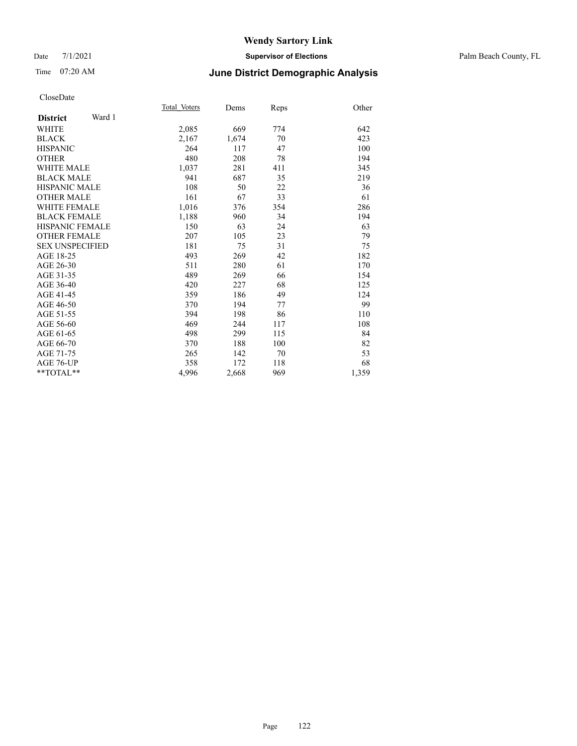#### Date 7/1/2021 **Supervisor of Elections** Palm Beach County, FL

## Time 07:20 AM **June District Demographic Analysis**

|                           | Total Voters | Dems  | Reps | Other |
|---------------------------|--------------|-------|------|-------|
| Ward 1<br><b>District</b> |              |       |      |       |
| <b>WHITE</b>              | 2,085        | 669   | 774  | 642   |
| <b>BLACK</b>              | 2,167        | 1,674 | 70   | 423   |
| <b>HISPANIC</b>           | 264          | 117   | 47   | 100   |
| <b>OTHER</b>              | 480          | 208   | 78   | 194   |
| WHITE MALE                | 1,037        | 281   | 411  | 345   |
| <b>BLACK MALE</b>         | 941          | 687   | 35   | 219   |
| <b>HISPANIC MALE</b>      | 108          | 50    | 22   | 36    |
| <b>OTHER MALE</b>         | 161          | 67    | 33   | 61    |
| WHITE FEMALE              | 1,016        | 376   | 354  | 286   |
| <b>BLACK FEMALE</b>       | 1,188        | 960   | 34   | 194   |
| <b>HISPANIC FEMALE</b>    | 150          | 63    | 24   | 63    |
| <b>OTHER FEMALE</b>       | 207          | 105   | 23   | 79    |
| <b>SEX UNSPECIFIED</b>    | 181          | 75    | 31   | 75    |
| AGE 18-25                 | 493          | 269   | 42   | 182   |
| AGE 26-30                 | 511          | 280   | 61   | 170   |
| AGE 31-35                 | 489          | 269   | 66   | 154   |
| AGE 36-40                 | 420          | 227   | 68   | 125   |
| AGE 41-45                 | 359          | 186   | 49   | 124   |
| AGE 46-50                 | 370          | 194   | 77   | 99    |
| AGE 51-55                 | 394          | 198   | 86   | 110   |
| AGE 56-60                 | 469          | 244   | 117  | 108   |
| AGE 61-65                 | 498          | 299   | 115  | 84    |
| AGE 66-70                 | 370          | 188   | 100  | 82    |
| AGE 71-75                 | 265          | 142   | 70   | 53    |
| AGE 76-UP                 | 358          | 172   | 118  | 68    |
| $*$ $TOTAL**$             | 4,996        | 2,668 | 969  | 1,359 |
|                           |              |       |      |       |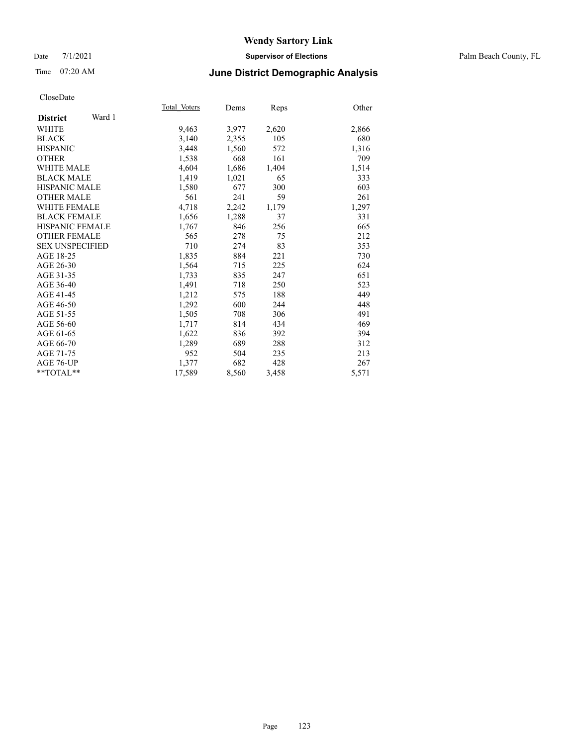### Date 7/1/2021 **Supervisor of Elections** Palm Beach County, FL

## Time 07:20 AM **June District Demographic Analysis**

|                           | Total Voters | Dems  | Reps  | Other |
|---------------------------|--------------|-------|-------|-------|
| Ward 1<br><b>District</b> |              |       |       |       |
| <b>WHITE</b>              | 9,463        | 3,977 | 2,620 | 2,866 |
| <b>BLACK</b>              | 3,140        | 2,355 | 105   | 680   |
| <b>HISPANIC</b>           | 3,448        | 1,560 | 572   | 1,316 |
| <b>OTHER</b>              | 1,538        | 668   | 161   | 709   |
| WHITE MALE                | 4,604        | 1,686 | 1,404 | 1,514 |
| <b>BLACK MALE</b>         | 1,419        | 1,021 | 65    | 333   |
| <b>HISPANIC MALE</b>      | 1,580        | 677   | 300   | 603   |
| <b>OTHER MALE</b>         | 561          | 241   | 59    | 261   |
| <b>WHITE FEMALE</b>       | 4,718        | 2,242 | 1,179 | 1,297 |
| <b>BLACK FEMALE</b>       | 1,656        | 1,288 | 37    | 331   |
| <b>HISPANIC FEMALE</b>    | 1,767        | 846   | 256   | 665   |
| <b>OTHER FEMALE</b>       | 565          | 278   | 75    | 212   |
| <b>SEX UNSPECIFIED</b>    | 710          | 274   | 83    | 353   |
| AGE 18-25                 | 1,835        | 884   | 221   | 730   |
| AGE 26-30                 | 1,564        | 715   | 225   | 624   |
| AGE 31-35                 | 1,733        | 835   | 247   | 651   |
| AGE 36-40                 | 1,491        | 718   | 250   | 523   |
| AGE 41-45                 | 1,212        | 575   | 188   | 449   |
| AGE 46-50                 | 1,292        | 600   | 244   | 448   |
| AGE 51-55                 | 1,505        | 708   | 306   | 491   |
| AGE 56-60                 | 1,717        | 814   | 434   | 469   |
| AGE 61-65                 | 1,622        | 836   | 392   | 394   |
| AGE 66-70                 | 1,289        | 689   | 288   | 312   |
| AGE 71-75                 | 952          | 504   | 235   | 213   |
| AGE 76-UP                 | 1.377        | 682   | 428   | 267   |
| $*$ $TOTAL**$             | 17,589       | 8,560 | 3,458 | 5,571 |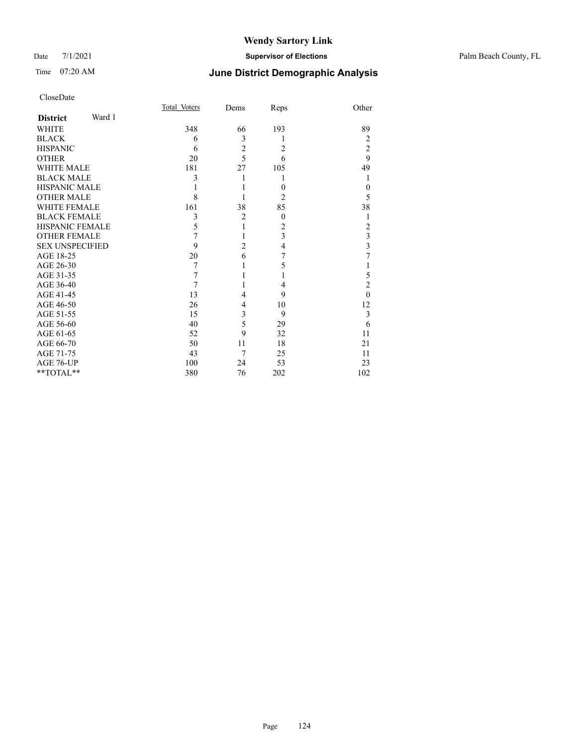### Date 7/1/2021 **Supervisor of Elections** Palm Beach County, FL

# Time 07:20 AM **June District Demographic Analysis**

|                     |        | Total Voters | Dems           | Reps           | Other          |
|---------------------|--------|--------------|----------------|----------------|----------------|
| <b>District</b>     | Ward 1 |              |                |                |                |
| WHITE               |        | 348          | 66             | 193            | 89             |
| BLACK               |        | 6            | 3              | 1              | 2              |
| HISPANIC            |        | 6            | $\overline{c}$ | 2              | $\overline{2}$ |
| OTHER               |        | 20           | 5              | 6              | 9              |
| WHITE MALE          |        | 181          | 27             | 105            | 49             |
| <b>BLACK MALE</b>   |        | 3            |                | 1              |                |
| HISPANIC MALE       |        |              |                | $\overline{0}$ | $\theta$       |
| OTHER MALE          |        | 8            |                | 2              | 5              |
| WHITE FEMALE        |        | 161          | 38             | 85             | 38             |
| <b>BLACK FEMALE</b> |        | 3            | $\overline{2}$ | $\mathbf{0}$   |                |
| HISPANIC FEMALE     |        | 5            |                | 2              | $\overline{c}$ |
| <b>OTHER FEMALE</b> |        | 7            |                | 3              | 3              |
| SEX UNSPECIFIED     |        | 9            | 2              | 4              | 3              |
| AGE 18-25           |        | 20           | 6              | 7              | 7              |
| AGE 26-30           |        | 7            |                | 5              |                |
| AGE 31-35           |        | 7            |                |                | 5              |
| AGE 36-40           |        | 7            |                | 4              | $\overline{2}$ |
| AGE 41-45           |        | 13           | 4              | 9              | $\theta$       |
| AGE 46-50           |        | 26           | 4              | 10             | 12             |
| AGE 51-55           |        | 15           | 3              | 9              | 3              |
| AGE 56-60           |        | 40           | 5              | 29             | 6              |
| AGE 61-65           |        | 52           | 9              | 32             | 11             |
| AGE 66-70           |        | 50           | 11             | 18             | 21             |
| AGE 71-75           |        | 43           | $\overline{7}$ | 25             | 11             |
| AGE 76-UP           |        | 100          | 24             | 53             | 23             |
| $*$ $TOTAL**$       |        | 380          | 76             | 202            | 102            |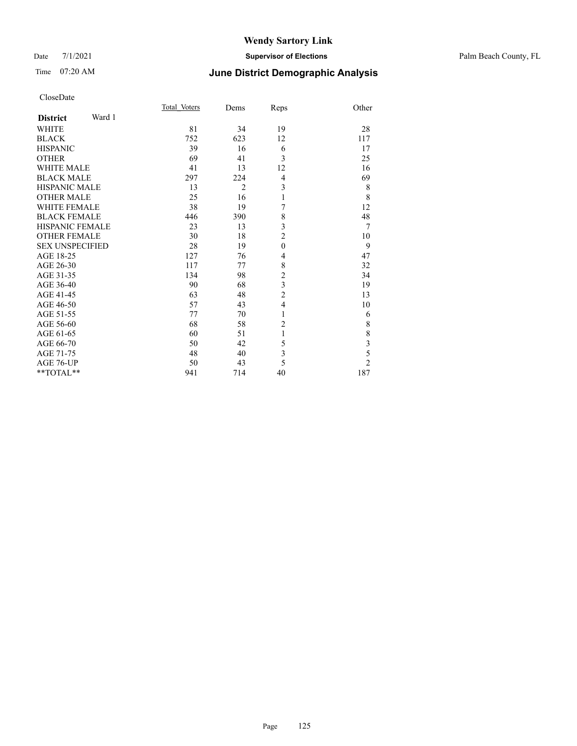### Date 7/1/2021 **Supervisor of Elections** Palm Beach County, FL

# Time 07:20 AM **June District Demographic Analysis**

| CloseDate |
|-----------|
|-----------|

|                     |        | Total Voters | Dems           | Reps                    | Other                   |
|---------------------|--------|--------------|----------------|-------------------------|-------------------------|
| <b>District</b>     | Ward 1 |              |                |                         |                         |
| WHITE               |        | 81           | 34             | 19                      | 28                      |
| BLACK               |        | 752          | 623            | 12                      | 117                     |
| HISPANIC            |        | 39           | 16             | 6                       | 17                      |
| OTHER               |        | 69           | 41             | 3                       | 25                      |
| WHITE MALE          |        | 41           | 13             | 12                      | 16                      |
| <b>BLACK MALE</b>   |        | 297          | 224            | 4                       | 69                      |
| HISPANIC MALE       |        | 13           | $\overline{2}$ | 3                       | 8                       |
| OTHER MALE          |        | 25           | 16             | 1                       | $\,$ 8 $\,$             |
| <b>WHITE FEMALE</b> |        | 38           | 19             | 7                       | 12                      |
| BLACK FEMALE        |        | 446          | 390            | 8                       | 48                      |
| HISPANIC FEMALE     |        | 23           | 13             | 3                       | 7                       |
| OTHER FEMALE        |        | 30           | 18             | 2                       | 10                      |
| SEX UNSPECIFIED     |        | 28           | 19             | $\mathbf{0}$            | 9                       |
| AGE 18-25           |        | 127          | 76             | 4                       | 47                      |
| AGE 26-30           |        | 117          | 77             | 8                       | 32                      |
| AGE 31-35           |        | 134          | 98             | $\overline{c}$          | 34                      |
| AGE 36-40           |        | 90           | 68             | $\mathfrak{Z}$          | 19                      |
| AGE 41-45           |        | 63           | 48             | 2                       | 13                      |
| AGE 46-50           |        | 57           | 43             | $\overline{4}$          | 10                      |
| AGE 51-55           |        | 77           | 70             | 1                       | 6                       |
| AGE 56-60           |        | 68           | 58             | $\overline{c}$          | $8\,$                   |
| AGE 61-65           |        | 60           | 51             | 1                       | $\,$ $\,$               |
| AGE 66-70           |        | 50           | 42             | 5                       | $\overline{\mathbf{3}}$ |
| AGE 71-75           |        | 48           | 40             | $\overline{\mathbf{3}}$ | 5                       |
| AGE 76-UP           |        | 50           | 43             | 5                       | $\overline{2}$          |
| $*$ $TOTAL**$       |        | 941          | 714            | 40                      | 187                     |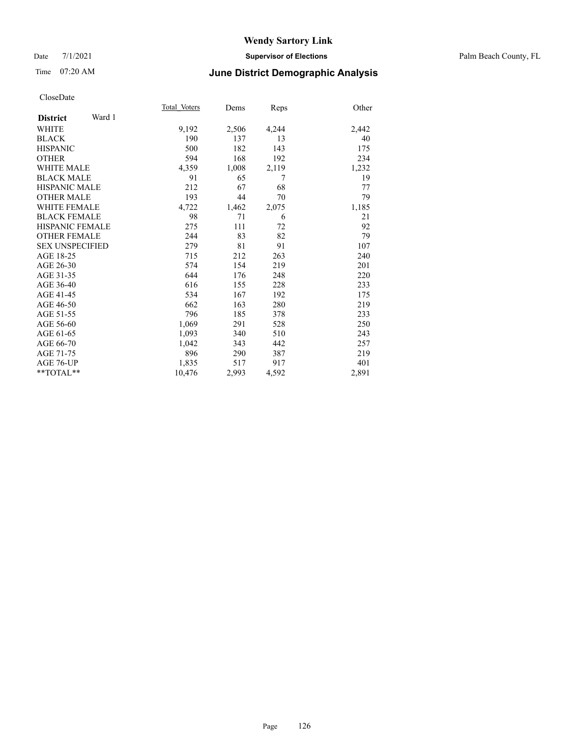### Date 7/1/2021 **Supervisor of Elections** Palm Beach County, FL

### Time 07:20 AM **June District Demographic Analysis**

|                        |        | Total Voters | Dems  | <b>Reps</b> | Other |
|------------------------|--------|--------------|-------|-------------|-------|
| <b>District</b>        | Ward 1 |              |       |             |       |
| WHITE                  |        | 9,192        | 2,506 | 4,244       | 2,442 |
| <b>BLACK</b>           |        | 190          | 137   | 13          | 40    |
| <b>HISPANIC</b>        |        | 500          | 182   | 143         | 175   |
| <b>OTHER</b>           |        | 594          | 168   | 192         | 234   |
| <b>WHITE MALE</b>      |        | 4,359        | 1,008 | 2,119       | 1,232 |
| <b>BLACK MALE</b>      |        | 91           | 65    | 7           | 19    |
| <b>HISPANIC MALE</b>   |        | 212          | 67    | 68          | 77    |
| <b>OTHER MALE</b>      |        | 193          | 44    | 70          | 79    |
| <b>WHITE FEMALE</b>    |        | 4,722        | 1,462 | 2,075       | 1,185 |
| <b>BLACK FEMALE</b>    |        | 98           | 71    | 6           | 21    |
| <b>HISPANIC FEMALE</b> |        | 275          | 111   | 72          | 92    |
| <b>OTHER FEMALE</b>    |        | 244          | 83    | 82          | 79    |
| <b>SEX UNSPECIFIED</b> |        | 279          | 81    | 91          | 107   |
| AGE 18-25              |        | 715          | 212   | 263         | 240   |
| AGE 26-30              |        | 574          | 154   | 219         | 201   |
| AGE 31-35              |        | 644          | 176   | 248         | 220   |
| AGE 36-40              |        | 616          | 155   | 228         | 233   |
| AGE 41-45              |        | 534          | 167   | 192         | 175   |
| AGE 46-50              |        | 662          | 163   | 280         | 219   |
| AGE 51-55              |        | 796          | 185   | 378         | 233   |
| AGE 56-60              |        | 1,069        | 291   | 528         | 250   |
| AGE 61-65              |        | 1,093        | 340   | 510         | 243   |
| AGE 66-70              |        | 1,042        | 343   | 442         | 257   |
| AGE 71-75              |        | 896          | 290   | 387         | 219   |
| AGE 76-UP              |        | 1,835        | 517   | 917         | 401   |
| $*$ $TOTAL**$          |        | 10,476       | 2,993 | 4,592       | 2,891 |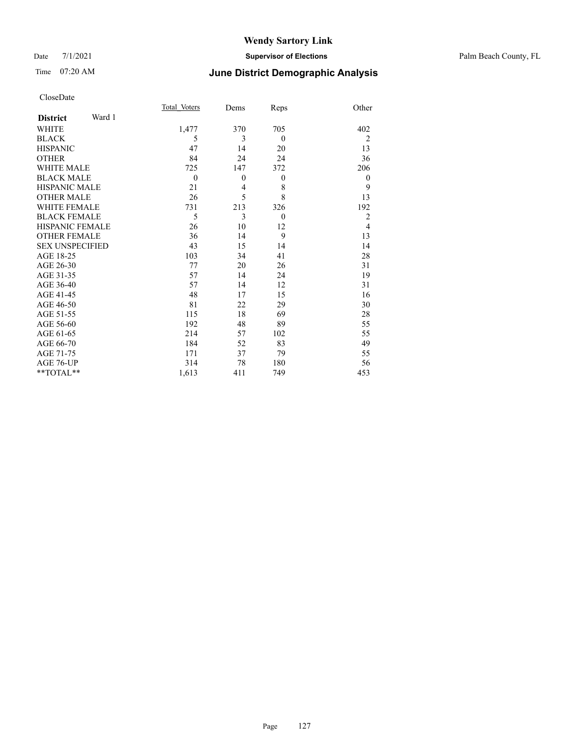### Date 7/1/2021 **Supervisor of Elections** Palm Beach County, FL

# Time 07:20 AM **June District Demographic Analysis**

| CloseDate |
|-----------|
|-----------|

|                        |        | Total Voters | Dems           | Reps             | Other          |
|------------------------|--------|--------------|----------------|------------------|----------------|
| <b>District</b>        | Ward 1 |              |                |                  |                |
| WHITE                  |        | 1,477        | 370            | 705              | 402            |
| BLACK                  |        | 5            | 3              | $\theta$         | 2              |
| <b>HISPANIC</b>        |        | 47           | 14             | 20               | 13             |
| OTHER                  |        | 84           | 24             | 24               | 36             |
| <b>WHITE MALE</b>      |        | 725          | 147            | 372              | 206            |
| <b>BLACK MALE</b>      |        | $\theta$     | $\mathbf{0}$   | $\boldsymbol{0}$ | $\theta$       |
| HISPANIC MALE          |        | 21           | $\overline{4}$ | 8                | 9              |
| <b>OTHER MALE</b>      |        | 26           | 5              | 8                | 13             |
| WHITE FEMALE           |        | 731          | 213            | 326              | 192            |
| <b>BLACK FEMALE</b>    |        | 5            | 3              | $\mathbf{0}$     | $\overline{2}$ |
| HISPANIC FEMALE        |        | 26           | 10             | 12               | $\overline{4}$ |
| <b>OTHER FEMALE</b>    |        | 36           | 14             | 9                | 13             |
| <b>SEX UNSPECIFIED</b> |        | 43           | 15             | 14               | 14             |
| AGE 18-25              |        | 103          | 34             | 41               | 28             |
| AGE 26-30              |        | 77           | 20             | 26               | 31             |
| AGE 31-35              |        | 57           | 14             | 24               | 19             |
| AGE 36-40              |        | 57           | 14             | 12               | 31             |
| AGE 41-45              |        | 48           | 17             | 15               | 16             |
| AGE 46-50              |        | 81           | 22             | 29               | 30             |
| AGE 51-55              |        | 115          | 18             | 69               | 28             |
| AGE 56-60              |        | 192          | 48             | 89               | 55             |
| AGE 61-65              |        | 214          | 57             | 102              | 55             |
| AGE 66-70              |        | 184          | 52             | 83               | 49             |
| AGE 71-75              |        | 171          | 37             | 79               | 55             |
| AGE 76-UP              |        | 314          | 78             | 180              | 56             |
| $*$ $TOTAL**$          |        | 1,613        | 411            | 749              | 453            |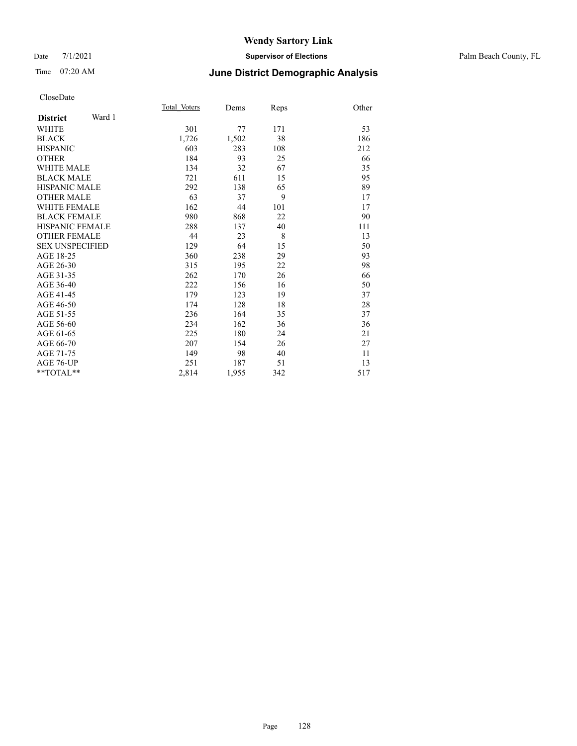#### Date 7/1/2021 **Supervisor of Elections** Palm Beach County, FL

# Time 07:20 AM **June District Demographic Analysis**

|                           | Total Voters | Dems  | Reps | Other |
|---------------------------|--------------|-------|------|-------|
| Ward 1<br><b>District</b> |              |       |      |       |
| <b>WHITE</b>              | 301          | 77    | 171  | 53    |
| <b>BLACK</b>              | 1,726        | 1,502 | 38   | 186   |
| <b>HISPANIC</b>           | 603          | 283   | 108  | 212   |
| <b>OTHER</b>              | 184          | 93    | 25   | 66    |
| WHITE MALE                | 134          | 32    | 67   | 35    |
| <b>BLACK MALE</b>         | 721          | 611   | 15   | 95    |
| <b>HISPANIC MALE</b>      | 292          | 138   | 65   | 89    |
| <b>OTHER MALE</b>         | 63           | 37    | 9    | 17    |
| WHITE FEMALE              | 162          | 44    | 101  | 17    |
| <b>BLACK FEMALE</b>       | 980          | 868   | 22   | 90    |
| <b>HISPANIC FEMALE</b>    | 288          | 137   | 40   | 111   |
| <b>OTHER FEMALE</b>       | 44           | 23    | 8    | 13    |
| <b>SEX UNSPECIFIED</b>    | 129          | 64    | 15   | 50    |
| AGE 18-25                 | 360          | 238   | 29   | 93    |
| AGE 26-30                 | 315          | 195   | 22   | 98    |
| AGE 31-35                 | 262          | 170   | 26   | 66    |
| AGE 36-40                 | 222          | 156   | 16   | 50    |
| AGE 41-45                 | 179          | 123   | 19   | 37    |
| AGE 46-50                 | 174          | 128   | 18   | 28    |
| AGE 51-55                 | 236          | 164   | 35   | 37    |
| AGE 56-60                 | 234          | 162   | 36   | 36    |
| AGE 61-65                 | 225          | 180   | 24   | 21    |
| AGE 66-70                 | 207          | 154   | 26   | 27    |
| AGE 71-75                 | 149          | 98    | 40   | 11    |
| AGE 76-UP                 | 251          | 187   | 51   | 13    |
| $*$ $TOTAL**$             | 2,814        | 1,955 | 342  | 517   |
|                           |              |       |      |       |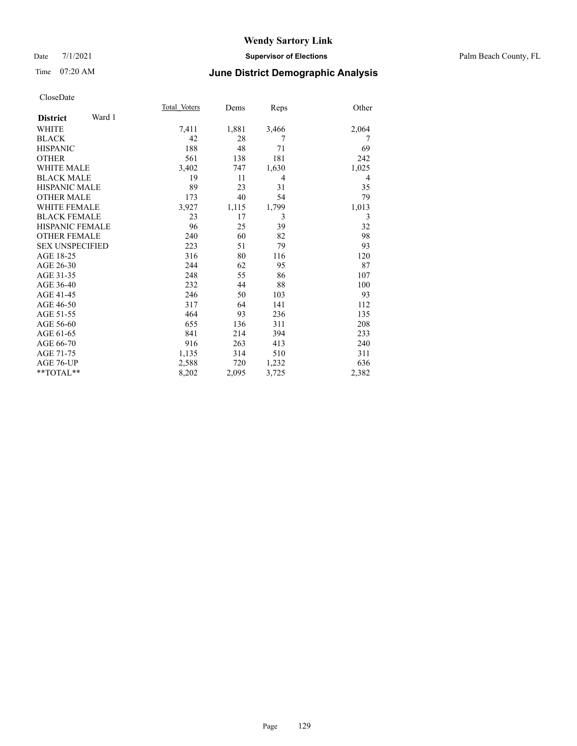### Date 7/1/2021 **Supervisor of Elections** Palm Beach County, FL

### Time 07:20 AM **June District Demographic Analysis**

|                        |        | Total Voters | Dems  | Reps  | Other          |
|------------------------|--------|--------------|-------|-------|----------------|
| <b>District</b>        | Ward 1 |              |       |       |                |
| <b>WHITE</b>           |        | 7,411        | 1,881 | 3,466 | 2,064          |
| <b>BLACK</b>           |        | 42           | 28    | 7     | 7              |
| <b>HISPANIC</b>        |        | 188          | 48    | 71    | 69             |
| <b>OTHER</b>           |        | 561          | 138   | 181   | 242            |
| <b>WHITE MALE</b>      |        | 3,402        | 747   | 1,630 | 1,025          |
| <b>BLACK MALE</b>      |        | 19           | 11    | 4     | $\overline{4}$ |
| <b>HISPANIC MALE</b>   |        | 89           | 23    | 31    | 35             |
| <b>OTHER MALE</b>      |        | 173          | 40    | 54    | 79             |
| WHITE FEMALE           |        | 3,927        | 1,115 | 1,799 | 1,013          |
| <b>BLACK FEMALE</b>    |        | 23           | 17    | 3     | 3              |
| HISPANIC FEMALE        |        | 96           | 25    | 39    | 32             |
| <b>OTHER FEMALE</b>    |        | 240          | 60    | 82    | 98             |
| <b>SEX UNSPECIFIED</b> |        | 223          | 51    | 79    | 93             |
| AGE 18-25              |        | 316          | 80    | 116   | 120            |
| AGE 26-30              |        | 244          | 62    | 95    | 87             |
| AGE 31-35              |        | 248          | 55    | 86    | 107            |
| AGE 36-40              |        | 232          | 44    | 88    | 100            |
| AGE 41-45              |        | 246          | 50    | 103   | 93             |
| AGE 46-50              |        | 317          | 64    | 141   | 112            |
| AGE 51-55              |        | 464          | 93    | 236   | 135            |
| AGE 56-60              |        | 655          | 136   | 311   | 208            |
| AGE 61-65              |        | 841          | 214   | 394   | 233            |
| AGE 66-70              |        | 916          | 263   | 413   | 240            |
| AGE 71-75              |        | 1,135        | 314   | 510   | 311            |
| AGE 76-UP              |        | 2,588        | 720   | 1,232 | 636            |
| $*$ $TOTAL**$          |        | 8,202        | 2,095 | 3,725 | 2,382          |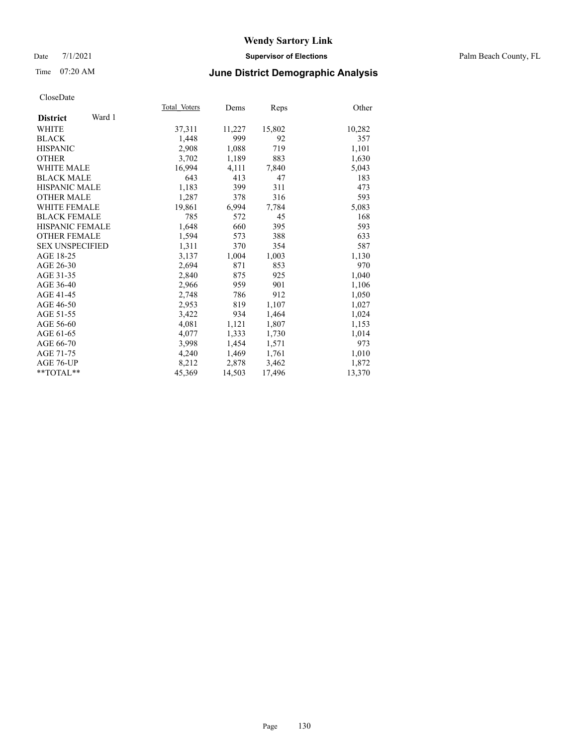### Date 7/1/2021 **Supervisor of Elections** Palm Beach County, FL

### Time 07:20 AM **June District Demographic Analysis**

|                           | Total Voters | Dems   | <b>Reps</b> | Other  |
|---------------------------|--------------|--------|-------------|--------|
| Ward 1<br><b>District</b> |              |        |             |        |
| WHITE                     | 37,311       | 11,227 | 15,802      | 10,282 |
| <b>BLACK</b>              | 1,448        | 999    | 92          | 357    |
| <b>HISPANIC</b>           | 2,908        | 1,088  | 719         | 1,101  |
| <b>OTHER</b>              | 3,702        | 1,189  | 883         | 1,630  |
| <b>WHITE MALE</b>         | 16,994       | 4,111  | 7,840       | 5,043  |
| <b>BLACK MALE</b>         | 643          | 413    | 47          | 183    |
| <b>HISPANIC MALE</b>      | 1,183        | 399    | 311         | 473    |
| <b>OTHER MALE</b>         | 1,287        | 378    | 316         | 593    |
| WHITE FEMALE              | 19,861       | 6,994  | 7,784       | 5,083  |
| <b>BLACK FEMALE</b>       | 785          | 572    | 45          | 168    |
| <b>HISPANIC FEMALE</b>    | 1,648        | 660    | 395         | 593    |
| <b>OTHER FEMALE</b>       | 1,594        | 573    | 388         | 633    |
| <b>SEX UNSPECIFIED</b>    | 1,311        | 370    | 354         | 587    |
| AGE 18-25                 | 3,137        | 1,004  | 1,003       | 1,130  |
| AGE 26-30                 | 2,694        | 871    | 853         | 970    |
| AGE 31-35                 | 2,840        | 875    | 925         | 1,040  |
| AGE 36-40                 | 2,966        | 959    | 901         | 1,106  |
| AGE 41-45                 | 2,748        | 786    | 912         | 1,050  |
| AGE 46-50                 | 2,953        | 819    | 1,107       | 1,027  |
| AGE 51-55                 | 3,422        | 934    | 1,464       | 1,024  |
| AGE 56-60                 | 4,081        | 1,121  | 1,807       | 1,153  |
| AGE 61-65                 | 4,077        | 1,333  | 1,730       | 1,014  |
| AGE 66-70                 | 3,998        | 1,454  | 1,571       | 973    |
| AGE 71-75                 | 4,240        | 1,469  | 1,761       | 1,010  |
| AGE 76-UP                 | 8,212        | 2,878  | 3,462       | 1,872  |
| $*$ TOTAL $*$             | 45,369       | 14,503 | 17,496      | 13,370 |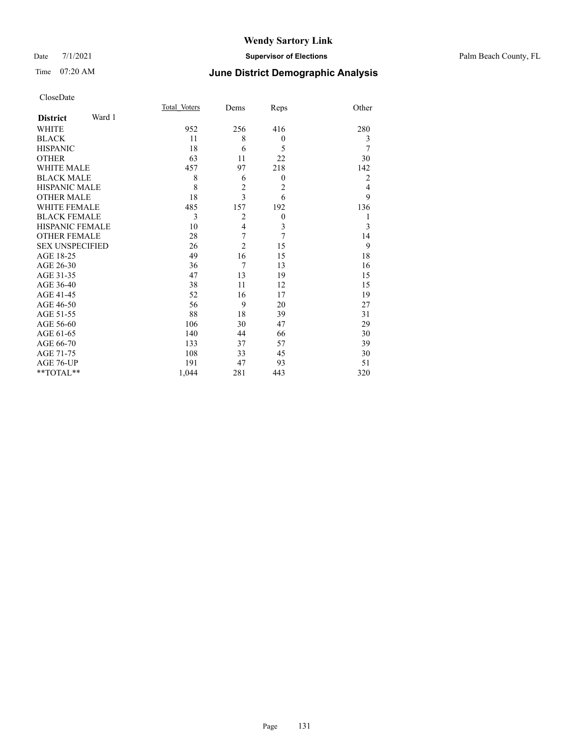#### Date 7/1/2021 **Supervisor of Elections** Palm Beach County, FL

# Time 07:20 AM **June District Demographic Analysis**

|                           | Total Voters | Dems           | Reps           | Other          |
|---------------------------|--------------|----------------|----------------|----------------|
| Ward 1<br><b>District</b> |              |                |                |                |
| WHITE                     | 952          | 256            | 416            | 280            |
| <b>BLACK</b>              | 11           | 8              | $\theta$       | 3              |
| <b>HISPANIC</b>           | 18           | 6              | 5              | 7              |
| <b>OTHER</b>              | 63           | 11             | 22             | 30             |
| <b>WHITE MALE</b>         | 457          | 97             | 218            | 142            |
| <b>BLACK MALE</b>         | 8            | 6              | $\theta$       | $\overline{2}$ |
| <b>HISPANIC MALE</b>      | 8            | $\overline{c}$ | $\overline{2}$ | 4              |
| <b>OTHER MALE</b>         | 18           | $\overline{3}$ | 6              | 9              |
| <b>WHITE FEMALE</b>       | 485          | 157            | 192            | 136            |
| <b>BLACK FEMALE</b>       | 3            | $\overline{2}$ | $\theta$       | 1              |
| <b>HISPANIC FEMALE</b>    | 10           | $\overline{4}$ | $\mathfrak{Z}$ | 3              |
| <b>OTHER FEMALE</b>       | 28           | 7              | 7              | 14             |
| <b>SEX UNSPECIFIED</b>    | 26           | $\overline{2}$ | 15             | 9              |
| AGE 18-25                 | 49           | 16             | 15             | 18             |
| AGE 26-30                 | 36           | $\overline{7}$ | 13             | 16             |
| AGE 31-35                 | 47           | 13             | 19             | 15             |
| AGE 36-40                 | 38           | 11             | 12             | 15             |
| AGE 41-45                 | 52           | 16             | 17             | 19             |
| AGE 46-50                 | 56           | 9              | 20             | 27             |
| AGE 51-55                 | 88           | 18             | 39             | 31             |
| AGE 56-60                 | 106          | 30             | 47             | 29             |
| AGE 61-65                 | 140          | 44             | 66             | 30             |
| AGE 66-70                 | 133          | 37             | 57             | 39             |
| AGE 71-75                 | 108          | 33             | 45             | 30             |
| AGE 76-UP                 | 191          | 47             | 93             | 51             |
| **TOTAL**                 | 1,044        | 281            | 443            | 320            |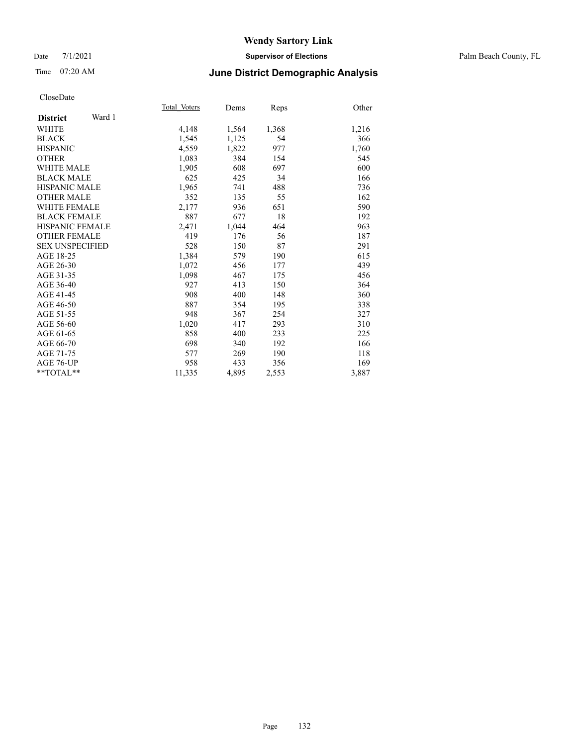### Date 7/1/2021 **Supervisor of Elections** Palm Beach County, FL

### Time 07:20 AM **June District Demographic Analysis**

|                           | Total Voters | Dems  | <b>Reps</b> | Other |
|---------------------------|--------------|-------|-------------|-------|
| Ward 1<br><b>District</b> |              |       |             |       |
| <b>WHITE</b>              | 4,148        | 1,564 | 1,368       | 1,216 |
| <b>BLACK</b>              | 1,545        | 1,125 | 54          | 366   |
| <b>HISPANIC</b>           | 4,559        | 1,822 | 977         | 1,760 |
| <b>OTHER</b>              | 1,083        | 384   | 154         | 545   |
| WHITE MALE                | 1,905        | 608   | 697         | 600   |
| <b>BLACK MALE</b>         | 625          | 425   | 34          | 166   |
| <b>HISPANIC MALE</b>      | 1,965        | 741   | 488         | 736   |
| <b>OTHER MALE</b>         | 352          | 135   | 55          | 162   |
| <b>WHITE FEMALE</b>       | 2,177        | 936   | 651         | 590   |
| <b>BLACK FEMALE</b>       | 887          | 677   | 18          | 192   |
| <b>HISPANIC FEMALE</b>    | 2,471        | 1,044 | 464         | 963   |
| <b>OTHER FEMALE</b>       | 419          | 176   | 56          | 187   |
| <b>SEX UNSPECIFIED</b>    | 528          | 150   | 87          | 291   |
| AGE 18-25                 | 1,384        | 579   | 190         | 615   |
| AGE 26-30                 | 1,072        | 456   | 177         | 439   |
| AGE 31-35                 | 1,098        | 467   | 175         | 456   |
| AGE 36-40                 | 927          | 413   | 150         | 364   |
| AGE 41-45                 | 908          | 400   | 148         | 360   |
| AGE 46-50                 | 887          | 354   | 195         | 338   |
| AGE 51-55                 | 948          | 367   | 254         | 327   |
| AGE 56-60                 | 1,020        | 417   | 293         | 310   |
| AGE 61-65                 | 858          | 400   | 233         | 225   |
| AGE 66-70                 | 698          | 340   | 192         | 166   |
| AGE 71-75                 | 577          | 269   | 190         | 118   |
| AGE 76-UP                 | 958          | 433   | 356         | 169   |
| $*$ $TOTAL**$             | 11,335       | 4,895 | 2,553       | 3,887 |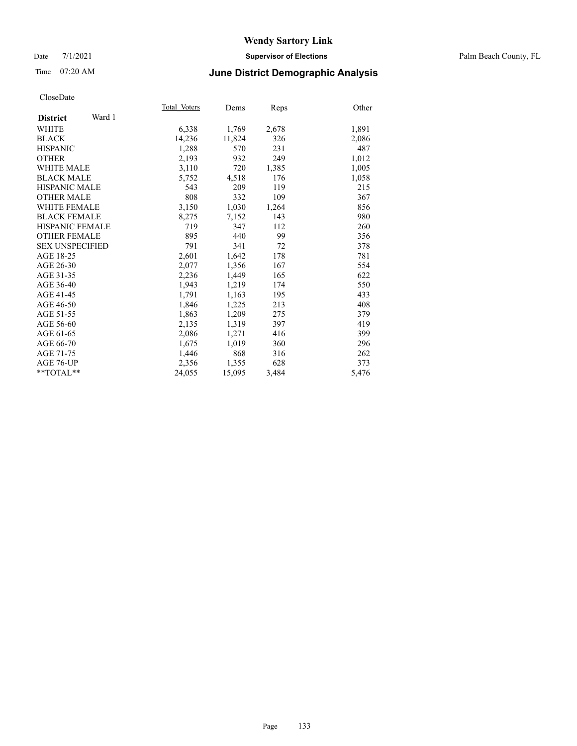### Date 7/1/2021 **Supervisor of Elections** Palm Beach County, FL

### Time 07:20 AM **June District Demographic Analysis**

|                           | Total Voters | Dems   | <b>Reps</b> | Other |
|---------------------------|--------------|--------|-------------|-------|
| Ward 1<br><b>District</b> |              |        |             |       |
| WHITE                     | 6,338        | 1,769  | 2,678       | 1,891 |
| <b>BLACK</b>              | 14,236       | 11,824 | 326         | 2,086 |
| <b>HISPANIC</b>           | 1,288        | 570    | 231         | 487   |
| <b>OTHER</b>              | 2,193        | 932    | 249         | 1,012 |
| <b>WHITE MALE</b>         | 3,110        | 720    | 1,385       | 1,005 |
| <b>BLACK MALE</b>         | 5,752        | 4,518  | 176         | 1,058 |
| <b>HISPANIC MALE</b>      | 543          | 209    | 119         | 215   |
| <b>OTHER MALE</b>         | 808          | 332    | 109         | 367   |
| <b>WHITE FEMALE</b>       | 3,150        | 1,030  | 1,264       | 856   |
| <b>BLACK FEMALE</b>       | 8,275        | 7,152  | 143         | 980   |
| <b>HISPANIC FEMALE</b>    | 719          | 347    | 112         | 260   |
| <b>OTHER FEMALE</b>       | 895          | 440    | 99          | 356   |
| <b>SEX UNSPECIFIED</b>    | 791          | 341    | 72          | 378   |
| AGE 18-25                 | 2,601        | 1,642  | 178         | 781   |
| AGE 26-30                 | 2,077        | 1,356  | 167         | 554   |
| AGE 31-35                 | 2,236        | 1,449  | 165         | 622   |
| AGE 36-40                 | 1,943        | 1,219  | 174         | 550   |
| AGE 41-45                 | 1,791        | 1,163  | 195         | 433   |
| AGE 46-50                 | 1,846        | 1,225  | 213         | 408   |
| AGE 51-55                 | 1,863        | 1,209  | 275         | 379   |
| AGE 56-60                 | 2,135        | 1,319  | 397         | 419   |
| AGE 61-65                 | 2,086        | 1,271  | 416         | 399   |
| AGE 66-70                 | 1,675        | 1,019  | 360         | 296   |
| AGE 71-75                 | 1,446        | 868    | 316         | 262   |
| AGE 76-UP                 | 2,356        | 1,355  | 628         | 373   |
| $*$ $TOTAL**$             | 24,055       | 15,095 | 3,484       | 5,476 |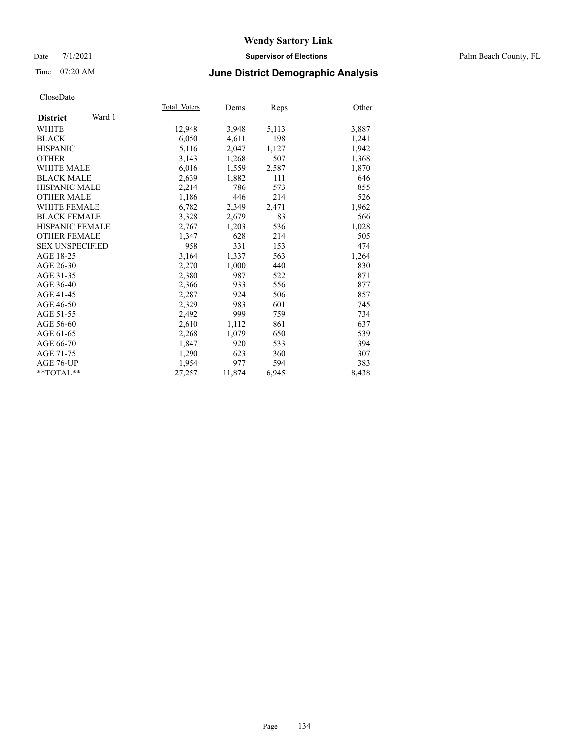### Date 7/1/2021 **Supervisor of Elections** Palm Beach County, FL

## Time 07:20 AM **June District Demographic Analysis**

|                           | Total Voters | Dems   | Reps  | Other |
|---------------------------|--------------|--------|-------|-------|
| Ward 1<br><b>District</b> |              |        |       |       |
| WHITE                     | 12,948       | 3,948  | 5,113 | 3,887 |
| <b>BLACK</b>              | 6,050        | 4,611  | 198   | 1,241 |
| <b>HISPANIC</b>           | 5,116        | 2,047  | 1,127 | 1,942 |
| <b>OTHER</b>              | 3,143        | 1,268  | 507   | 1,368 |
| <b>WHITE MALE</b>         | 6,016        | 1,559  | 2,587 | 1,870 |
| <b>BLACK MALE</b>         | 2,639        | 1,882  | 111   | 646   |
| <b>HISPANIC MALE</b>      | 2,214        | 786    | 573   | 855   |
| <b>OTHER MALE</b>         | 1,186        | 446    | 214   | 526   |
| <b>WHITE FEMALE</b>       | 6,782        | 2,349  | 2,471 | 1,962 |
| <b>BLACK FEMALE</b>       | 3,328        | 2,679  | 83    | 566   |
| HISPANIC FEMALE           | 2,767        | 1,203  | 536   | 1,028 |
| <b>OTHER FEMALE</b>       | 1,347        | 628    | 214   | 505   |
| <b>SEX UNSPECIFIED</b>    | 958          | 331    | 153   | 474   |
| AGE 18-25                 | 3,164        | 1,337  | 563   | 1,264 |
| AGE 26-30                 | 2,270        | 1,000  | 440   | 830   |
| AGE 31-35                 | 2,380        | 987    | 522   | 871   |
| AGE 36-40                 | 2,366        | 933    | 556   | 877   |
| AGE 41-45                 | 2,287        | 924    | 506   | 857   |
| AGE 46-50                 | 2,329        | 983    | 601   | 745   |
| AGE 51-55                 | 2,492        | 999    | 759   | 734   |
| AGE 56-60                 | 2,610        | 1,112  | 861   | 637   |
| AGE 61-65                 | 2,268        | 1,079  | 650   | 539   |
| AGE 66-70                 | 1,847        | 920    | 533   | 394   |
| AGE 71-75                 | 1,290        | 623    | 360   | 307   |
| AGE 76-UP                 | 1,954        | 977    | 594   | 383   |
| $*$ $TOTAL**$             | 27,257       | 11,874 | 6,945 | 8,438 |
|                           |              |        |       |       |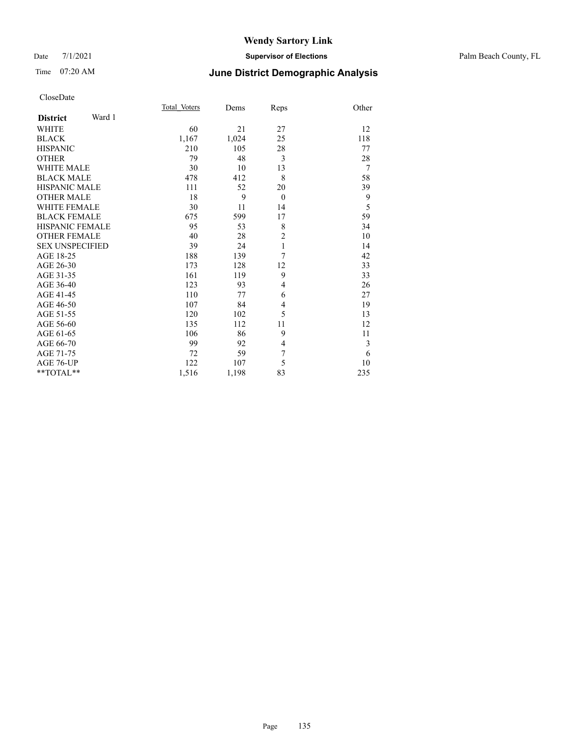#### Date 7/1/2021 **Supervisor of Elections** Palm Beach County, FL

## Time 07:20 AM **June District Demographic Analysis**

|                           | Total Voters | Dems  | Reps           | Other          |
|---------------------------|--------------|-------|----------------|----------------|
| Ward 1<br><b>District</b> |              |       |                |                |
| <b>WHITE</b>              | 60           | 21    | 27             | 12             |
| <b>BLACK</b>              | 1,167        | 1,024 | 25             | 118            |
| <b>HISPANIC</b>           | 210          | 105   | 28             | 77             |
| <b>OTHER</b>              | 79           | 48    | 3              | 28             |
| <b>WHITE MALE</b>         | 30           | 10    | 13             | $\overline{7}$ |
| <b>BLACK MALE</b>         | 478          | 412   | 8              | 58             |
| <b>HISPANIC MALE</b>      | 111          | 52    | 20             | 39             |
| <b>OTHER MALE</b>         | 18           | 9     | $\theta$       | 9              |
| <b>WHITE FEMALE</b>       | 30           | 11    | 14             | 5              |
| <b>BLACK FEMALE</b>       | 675          | 599   | 17             | 59             |
| <b>HISPANIC FEMALE</b>    | 95           | 53    | 8              | 34             |
| <b>OTHER FEMALE</b>       | 40           | 28    | $\overline{2}$ | 10             |
| <b>SEX UNSPECIFIED</b>    | 39           | 24    | 1              | 14             |
| AGE 18-25                 | 188          | 139   | 7              | 42             |
| AGE 26-30                 | 173          | 128   | 12             | 33             |
| AGE 31-35                 | 161          | 119   | 9              | 33             |
| AGE 36-40                 | 123          | 93    | 4              | 26             |
| AGE 41-45                 | 110          | 77    | 6              | 27             |
| AGE 46-50                 | 107          | 84    | $\overline{4}$ | 19             |
| AGE 51-55                 | 120          | 102   | 5              | 13             |
| AGE 56-60                 | 135          | 112   | 11             | 12             |
| AGE 61-65                 | 106          | 86    | 9              | 11             |
| AGE 66-70                 | 99           | 92    | $\overline{4}$ | 3              |
| AGE 71-75                 | 72           | 59    | 7              | 6              |
| AGE 76-UP                 | 122          | 107   | 5              | 10             |
| **TOTAL**                 | 1,516        | 1,198 | 83             | 235            |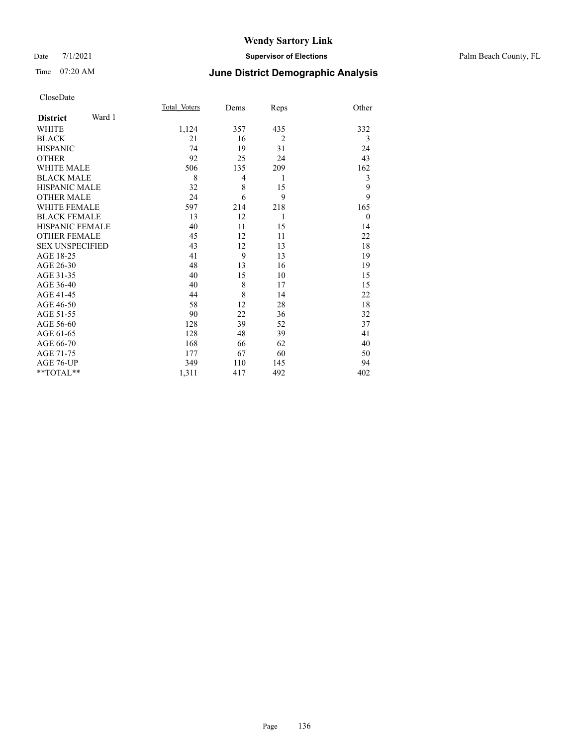#### Date 7/1/2021 **Supervisor of Elections** Palm Beach County, FL

# Time 07:20 AM **June District Demographic Analysis**

|                        |        | Total Voters | Dems           | Reps           | Other          |
|------------------------|--------|--------------|----------------|----------------|----------------|
| <b>District</b>        | Ward 1 |              |                |                |                |
| WHITE                  |        | 1,124        | 357            | 435            | 332            |
| <b>BLACK</b>           |        | 21           | 16             | $\overline{2}$ | 3              |
| <b>HISPANIC</b>        |        | 74           | 19             | 31             | 24             |
| <b>OTHER</b>           |        | 92           | 25             | 24             | 43             |
| <b>WHITE MALE</b>      |        | 506          | 135            | 209            | 162            |
| <b>BLACK MALE</b>      |        | 8            | $\overline{4}$ | 1              | 3              |
| <b>HISPANIC MALE</b>   |        | 32           | 8              | 15             | 9              |
| <b>OTHER MALE</b>      |        | 24           | 6              | 9              | 9              |
| <b>WHITE FEMALE</b>    |        | 597          | 214            | 218            | 165            |
| <b>BLACK FEMALE</b>    |        | 13           | 12             | 1              | $\overline{0}$ |
| <b>HISPANIC FEMALE</b> |        | 40           | 11             | 15             | 14             |
| <b>OTHER FEMALE</b>    |        | 45           | 12             | 11             | 22             |
| <b>SEX UNSPECIFIED</b> |        | 43           | 12             | 13             | 18             |
| AGE 18-25              |        | 41           | 9              | 13             | 19             |
| AGE 26-30              |        | 48           | 13             | 16             | 19             |
| AGE 31-35              |        | 40           | 15             | 10             | 15             |
| AGE 36-40              |        | 40           | 8              | 17             | 15             |
| AGE 41-45              |        | 44           | 8              | 14             | 22             |
| AGE 46-50              |        | 58           | 12             | 28             | 18             |
| AGE 51-55              |        | 90           | 22             | 36             | 32             |
| AGE 56-60              |        | 128          | 39             | 52             | 37             |
| AGE 61-65              |        | 128          | 48             | 39             | 41             |
| AGE 66-70              |        | 168          | 66             | 62             | 40             |
| AGE 71-75              |        | 177          | 67             | 60             | 50             |
| AGE 76-UP              |        | 349          | 110            | 145            | 94             |
| $*$ $TOTAL**$          |        | 1,311        | 417            | 492            | 402            |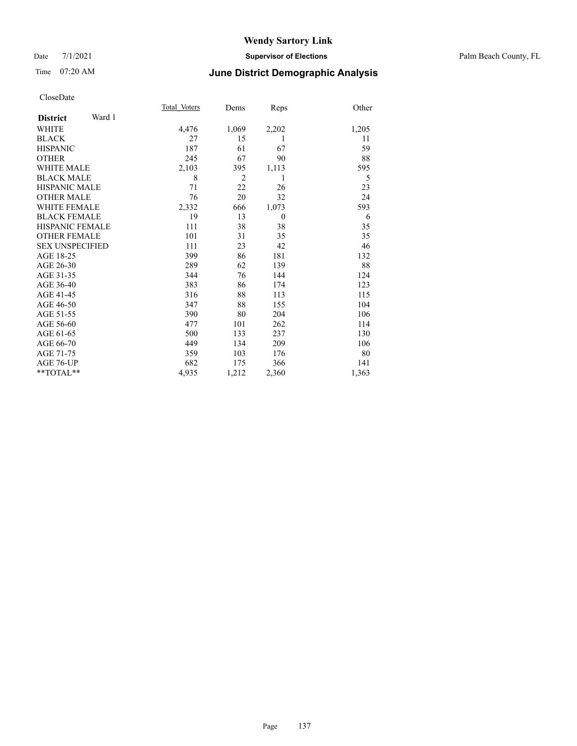#### Date 7/1/2021 **Supervisor of Elections** Palm Beach County, FL

### Time 07:20 AM **June District Demographic Analysis**

|                        | Total Voters | Dems           | Reps           | Other |
|------------------------|--------------|----------------|----------------|-------|
| Ward 1                 |              |                |                |       |
|                        | 4,476        | 1,069          | 2,202          | 1,205 |
|                        | 27           | 15             | 1              | 11    |
|                        | 187          | 61             | 67             | 59    |
|                        | 245          | 67             | 90             | 88    |
| <b>WHITE MALE</b>      | 2,103        | 395            | 1,113          | 595   |
| <b>BLACK MALE</b>      | 8            | $\overline{2}$ |                | 5     |
| <b>HISPANIC MALE</b>   | 71           | 22             | 26             | 23    |
| <b>OTHER MALE</b>      | 76           | 20             | 32             | 24    |
| <b>WHITE FEMALE</b>    | 2,332        | 666            | 1,073          | 593   |
| <b>BLACK FEMALE</b>    | 19           | 13             | $\overline{0}$ | 6     |
| <b>HISPANIC FEMALE</b> | 111          | 38             | 38             | 35    |
| <b>OTHER FEMALE</b>    | 101          | 31             | 35             | 35    |
| <b>SEX UNSPECIFIED</b> | 111          | 23             | 42             | 46    |
|                        | 399          | 86             | 181            | 132   |
|                        | 289          | 62             | 139            | 88    |
|                        | 344          | 76             | 144            | 124   |
|                        | 383          | 86             | 174            | 123   |
|                        | 316          | 88             | 113            | 115   |
|                        | 347          | 88             | 155            | 104   |
|                        | 390          | 80             | 204            | 106   |
|                        | 477          | 101            | 262            | 114   |
|                        | 500          | 133            | 237            | 130   |
|                        | 449          | 134            | 209            | 106   |
|                        | 359          | 103            | 176            | 80    |
|                        | 682          | 175            | 366            | 141   |
|                        | 4,935        | 1,212          | 2,360          | 1,363 |
|                        |              |                |                |       |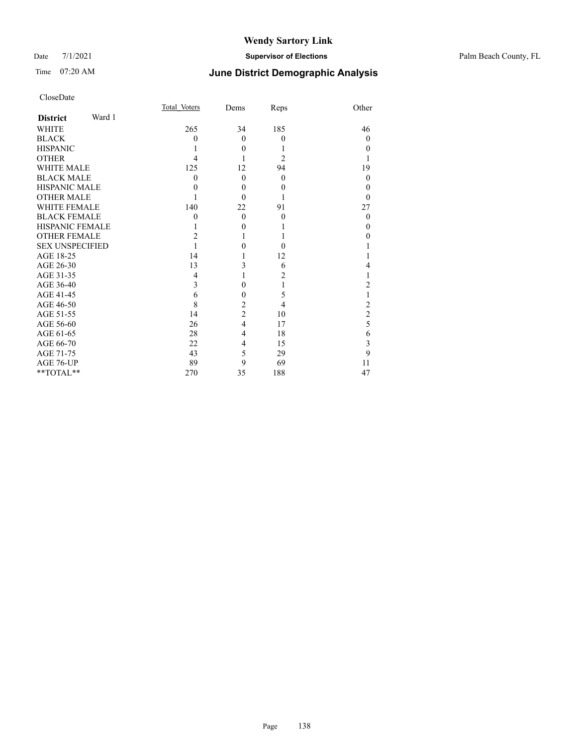### Date 7/1/2021 **Supervisor of Elections** Palm Beach County, FL

# Time 07:20 AM **June District Demographic Analysis**

| CloseDate |
|-----------|
|-----------|

|                        |        | Total Voters | Dems           | Reps             | Other          |
|------------------------|--------|--------------|----------------|------------------|----------------|
| <b>District</b>        | Ward 1 |              |                |                  |                |
| <b>WHITE</b>           |        | 265          | 34             | 185              | 46             |
| <b>BLACK</b>           |        | 0            | $\Omega$       | $\theta$         | $\Omega$       |
| <b>HISPANIC</b>        |        |              | $\Omega$       |                  | $\Omega$       |
| <b>OTHER</b>           |        | 4            |                | $\overline{2}$   | 1              |
| <b>WHITE MALE</b>      |        | 125          | 12             | 94               | 19             |
| <b>BLACK MALE</b>      |        | $\theta$     | $\theta$       | $\theta$         | $\theta$       |
| <b>HISPANIC MALE</b>   |        | 0            | $\theta$       | $\theta$         | $\Omega$       |
| <b>OTHER MALE</b>      |        |              | $\Omega$       |                  | $\Omega$       |
| <b>WHITE FEMALE</b>    |        | 140          | 22             | 91               | 27             |
| <b>BLACK FEMALE</b>    |        | 0            | $\theta$       | $\boldsymbol{0}$ | $\overline{0}$ |
| HISPANIC FEMALE        |        |              | $\theta$       |                  | $\Omega$       |
| <b>OTHER FEMALE</b>    |        | 2            |                |                  | $\theta$       |
| <b>SEX UNSPECIFIED</b> |        |              | 0              | 0                |                |
| AGE 18-25              |        | 14           |                | 12               |                |
| AGE 26-30              |        | 13           | 3              | 6                | 4              |
| AGE 31-35              |        | 4            |                | 2                |                |
| AGE 36-40              |        | 3            | $\theta$       |                  | 2              |
| AGE 41-45              |        | 6            | $\overline{0}$ | 5                | 1              |
| AGE 46-50              |        | 8            | $\overline{c}$ | 4                | $\overline{c}$ |
| AGE 51-55              |        | 14           | $\overline{c}$ | 10               | $\overline{2}$ |
| AGE 56-60              |        | 26           | $\overline{4}$ | 17               | 5              |
| AGE 61-65              |        | 28           | 4              | 18               | 6              |
| AGE 66-70              |        | 22           | $\overline{4}$ | 15               | 3              |
| AGE 71-75              |        | 43           | 5              | 29               | 9              |
| AGE 76-UP              |        | 89           | 9              | 69               | 11             |
| **TOTAL**              |        | 270          | 35             | 188              | 47             |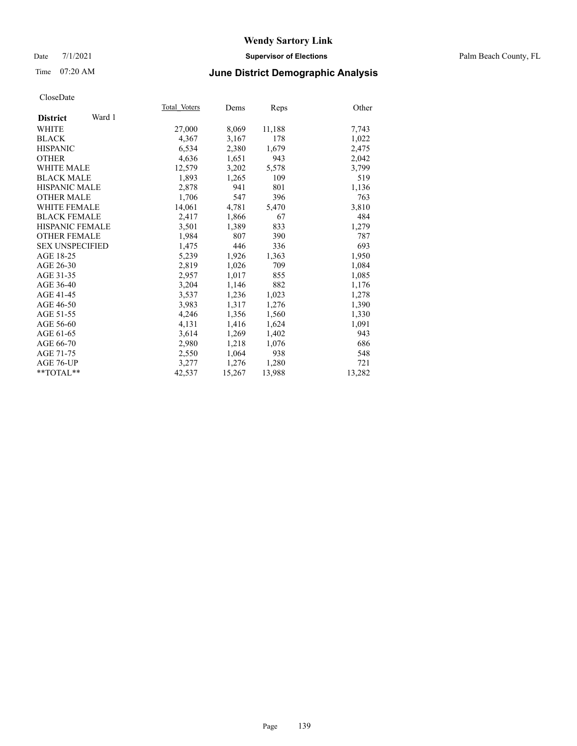#### Date 7/1/2021 **Supervisor of Elections** Palm Beach County, FL

### Time 07:20 AM **June District Demographic Analysis**

|                           | Total Voters | Dems   | Reps   | Other  |
|---------------------------|--------------|--------|--------|--------|
| Ward 1<br><b>District</b> |              |        |        |        |
| WHITE                     | 27,000       | 8,069  | 11,188 | 7,743  |
| <b>BLACK</b>              | 4,367        | 3,167  | 178    | 1,022  |
| <b>HISPANIC</b>           | 6,534        | 2,380  | 1,679  | 2,475  |
| <b>OTHER</b>              | 4,636        | 1,651  | 943    | 2,042  |
| <b>WHITE MALE</b>         | 12,579       | 3,202  | 5,578  | 3,799  |
| <b>BLACK MALE</b>         | 1,893        | 1,265  | 109    | 519    |
| <b>HISPANIC MALE</b>      | 2,878        | 941    | 801    | 1,136  |
| <b>OTHER MALE</b>         | 1,706        | 547    | 396    | 763    |
| <b>WHITE FEMALE</b>       | 14,061       | 4,781  | 5,470  | 3,810  |
| <b>BLACK FEMALE</b>       | 2.417        | 1,866  | 67     | 484    |
| HISPANIC FEMALE           | 3,501        | 1,389  | 833    | 1,279  |
| <b>OTHER FEMALE</b>       | 1,984        | 807    | 390    | 787    |
| <b>SEX UNSPECIFIED</b>    | 1.475        | 446    | 336    | 693    |
| AGE 18-25                 | 5,239        | 1,926  | 1,363  | 1,950  |
| AGE 26-30                 | 2,819        | 1,026  | 709    | 1,084  |
| AGE 31-35                 | 2,957        | 1,017  | 855    | 1,085  |
| AGE 36-40                 | 3,204        | 1,146  | 882    | 1,176  |
| AGE 41-45                 | 3,537        | 1,236  | 1,023  | 1,278  |
| AGE 46-50                 | 3,983        | 1,317  | 1,276  | 1,390  |
| AGE 51-55                 | 4,246        | 1,356  | 1,560  | 1,330  |
| AGE 56-60                 | 4,131        | 1,416  | 1,624  | 1,091  |
| AGE 61-65                 | 3,614        | 1,269  | 1,402  | 943    |
| AGE 66-70                 | 2,980        | 1,218  | 1,076  | 686    |
| AGE 71-75                 | 2,550        | 1,064  | 938    | 548    |
| AGE 76-UP                 | 3,277        | 1,276  | 1,280  | 721    |
| $*$ TOTAL $*$             | 42,537       | 15,267 | 13,988 | 13,282 |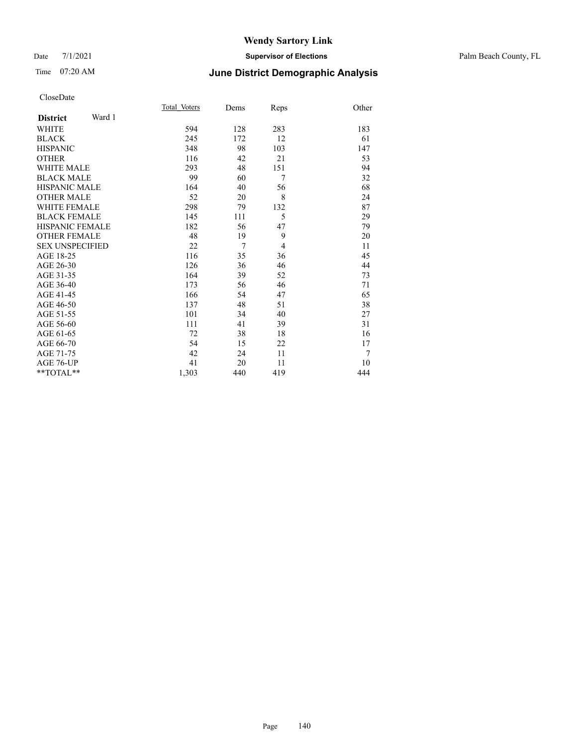#### Date 7/1/2021 **Supervisor of Elections** Palm Beach County, FL

# Time 07:20 AM **June District Demographic Analysis**

|                           | Total Voters | Dems           | Reps           | Other |
|---------------------------|--------------|----------------|----------------|-------|
| Ward 1<br><b>District</b> |              |                |                |       |
| <b>WHITE</b>              | 594          | 128            | 283            | 183   |
| <b>BLACK</b>              | 245          | 172            | 12             | 61    |
| <b>HISPANIC</b>           | 348          | 98             | 103            | 147   |
| <b>OTHER</b>              | 116          | 42             | 21             | 53    |
| <b>WHITE MALE</b>         | 293          | 48             | 151            | 94    |
| <b>BLACK MALE</b>         | 99           | 60             | $\overline{7}$ | 32    |
| <b>HISPANIC MALE</b>      | 164          | 40             | 56             | 68    |
| <b>OTHER MALE</b>         | 52           | 20             | 8              | 24    |
| <b>WHITE FEMALE</b>       | 298          | 79             | 132            | 87    |
| <b>BLACK FEMALE</b>       | 145          | 111            | 5              | 29    |
| <b>HISPANIC FEMALE</b>    | 182          | 56             | 47             | 79    |
| <b>OTHER FEMALE</b>       | 48           | 19             | 9              | 20    |
| <b>SEX UNSPECIFIED</b>    | 22           | $\overline{7}$ | $\overline{4}$ | 11    |
| AGE 18-25                 | 116          | 35             | 36             | 45    |
| AGE 26-30                 | 126          | 36             | 46             | 44    |
| AGE 31-35                 | 164          | 39             | 52             | 73    |
| AGE 36-40                 | 173          | 56             | 46             | 71    |
| AGE 41-45                 | 166          | 54             | 47             | 65    |
| AGE 46-50                 | 137          | 48             | 51             | 38    |
| AGE 51-55                 | 101          | 34             | 40             | 27    |
| AGE 56-60                 | 111          | 41             | 39             | 31    |
| AGE 61-65                 | 72           | 38             | 18             | 16    |
| AGE 66-70                 | 54           | 15             | 22             | 17    |
| AGE 71-75                 | 42           | 24             | 11             | 7     |
| AGE 76-UP                 | 41           | 20             | 11             | 10    |
| $**TOTAL**$               | 1,303        | 440            | 419            | 444   |